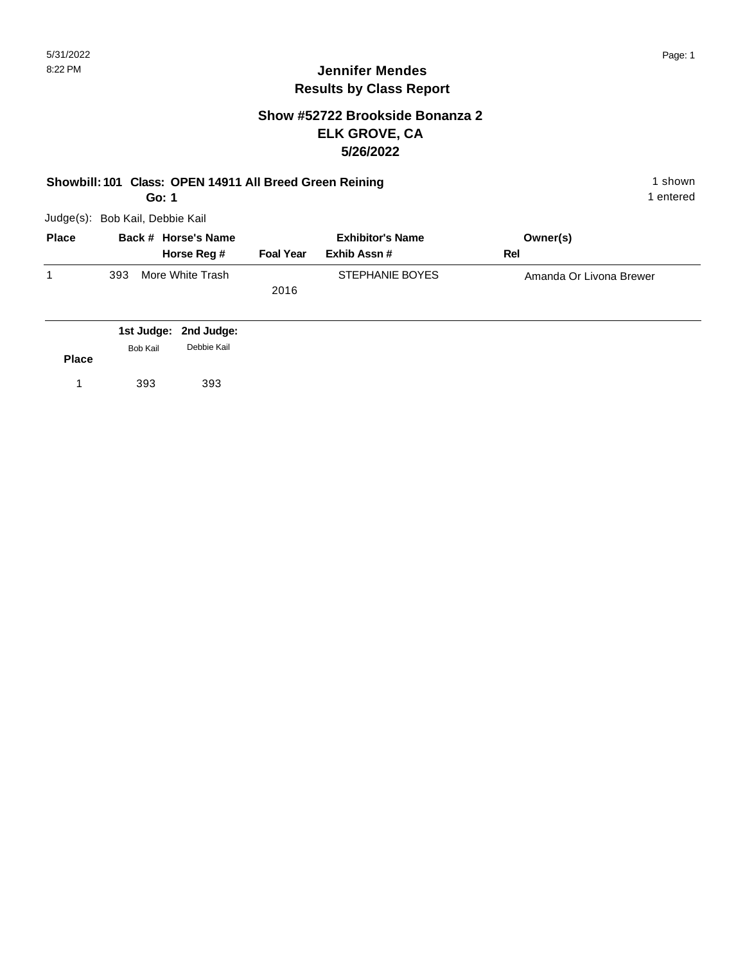#### **Show #52722 Brookside Bonanza 2 ELK GROVE, CA 5/26/2022**

#### **Showbill: 101 Class: OPEN 14911 All Breed Green Reining 1 shown 1 shown**

**Go: 1**

Judge(s): Bob Kail, Debbie Kail

| <b>Place</b> | Back # Horse's Name |                  |                  | <b>Exhibitor's Name</b> |     | Owner(s)                |
|--------------|---------------------|------------------|------------------|-------------------------|-----|-------------------------|
|              |                     | Horse Reg #      | <b>Foal Year</b> | Exhib Assn #            | Rel |                         |
|              | 393                 | More White Trash |                  | STEPHANIE BOYES         |     | Amanda Or Livona Brewer |
|              |                     |                  | 2016             |                         |     |                         |
|              |                     |                  |                  |                         |     |                         |

|              |                 | 1st Judge: 2nd Judge: |
|--------------|-----------------|-----------------------|
|              | <b>Bob Kail</b> | Debbie Kail           |
| <b>Place</b> |                 |                       |
|              | 393             | 393                   |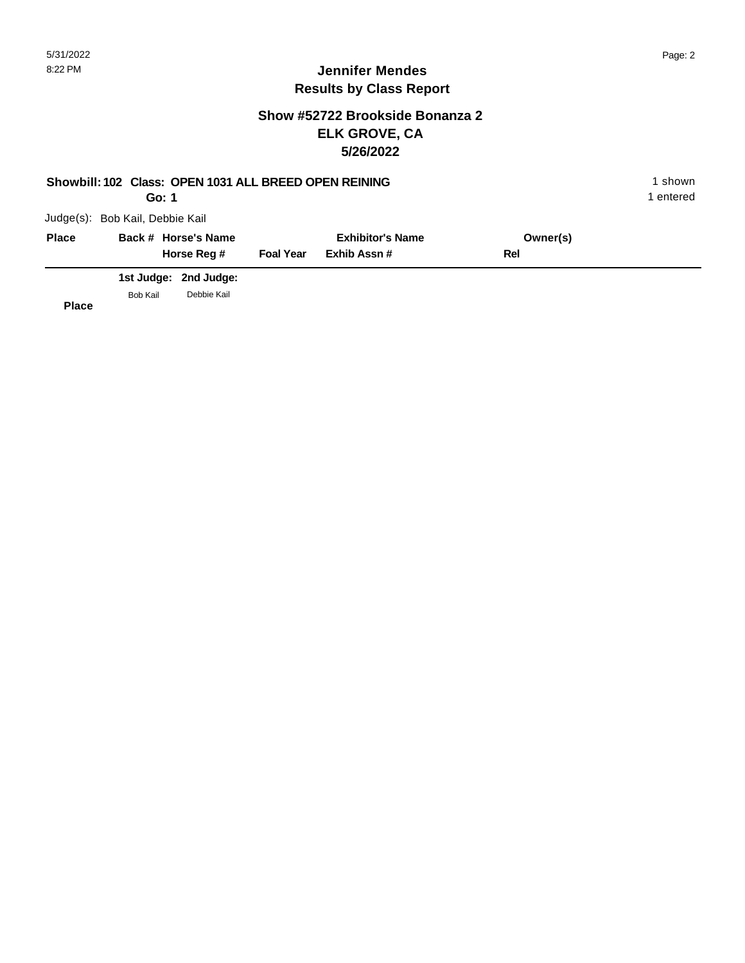### **Show #52722 Brookside Bonanza 2 ELK GROVE, CA 5/26/2022**

| Showbill: 102 Class: OPEN 1031 ALL BREED OPEN REINING<br>Go: 1 |                                 |                       |                         |             |          |  |  |
|----------------------------------------------------------------|---------------------------------|-----------------------|-------------------------|-------------|----------|--|--|
|                                                                | Judge(s): Bob Kail, Debbie Kail |                       |                         |             |          |  |  |
| <b>Place</b>                                                   |                                 | Back # Horse's Name   | <b>Exhibitor's Name</b> |             | Owner(s) |  |  |
|                                                                |                                 | Horse Reg #           | <b>Foal Year</b>        | Exhib Assn# | Rel      |  |  |
|                                                                |                                 | 1st Judge: 2nd Judge: |                         |             |          |  |  |
| <b>Place</b>                                                   | Bob Kail                        | Debbie Kail           |                         |             |          |  |  |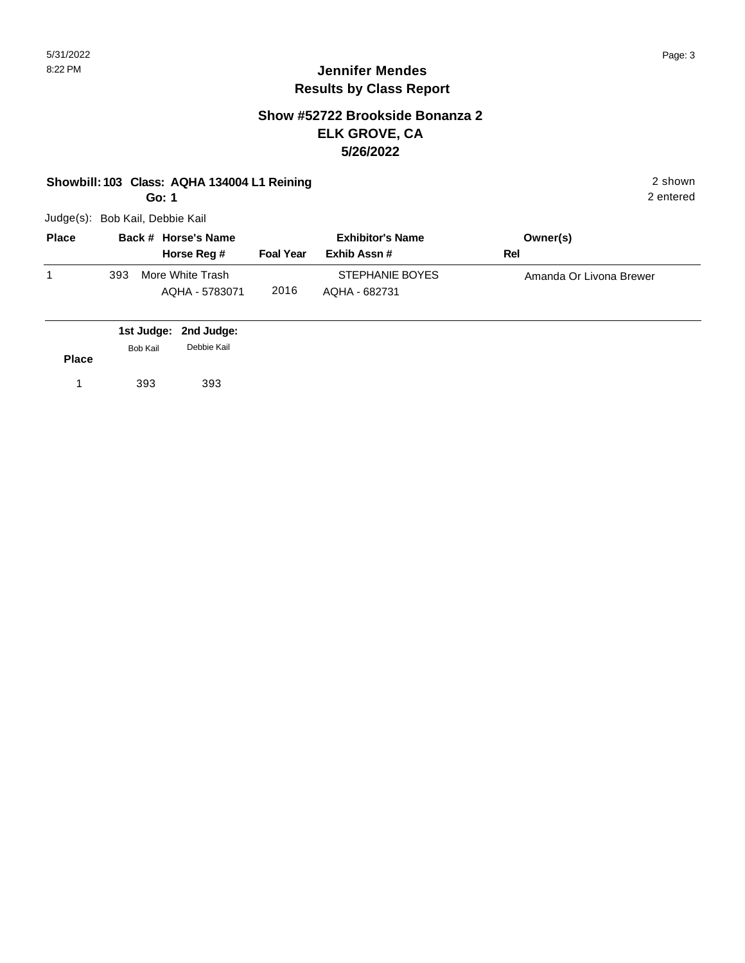#### **Show #52722 Brookside Bonanza 2 ELK GROVE, CA 5/26/2022**

#### **Showbill: 103 Class: AQHA 134004 L1 Reining 2 shown 2 shown 2 shown**

**Go: 1**

Judge(s): Bob Kail, Debbie Kail

| <b>Place</b> | Back # Horse's Name |                                    | <b>Exhibitor's Name</b> |                                  | Owner(s)                |  |
|--------------|---------------------|------------------------------------|-------------------------|----------------------------------|-------------------------|--|
|              |                     | Horse Reg #                        | <b>Foal Year</b>        | Exhib Assn #                     | Rel                     |  |
|              | 393                 | More White Trash<br>AQHA - 5783071 | 2016                    | STEPHANIE BOYES<br>AQHA - 682731 | Amanda Or Livona Brewer |  |

|              |          | 1st Judge: 2nd Judge: |  |
|--------------|----------|-----------------------|--|
|              | Bob Kail | Debbie Kail           |  |
| <b>Place</b> |          |                       |  |
|              | 393      | 393                   |  |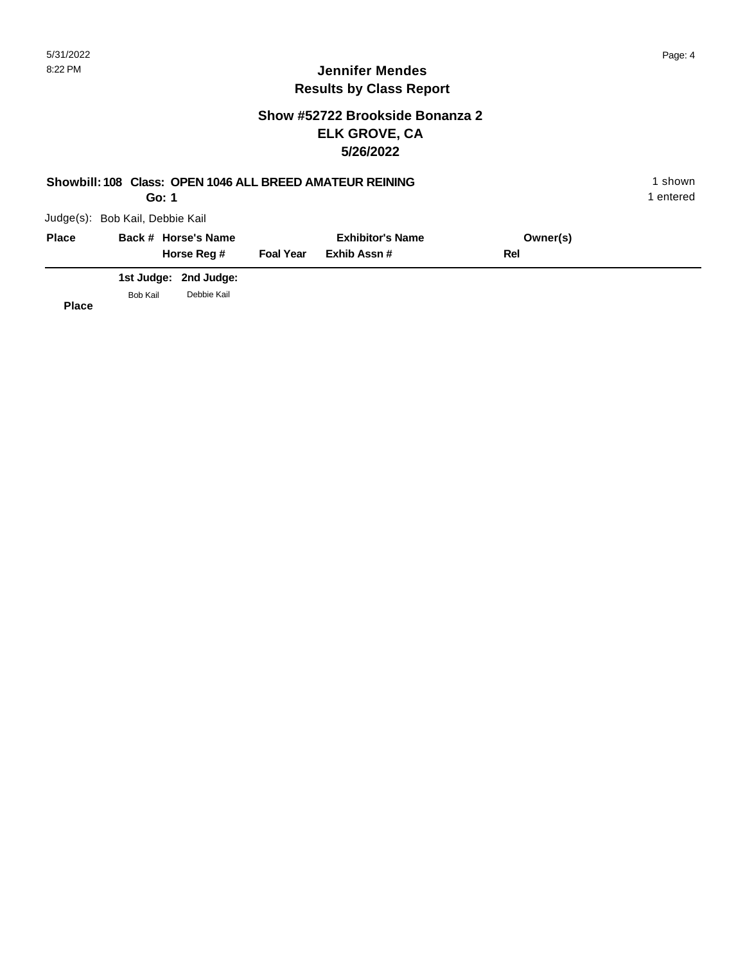### **Show #52722 Brookside Bonanza 2 ELK GROVE, CA 5/26/2022**

| Showbill: 108 Class: OPEN 1046 ALL BREED AMATEUR REINING<br>Go: 1 |                                 |                       |                  |                                        |          |  |  |
|-------------------------------------------------------------------|---------------------------------|-----------------------|------------------|----------------------------------------|----------|--|--|
|                                                                   | Judge(s): Bob Kail, Debbie Kail |                       |                  |                                        |          |  |  |
| <b>Place</b>                                                      |                                 | Back # Horse's Name   |                  | <b>Exhibitor's Name</b><br>Exhib Assn# | Owner(s) |  |  |
|                                                                   |                                 | Horse Reg #           | <b>Foal Year</b> |                                        | Rel      |  |  |
|                                                                   |                                 | 1st Judge: 2nd Judge: |                  |                                        |          |  |  |
| <b>Place</b>                                                      | Bob Kail                        | Debbie Kail           |                  |                                        |          |  |  |

b.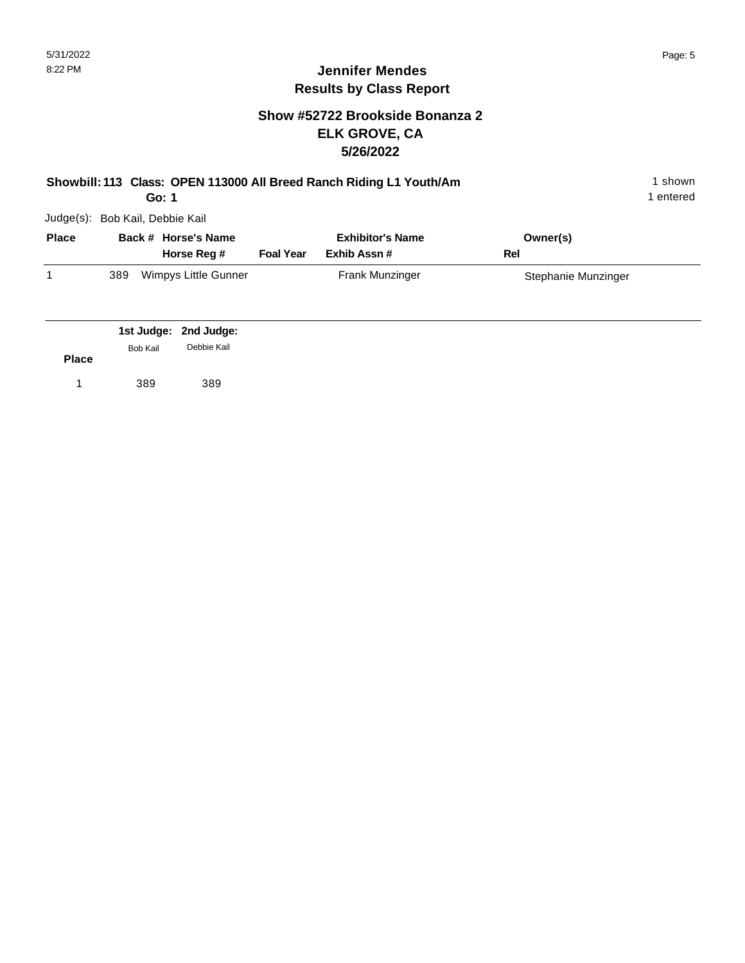### **Show #52722 Brookside Bonanza 2 ELK GROVE, CA 5/26/2022**

|              | Showbill: 113 Class: OPEN 113000 All Breed Ranch Riding L1 Youth/Am<br>1 entered<br>Go: 1 |                                      |                  |                                        |                     |  |  |  |  |
|--------------|-------------------------------------------------------------------------------------------|--------------------------------------|------------------|----------------------------------------|---------------------|--|--|--|--|
|              | Judge(s): Bob Kail, Debbie Kail                                                           |                                      |                  |                                        |                     |  |  |  |  |
| <b>Place</b> |                                                                                           | Back # Horse's Name<br>Horse Reg #   | <b>Foal Year</b> | <b>Exhibitor's Name</b><br>Exhib Assn# | Owner(s)<br>Rel     |  |  |  |  |
| 1            | Wimpys Little Gunner<br>389                                                               |                                      |                  | Frank Munzinger                        | Stephanie Munzinger |  |  |  |  |
| <b>Place</b> | Bob Kail                                                                                  | 1st Judge: 2nd Judge:<br>Debbie Kail |                  |                                        |                     |  |  |  |  |
| 1            | 389                                                                                       | 389                                  |                  |                                        |                     |  |  |  |  |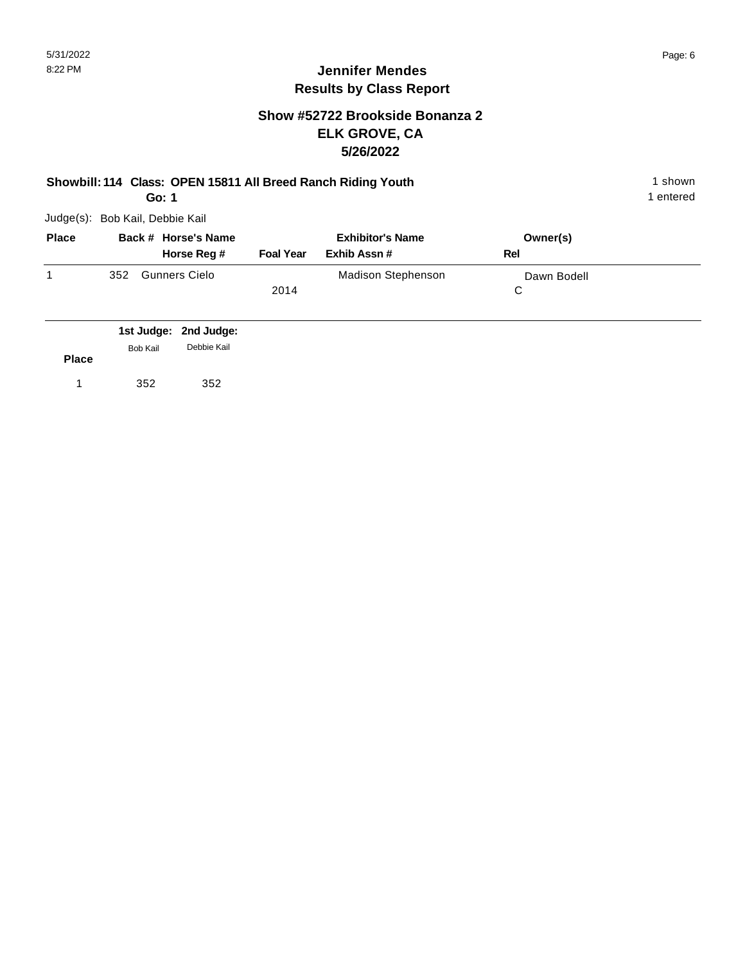#### **Show #52722 Brookside Bonanza 2 ELK GROVE, CA 5/26/2022**

# **Showbill: 114 Class: OPEN 15811 All Breed Ranch Riding Youth** 1 Shown 1 shown

**Go: 1**

Judge(s): Bob Kail, Debbie Kail

| <b>Place</b> | Back # Horse's Name         |                  | <b>Exhibitor's Name</b> | Owner(s)    |  |
|--------------|-----------------------------|------------------|-------------------------|-------------|--|
|              | Horse Reg #                 | <b>Foal Year</b> | Exhib Assn #            | Rel         |  |
|              | <b>Gunners Cielo</b><br>352 |                  | Madison Stephenson      | Dawn Bodell |  |
|              |                             | 2014             |                         |             |  |
|              |                             |                  |                         |             |  |

|              | Bob Kail | 1st Judge: 2nd Judge:<br>Debbie Kail |
|--------------|----------|--------------------------------------|
| <b>Place</b> |          |                                      |
|              | 352      | 352                                  |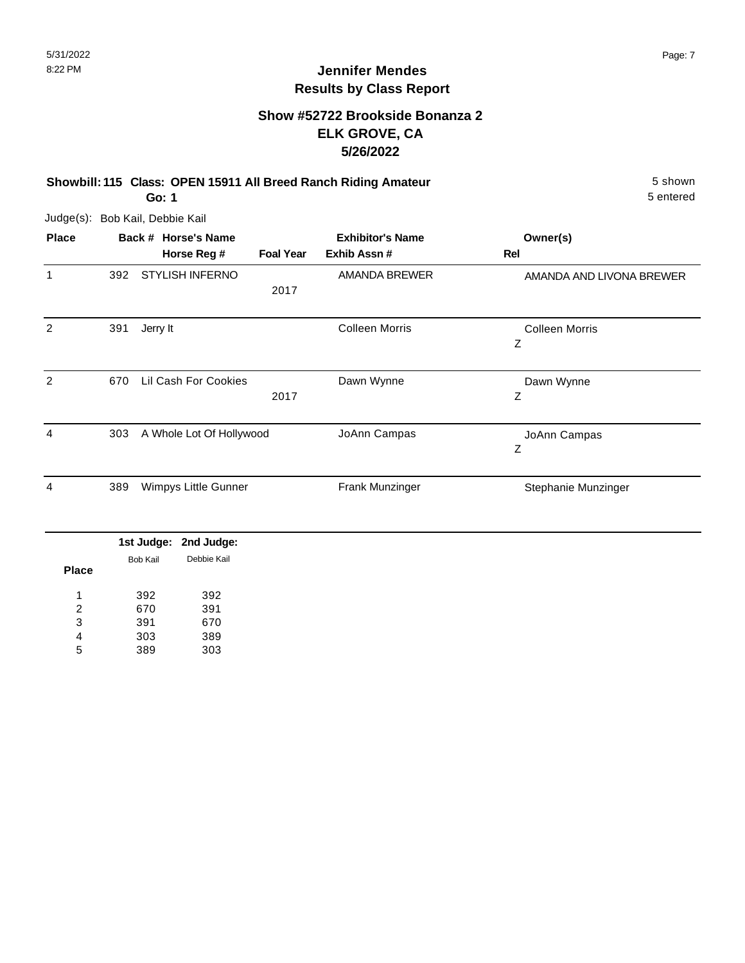### **Show #52722 Brookside Bonanza 2 ELK GROVE, CA 5/26/2022**

**Showbill: 115 Class: OPEN 15911 All Breed Ranch Riding Amateur** 5 shown

**Go: 1**

| <b>Place</b> |     | Back # Horse's Name      |                  | <b>Exhibitor's Name</b> | Owner(s)                   |
|--------------|-----|--------------------------|------------------|-------------------------|----------------------------|
|              |     | Horse Reg #              | <b>Foal Year</b> | Exhib Assn#             | Rel                        |
| 1            | 392 | <b>STYLISH INFERNO</b>   | 2017             | AMANDA BREWER           | AMANDA AND LIVONA BREWER   |
| 2            | 391 | Jerry It                 |                  | <b>Colleen Morris</b>   | <b>Colleen Morris</b><br>Ζ |
| 2            | 670 | Lil Cash For Cookies     | 2017             | Dawn Wynne              | Dawn Wynne<br>Z            |
| 4            | 303 | A Whole Lot Of Hollywood |                  | JoAnn Campas            | JoAnn Campas<br>Ζ          |
| 4            | 389 | Wimpys Little Gunner     |                  | Frank Munzinger         | Stephanie Munzinger        |

|              |          | 1st Judge: 2nd Judge: |
|--------------|----------|-----------------------|
|              | Bob Kail | Debbie Kail           |
| <b>Place</b> |          |                       |
| 1            | 392      | 392                   |
| 2            | 670      | 391                   |
| 3            | 391      | 670                   |
| 4            | 303      | 389                   |
| 5            | 389      | 303                   |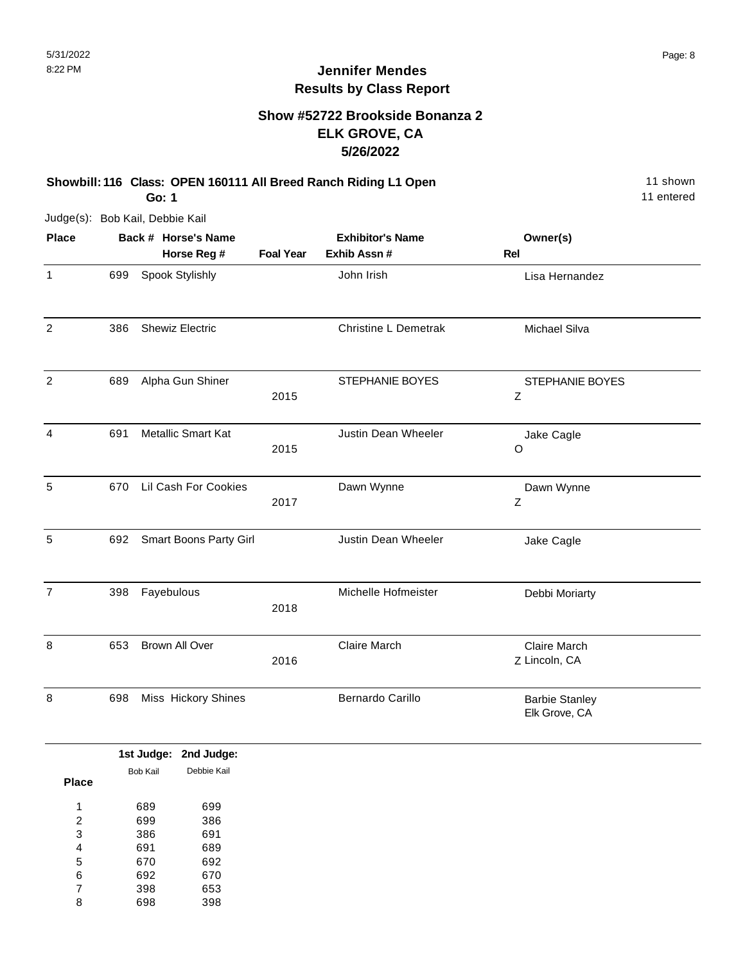### **Show #52722 Brookside Bonanza 2 ELK GROVE, CA 5/26/2022**

**Showbill: 116 Class: OPEN 160111 All Breed Ranch Riding L1 Open** 11 Shown 11 shown **Go: 1**

11 entered

| <b>Place</b>   | Back # Horse's Name |                           | <b>Exhibitor's Name</b> |                             | Owner(s)                               |  |
|----------------|---------------------|---------------------------|-------------------------|-----------------------------|----------------------------------------|--|
|                |                     | Horse Reg #               | <b>Foal Year</b>        | Exhib Assn #                | Rel                                    |  |
| $\mathbf{1}$   | 699                 | Spook Stylishly           |                         | John Irish                  | Lisa Hernandez                         |  |
| $\overline{2}$ | 386                 | <b>Shewiz Electric</b>    |                         | <b>Christine L Demetrak</b> | Michael Silva                          |  |
| $\overline{2}$ | 689                 | Alpha Gun Shiner          | 2015                    | STEPHANIE BOYES             | STEPHANIE BOYES<br>$\mathsf Z$         |  |
| $\overline{4}$ | 691                 | <b>Metallic Smart Kat</b> | 2015                    | Justin Dean Wheeler         | Jake Cagle<br>O                        |  |
| 5              | 670                 | Lil Cash For Cookies      | 2017                    | Dawn Wynne                  | Dawn Wynne<br>$\mathsf Z$              |  |
| 5              | 692                 | Smart Boons Party Girl    |                         | Justin Dean Wheeler         | Jake Cagle                             |  |
| $\overline{7}$ | 398                 | Fayebulous                | 2018                    | Michelle Hofmeister         | Debbi Moriarty                         |  |
| 8              | 653                 | <b>Brown All Over</b>     | 2016                    | <b>Claire March</b>         | Claire March<br>Z Lincoln, CA          |  |
| 8              | 698                 | Miss Hickory Shines       |                         | <b>Bernardo Carillo</b>     | <b>Barbie Stanley</b><br>Elk Grove, CA |  |

|          | 1st Judge: 2nd Judge: |
|----------|-----------------------|
| Bob Kail | Debbie Kail           |
|          |                       |
| 689      | 699                   |
| 699      | 386                   |
| 386      | 691                   |
| 691      | 689                   |
| 670      | 692                   |
| 692      | 670                   |
| 398      | 653                   |
| 698      | 398                   |
|          |                       |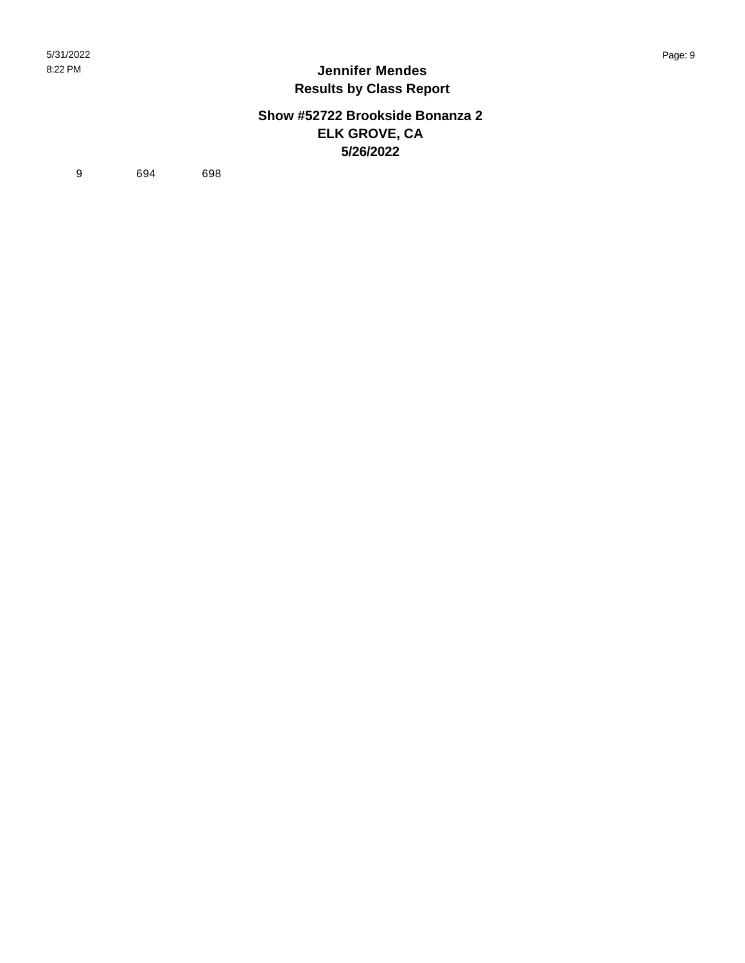#### **Show #52722 Brookside Bonanza 2 ELK GROVE, CA 5/26/2022**

9 694 698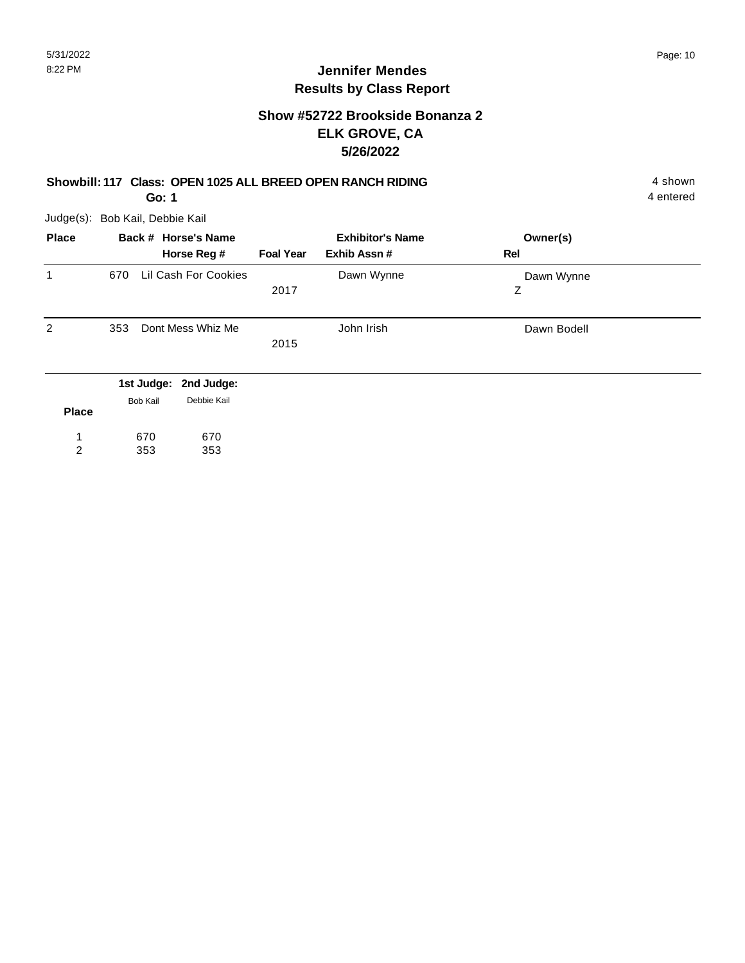4 entered

### **Jennifer Mendes Results by Class Report**

#### **Show #52722 Brookside Bonanza 2 ELK GROVE, CA 5/26/2022**

#### **Showbill: 117 Class: OPEN 1025 ALL BREED OPEN RANCH RIDING** 4 shown

**Go: 1**

Judge(s): Bob Kail, Debbie Kail

353

2

353

| <b>Place</b> |     |                 | Back # Horse's Name   |                  | <b>Exhibitor's Name</b> | Owner(s)    |  |
|--------------|-----|-----------------|-----------------------|------------------|-------------------------|-------------|--|
|              |     |                 | Horse Reg #           | <b>Foal Year</b> | Exhib Assn#             | Rel         |  |
| 1            | 670 |                 | Lil Cash For Cookies  |                  | Dawn Wynne              | Dawn Wynne  |  |
|              |     |                 |                       | 2017             |                         | Z           |  |
| 2            | 353 |                 | Dont Mess Whiz Me     |                  | John Irish              | Dawn Bodell |  |
|              |     |                 |                       | 2015             |                         |             |  |
|              |     |                 | 1st Judge: 2nd Judge: |                  |                         |             |  |
| <b>Place</b> |     | <b>Bob Kail</b> | Debbie Kail           |                  |                         |             |  |
|              |     | 670             | 670                   |                  |                         |             |  |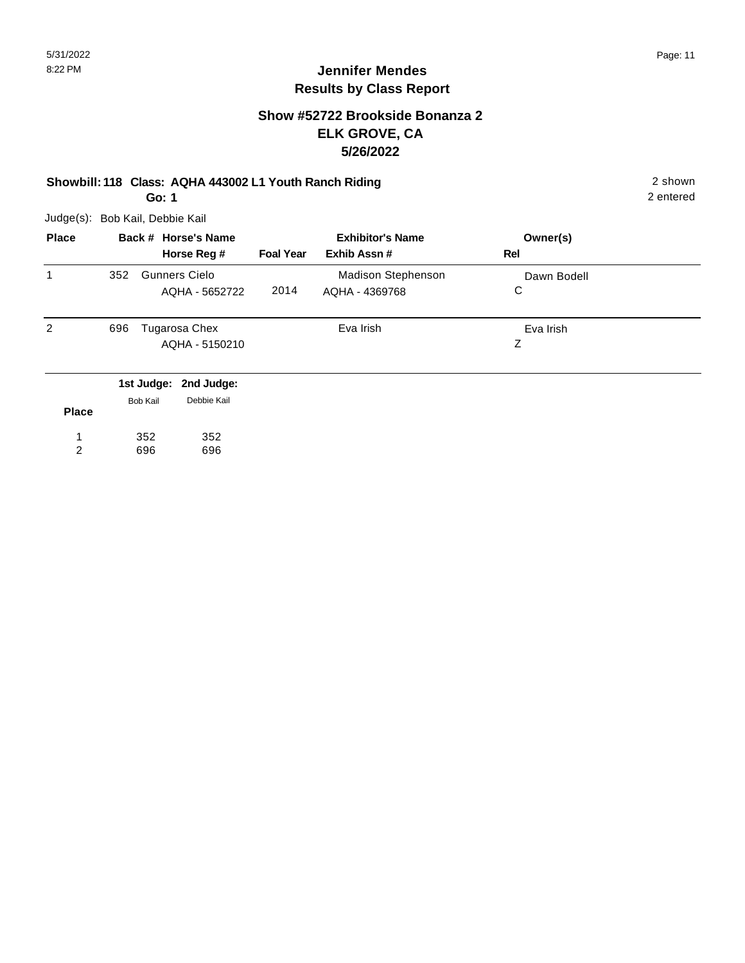2 entered

## **Jennifer Mendes Results by Class Report**

#### **Show #52722 Brookside Bonanza 2 ELK GROVE, CA 5/26/2022**

### **Showbill: 118 Class: AQHA 443002 L1 Youth Ranch Riding** 2 shown

**Go: 1**

| <b>Place</b> |     |                        | Back # Horse's Name                    |                  | <b>Exhibitor's Name</b>                     |     | Owner(s)    |  |
|--------------|-----|------------------------|----------------------------------------|------------------|---------------------------------------------|-----|-------------|--|
|              |     |                        | Horse Reg #                            | <b>Foal Year</b> | Exhib Assn#                                 | Rel |             |  |
| 1            | 352 |                        | <b>Gunners Cielo</b><br>AQHA - 5652722 | 2014             | <b>Madison Stephenson</b><br>AQHA - 4369768 | С   | Dawn Bodell |  |
| 2            | 696 |                        | Tugarosa Chex<br>AQHA - 5150210        |                  | Eva Irish                                   | Ζ   | Eva Irish   |  |
| <b>Place</b> |     | 1st Judge:<br>Bob Kail | 2nd Judge:<br>Debbie Kail              |                  |                                             |     |             |  |

| 352 | 352 |
|-----|-----|
| 696 | 696 |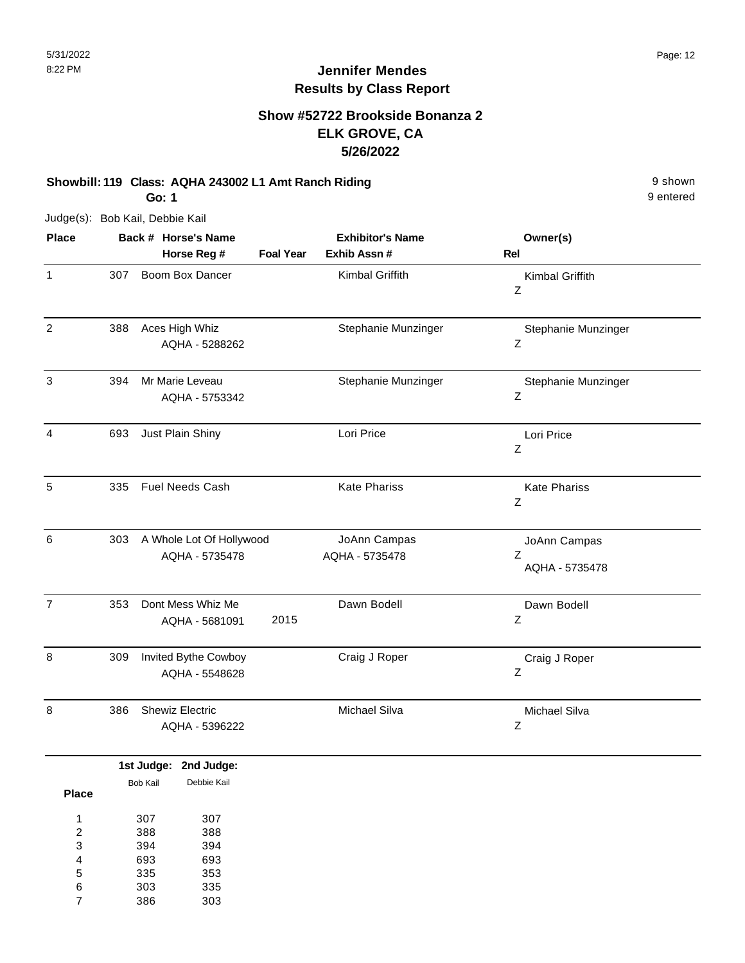### **Show #52722 Brookside Bonanza 2 ELK GROVE, CA 5/26/2022**

#### **Showbill: 119 Class: AQHA 243002 L1 Amt Ranch Riding 3 shown 9 shown 9 shown**

9 entered

**Go: 1**

| <b>Place</b>   |     | Back # Horse's Name                        |                  | <b>Exhibitor's Name</b>        | Owner(s)                            |
|----------------|-----|--------------------------------------------|------------------|--------------------------------|-------------------------------------|
|                |     | Horse Reg #                                | <b>Foal Year</b> | Exhib Assn #                   | <b>Rel</b>                          |
| $\mathbf{1}$   | 307 | Boom Box Dancer                            |                  | Kimbal Griffith                | Kimbal Griffith<br>Z                |
| $\overline{c}$ | 388 | Aces High Whiz<br>AQHA - 5288262           |                  | Stephanie Munzinger            | Stephanie Munzinger<br>Ζ            |
| 3              | 394 | Mr Marie Leveau<br>AQHA - 5753342          |                  | Stephanie Munzinger            | Stephanie Munzinger<br>Z            |
| 4              | 693 | Just Plain Shiny                           |                  | Lori Price                     | Lori Price<br>Z                     |
| 5              | 335 | Fuel Needs Cash                            |                  | <b>Kate Phariss</b>            | <b>Kate Phariss</b><br>Ζ            |
| 6              | 303 | A Whole Lot Of Hollywood<br>AQHA - 5735478 |                  | JoAnn Campas<br>AQHA - 5735478 | JoAnn Campas<br>Ζ<br>AQHA - 5735478 |
| $\overline{7}$ | 353 | Dont Mess Whiz Me<br>AQHA - 5681091        | 2015             | Dawn Bodell                    | Dawn Bodell<br>Ζ                    |
| 8              | 309 | Invited Bythe Cowboy<br>AQHA - 5548628     |                  | Craig J Roper                  | Craig J Roper<br>Z                  |
| 8              | 386 | <b>Shewiz Electric</b><br>AQHA - 5396222   |                  | Michael Silva                  | Michael Silva<br>Ζ                  |

|              |          | 1st Judge: 2nd Judge: |
|--------------|----------|-----------------------|
|              | Bob Kail | Debbie Kail           |
| <b>Place</b> |          |                       |
| 1            | 307      | 307                   |
| 2            | 388      | 388                   |
| 3            | 394      | 394                   |
| 4            | 693      | 693                   |
| 5            | 335      | 353                   |
| 6            | 303      | 335                   |
| 7            | 386      | 303                   |
|              |          |                       |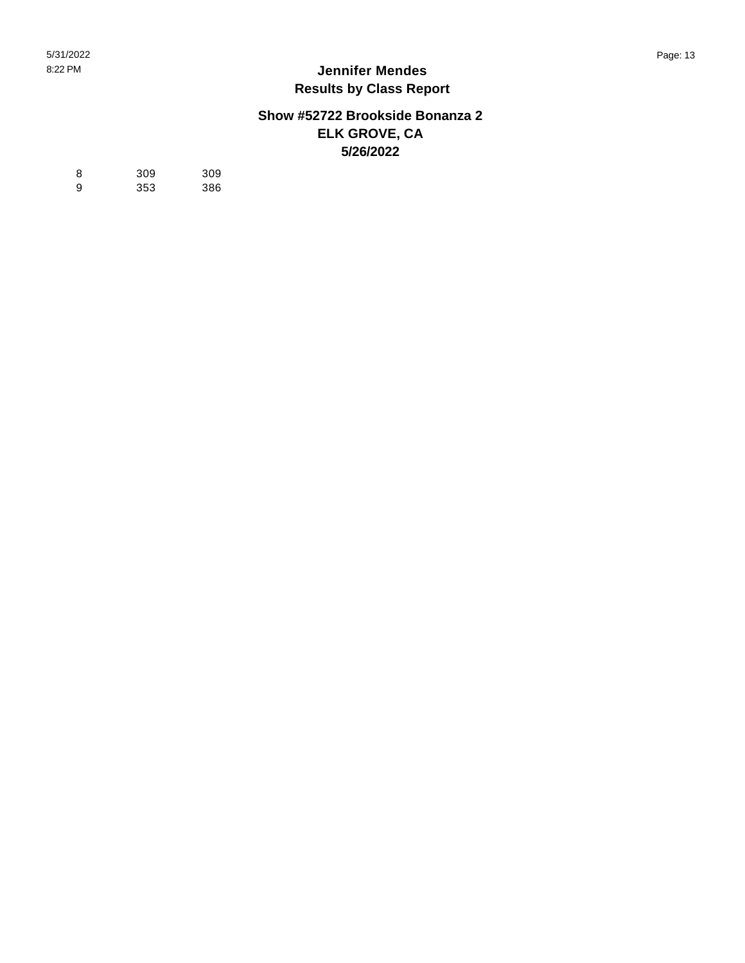#### **Show #52722 Brookside Bonanza 2 ELK GROVE, CA 5/26/2022**

| 8 | 309 | 309 |
|---|-----|-----|
| 9 | 353 | 386 |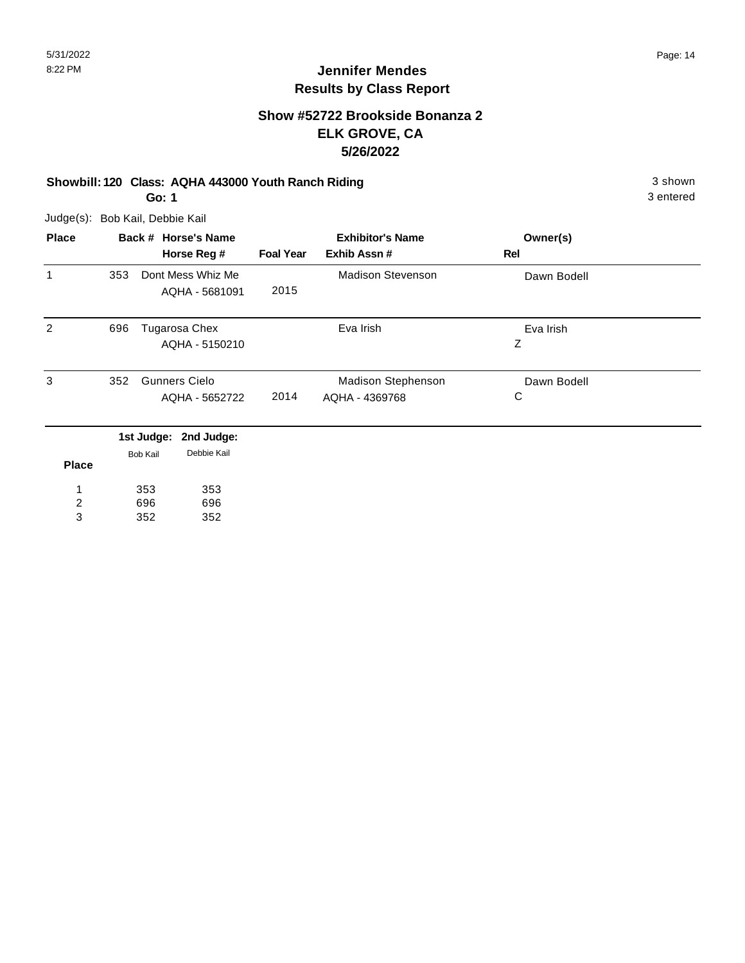#### **Show #52722 Brookside Bonanza 2 ELK GROVE, CA 5/26/2022**

#### **Showbill: 120 Class: AQHA 443000 Youth Ranch Riding 3 shown 3 shown** 3 shown

3 entered

**Go: 1**

| <b>Place</b>   |     |                 | Back # Horse's Name  |                  | <b>Exhibitor's Name</b>  | Owner(s)    |  |
|----------------|-----|-----------------|----------------------|------------------|--------------------------|-------------|--|
|                |     |                 | Horse Reg #          | <b>Foal Year</b> | Exhib Assn#              | Rel         |  |
| 1              | 353 |                 | Dont Mess Whiz Me    |                  | <b>Madison Stevenson</b> | Dawn Bodell |  |
|                |     |                 | AQHA - 5681091       | 2015             |                          |             |  |
| 2              | 696 |                 | Tugarosa Chex        |                  | Eva Irish                | Eva Irish   |  |
|                |     |                 | AQHA - 5150210       |                  |                          | Ζ           |  |
| 3              | 352 |                 | <b>Gunners Cielo</b> |                  | Madison Stephenson       | Dawn Bodell |  |
|                |     |                 | AQHA - 5652722       | 2014             | AQHA - 4369768           | С           |  |
|                |     | 1st Judge:      | 2nd Judge:           |                  |                          |             |  |
| <b>Place</b>   |     | <b>Bob Kail</b> | Debbie Kail          |                  |                          |             |  |
| 1              |     | 353             | 353                  |                  |                          |             |  |
| $\overline{c}$ |     | 696             | 696                  |                  |                          |             |  |
| 3              |     | 352             | 352                  |                  |                          |             |  |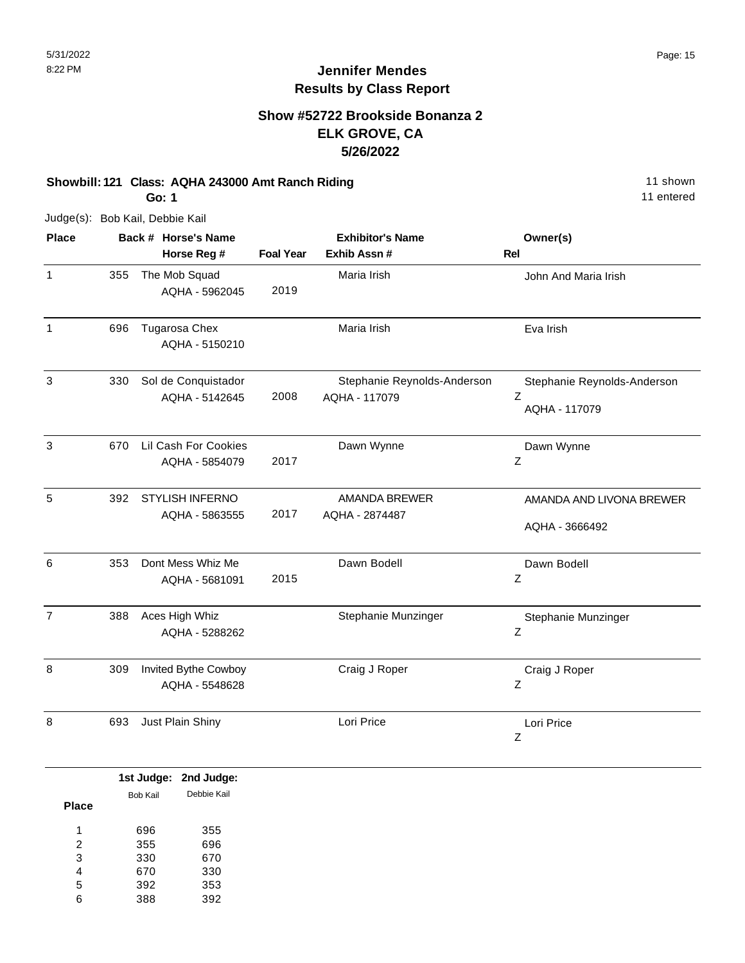#### **Show #52722 Brookside Bonanza 2 ELK GROVE, CA 5/26/2022**

#### **Showbill: 121 Class: AQHA 243000 Amt Ranch Riding** 11 Shown 11 shown **Go: 1**

11 entered

| <b>Place</b>   |     | Back # Horse's Name                      |                  | <b>Exhibitor's Name</b>                      | Owner(s)                                          |
|----------------|-----|------------------------------------------|------------------|----------------------------------------------|---------------------------------------------------|
|                |     | Horse Reg #                              | <b>Foal Year</b> | Exhib Assn #                                 | <b>Rel</b>                                        |
| $\mathbf{1}$   | 355 | The Mob Squad<br>AQHA - 5962045          | 2019             | Maria Irish                                  | John And Maria Irish                              |
| $\mathbf{1}$   | 696 | Tugarosa Chex<br>AQHA - 5150210          |                  | Maria Irish                                  | Eva Irish                                         |
| $\mathbf{3}$   | 330 | Sol de Conquistador<br>AQHA - 5142645    | 2008             | Stephanie Reynolds-Anderson<br>AQHA - 117079 | Stephanie Reynolds-Anderson<br>Z<br>AQHA - 117079 |
| 3              | 670 | Lil Cash For Cookies<br>AQHA - 5854079   | 2017             | Dawn Wynne                                   | Dawn Wynne<br>Z                                   |
| 5              | 392 | <b>STYLISH INFERNO</b><br>AQHA - 5863555 | 2017             | <b>AMANDA BREWER</b><br>AQHA - 2874487       | AMANDA AND LIVONA BREWER<br>AQHA - 3666492        |
| 6              | 353 | Dont Mess Whiz Me<br>AQHA - 5681091      | 2015             | Dawn Bodell                                  | Dawn Bodell<br>Ζ                                  |
| $\overline{7}$ | 388 | Aces High Whiz<br>AQHA - 5288262         |                  | Stephanie Munzinger                          | Stephanie Munzinger<br>Ζ                          |
| 8              | 309 | Invited Bythe Cowboy<br>AQHA - 5548628   |                  | Craig J Roper                                | Craig J Roper<br>Z                                |
| 8              | 693 | Just Plain Shiny                         |                  | Lori Price                                   | Lori Price<br>Ζ                                   |

|              |          | 1st Judge: 2nd Judge: |
|--------------|----------|-----------------------|
|              | Bob Kail | Debbie Kail           |
| <b>Place</b> |          |                       |
| 4            | 696      | 355                   |
| 2            | 355      | 696                   |
| 3            | 330      | 670                   |
| 4            | 670      | 330                   |
| 5            | 392      | 353                   |
| 6            | 388      | 392                   |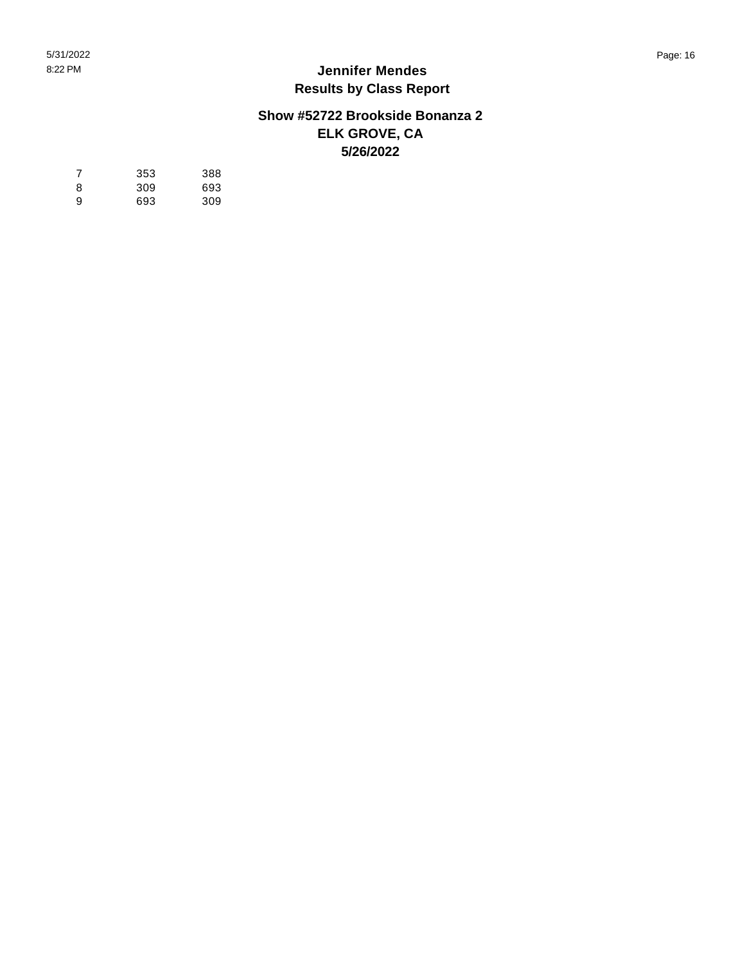#### **Show #52722 Brookside Bonanza 2 ELK GROVE, CA 5/26/2022**

| 7 | 353 | 388 |
|---|-----|-----|
| 8 | 309 | 693 |
| 9 | 693 | 309 |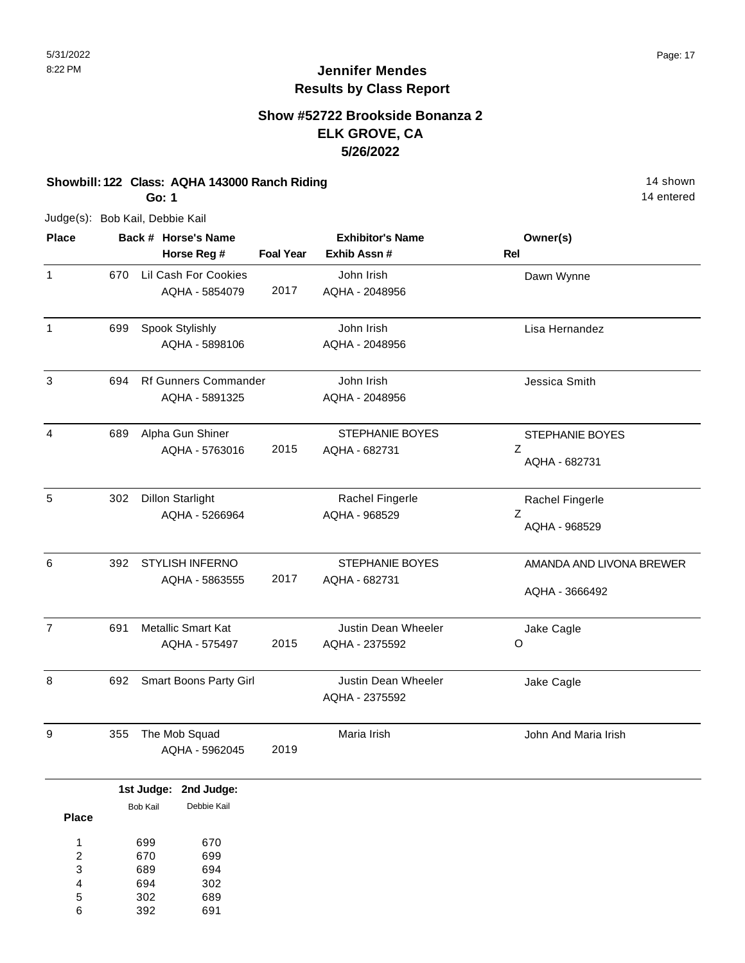14 entered

# **Jennifer Mendes Results by Class Report**

### **Show #52722 Brookside Bonanza 2 ELK GROVE, CA 5/26/2022**

## **Showbill: 122 Class: AQHA 143000 Ranch Riding** 14 Shown 14 shown

**Go: 1**

| <b>Place</b>   |     | Back # Horse's Name<br>Horse Reg #            | <b>Foal Year</b> | <b>Exhibitor's Name</b><br>Exhib Assn #      | Owner(s)<br><b>Rel</b>                       |
|----------------|-----|-----------------------------------------------|------------------|----------------------------------------------|----------------------------------------------|
| $\mathbf{1}$   | 670 | Lil Cash For Cookies<br>AQHA - 5854079        | 2017             | John Irish<br>AQHA - 2048956                 | Dawn Wynne                                   |
| $\mathbf{1}$   | 699 | Spook Stylishly<br>AQHA - 5898106             |                  | John Irish<br>AQHA - 2048956                 | Lisa Hernandez                               |
| 3              | 694 | <b>Rf Gunners Commander</b><br>AQHA - 5891325 |                  | John Irish<br>AQHA - 2048956                 | Jessica Smith                                |
| 4              | 689 | Alpha Gun Shiner<br>AQHA - 5763016            | 2015             | <b>STEPHANIE BOYES</b><br>AQHA - 682731      | <b>STEPHANIE BOYES</b><br>Z<br>AQHA - 682731 |
| 5              | 302 | <b>Dillon Starlight</b><br>AQHA - 5266964     |                  | Rachel Fingerle<br>AQHA - 968529             | Rachel Fingerle<br>Z<br>AQHA - 968529        |
| 6              | 392 | <b>STYLISH INFERNO</b><br>AQHA - 5863555      | 2017             | STEPHANIE BOYES<br>AQHA - 682731             | AMANDA AND LIVONA BREWER<br>AQHA - 3666492   |
| $\overline{7}$ | 691 | <b>Metallic Smart Kat</b><br>AQHA - 575497    | 2015             | Justin Dean Wheeler<br>AQHA - 2375592        | Jake Cagle<br>O                              |
| 8              | 692 | Smart Boons Party Girl                        |                  | <b>Justin Dean Wheeler</b><br>AQHA - 2375592 | Jake Cagle                                   |
| 9              | 355 | The Mob Squad<br>AQHA - 5962045               | 2019             | Maria Irish                                  | John And Maria Irish                         |

|              |          | 1st Judge: 2nd Judge: |
|--------------|----------|-----------------------|
|              | Bob Kail | Debbie Kail           |
| <b>Place</b> |          |                       |
|              | 699      | 670                   |
| 2            | 670      | 699                   |
| 3            | 689      | 694                   |
| 4            | 694      | 302                   |
| 5            | 302      | 689                   |
| 6            | 392      | 691                   |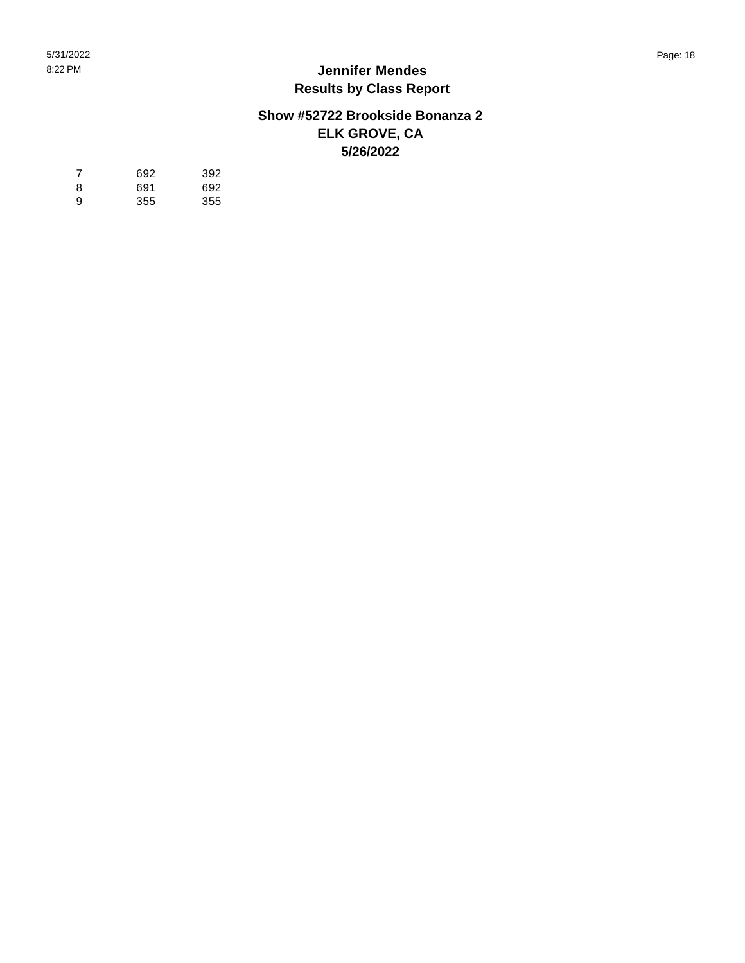#### **Show #52722 Brookside Bonanza 2 ELK GROVE, CA 5/26/2022**

| -7 | 692 | 392 |
|----|-----|-----|
| 8  | 691 | 692 |
| 9  | 355 | 355 |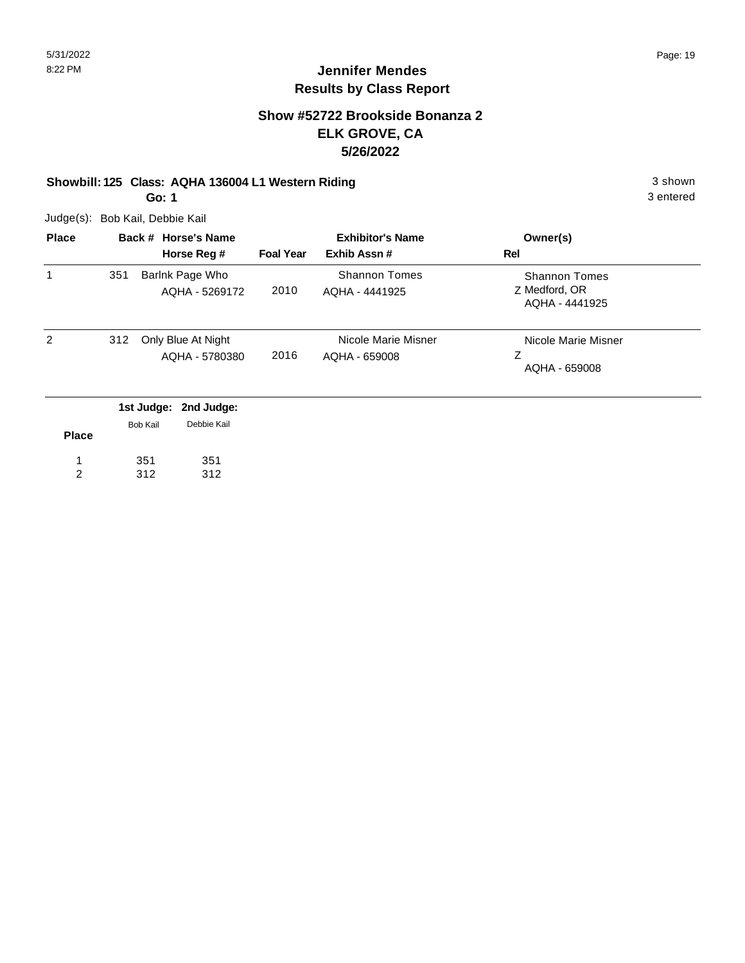### **Show #52722 Brookside Bonanza 2 ELK GROVE, CA 5/26/2022**

## **Showbill: 125 Class: AQHA 136004 L1 Western Riding 3 shown 3 shown** 3 shown

**Go: 1**

Judge(s): Bob Kail, Debbie Kail

| <b>Place</b> |     | Back # Horse's Name                                 | <b>Exhibitor's Name</b> |                                        | Owner(s)                                                |
|--------------|-----|-----------------------------------------------------|-------------------------|----------------------------------------|---------------------------------------------------------|
|              |     | Horse Reg #                                         | <b>Foal Year</b>        | Exhib Assn#                            | Rel                                                     |
| 1            | 351 | Barlnk Page Who<br>AQHA - 5269172                   | 2010                    | <b>Shannon Tomes</b><br>AQHA - 4441925 | <b>Shannon Tomes</b><br>Z Medford, OR<br>AQHA - 4441925 |
| 2            | 312 | Only Blue At Night<br>AQHA - 5780380                | 2016                    | Nicole Marie Misner<br>AQHA - 659008   | Nicole Marie Misner<br>Ζ<br>AQHA - 659008               |
|              |     | 1st Judge:<br>2nd Judge:<br>Debbie Kail<br>Bob Kail |                         |                                        |                                                         |

| <b>Place</b> | <b>DUD NAIL</b> | ווגיו טועטש |
|--------------|-----------------|-------------|
|              | 351             | 351         |
|              | 312             | 312         |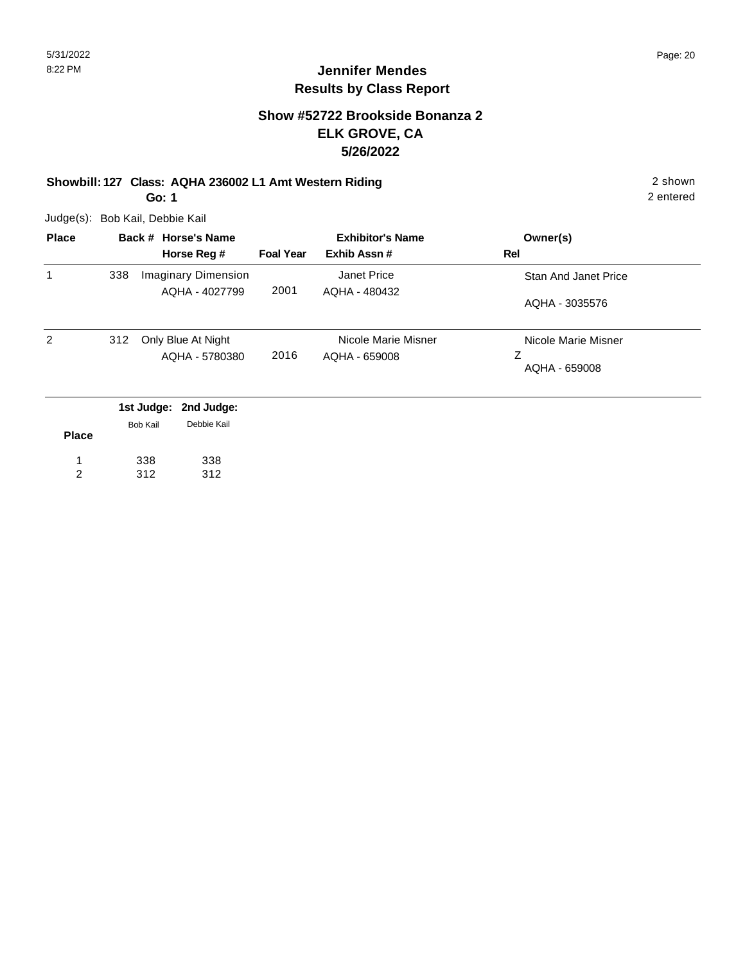#### **Show #52722 Brookside Bonanza 2 ELK GROVE, CA 5/26/2022**

## **Showbill: 127 Class: AQHA 236002 L1 Amt Western Riding** 2 shown

**Go: 1**

Judge(s): Bob Kail, Debbie Kail

| <b>Place</b> |     | Back # Horse's Name     | <b>Exhibitor's Name</b> |                     | Owner(s)             |
|--------------|-----|-------------------------|-------------------------|---------------------|----------------------|
|              |     | Horse Reg #             | <b>Foal Year</b>        | Exhib Assn#         | Rel                  |
| 1            | 338 | Imaginary Dimension     |                         | Janet Price         | Stan And Janet Price |
|              |     | AQHA - 4027799          | 2001                    | AQHA - 480432       | AQHA - 3035576       |
| 2            | 312 | Only Blue At Night      |                         | Nicole Marie Misner | Nicole Marie Misner  |
|              |     | AQHA - 5780380          | 2016                    | AQHA - 659008       | Ζ<br>AQHA - 659008   |
|              |     | 1st Judge: 2nd Judge:   |                         |                     |                      |
|              |     | Debbie Kail<br>Rob Kail |                         |                     |                      |

| <b>Place</b> | <b>Bob Kail</b> | Debbie Kail |  |
|--------------|-----------------|-------------|--|
|              | 338             | 338         |  |
|              | 312             | 312         |  |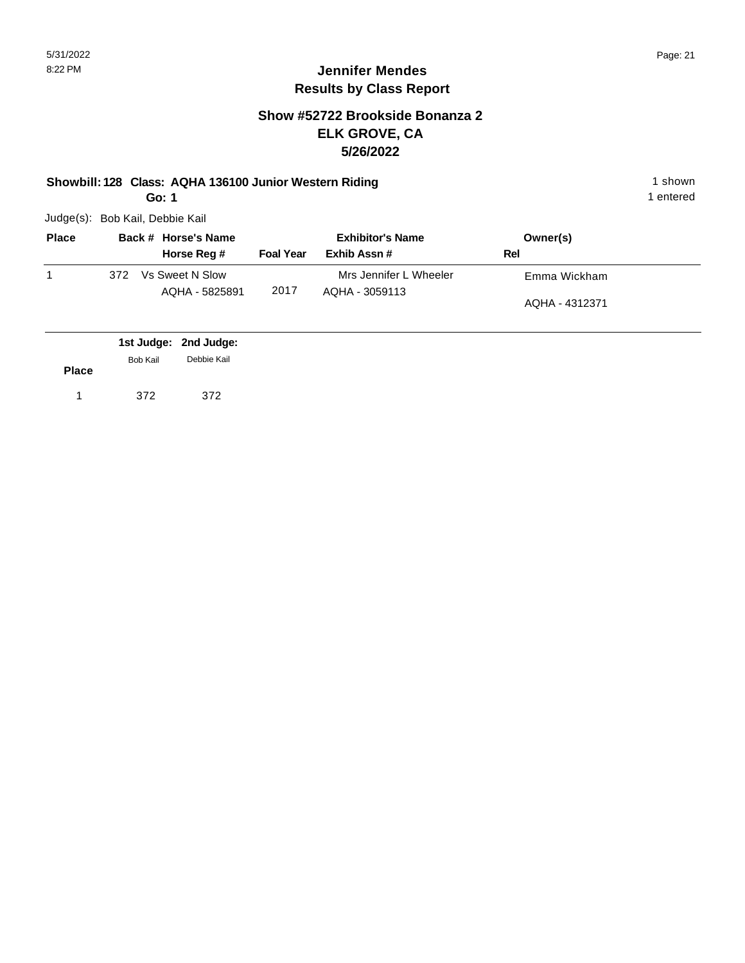#### **Show #52722 Brookside Bonanza 2 ELK GROVE, CA 5/26/2022**

#### **Showbill: 128 Class: AQHA 136100 Junior Western Riding 1 shown 1 shown**

**Go: 1**

Judge(s): Bob Kail, Debbie Kail

| <b>Place</b> |     | Back # Horse's Name               |                  | <b>Exhibitor's Name</b>                  | Owner(s)       |  |
|--------------|-----|-----------------------------------|------------------|------------------------------------------|----------------|--|
|              |     | Horse Reg #                       | <b>Foal Year</b> | Exhib Assn#                              | Rel            |  |
|              | 372 | Vs Sweet N Slow<br>AQHA - 5825891 | 2017             | Mrs Jennifer L Wheeler<br>AQHA - 3059113 | Emma Wickham   |  |
|              |     |                                   |                  |                                          | AQHA - 4312371 |  |

|              |          | 1st Judge: 2nd Judge: |  |
|--------------|----------|-----------------------|--|
| <b>Place</b> | Bob Kail | Debbie Kail           |  |
|              | 372      | 372                   |  |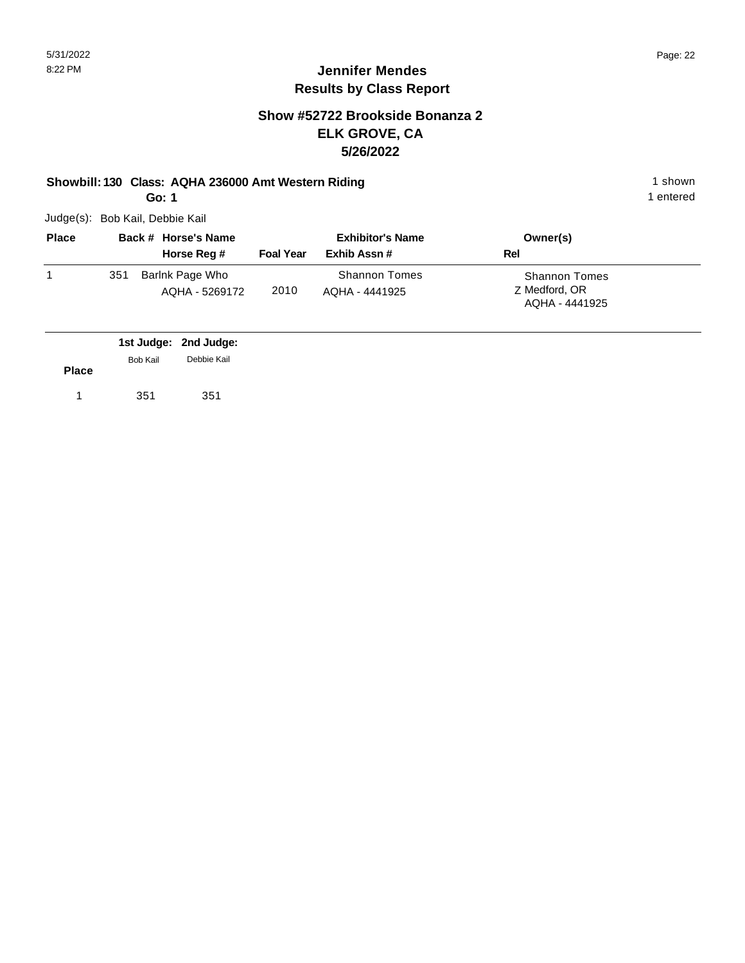1 entered

## **Jennifer Mendes Results by Class Report**

### **Show #52722 Brookside Bonanza 2 ELK GROVE, CA 5/26/2022**

#### **Showbill: 130 Class: AQHA 236000 Amt Western Riding 1 shown 1 shown 1 shown**

**Go: 1**

| <b>Place</b> |     | Back # Horse's Name               |                  | <b>Exhibitor's Name</b>                | Owner(s)                                                |
|--------------|-----|-----------------------------------|------------------|----------------------------------------|---------------------------------------------------------|
|              |     | Horse Reg #                       | <b>Foal Year</b> | Exhib Assn#                            | Rel                                                     |
|              | 351 | Barlnk Page Who<br>AQHA - 5269172 | 2010             | <b>Shannon Tomes</b><br>AOHA - 4441925 | <b>Shannon Tomes</b><br>Z Medford, OR<br>AQHA - 4441925 |

|              |                 | 1st Judge: 2nd Judge: |
|--------------|-----------------|-----------------------|
|              | <b>Bob Kail</b> | Debbie Kail           |
| <b>Place</b> |                 |                       |
|              | 351             | 351                   |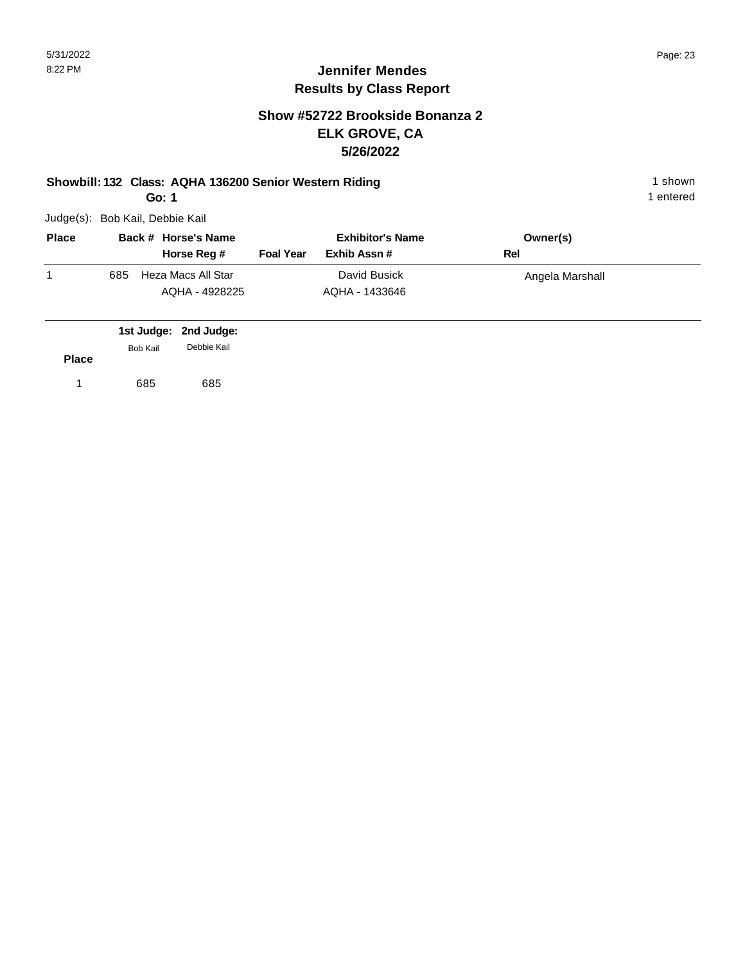### **Show #52722 Brookside Bonanza 2 ELK GROVE, CA 5/26/2022**

#### **Showbill: 132 Class: AQHA 136200 Senior Western Riding 1 shown 1 shown**

**Go: 1**

Judge(s): Bob Kail, Debbie Kail

|     | Horse Reg #        | <b>Foal Year</b> | Exhib Assn#    | Rel             |
|-----|--------------------|------------------|----------------|-----------------|
| 685 | Heza Macs All Star |                  | David Busick   | Angela Marshall |
|     | AQHA - 4928225     |                  | AQHA - 1433646 |                 |

|              |          | 1st Judge: 2nd Judge: |
|--------------|----------|-----------------------|
| <b>Place</b> | Bob Kail | Debbie Kail           |
|              |          |                       |
| 1            | 685      | 685                   |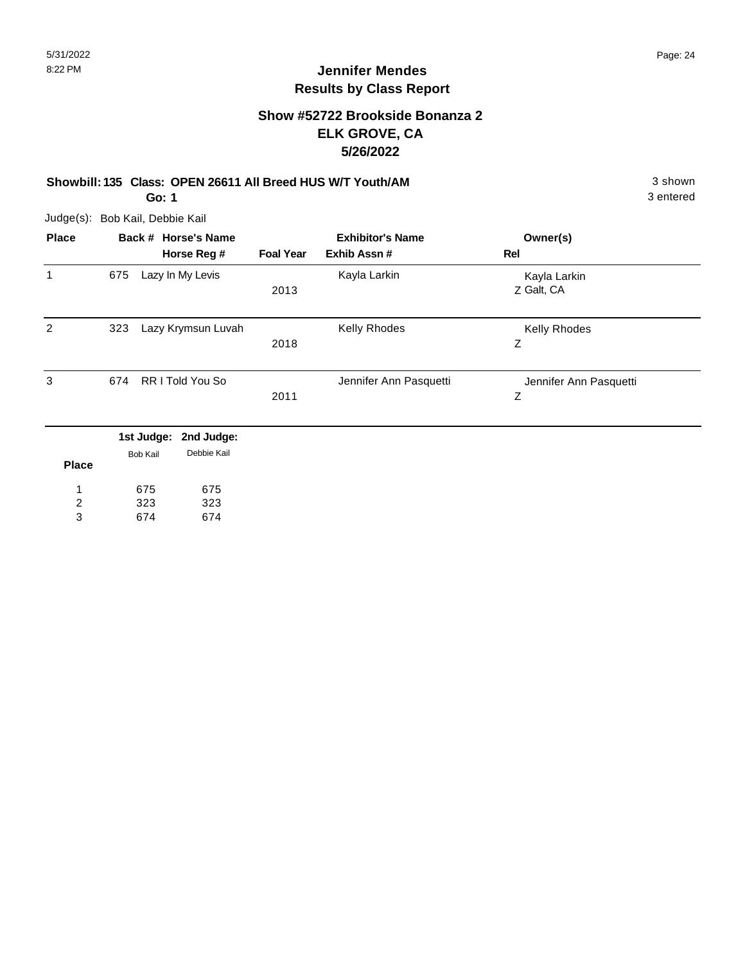#### **Show #52722 Brookside Bonanza 2 ELK GROVE, CA 5/26/2022**

#### **Showbill: 135 Class: OPEN 26611 All Breed HUS W/T Youth/AM** 3 shown 3 shown **Go: 1**

Judge(s): Bob Kail, Debbie Kail

| <b>Place</b> | Back # Horse's Name |                 |                           | <b>Exhibitor's Name</b> |                        | Owner(s)                    |
|--------------|---------------------|-----------------|---------------------------|-------------------------|------------------------|-----------------------------|
|              |                     |                 | Horse Reg #               | <b>Foal Year</b>        | Exhib Assn#            | Rel                         |
| 1            | 675                 |                 | Lazy In My Levis          | 2013                    | Kayla Larkin           | Kayla Larkin<br>Z Galt, CA  |
| 2            | 323                 |                 | Lazy Krymsun Luvah        | 2018                    | Kelly Rhodes           | Kelly Rhodes<br>Z           |
| 3            | 674                 |                 | RR I Told You So          | 2011                    | Jennifer Ann Pasquetti | Jennifer Ann Pasquetti<br>Z |
|              |                     | 1st Judge:      | 2nd Judge:<br>Debbie Kail |                         |                        |                             |
| <b>Place</b> |                     | <b>Bob Kail</b> |                           |                         |                        |                             |
| 1            |                     | 675             | 675                       |                         |                        |                             |

323 323

674 674 3

2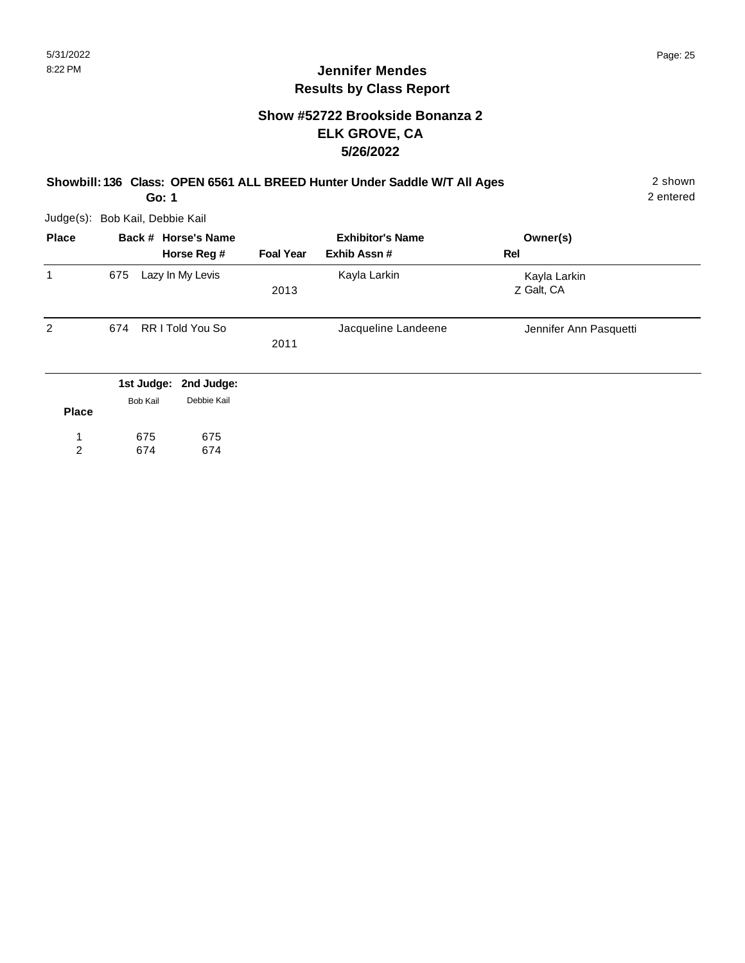### **Show #52722 Brookside Bonanza 2 ELK GROVE, CA 5/26/2022**

#### **Showbill: 136 Class: OPEN 6561 ALL BREED Hunter Under Saddle W/T All Ages** 2 shown

2 entered

Judge(s): Bob Kail, Debbie Kail

**Go: 1**

| <b>Place</b> |                 | Back # Horse's Name<br>Horse Reg # | <b>Foal Year</b> | <b>Exhibitor's Name</b><br>Exhib Assn# | Owner(s)<br>Rel            |
|--------------|-----------------|------------------------------------|------------------|----------------------------------------|----------------------------|
| 1            | 675             | Lazy In My Levis                   | 2013             | Kayla Larkin                           | Kayla Larkin<br>Z Galt, CA |
| 2            | 674             | RR I Told You So                   | 2011             | Jacqueline Landeene                    | Jennifer Ann Pasquetti     |
|              | 1st Judge:      | 2nd Judge:                         |                  |                                        |                            |
| <b>Place</b> | <b>Bob Kail</b> | Debbie Kail                        |                  |                                        |                            |
| 1<br>2       | 675<br>674      | 675<br>674                         |                  |                                        |                            |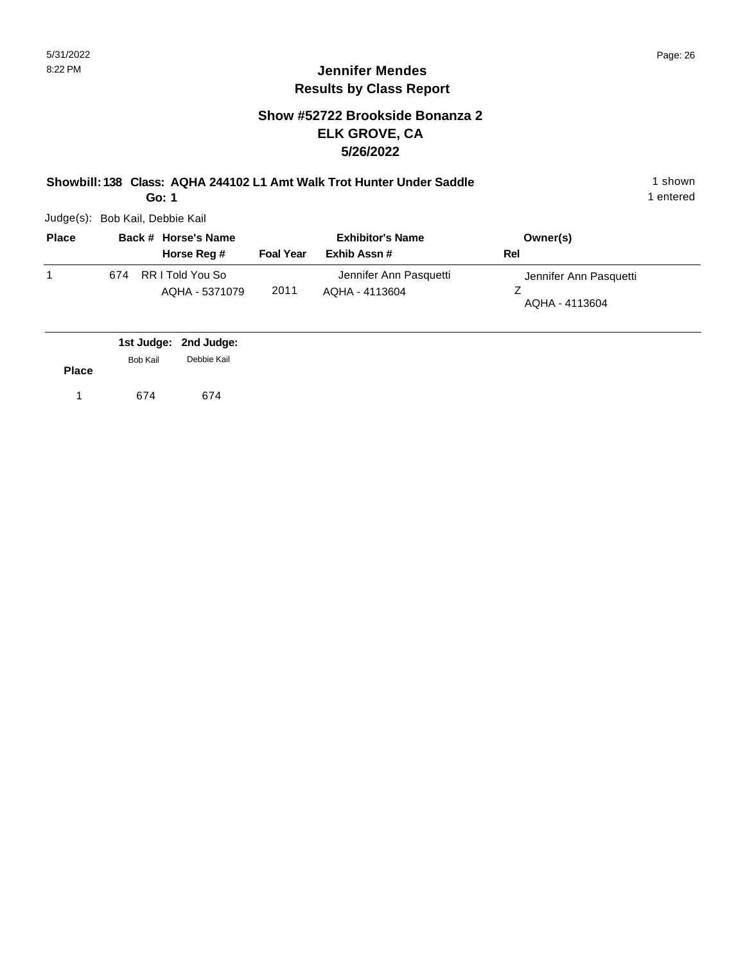#### **Show #52722 Brookside Bonanza 2 ELK GROVE, CA 5/26/2022**

**Showbill: 138 Class: AQHA 244102 L1 Amt Walk Trot Hunter Under Saddle** 1 shown **Go: 1**

|  | Judge(s): Bob Kail, Debbie Kail |
|--|---------------------------------|

| <b>Place</b> |     | Back # Horse's Name                | <b>Exhibitor's Name</b> |                                          | Owner(s)                                 |
|--------------|-----|------------------------------------|-------------------------|------------------------------------------|------------------------------------------|
|              |     | Horse Reg #                        | <b>Foal Year</b>        | Exhib Assn#                              | Rel                                      |
|              | 674 | RR I Told You So<br>AQHA - 5371079 | 2011                    | Jennifer Ann Pasquetti<br>AQHA - 4113604 | Jennifer Ann Pasquetti<br>AQHA - 4113604 |

|              |                 | 1st Judge: 2nd Judge: |
|--------------|-----------------|-----------------------|
| <b>Place</b> | <b>Bob Kail</b> | Debbie Kail           |
|              | 674             | 674                   |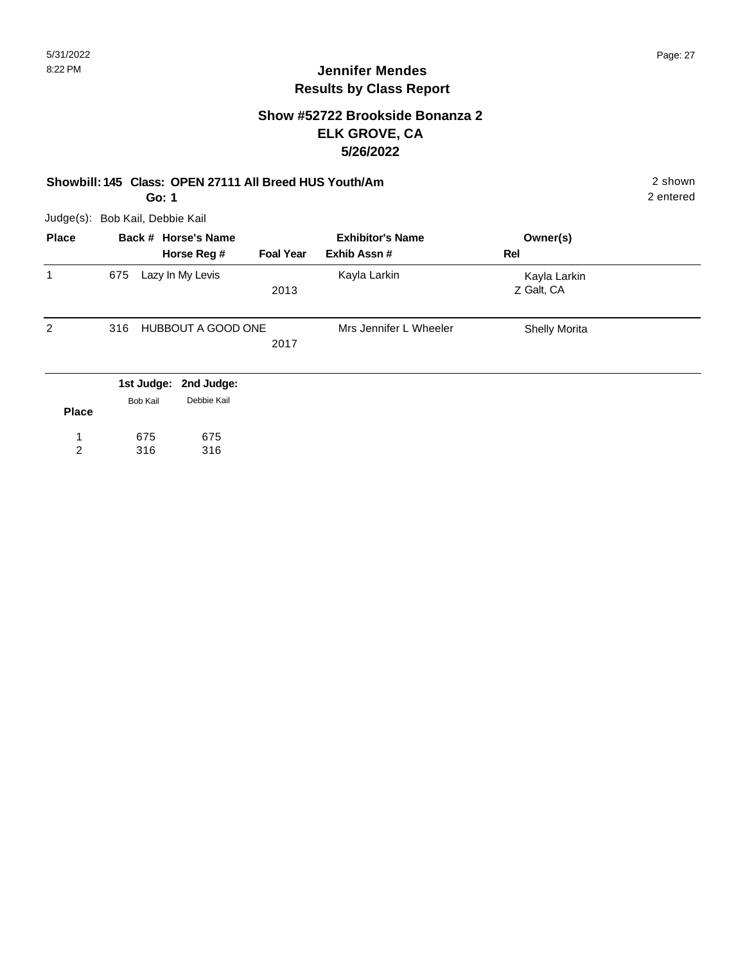#### **Show #52722 Brookside Bonanza 2 ELK GROVE, CA 5/26/2022**

#### **Showbill: 145 Class: OPEN 27111 All Breed HUS Youth/Am** 2 shown

675 316 2 entered

**Go: 1**

Judge(s): Bob Kail, Debbie Kail

675 316

1 2

|     |             |                                                                                     | <b>Exhibitor's Name</b> | Owner(s)                   |  |
|-----|-------------|-------------------------------------------------------------------------------------|-------------------------|----------------------------|--|
|     | Horse Reg # | <b>Foal Year</b>                                                                    | Exhib Assn#             | Rel                        |  |
| 675 |             | 2013                                                                                | Kayla Larkin            | Kayla Larkin<br>Z Galt, CA |  |
| 316 |             | 2017                                                                                | Mrs Jennifer L Wheeler  | <b>Shelly Morita</b>       |  |
|     | Debbie Kail |                                                                                     |                         |                            |  |
|     |             | Back # Horse's Name<br>Lazy In My Levis<br>1st Judge: 2nd Judge:<br><b>Bob Kail</b> | HUBBOUT A GOOD ONE      |                            |  |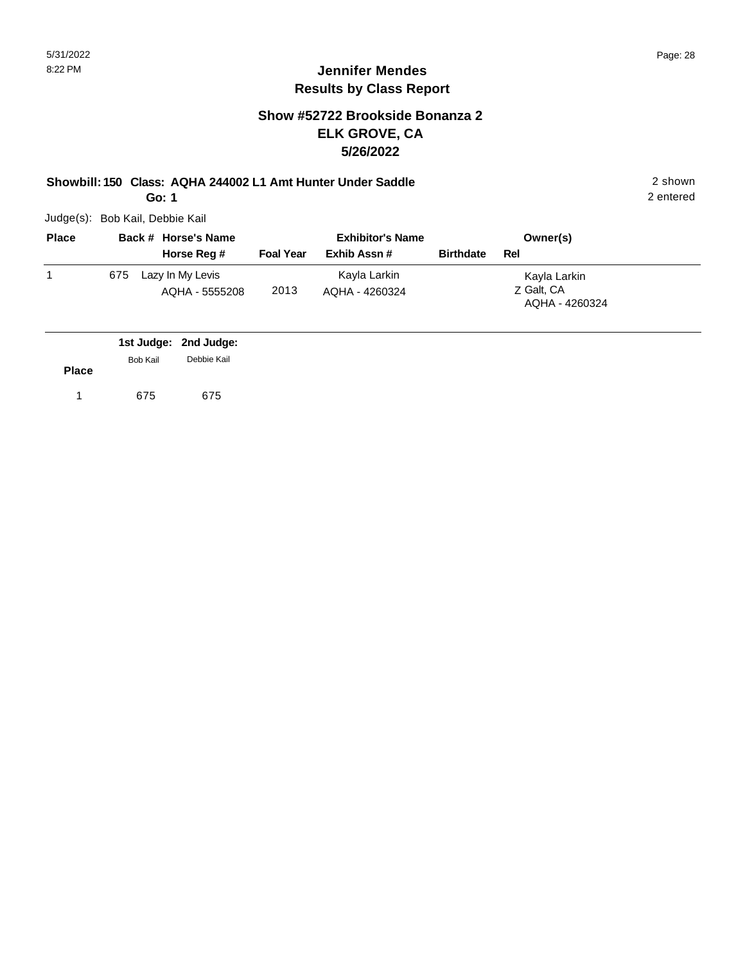### **Show #52722 Brookside Bonanza 2 ELK GROVE, CA 5/26/2022**

**Showbill: 150 Class: AQHA 244002 L1 Amt Hunter Under Saddle** 2 shown **Go: 1**

Judge(s): Bob Kail, Debbie Kail

| <b>Place</b> |     | Back # Horse's Name                | <b>Exhibitor's Name</b> |                                |                  | Owner(s)                                     |
|--------------|-----|------------------------------------|-------------------------|--------------------------------|------------------|----------------------------------------------|
|              |     | Horse Reg #                        | <b>Foal Year</b>        | Exhib Assn#                    | <b>Birthdate</b> | Rel                                          |
|              | 675 | Lazy In My Levis<br>AQHA - 5555208 | 2013                    | Kayla Larkin<br>AQHA - 4260324 |                  | Kayla Larkin<br>Z Galt, CA<br>AQHA - 4260324 |

|              |                 | 1st Judge: 2nd Judge: |
|--------------|-----------------|-----------------------|
|              | <b>Bob Kail</b> | Debbie Kail           |
| <b>Place</b> |                 |                       |
|              | 675             | 675                   |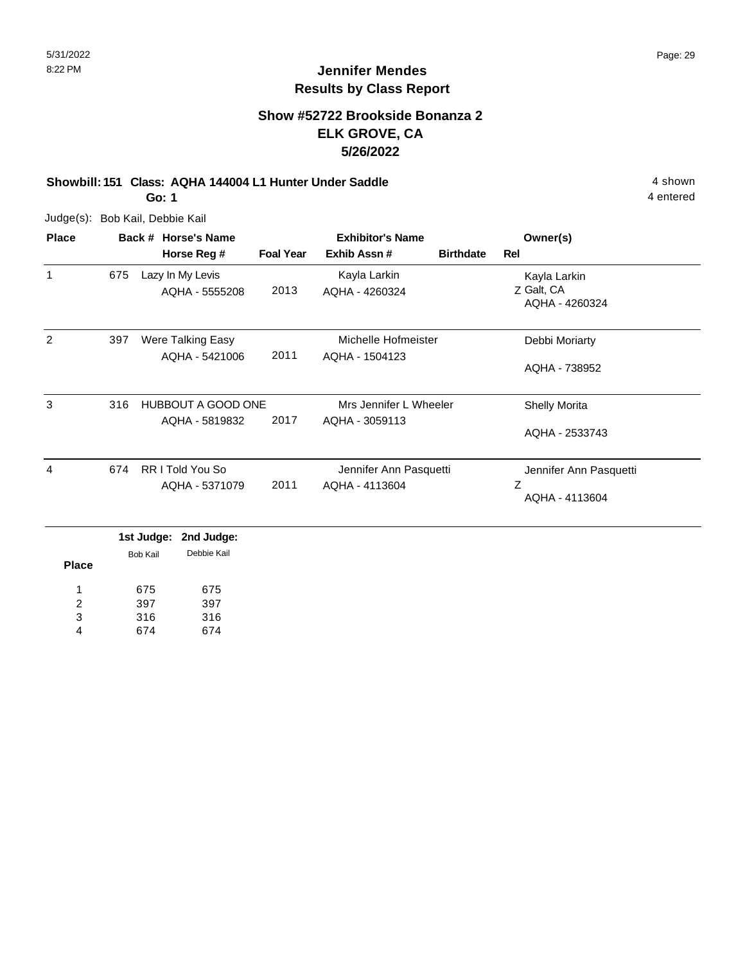### **Show #52722 Brookside Bonanza 2 ELK GROVE, CA 5/26/2022**

#### **Showbill: 151 Class: AQHA 144004 L1 Hunter Under Saddle** 4 shown **Go: 1**

Judge(s): Bob Kail, Debbie Kail

| <b>Place</b> |                                  | Back # Horse's Name |                  | <b>Exhibitor's Name</b> | Owner(s)               |                              |
|--------------|----------------------------------|---------------------|------------------|-------------------------|------------------------|------------------------------|
|              |                                  | Horse Reg #         | <b>Foal Year</b> | Exhib Assn#             | <b>Birthdate</b>       | Rel                          |
| 1            | 675                              | Lazy In My Levis    |                  | Kayla Larkin            |                        | Kayla Larkin                 |
|              |                                  | AQHA - 5555208      | 2013             | AQHA - 4260324          |                        | Z Galt, CA<br>AQHA - 4260324 |
| 2            | 397                              | Were Talking Easy   |                  | Michelle Hofmeister     |                        | Debbi Moriarty               |
|              |                                  | AQHA - 5421006      | 2011             | AQHA - 1504123          |                        | AQHA - 738952                |
| 3            | 316<br><b>HUBBOUT A GOOD ONE</b> |                     |                  |                         | Mrs Jennifer L Wheeler | <b>Shelly Morita</b>         |
|              |                                  | AQHA - 5819832      | 2017             | AQHA - 3059113          |                        | AQHA - 2533743               |
| 4            | 674                              | RR I Told You So    |                  | Jennifer Ann Pasquetti  |                        | Jennifer Ann Pasquetti       |
|              |                                  | AQHA - 5371079      | 2011             | AQHA - 4113604          |                        | Ζ<br>AQHA - 4113604          |

**Place** 675 397 316 674 675 397 316 674 1 2 3 4 Bob Kail Debbie Kail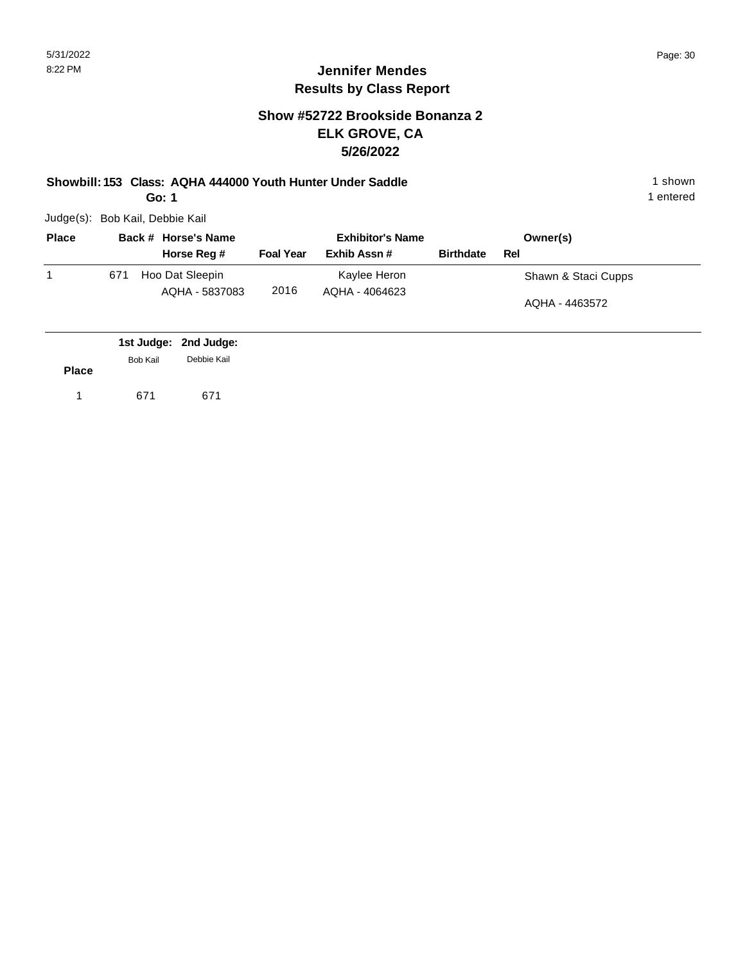#### **Show #52722 Brookside Bonanza 2 ELK GROVE, CA 5/26/2022**

**Showbill: 153 Class: AQHA 444000 Youth Hunter Under Saddle** 1 shown **Go: 1**

Judge(s): Bob Kail, Debbie Kail

| <b>Place</b> |     | Back # Horse's Name               | <b>Exhibitor's Name</b> |                                |                  | Owner(s)            |
|--------------|-----|-----------------------------------|-------------------------|--------------------------------|------------------|---------------------|
|              |     | Horse Reg #                       | <b>Foal Year</b>        | Exhib Assn#                    | <b>Birthdate</b> | Rel                 |
|              | 671 | Hoo Dat Sleepin<br>AQHA - 5837083 | 2016                    | Kaylee Heron<br>AQHA - 4064623 |                  | Shawn & Staci Cupps |
|              |     |                                   |                         |                                |                  | AQHA - 4463572      |
|              |     |                                   |                         |                                |                  |                     |

|              |          | 1st Judge: 2nd Judge: |  |
|--------------|----------|-----------------------|--|
|              | Bob Kail | Debbie Kail           |  |
| <b>Place</b> |          |                       |  |
|              | 671      | 671                   |  |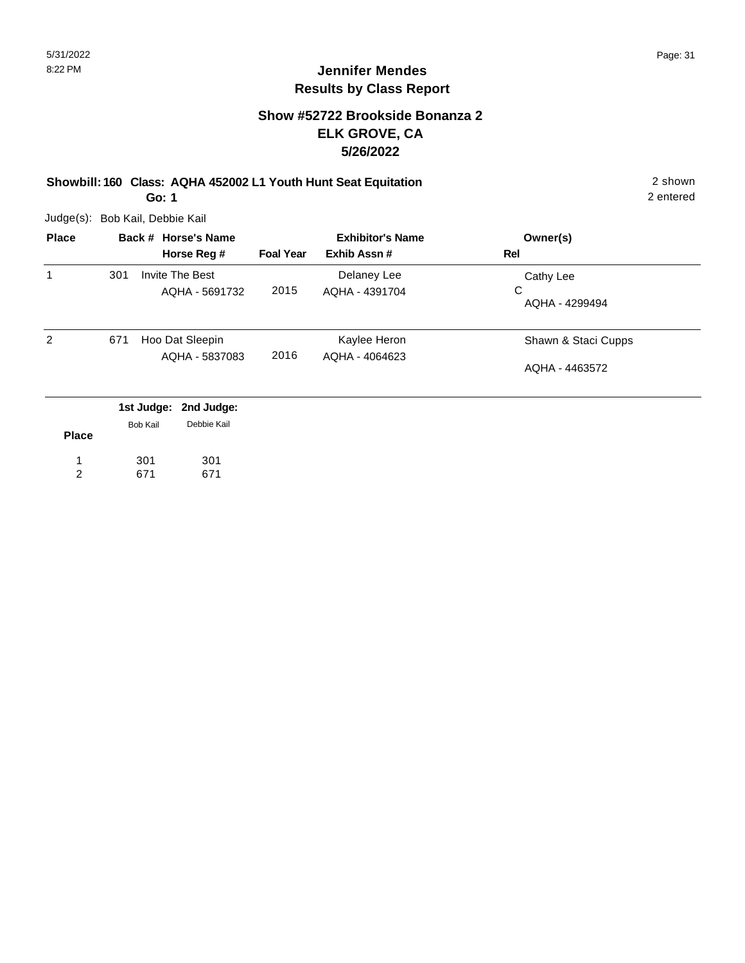#### **Show #52722 Brookside Bonanza 2 ELK GROVE, CA 5/26/2022**

**Showbill: 160 Class: AQHA 452002 L1 Youth Hunt Seat Equitation** 2 shown **Go: 1**

Judge(s): Bob Kail, Debbie Kail

301 671

1 2 301 671

| <b>Place</b> |     | Back # Horse's Name                              |                  | <b>Exhibitor's Name</b> | Owner(s)            |
|--------------|-----|--------------------------------------------------|------------------|-------------------------|---------------------|
|              |     | Horse Reg #                                      | <b>Foal Year</b> | Exhib Assn#             | Rel                 |
| 1            | 301 | <b>Invite The Best</b>                           |                  | Delaney Lee             | Cathy Lee           |
|              |     | AQHA - 5691732                                   | 2015             | AQHA - 4391704          | C<br>AQHA - 4299494 |
| 2            | 671 | Hoo Dat Sleepin                                  |                  | Kaylee Heron            | Shawn & Staci Cupps |
|              |     | AQHA - 5837083                                   | 2016             | AQHA - 4064623          | AQHA - 4463572      |
|              |     | 1st Judge: 2nd Judge:<br>Debbie Kail<br>Bob Kail |                  |                         |                     |
| <b>Place</b> |     |                                                  |                  |                         |                     |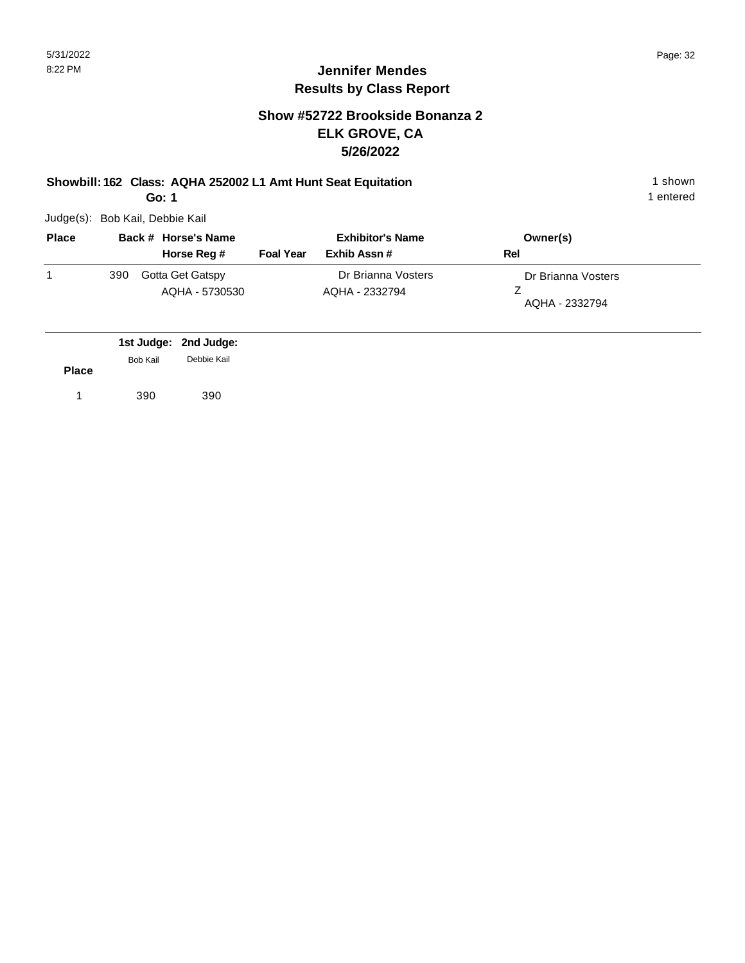#### **Show #52722 Brookside Bonanza 2 ELK GROVE, CA 5/26/2022**

## **Showbill: 162 Class: AQHA 252002 L1 Amt Hunt Seat Equitation** 1 shown

**Go: 1**

Judge(s): Bob Kail, Debbie Kail

| <b>Place</b> | Back # Horse's Name |                                    | <b>Exhibitor's Name</b> |                                      | Owner(s)                             |
|--------------|---------------------|------------------------------------|-------------------------|--------------------------------------|--------------------------------------|
|              |                     | Horse Reg #                        | <b>Foal Year</b>        | Exhib Assn#                          | Rel                                  |
|              | 390                 | Gotta Get Gatspy<br>AQHA - 5730530 |                         | Dr Brianna Vosters<br>AQHA - 2332794 | Dr Brianna Vosters<br>AQHA - 2332794 |

|              |                 | 1st Judge: 2nd Judge: |
|--------------|-----------------|-----------------------|
|              | <b>Bob Kail</b> | Debbie Kail           |
| <b>Place</b> |                 |                       |
|              | 390             | 390                   |
|              |                 |                       |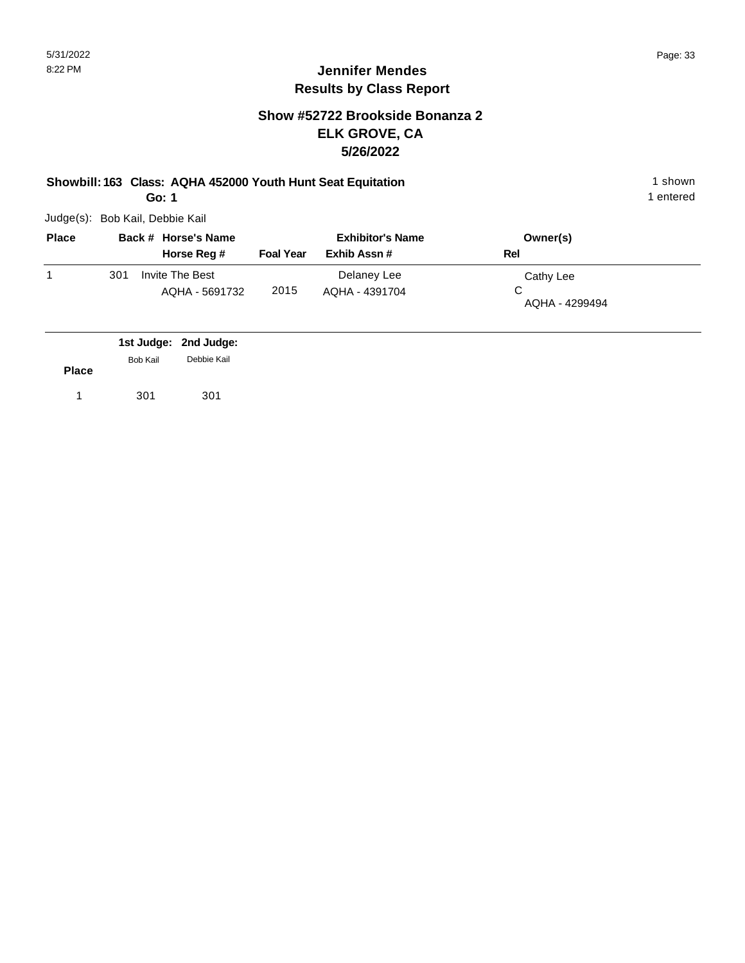#### **Show #52722 Brookside Bonanza 2 ELK GROVE, CA 5/26/2022**

#### **Showbill: 163 Class: AQHA 452000 Youth Hunt Seat Equitation** 1 shown **Go: 1**

Judge(s): Bob Kail, Debbie Kail

| <b>Place</b> |     | Back # Horse's Name               |                  | <b>Exhibitor's Name</b>       | Owner(s)                         |
|--------------|-----|-----------------------------------|------------------|-------------------------------|----------------------------------|
|              |     | Horse Reg #                       | <b>Foal Year</b> | Exhib Assn#                   | Rel                              |
|              | 301 | Invite The Best<br>AQHA - 5691732 | 2015             | Delaney Lee<br>AQHA - 4391704 | Cathy Lee<br>C<br>AQHA - 4299494 |

|              |                 | 1st Judge: 2nd Judge: |
|--------------|-----------------|-----------------------|
|              | <b>Bob Kail</b> | Debbie Kail           |
| <b>Place</b> |                 |                       |
|              | 301             | 301                   |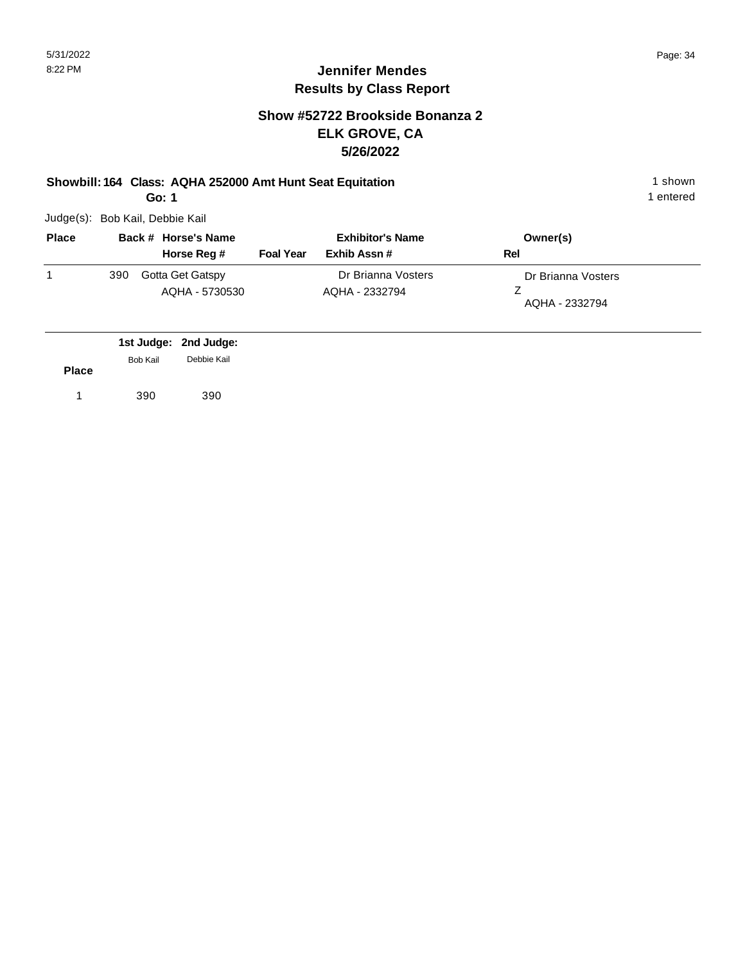#### **Show #52722 Brookside Bonanza 2 ELK GROVE, CA 5/26/2022**

#### **Showbill: 164 Class: AQHA 252000 Amt Hunt Seat Equitation** 1 shown

**Go: 1**

Judge(s): Bob Kail, Debbie Kail

| <b>Place</b> | Back # Horse's Name |                                    | <b>Exhibitor's Name</b> |                                      | Owner(s)                             |
|--------------|---------------------|------------------------------------|-------------------------|--------------------------------------|--------------------------------------|
|              |                     | Horse Reg #                        | <b>Foal Year</b>        | Exhib Assn#                          | Rel                                  |
|              | 390                 | Gotta Get Gatspy<br>AQHA - 5730530 |                         | Dr Brianna Vosters<br>AQHA - 2332794 | Dr Brianna Vosters<br>AQHA - 2332794 |

|              |                 | 1st Judge: 2nd Judge:<br>Debbie Kail |
|--------------|-----------------|--------------------------------------|
| <b>Place</b> | <b>Bob Kail</b> |                                      |
|              | 390             | 390                                  |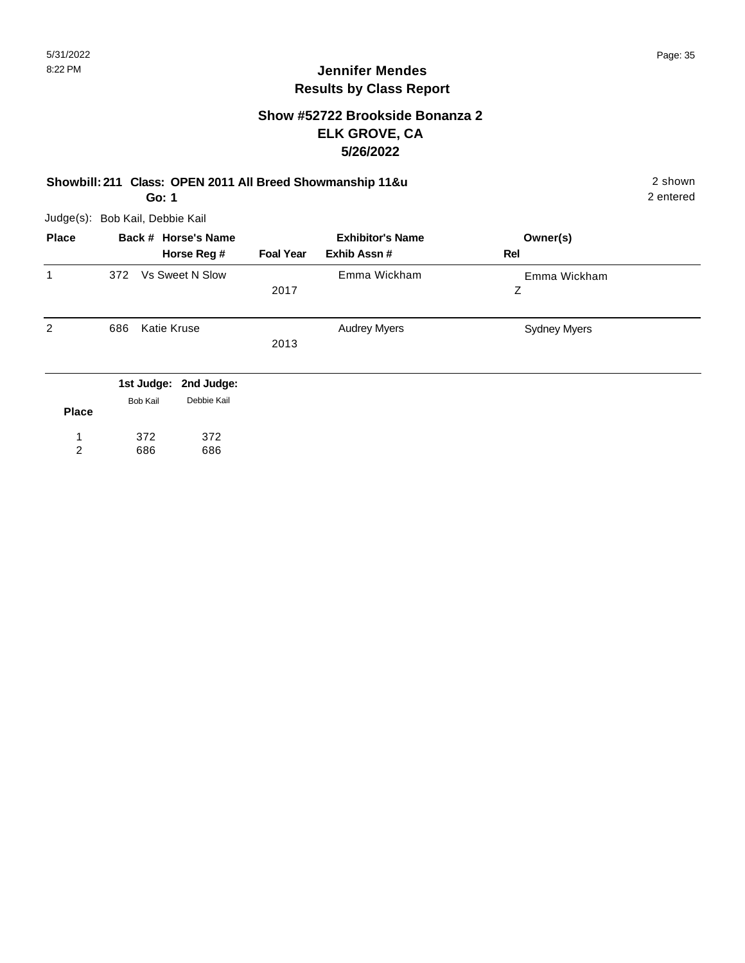#### **Show #52722 Brookside Bonanza 2 ELK GROVE, CA 5/26/2022**

#### **Showbill: 211 Class: OPEN 2011 All Breed Showmanship 11&u** 2 shown **Go: 1**

Judge(s): Bob Kail, Debbie Kail

686

2

686

**Back # Horse's Name Place Owner(s) Horse Reg # Exhib Assn # Foal Year Rel Exhibitor's Name** 1 Z Emma Wickham 2017 372 Vs Sweet N Slow Emma Wickham 2 686 Katie Kruse **Manual Audrey Myers** Audrey Myers **Constant Sydney Myers** 2013 Audrey Myers **2nd Judge: 1st Judge: Place** 372 372 1 Bob Kail Debbie Kail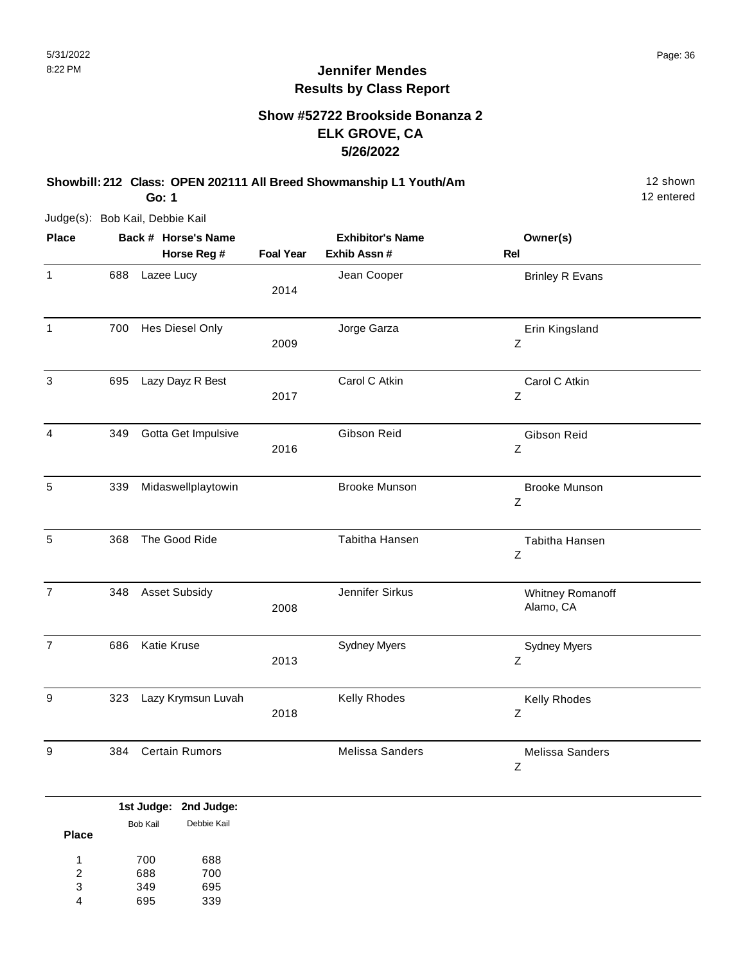#### **Show #52722 Brookside Bonanza 2 ELK GROVE, CA 5/26/2022**

**Showbill: 212 Class: OPEN 202111 All Breed Showmanship L1 Youth/Am** 12 Shown

**Go: 1**

Judge(s): Bob Kail, Debbie Kail

**Back # Horse's Name Place Owner(s) Horse Reg # Exhib Assn # Foal Year Rel Exhibitor's Name** 1 688 Lazee Lucy **1 Brinley R** Evans 2014 Jean Cooper 1 Z Erin Kingsland 2009 700 Hes Diesel Only **State Control of State Control** Jorge Garza 3 Z Carol C Atkin 2017 695 Lazy Dayz R Best Carol C Atkin 4 Z Gibson Reid 2016 349 Gotta Get Impulsive Gibson Reid 5 Z 339 Midaswellplaytowin Brooke Munson Brooke Munson 5 Z 368 The Good Ride Tabitha Hansen Tabitha Hansen Tabitha Hansen Tabitha Hansen 7 Whitney Romanoff 348 Asset Subsidy Jennifer Sirkus 2008 Alamo, CA 7 Z Sydney Myers 2013 686 Katie Kruse Sydney Myers 9 Z Kelly Rhodes 2018 323 Lazy Krymsun Luvah Kelly Rhodes 9 Z 384 Certain Rumors Melissa Sanders Melissa Sanders

|              |          | 1st Judge: 2nd Judge: |
|--------------|----------|-----------------------|
|              | Bob Kail | Debbie Kail           |
| <b>Place</b> |          |                       |
| 1            | 700      | 688                   |
| 2            | 688      | 700                   |
| 3            | 349      | 695                   |
|              | 695      | 339                   |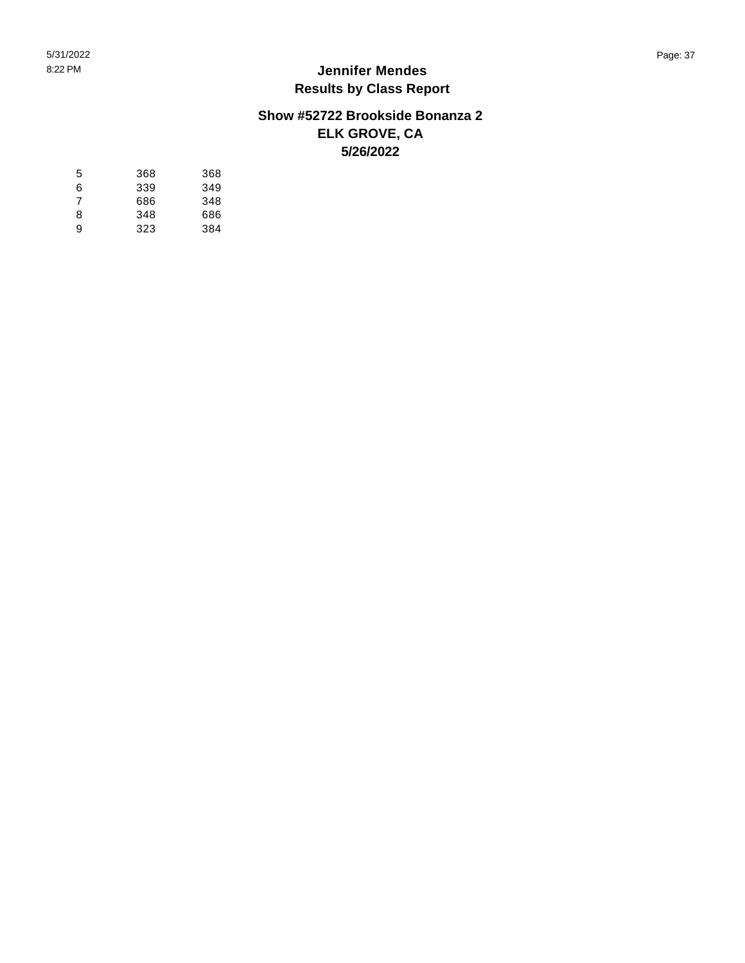#### **Show #52722 Brookside Bonanza 2 ELK GROVE, CA 5/26/2022**

| 5 | 368 | 368 |
|---|-----|-----|
| 6 | 339 | 349 |
| 7 | 686 | 348 |
| 8 | 348 | 686 |
| 9 | 323 | 384 |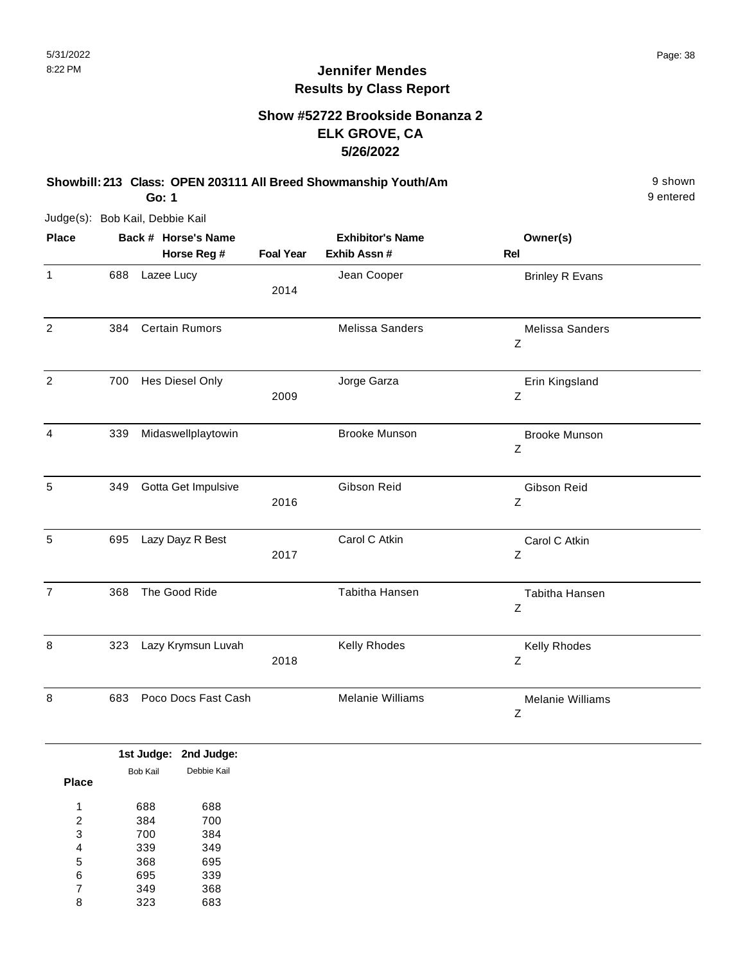#### **Show #52722 Brookside Bonanza 2 ELK GROVE, CA 5/26/2022**

**Showbill: 213 Class: OPEN 203111 All Breed Showmanship Youth/Am** 9 shown

**Go: 1**

Judge(s): Bob Kail, Debbie Kail

| <b>Place</b>   | Back # Horse's Name |                       |                  | <b>Exhibitor's Name</b> | Owner(s)                     |  |
|----------------|---------------------|-----------------------|------------------|-------------------------|------------------------------|--|
|                |                     | Horse Reg #           | <b>Foal Year</b> | Exhib Assn #            | <b>Rel</b>                   |  |
| $\mathbf{1}$   | 688                 | Lazee Lucy            | 2014             | Jean Cooper             | <b>Brinley R Evans</b>       |  |
| $\overline{2}$ | 384                 | <b>Certain Rumors</b> |                  | <b>Melissa Sanders</b>  | Melissa Sanders<br>Ζ         |  |
| $\overline{2}$ | 700                 | Hes Diesel Only       | 2009             | Jorge Garza             | Erin Kingsland<br>Ζ          |  |
| 4              | 339                 | Midaswellplaytowin    |                  | <b>Brooke Munson</b>    | <b>Brooke Munson</b><br>Z    |  |
| 5              | 349                 | Gotta Get Impulsive   | 2016             | Gibson Reid             | Gibson Reid<br>Z             |  |
| 5              | 695                 | Lazy Dayz R Best      | 2017             | Carol C Atkin           | Carol C Atkin<br>$\mathsf Z$ |  |
| $\overline{7}$ | 368                 | The Good Ride         |                  | Tabitha Hansen          | Tabitha Hansen<br>Ζ          |  |
| 8              | 323                 | Lazy Krymsun Luvah    | 2018             | Kelly Rhodes            | Kelly Rhodes<br>Z            |  |
| 8              | 683                 | Poco Docs Fast Cash   |                  | Melanie Williams        | Melanie Williams<br>Ζ        |  |

|              |          | 1st Judge: 2nd Judge: |  |
|--------------|----------|-----------------------|--|
|              | Bob Kail | Debbie Kail           |  |
| <b>Place</b> |          |                       |  |
| 1            | 688      | 688                   |  |
|              |          |                       |  |
| 2            | 384      | 700                   |  |
| 3            | 700      | 384                   |  |
| 4            | 339      | 349                   |  |
| 5            | 368      | 695                   |  |
| 6            | 695      | 339                   |  |
| 7            | 349      | 368                   |  |
| 8            | 323      | 683                   |  |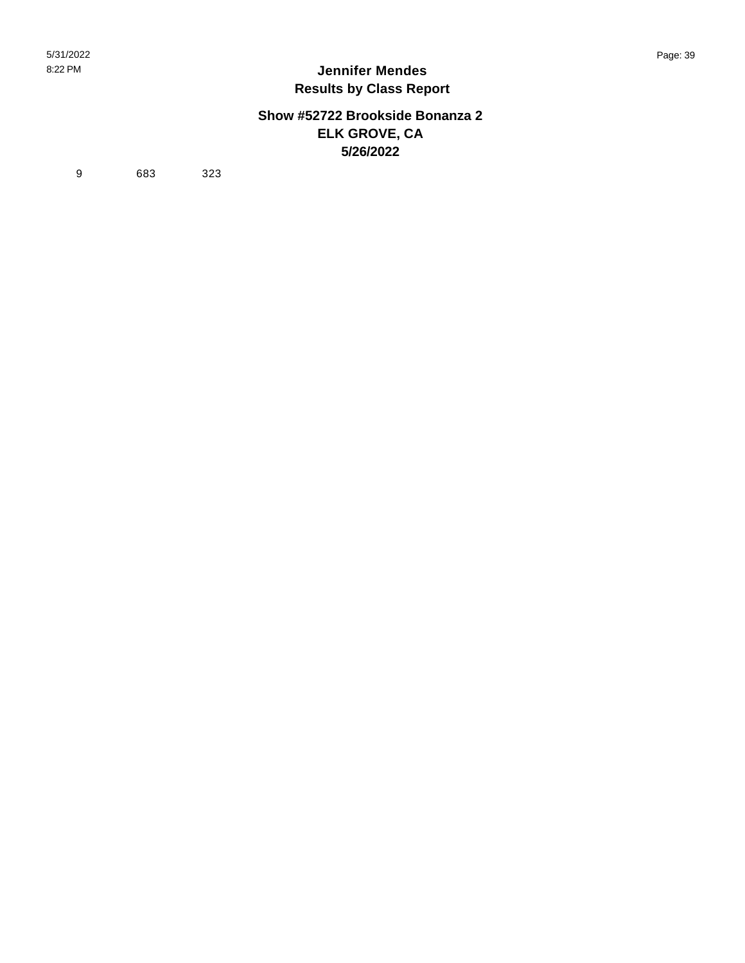#### **Show #52722 Brookside Bonanza 2 ELK GROVE, CA 5/26/2022**

9 683 323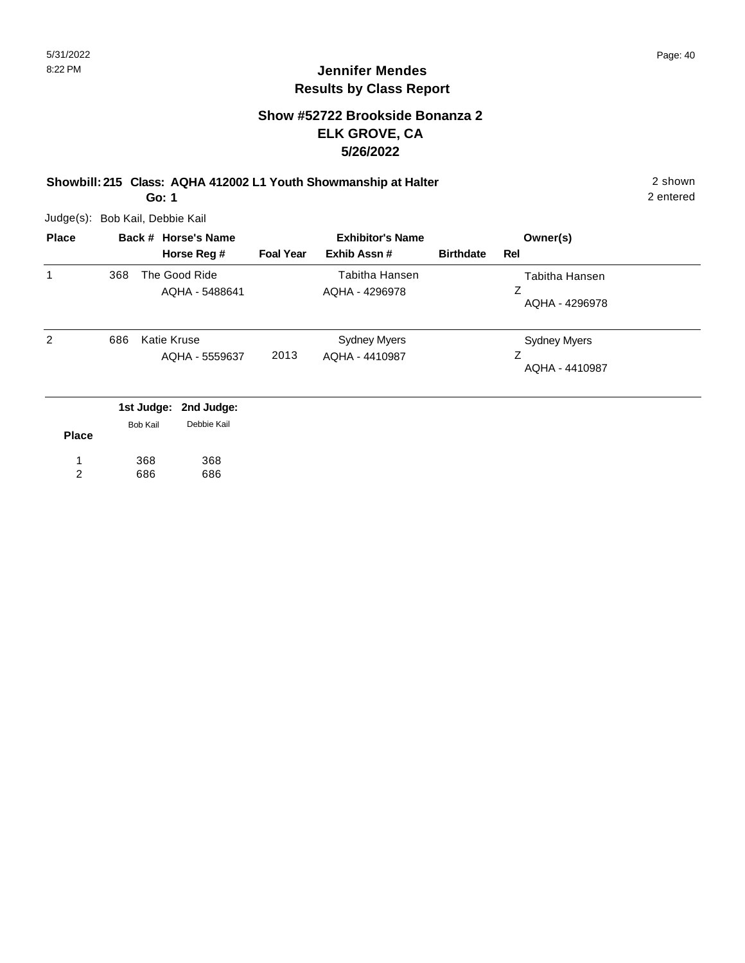#### **Show #52722 Brookside Bonanza 2 ELK GROVE, CA 5/26/2022**

**Showbill: 215 Class: AQHA 412002 L1 Youth Showmanship at Halter** 2 shown **Go: 1**

Judge(s): Bob Kail, Debbie Kail

| <b>Place</b> |     | Back # Horse's Name                              |                  | <b>Exhibitor's Name</b>               |                  | Owner(s)                              |
|--------------|-----|--------------------------------------------------|------------------|---------------------------------------|------------------|---------------------------------------|
|              |     | Horse Reg #                                      | <b>Foal Year</b> | Exhib Assn#                           | <b>Birthdate</b> | Rel                                   |
|              | 368 | The Good Ride<br>AQHA - 5488641                  |                  | Tabitha Hansen<br>AQHA - 4296978      |                  | Tabitha Hansen<br>Ζ<br>AQHA - 4296978 |
| 2            | 686 | <b>Katie Kruse</b><br>AQHA - 5559637             | 2013             | <b>Sydney Myers</b><br>AQHA - 4410987 |                  | Sydney Myers<br>AQHA - 4410987        |
|              |     | 1st Judge: 2nd Judge:<br>Dobbio Kail<br>Dob Koil |                  |                                       |                  |                                       |

| <b>Place</b> | <b>Bob Kail</b> | Debbie Kail |
|--------------|-----------------|-------------|
| 1            | 368             | 368         |
|              | 686             | 686         |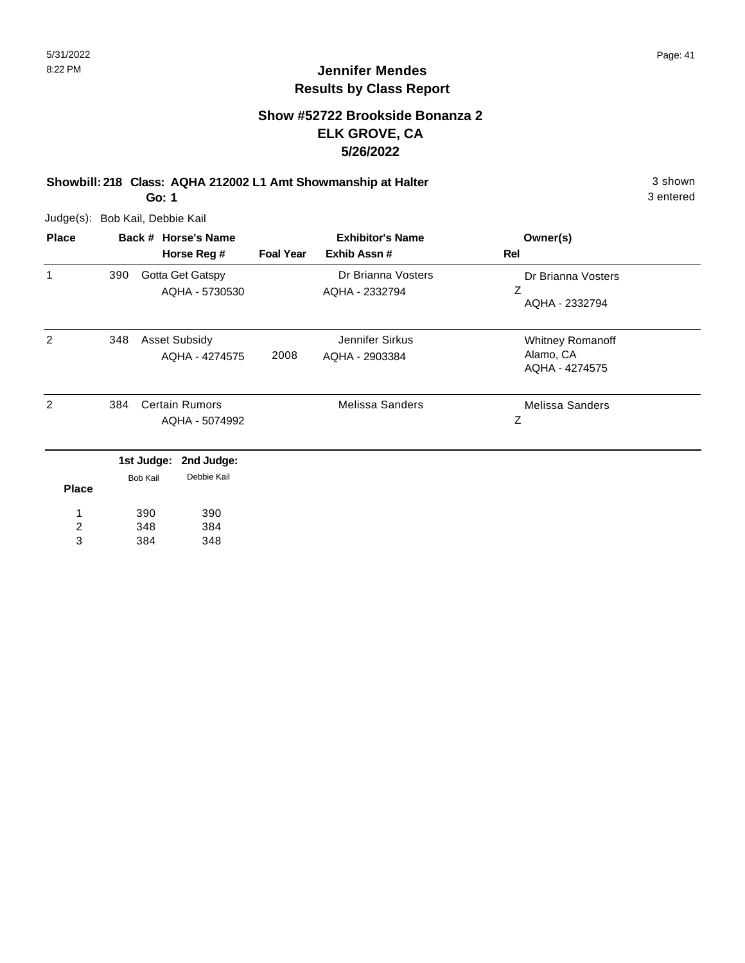#### **Show #52722 Brookside Bonanza 2 ELK GROVE, CA 5/26/2022**

**Showbill: 218 Class: AQHA 212002 L1 Amt Showmanship at Halter** 3 shown

**Go: 1**

Judge(s): Bob Kail, Debbie Kail

| <b>Place</b>   | Back # Horse's Name |                 |                       | <b>Exhibitor's Name</b> |                        | Owner(s)               |  |
|----------------|---------------------|-----------------|-----------------------|-------------------------|------------------------|------------------------|--|
|                |                     |                 | Horse Reg #           | <b>Foal Year</b>        | Exhib Assn#            | Rel                    |  |
| 1              | 390                 |                 | Gotta Get Gatspy      |                         | Dr Brianna Vosters     | Dr Brianna Vosters     |  |
|                |                     |                 | AQHA - 5730530        |                         | AQHA - 2332794         | Z<br>AQHA - 2332794    |  |
| 2              | 348                 |                 | <b>Asset Subsidy</b>  |                         | Jennifer Sirkus        | Whitney Romanoff       |  |
|                |                     |                 | AQHA - 4274575        | 2008                    | AQHA - 2903384         | Alamo, CA              |  |
|                |                     |                 |                       |                         |                        | AQHA - 4274575         |  |
| 2              | 384                 |                 | <b>Certain Rumors</b> |                         | <b>Melissa Sanders</b> | <b>Melissa Sanders</b> |  |
|                | AQHA - 5074992      |                 |                       |                         | Z                      |                        |  |
|                |                     | 1st Judge:      | 2nd Judge:            |                         |                        |                        |  |
| <b>Place</b>   |                     | <b>Bob Kail</b> | Debbie Kail           |                         |                        |                        |  |
|                |                     |                 |                       |                         |                        |                        |  |
|                |                     | 390             | 390                   |                         |                        |                        |  |
| $\overline{c}$ |                     | 348             | 384                   |                         |                        |                        |  |
| 3              |                     | 384             | 348                   |                         |                        |                        |  |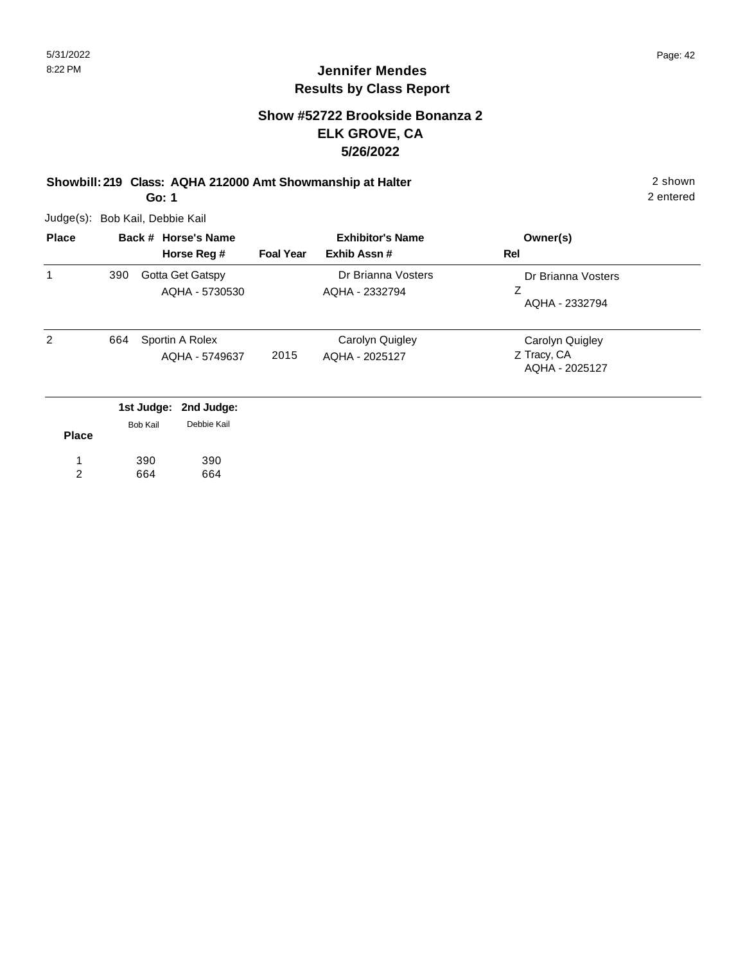#### **Show #52722 Brookside Bonanza 2 ELK GROVE, CA 5/26/2022**

# **Showbill: 219 Class: AQHA 212000 Amt Showmanship at Halter** 2 shown

**Go: 1**

Judge(s): Bob Kail, Debbie Kail

| <b>Place</b> |     | Back # Horse's Name                              |                  | <b>Exhibitor's Name</b>              | Owner(s)                                         |
|--------------|-----|--------------------------------------------------|------------------|--------------------------------------|--------------------------------------------------|
|              |     | Horse Reg #                                      | <b>Foal Year</b> | Exhib Assn#                          | <b>Rel</b>                                       |
|              | 390 | Gotta Get Gatspy<br>AQHA - 5730530               |                  | Dr Brianna Vosters<br>AQHA - 2332794 | Dr Brianna Vosters<br>Ζ<br>AQHA - 2332794        |
| 2            | 664 | Sportin A Rolex<br>AQHA - 5749637                | 2015             | Carolyn Quigley<br>AQHA - 2025127    | Carolyn Quigley<br>Z Tracy, CA<br>AQHA - 2025127 |
|              |     | 1st Judge: 2nd Judge:<br>Debbie Kail<br>Bob Kail |                  |                                      |                                                  |

**Place** 390 664 390 664 1 2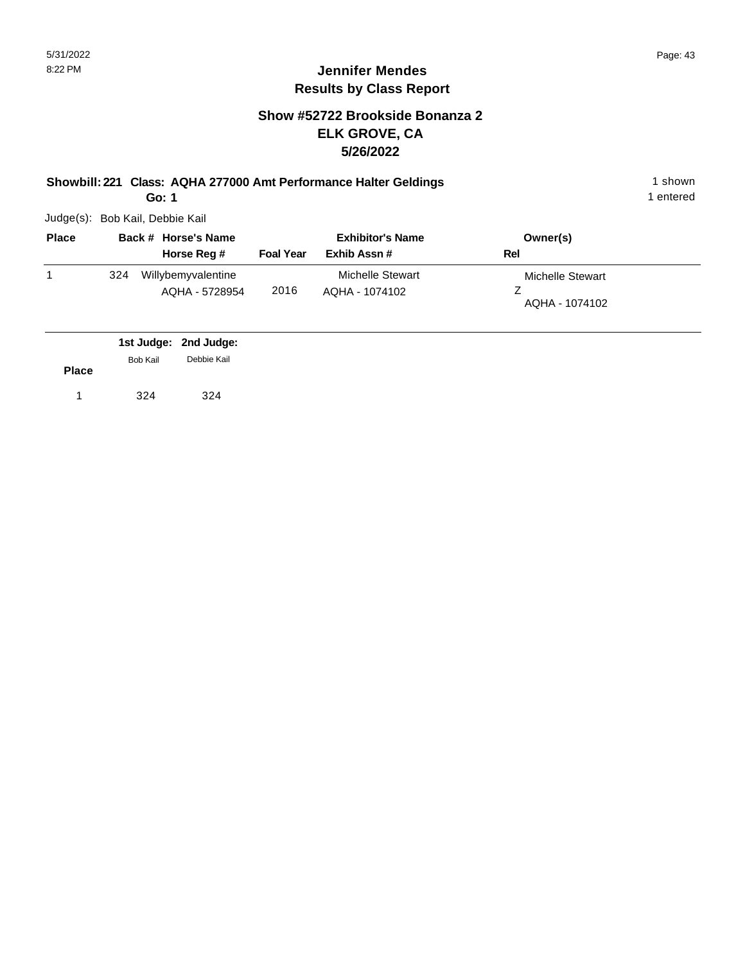#### **Show #52722 Brookside Bonanza 2 ELK GROVE, CA 5/26/2022**

**Showbill: 221 Class: AQHA 277000 Amt Performance Halter Geldings** 1 shown

**Go: 1**

Judge(s): Bob Kail, Debbie Kail

| <b>Place</b> |     | Back # Horse's Name                  |                  | <b>Exhibitor's Name</b>            | Owner(s)                           |  |
|--------------|-----|--------------------------------------|------------------|------------------------------------|------------------------------------|--|
|              |     | Horse Reg #                          | <b>Foal Year</b> | Exhib Assn#                        | Rel                                |  |
|              | 324 | Willybemyvalentine<br>AQHA - 5728954 | 2016             | Michelle Stewart<br>AQHA - 1074102 | Michelle Stewart<br>AQHA - 1074102 |  |

|              |          | 1st Judge: 2nd Judge: |
|--------------|----------|-----------------------|
|              | Bob Kail | Debbie Kail           |
| <b>Place</b> |          |                       |
|              | 324      | 324                   |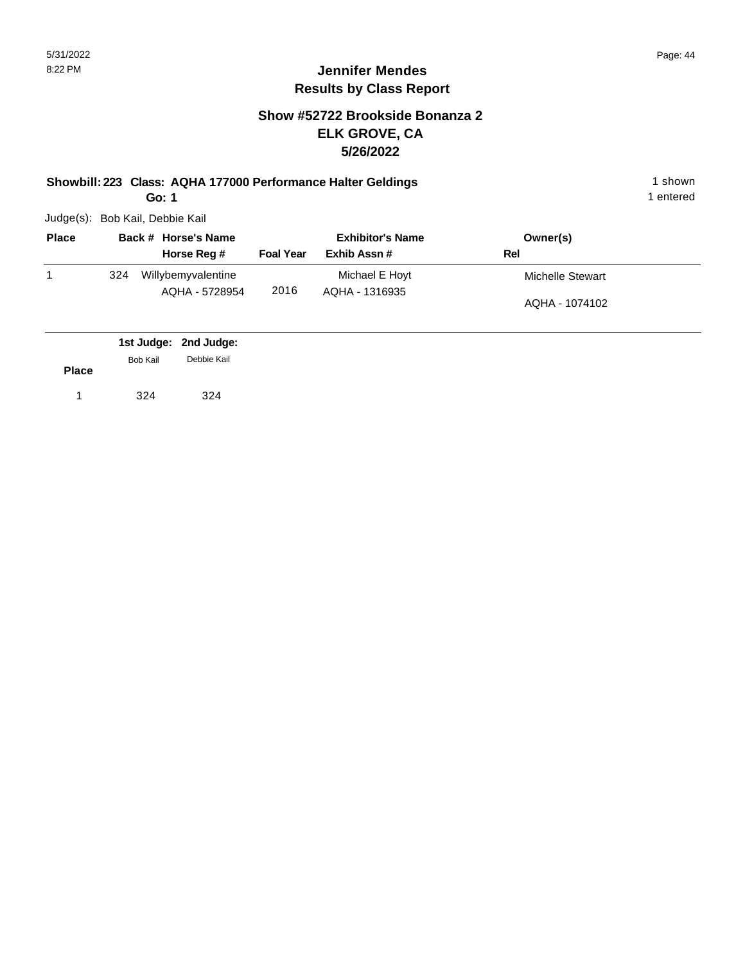#### **Show #52722 Brookside Bonanza 2 ELK GROVE, CA 5/26/2022**

**Showbill: 223 Class: AQHA 177000 Performance Halter Geldings** 1 shown **Go: 1**

Judge(s): Bob Kail, Debbie Kail

| <b>Place</b> |     | Back # Horse's Name                  | <b>Exhibitor's Name</b> |                                  | Owner(s)         |
|--------------|-----|--------------------------------------|-------------------------|----------------------------------|------------------|
|              |     | Horse Reg #                          | <b>Foal Year</b>        | Exhib Assn#                      | Rel              |
|              | 324 | Willybemyvalentine<br>AQHA - 5728954 | 2016                    | Michael E Hoyt<br>AQHA - 1316935 | Michelle Stewart |
|              |     |                                      |                         |                                  | AQHA - 1074102   |
|              |     |                                      |                         |                                  |                  |

|              |          | 1st Judge: 2nd Judge: |  |
|--------------|----------|-----------------------|--|
|              | Bob Kail | Debbie Kail           |  |
| <b>Place</b> |          |                       |  |
| 1            | 324      | 324                   |  |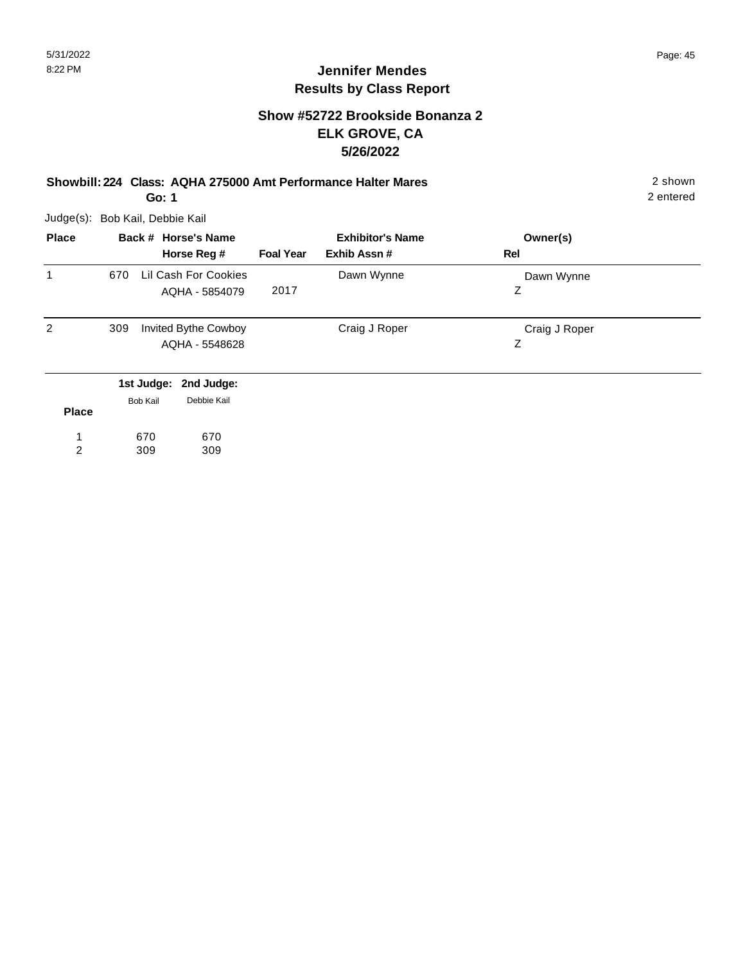#### **Show #52722 Brookside Bonanza 2 ELK GROVE, CA 5/26/2022**

**Showbill: 224 Class: AQHA 275000 Amt Performance Halter Mares** 2 shown

**Go: 1**

Judge(s): Bob Kail, Debbie Kail

| <b>Place</b>   | Back # Horse's Name |                 |                       | <b>Exhibitor's Name</b> |               | Owner(s)      |  |
|----------------|---------------------|-----------------|-----------------------|-------------------------|---------------|---------------|--|
|                |                     |                 | Horse Reg #           | <b>Foal Year</b>        | Exhib Assn#   | Rel           |  |
| 1              | 670                 |                 | Lil Cash For Cookies  |                         | Dawn Wynne    | Dawn Wynne    |  |
|                |                     |                 | AQHA - 5854079        | 2017                    |               | Z             |  |
| $\overline{2}$ | 309                 |                 | Invited Bythe Cowboy  |                         | Craig J Roper | Craig J Roper |  |
|                |                     |                 | AQHA - 5548628        |                         |               | Ζ             |  |
|                |                     |                 | 1st Judge: 2nd Judge: |                         |               |               |  |
| <b>Place</b>   |                     | <b>Bob Kail</b> | Debbie Kail           |                         |               |               |  |
|                |                     | 670             | 670                   |                         |               |               |  |

670 309 309 1 2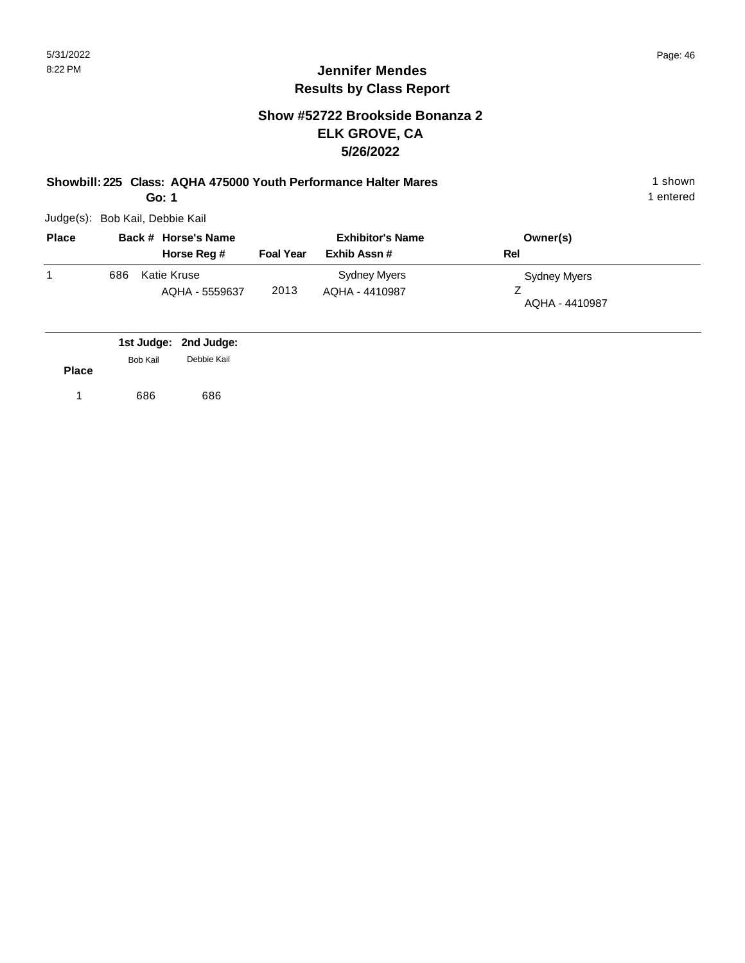#### **Show #52722 Brookside Bonanza 2 ELK GROVE, CA 5/26/2022**

**Showbill: 225 Class: AQHA 475000 Youth Performance Halter Mares** 1 **Shown** 1 shown

**Go: 1**

Judge(s): Bob Kail, Debbie Kail

| <b>Place</b> |     | Back # Horse's Name           | <b>Exhibitor's Name</b> |                                | Owner(s)                       |  |
|--------------|-----|-------------------------------|-------------------------|--------------------------------|--------------------------------|--|
|              |     | Horse Reg #                   | <b>Foal Year</b>        | Exhib Assn#                    | Rel                            |  |
|              | 686 | Katie Kruse<br>AQHA - 5559637 | 2013                    | Sydney Myers<br>AQHA - 4410987 | Sydney Myers<br>AQHA - 4410987 |  |

|              |                 | 1st Judge: 2nd Judge: |
|--------------|-----------------|-----------------------|
|              | <b>Bob Kail</b> | Debbie Kail           |
| <b>Place</b> |                 |                       |
|              | 686             | 686                   |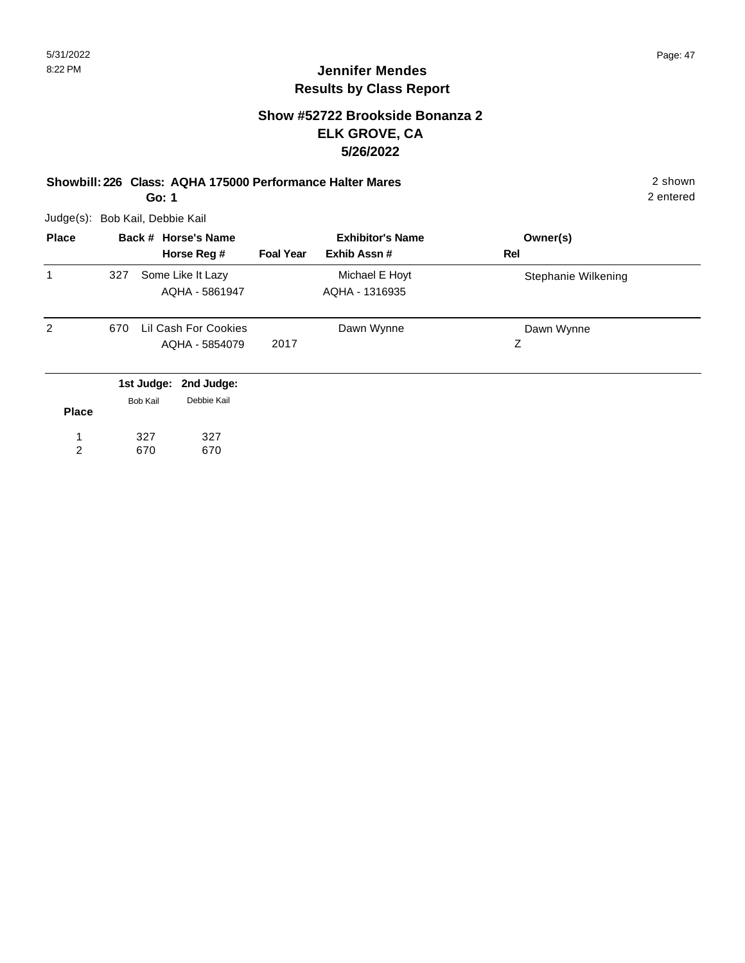#### **Show #52722 Brookside Bonanza 2 ELK GROVE, CA 5/26/2022**

**Showbill: 226 Class: AQHA 175000 Performance Halter Mares** 2 shown **Go: 1**

Judge(s): Bob Kail, Debbie Kail

| <b>Place</b> |     | Back # Horse's Name                              |                  | <b>Exhibitor's Name</b>          | Owner(s)            |
|--------------|-----|--------------------------------------------------|------------------|----------------------------------|---------------------|
|              |     | Horse Reg #                                      | <b>Foal Year</b> | Exhib Assn#                      | Rel                 |
| 1            | 327 | Some Like It Lazy<br>AQHA - 5861947              |                  | Michael E Hoyt<br>AQHA - 1316935 | Stephanie Wilkening |
| 2            | 670 | Lil Cash For Cookies<br>AQHA - 5854079           | 2017             | Dawn Wynne                       | Dawn Wynne<br>Ζ     |
| <b>Place</b> |     | 1st Judge: 2nd Judge:<br>Debbie Kail<br>Bob Kail |                  |                                  |                     |

| י ישרי |     |     |
|--------|-----|-----|
|        | 327 | 327 |
| 2      | 670 | 670 |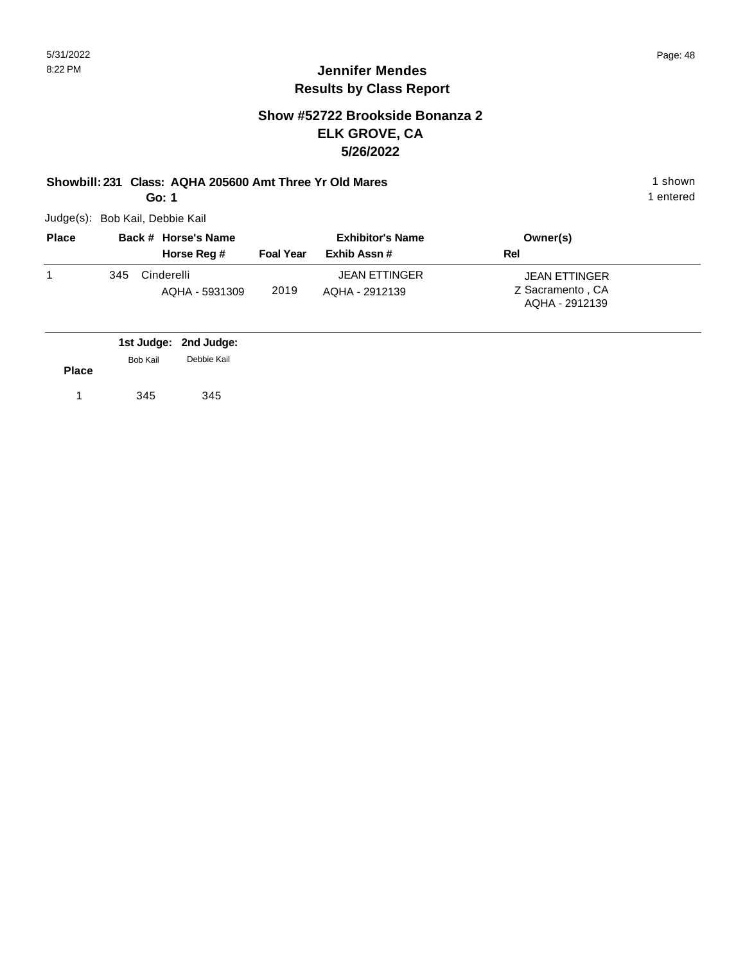#### **Jennifer Mendes Results by Class Report**

#### **Show #52722 Brookside Bonanza 2 ELK GROVE, CA 5/26/2022**

#### **Showbill: 231 Class: AQHA 205600 Amt Three Yr Old Mares** 1 Shown 1 shown

**Go: 1**

| <b>Place</b> |     | Back # Horse's Name | <b>Exhibitor's Name</b> |                      | Owner(s)                           |
|--------------|-----|---------------------|-------------------------|----------------------|------------------------------------|
|              |     | Horse Reg #         | <b>Foal Year</b>        | Exhib Assn#          | Rel                                |
|              | 345 | Cinderelli          |                         | <b>JEAN ETTINGER</b> | <b>JEAN ETTINGER</b>               |
|              |     | AQHA - 5931309      | 2019                    | AOHA - 2912139       | Z Sacramento, CA<br>AQHA - 2912139 |

|              |          | 1st Judge: 2nd Judge: |
|--------------|----------|-----------------------|
|              | Bob Kail | Debbie Kail           |
| <b>Place</b> |          |                       |
|              | 345      | 345                   |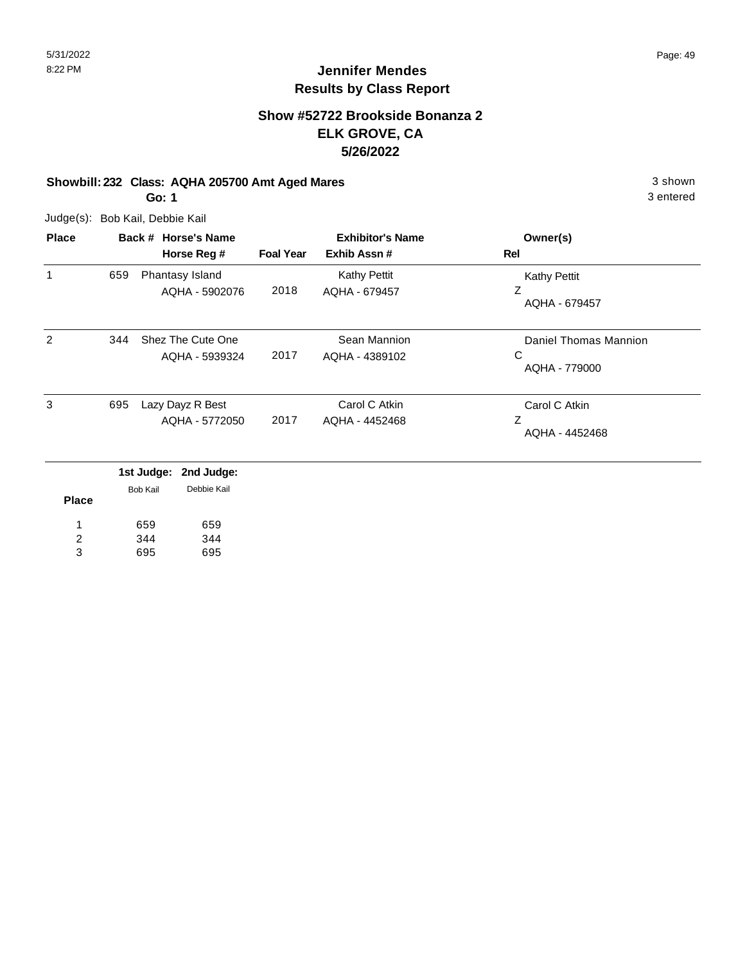#### **Show #52722 Brookside Bonanza 2 ELK GROVE, CA 5/26/2022**

#### **Showbill: 232 Class: AQHA 205700 Amt Aged Mares** 3 shown

**Go: 1**

Judge(s): Bob Kail, Debbie Kail

344 695

2 3

344 695

| <b>Place</b> | Back # Horse's Name |                                     |                  | <b>Exhibitor's Name</b>        | Owner(s)                                    |
|--------------|---------------------|-------------------------------------|------------------|--------------------------------|---------------------------------------------|
|              |                     | Horse Reg #                         | <b>Foal Year</b> | Exhib Assn#                    | Rel                                         |
| 1            | 659                 | Phantasy Island                     |                  | <b>Kathy Pettit</b>            | <b>Kathy Pettit</b>                         |
|              |                     | AQHA - 5902076                      | 2018             | AQHA - 679457                  | Ζ<br>AQHA - 679457                          |
| 2            | 344                 | Shez The Cute One<br>AQHA - 5939324 | 2017             | Sean Mannion<br>AQHA - 4389102 | Daniel Thomas Mannion<br>C<br>AQHA - 779000 |
| 3            | 695                 | Lazy Dayz R Best                    |                  | Carol C Atkin                  | Carol C Atkin                               |
|              |                     | AQHA - 5772050                      | 2017             | AQHA - 4452468                 | Z<br>AQHA - 4452468                         |
|              |                     | 1st Judge:<br>2nd Judge:            |                  |                                |                                             |
| <b>Place</b> |                     | Debbie Kail<br><b>Bob Kail</b>      |                  |                                |                                             |
|              |                     | 659<br>659                          |                  |                                |                                             |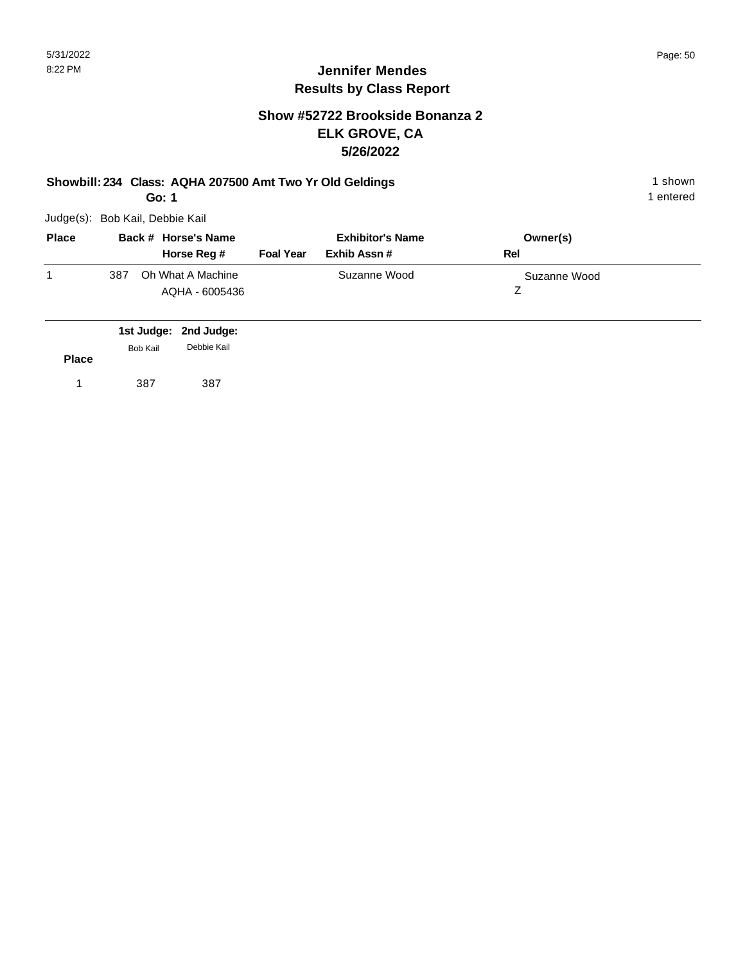#### **Show #52722 Brookside Bonanza 2 ELK GROVE, CA 5/26/2022**

#### **Showbill: 234 Class: AQHA 207500 Amt Two Yr Old Geldings** 1 Shown 1 shown

**Go: 1**

Judge(s): Bob Kail, Debbie Kail

| <b>Place</b> |     | Back # Horse's Name | <b>Exhibitor's Name</b> |              | Owner(s)     |  |
|--------------|-----|---------------------|-------------------------|--------------|--------------|--|
|              |     | Horse Reg #         | <b>Foal Year</b>        | Exhib Assn # | Rel          |  |
|              | 387 | Oh What A Machine   |                         | Suzanne Wood | Suzanne Wood |  |
|              |     | AQHA - 6005436      |                         |              |              |  |

|              |          | 1st Judge: 2nd Judge: |  |
|--------------|----------|-----------------------|--|
|              | Bob Kail | Debbie Kail           |  |
| <b>Place</b> |          |                       |  |
|              | 387      | 387                   |  |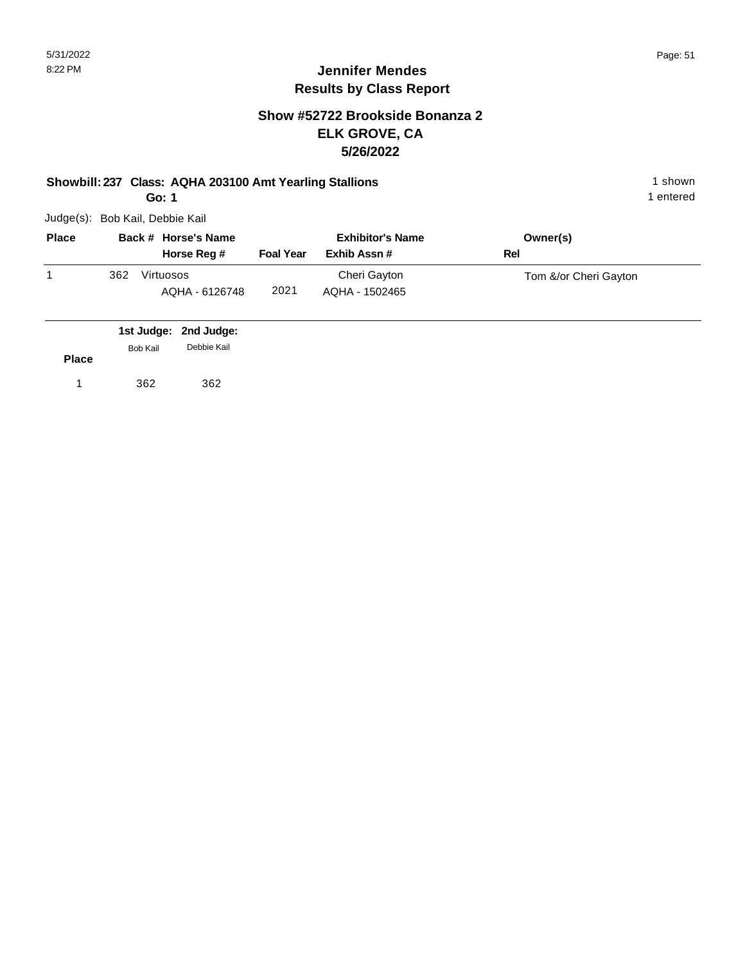#### **Show #52722 Brookside Bonanza 2 ELK GROVE, CA 5/26/2022**

#### **Showbill: 237 Class: AQHA 203100 Amt Yearling Stallions** 1 Shown 1 shown

**Go: 1**

Judge(s): Bob Kail, Debbie Kail

| <b>Place</b> |     | Back # Horse's Name         | <b>Exhibitor's Name</b> |                                | Owner(s)              |
|--------------|-----|-----------------------------|-------------------------|--------------------------------|-----------------------|
|              |     | Horse Reg #                 | <b>Foal Year</b>        | Exhib Assn #                   | Rel                   |
|              | 362 | Virtuosos<br>AQHA - 6126748 | 2021                    | Cheri Gayton<br>AQHA - 1502465 | Tom &/or Cheri Gayton |

|              |          | 1st Judge: 2nd Judge: |  |
|--------------|----------|-----------------------|--|
|              | Bob Kail | Debbie Kail           |  |
| <b>Place</b> |          |                       |  |
|              | 362      | 362                   |  |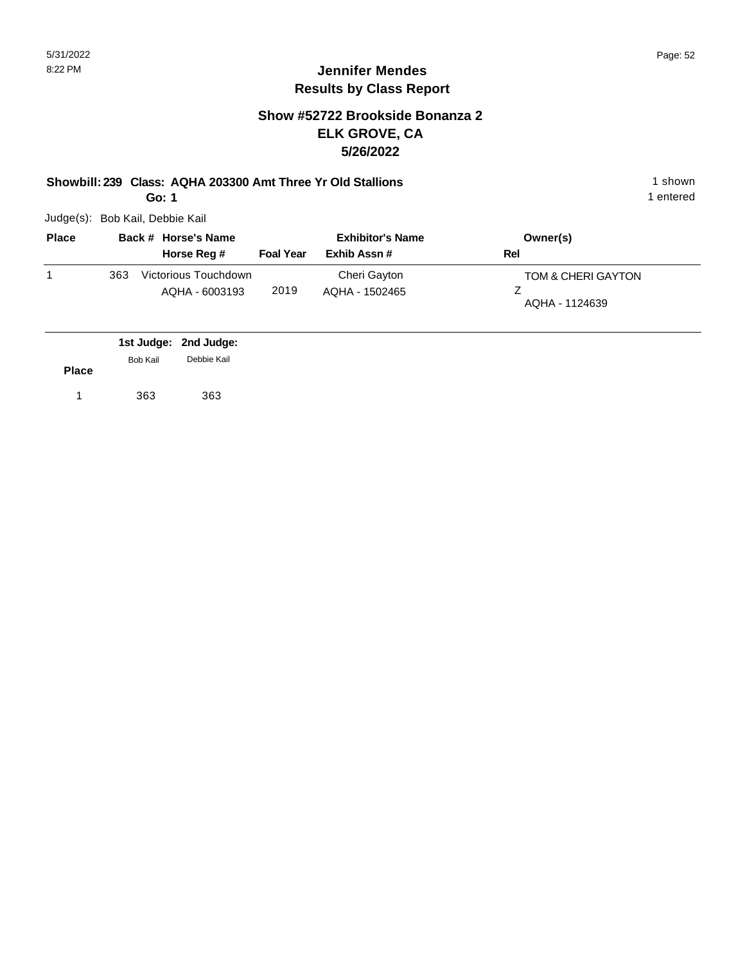#### **Show #52722 Brookside Bonanza 2 ELK GROVE, CA 5/26/2022**

# **Showbill: 239 Class: AQHA 203300 Amt Three Yr Old Stallions** 1 shown

**Go: 1**

Judge(s): Bob Kail, Debbie Kail

| <b>Place</b> |     | Back # Horse's Name                    | <b>Exhibitor's Name</b> |                                | Owner(s)                             |
|--------------|-----|----------------------------------------|-------------------------|--------------------------------|--------------------------------------|
|              |     | Horse Reg #                            | <b>Foal Year</b>        | Exhib Assn#                    | Rel                                  |
|              | 363 | Victorious Touchdown<br>AQHA - 6003193 | 2019                    | Cheri Gayton<br>AQHA - 1502465 | TOM & CHERI GAYTON<br>AQHA - 1124639 |

|              |          | 1st Judge: 2nd Judge: |
|--------------|----------|-----------------------|
|              | Bob Kail | Debbie Kail           |
| <b>Place</b> |          |                       |
|              | 363      | 363                   |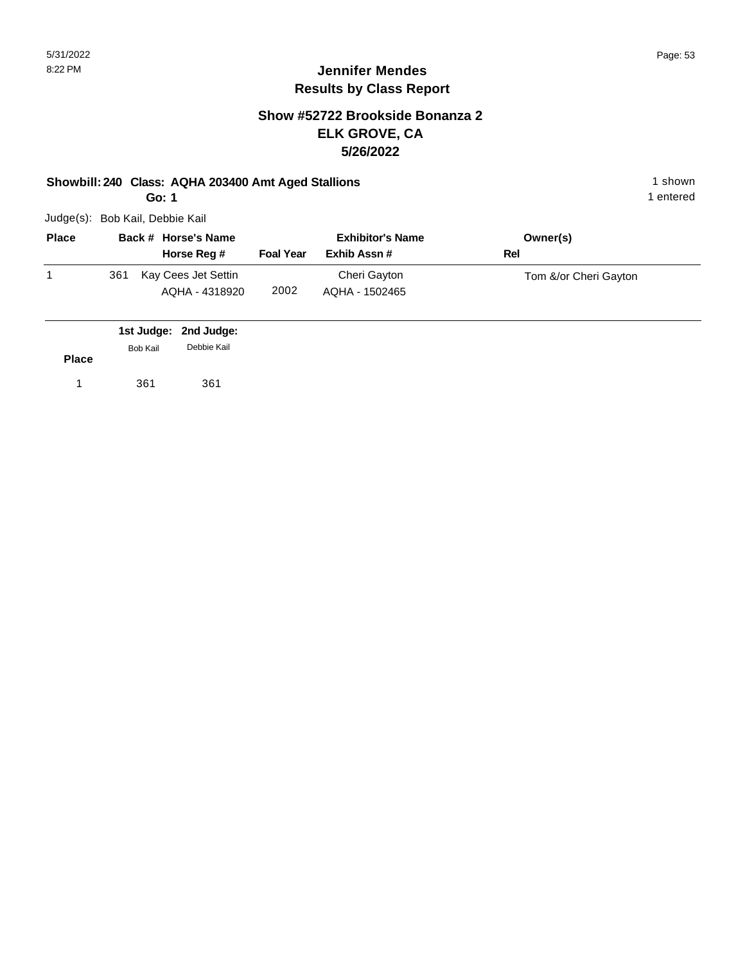#### **Show #52722 Brookside Bonanza 2 ELK GROVE, CA 5/26/2022**

#### **Showbill: 240 Class: AQHA 203400 Amt Aged Stallions** 1 shown 1 shown

**Go: 1**

Judge(s): Bob Kail, Debbie Kail

| <b>Place</b> | Back # Horse's Name |                                       | <b>Exhibitor's Name</b> |                                | Owner(s)              |
|--------------|---------------------|---------------------------------------|-------------------------|--------------------------------|-----------------------|
|              |                     | Horse Reg #                           | <b>Foal Year</b>        | Exhib Assn #                   | Rel                   |
|              | 361                 | Kay Cees Jet Settin<br>AQHA - 4318920 | 2002                    | Cheri Gayton<br>AQHA - 1502465 | Tom &/or Cheri Gayton |

|              |          | 1st Judge: 2nd Judge: |  |
|--------------|----------|-----------------------|--|
|              | Bob Kail | Debbie Kail           |  |
| <b>Place</b> |          |                       |  |
| 1            | 361      | 361                   |  |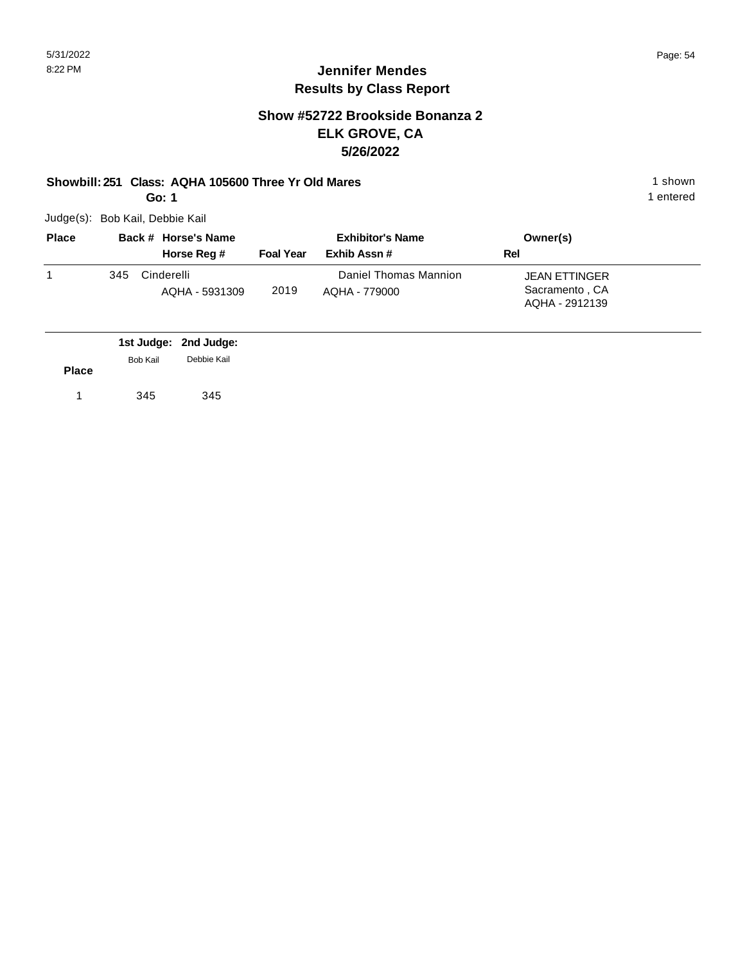#### **Jennifer Mendes Results by Class Report**

#### **Show #52722 Brookside Bonanza 2 ELK GROVE, CA 5/26/2022**

#### **Showbill: 251 Class: AQHA 105600 Three Yr Old Mares** 1 **Shown** 1 shown

**Go: 1**

| <b>Place</b> |     | Back # Horse's Name          | <b>Exhibitor's Name</b> |                                        | Owner(s)                                                 |  |
|--------------|-----|------------------------------|-------------------------|----------------------------------------|----------------------------------------------------------|--|
|              |     | Horse Reg #                  | <b>Foal Year</b>        | Exhib Assn #                           | Rel                                                      |  |
|              | 345 | Cinderelli<br>AQHA - 5931309 | 2019                    | Daniel Thomas Mannion<br>AOHA - 779000 | <b>JEAN ETTINGER</b><br>Sacramento, CA<br>AQHA - 2912139 |  |

|              |                 | 1st Judge: 2nd Judge: |
|--------------|-----------------|-----------------------|
|              | <b>Bob Kail</b> | Debbie Kail           |
| <b>Place</b> |                 |                       |
|              | 345             | 345                   |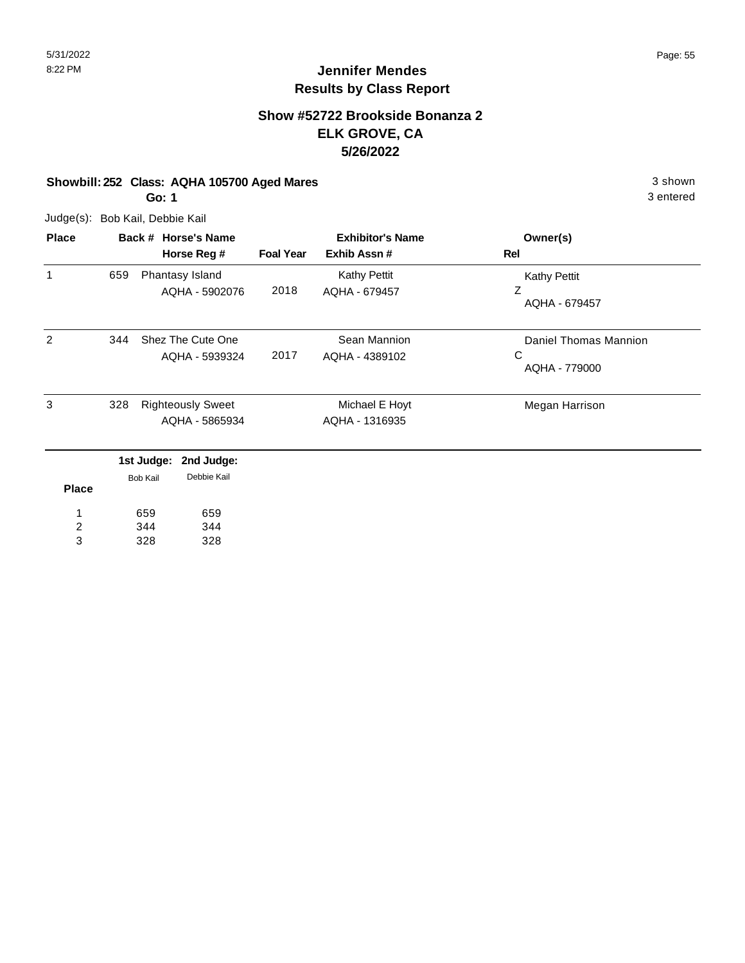# **Jennifer Mendes Results by Class Report**

#### **Show #52722 Brookside Bonanza 2 ELK GROVE, CA 5/26/2022**

#### **Showbill: 252 Class: AQHA 105700 Aged Mares** 3 shown

**Go: 1**

| <b>Place</b>   |     |                 | Back # Horse's Name      |                  | <b>Exhibitor's Name</b> | Owner(s)              |
|----------------|-----|-----------------|--------------------------|------------------|-------------------------|-----------------------|
|                |     |                 | Horse Reg #              | <b>Foal Year</b> | Exhib Assn #            | Rel                   |
| $\mathbf{1}$   | 659 |                 | Phantasy Island          |                  | <b>Kathy Pettit</b>     | <b>Kathy Pettit</b>   |
|                |     |                 | AQHA - 5902076           | 2018             | AQHA - 679457           | Z<br>AQHA - 679457    |
| 2              | 344 |                 | Shez The Cute One        |                  | Sean Mannion            | Daniel Thomas Mannion |
|                |     |                 | AQHA - 5939324           | 2017             | AQHA - 4389102          | C                     |
|                |     |                 |                          |                  |                         | AQHA - 779000         |
| 3              | 328 |                 | <b>Righteously Sweet</b> |                  | Michael E Hoyt          | Megan Harrison        |
|                |     |                 | AQHA - 5865934           |                  | AQHA - 1316935          |                       |
|                |     | 1st Judge:      | 2nd Judge:               |                  |                         |                       |
| <b>Place</b>   |     | <b>Bob Kail</b> | Debbie Kail              |                  |                         |                       |
| 1              |     | 659             | 659                      |                  |                         |                       |
| $\overline{c}$ |     | 344             | 344                      |                  |                         |                       |
| 3              |     | 328             | 328                      |                  |                         |                       |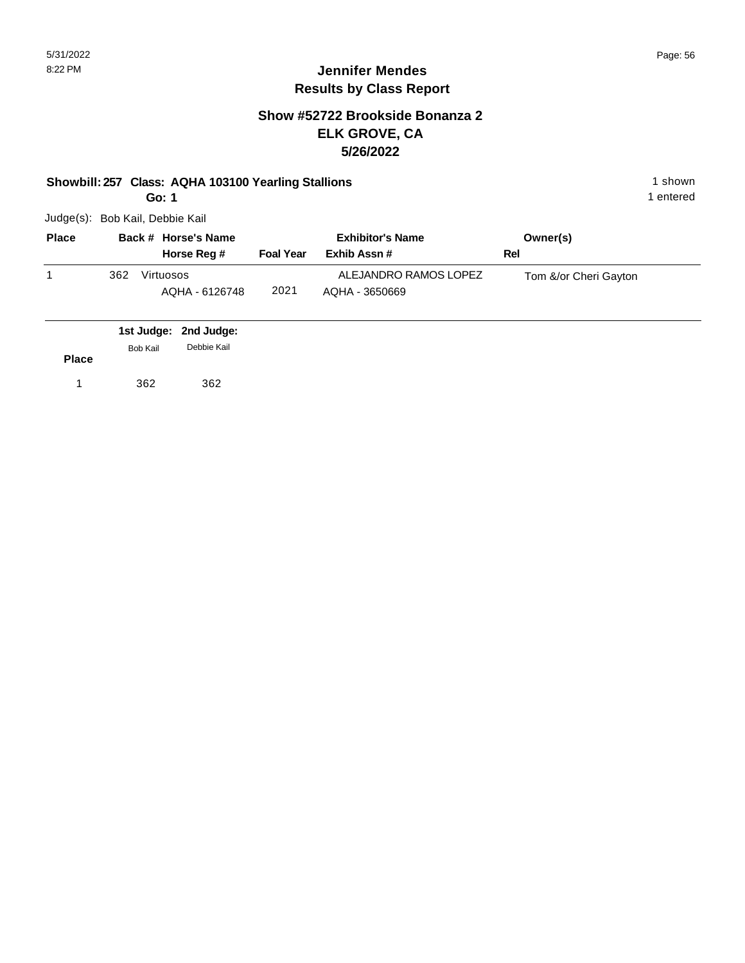#### **Jennifer Mendes Results by Class Report**

#### **Show #52722 Brookside Bonanza 2 ELK GROVE, CA 5/26/2022**

#### **Showbill: 257 Class: AQHA 103100 Yearling Stallions** 1 Shown 1 shown

**Go: 1**

| <b>Place</b> |     | Back # Horse's Name         | <b>Exhibitor's Name</b> |                                         | Owner(s)              |
|--------------|-----|-----------------------------|-------------------------|-----------------------------------------|-----------------------|
|              |     | Horse Reg #                 | <b>Foal Year</b>        | Exhib Assn #                            | Rel                   |
|              | 362 | Virtuosos<br>AQHA - 6126748 | 2021                    | ALEJANDRO RAMOS LOPEZ<br>AQHA - 3650669 | Tom &/or Cheri Gayton |

|              |          | 1st Judge: 2nd Judge: |  |
|--------------|----------|-----------------------|--|
| <b>Place</b> | Bob Kail | Debbie Kail           |  |
|              | 362      | 362                   |  |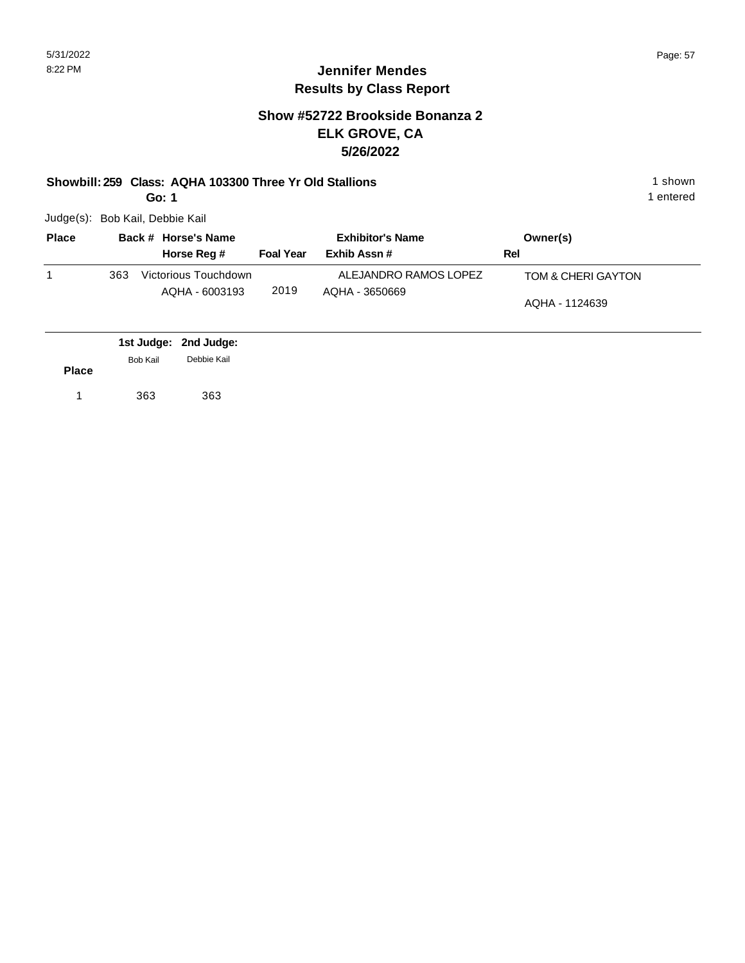#### **Show #52722 Brookside Bonanza 2 ELK GROVE, CA 5/26/2022**

#### **Showbill: 259 Class: AQHA 103300 Three Yr Old Stallions** 1 Shown 1 shown

**Go: 1**

Judge(s): Bob Kail, Debbie Kail

| <b>Place</b> |     | Back # Horse's Name                    |                  | <b>Exhibitor's Name</b>                 | Owner(s)                             |
|--------------|-----|----------------------------------------|------------------|-----------------------------------------|--------------------------------------|
|              |     | Horse Reg #                            | <b>Foal Year</b> | Exhib Assn #                            | Rel                                  |
|              | 363 | Victorious Touchdown<br>AQHA - 6003193 | 2019             | ALEJANDRO RAMOS LOPEZ<br>AQHA - 3650669 | TOM & CHERI GAYTON<br>AQHA - 1124639 |

|              |          | 1st Judge: 2nd Judge: |  |
|--------------|----------|-----------------------|--|
|              | Bob Kail | Debbie Kail           |  |
| <b>Place</b> |          |                       |  |
| 1            | 363      | 363                   |  |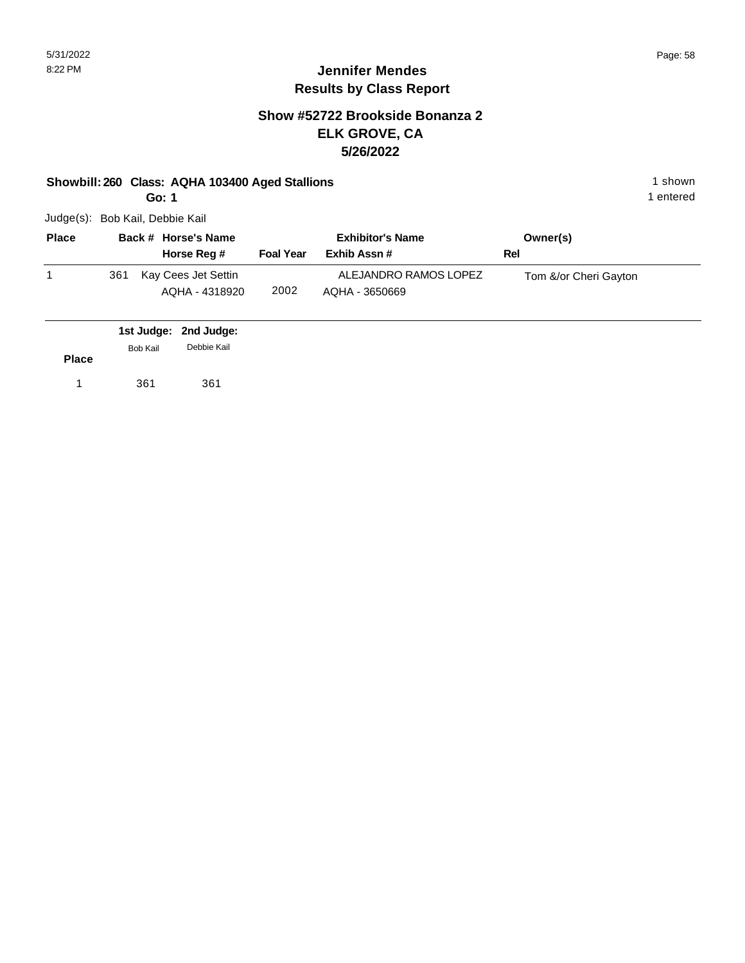## **Jennifer Mendes Results by Class Report**

#### **Show #52722 Brookside Bonanza 2 ELK GROVE, CA 5/26/2022**

#### **Showbill: 260 Class: AQHA 103400 Aged Stallions** 1 shown 1 shown

**Go: 1**

| <b>Place</b> | Back # Horse's Name                          | <b>Exhibitor's Name</b> |                                         | Owner(s)              |
|--------------|----------------------------------------------|-------------------------|-----------------------------------------|-----------------------|
|              | Horse Reg #                                  | <b>Foal Year</b>        | Exhib Assn #                            | Rel                   |
|              | Kay Cees Jet Settin<br>361<br>AQHA - 4318920 | 2002                    | ALEJANDRO RAMOS LOPEZ<br>AQHA - 3650669 | Tom &/or Cheri Gayton |

|              |          | 1st Judge: 2nd Judge: |  |
|--------------|----------|-----------------------|--|
|              | Bob Kail | Debbie Kail           |  |
| <b>Place</b> |          |                       |  |
|              | 361      | 361                   |  |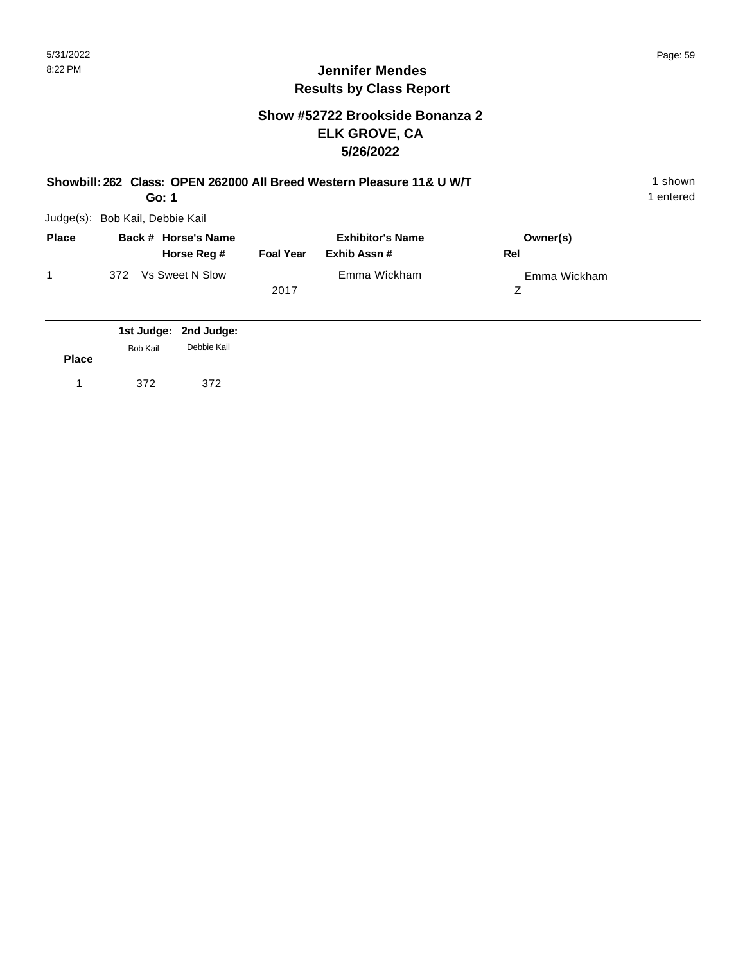#### **Show #52722 Brookside Bonanza 2 ELK GROVE, CA 5/26/2022**

|  |  | Showbill: 262 Class: OPEN 262000 All Breed Western Pleasure 11& U W/T | 1 shown |
|--|--|-----------------------------------------------------------------------|---------|
|--|--|-----------------------------------------------------------------------|---------|

1 entered

| Judge(s): Bob Kail, Debbie Kail |  |
|---------------------------------|--|
|                                 |  |

**Go: 1**

| <b>Place</b> | Back # Horse's Name    |                  | <b>Exhibitor's Name</b> | Owner(s)     |  |
|--------------|------------------------|------------------|-------------------------|--------------|--|
|              | Horse Reg #            | <b>Foal Year</b> | Exhib Assn #            | Rel          |  |
|              | Vs Sweet N Slow<br>372 |                  | Emma Wickham            | Emma Wickham |  |
|              |                        | 2017             |                         |              |  |
|              |                        |                  |                         |              |  |

|              |                 | 1st Judge: 2nd Judge: |
|--------------|-----------------|-----------------------|
| <b>Place</b> | <b>Bob Kail</b> | Debbie Kail           |
|              | 372             | 372                   |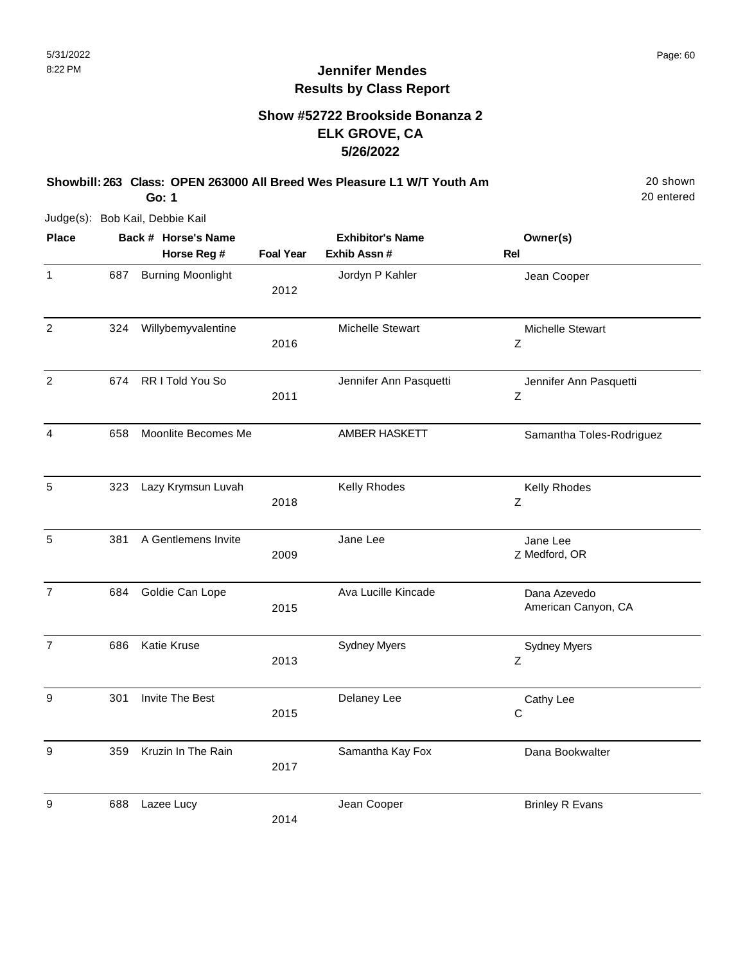#### **Show #52722 Brookside Bonanza 2 ELK GROVE, CA 5/26/2022**

**Showbill: 263 Class: OPEN 263000 All Breed Wes Pleasure L1 W/T Youth Am** 20 Shown

20 entered

Judge(s): Bob Kail, Debbie Kail

**Go: 1**

| <b>Place</b>     |     | Back # Horse's Name      |                  | <b>Exhibitor's Name</b> | Owner(s)                            |
|------------------|-----|--------------------------|------------------|-------------------------|-------------------------------------|
|                  |     | Horse Reg #              | <b>Foal Year</b> | Exhib Assn #            | Rel                                 |
| 1                | 687 | <b>Burning Moonlight</b> | 2012             | Jordyn P Kahler         | Jean Cooper                         |
| $\overline{2}$   | 324 | Willybemyvalentine       | 2016             | Michelle Stewart        | Michelle Stewart<br>Z               |
| $\overline{c}$   | 674 | RR I Told You So         | 2011             | Jennifer Ann Pasquetti  | Jennifer Ann Pasquetti<br>Z         |
| 4                | 658 | Moonlite Becomes Me      |                  | AMBER HASKETT           | Samantha Toles-Rodriguez            |
| 5                | 323 | Lazy Krymsun Luvah       | 2018             | Kelly Rhodes            | Kelly Rhodes<br>Z                   |
| 5                | 381 | A Gentlemens Invite      | 2009             | Jane Lee                | Jane Lee<br>Z Medford, OR           |
| $\overline{7}$   | 684 | Goldie Can Lope          | 2015             | Ava Lucille Kincade     | Dana Azevedo<br>American Canyon, CA |
| $\overline{7}$   | 686 | Katie Kruse              | 2013             | <b>Sydney Myers</b>     | <b>Sydney Myers</b><br>Ζ            |
| 9                | 301 | Invite The Best          | 2015             | Delaney Lee             | Cathy Lee<br>$\mathsf C$            |
| $\boldsymbol{9}$ | 359 | Kruzin In The Rain       | 2017             | Samantha Kay Fox        | Dana Bookwalter                     |
| 9                | 688 | Lazee Lucy               | 2014             | Jean Cooper             | <b>Brinley R Evans</b>              |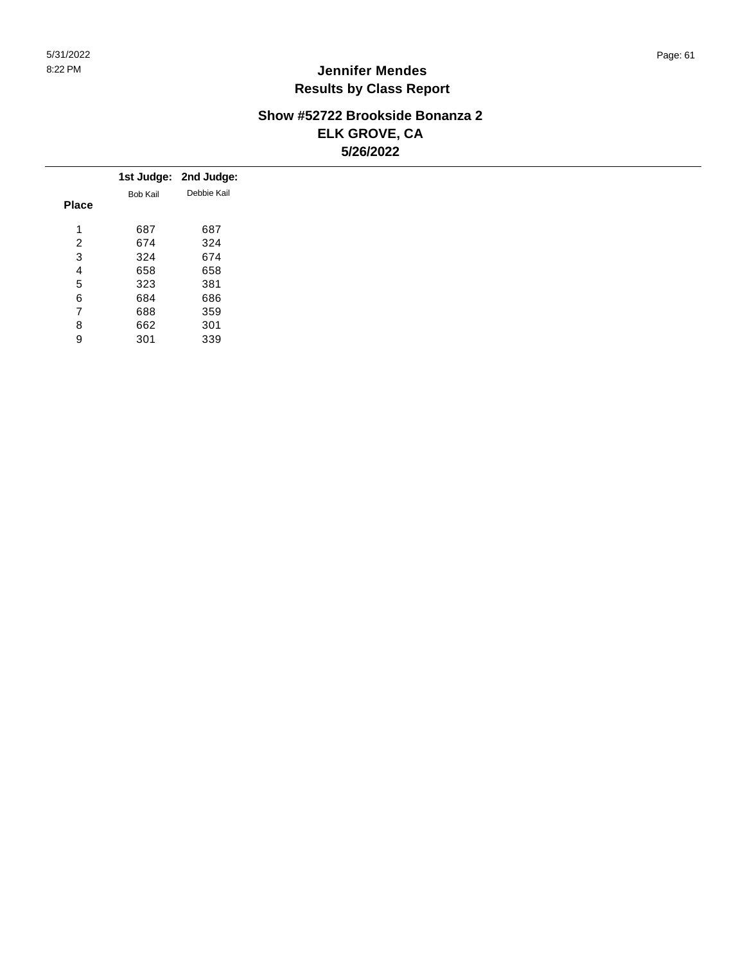#### **Show #52722 Brookside Bonanza 2 ELK GROVE, CA 5/26/2022**

|              |          | 1st Judge: 2nd Judge: |
|--------------|----------|-----------------------|
|              | Bob Kail | Debbie Kail           |
| <b>Place</b> |          |                       |
|              | 687      | 687                   |
| 2            | 674      | 324                   |
| 3            | 324      | 674                   |
| 4            | 658      | 658                   |
| 5            | 323      | 381                   |
| 6            | 684      | 686                   |
| ⇁            | 688      | 359                   |
| 8            | 662      | 301                   |
| 9            | 301      | 339                   |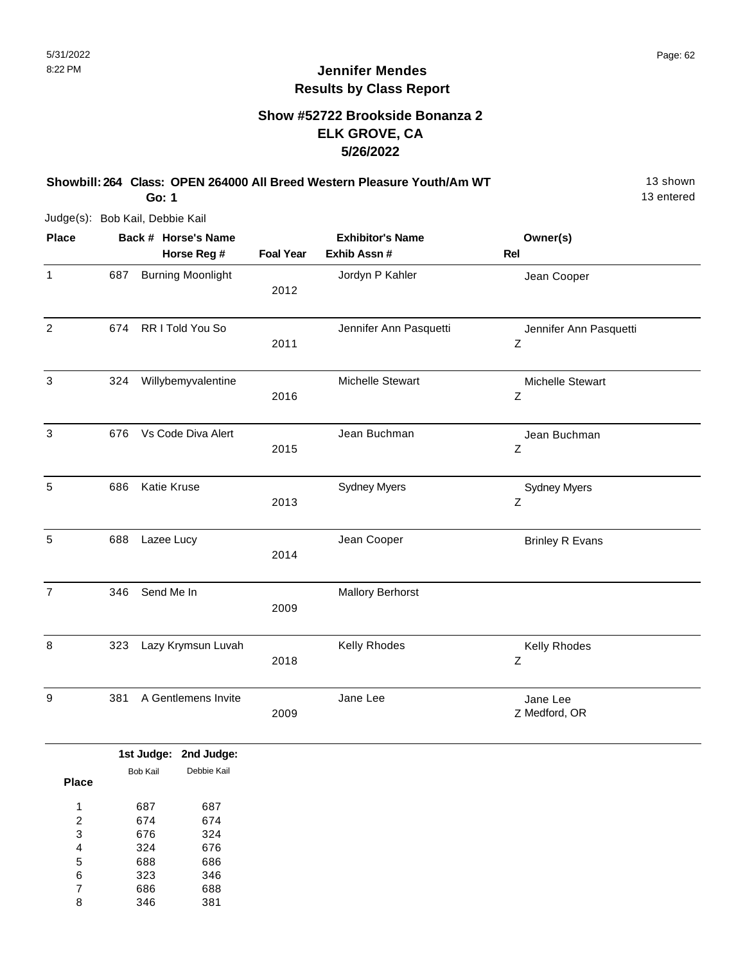#### **Show #52722 Brookside Bonanza 2 ELK GROVE, CA 5/26/2022**

**Showbill: 264 Class: OPEN 264000 All Breed Western Pleasure Youth/Am WT** 13 Shown

13 entered

Judge(s): Bob Kail, Debbie Kail

**Go: 1**

| <b>Place</b>   |     | Back # Horse's Name<br>Horse Reg # | <b>Foal Year</b> | <b>Exhibitor's Name</b><br>Exhib Assn # | Owner(s)<br>Rel             |
|----------------|-----|------------------------------------|------------------|-----------------------------------------|-----------------------------|
| $\mathbf{1}$   | 687 | <b>Burning Moonlight</b>           | 2012             | Jordyn P Kahler                         | Jean Cooper                 |
| $\overline{2}$ | 674 | RR I Told You So                   | 2011             | Jennifer Ann Pasquetti                  | Jennifer Ann Pasquetti<br>Ζ |
| 3              | 324 | Willybemyvalentine                 | 2016             | <b>Michelle Stewart</b>                 | Michelle Stewart<br>Z       |
| $\mathsf 3$    | 676 | Vs Code Diva Alert                 | 2015             | Jean Buchman                            | Jean Buchman<br>Ζ           |
| 5              | 686 | Katie Kruse                        | 2013             | <b>Sydney Myers</b>                     | <b>Sydney Myers</b><br>Ζ    |
| 5              | 688 | Lazee Lucy                         | 2014             | Jean Cooper                             | <b>Brinley R Evans</b>      |
| $\overline{7}$ | 346 | Send Me In                         | 2009             | <b>Mallory Berhorst</b>                 |                             |
| 8              | 323 | Lazy Krymsun Luvah                 | 2018             | Kelly Rhodes                            | Kelly Rhodes<br>Ζ           |
| 9              | 381 | A Gentlemens Invite                | 2009             | Jane Lee                                | Jane Lee<br>Z Medford, OR   |

|                |          | 1st Judge: 2nd Judge: |
|----------------|----------|-----------------------|
|                | Bob Kail | Debbie Kail           |
| <b>Place</b>   |          |                       |
| 1              | 687      | 687                   |
| $\overline{2}$ | 674      | 674                   |
| 3              | 676      | 324                   |
| 4              | 324      | 676                   |
| 5              | 688      | 686                   |
| 6              | 323      | 346                   |
| 7              | 686      | 688                   |
| 8              | 346      | 381                   |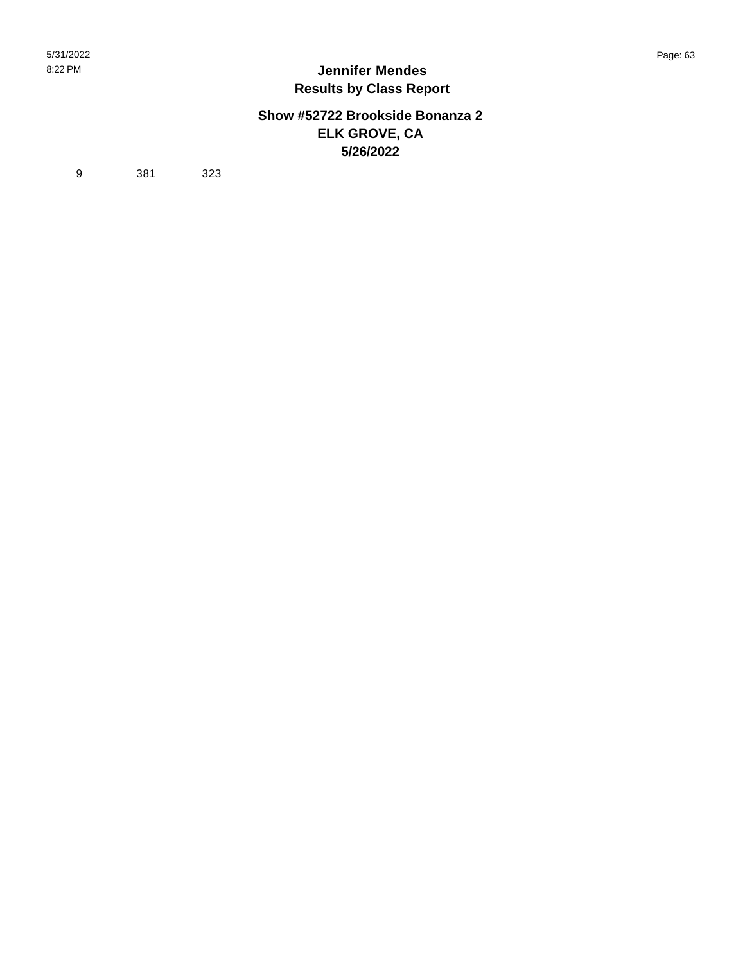#### **Show #52722 Brookside Bonanza 2 ELK GROVE, CA 5/26/2022**

9 381 323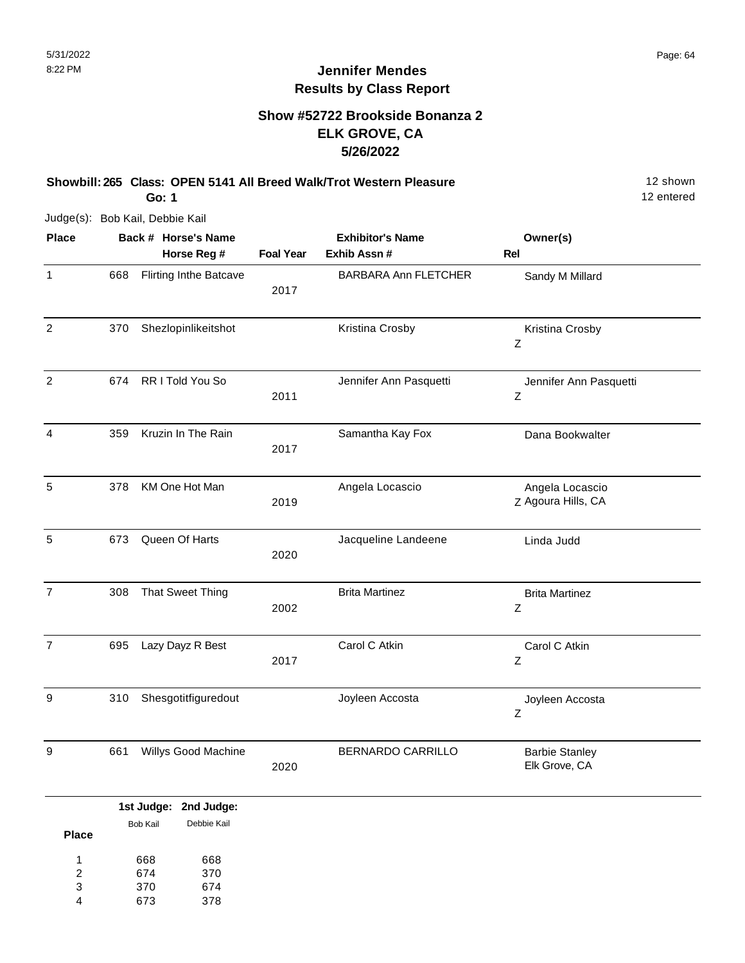#### **Show #52722 Brookside Bonanza 2 ELK GROVE, CA 5/26/2022**

**Showbill: 265 Class: OPEN 5141 All Breed Walk/Trot Western Pleasure** 12 Shown

**Go: 1**

Judge(s): Bob Kail, Debbie Kail

| <b>Place</b>     |     | Back # Horse's Name           |                  | <b>Exhibitor's Name</b>     | Owner(s)                               |
|------------------|-----|-------------------------------|------------------|-----------------------------|----------------------------------------|
|                  |     | Horse Reg #                   | <b>Foal Year</b> | Exhib Assn #                | <b>Rel</b>                             |
| $\mathbf{1}$     | 668 | <b>Flirting Inthe Batcave</b> | 2017             | <b>BARBARA Ann FLETCHER</b> | Sandy M Millard                        |
| $\boldsymbol{2}$ | 370 | Shezlopinlikeitshot           |                  | Kristina Crosby             | Kristina Crosby<br>$\mathsf Z$         |
| $\overline{c}$   | 674 | RR I Told You So              | 2011             | Jennifer Ann Pasquetti      | Jennifer Ann Pasquetti<br>Z            |
| $\overline{4}$   | 359 | Kruzin In The Rain            | 2017             | Samantha Kay Fox            | Dana Bookwalter                        |
| 5                | 378 | KM One Hot Man                | 2019             | Angela Locascio             | Angela Locascio<br>Z Agoura Hills, CA  |
| 5                | 673 | Queen Of Harts                | 2020             | Jacqueline Landeene         | Linda Judd                             |
| $\overline{7}$   | 308 | That Sweet Thing              | 2002             | <b>Brita Martinez</b>       | <b>Brita Martinez</b><br>Z             |
| $\overline{7}$   | 695 | Lazy Dayz R Best              | 2017             | Carol C Atkin               | Carol C Atkin<br>Z                     |
| $\boldsymbol{9}$ | 310 | Shesgotitfiguredout           |                  | Joyleen Accosta             | Joyleen Accosta<br>Z                   |
| 9                | 661 | Willys Good Machine           | 2020             | BERNARDO CARRILLO           | <b>Barbie Stanley</b><br>Elk Grove, CA |
|                  |     | 1st Judge: 2nd Judge:         |                  |                             |                                        |

|              |          | ---------   |
|--------------|----------|-------------|
| <b>Place</b> | Bob Kail | Debbie Kail |
|              |          |             |
| 1            | 668      | 668         |
| 2            | 674      | 370         |
| 3            | 370      | 674         |
|              | 673      | 378         |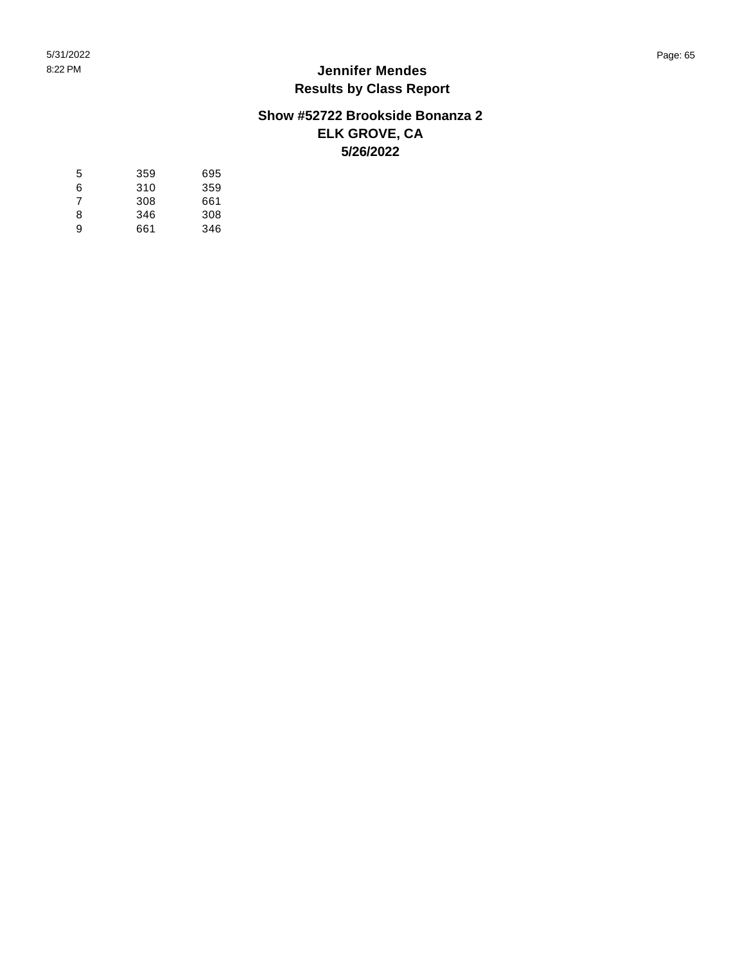#### **Show #52722 Brookside Bonanza 2 ELK GROVE, CA 5/26/2022**

| 5 | 359 | 695 |
|---|-----|-----|
| 6 | 310 | 359 |
| 7 | 308 | 661 |
| 8 | 346 | 308 |
| 9 | 661 | 346 |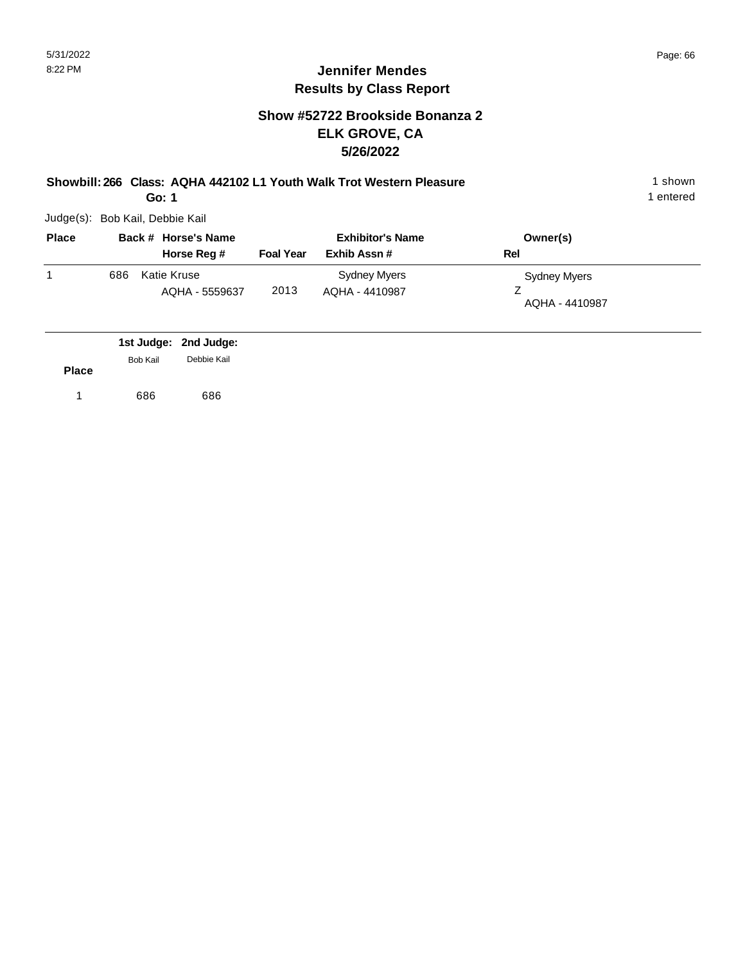#### **Show #52722 Brookside Bonanza 2 ELK GROVE, CA 5/26/2022**

**Showbill: 266 Class: AQHA 442102 L1 Youth Walk Trot Western Pleasure** 1 Shown 1 shown

**Go: 1**

Judge(s): Bob Kail, Debbie Kail

| <b>Place</b> |     | Back # Horse's Name           |                  | <b>Exhibitor's Name</b>        | Owner(s)                       |
|--------------|-----|-------------------------------|------------------|--------------------------------|--------------------------------|
|              |     | Horse Reg #                   | <b>Foal Year</b> | Exhib Assn#                    | Rel                            |
|              | 686 | Katie Kruse<br>AQHA - 5559637 | 2013             | Sydney Myers<br>AQHA - 4410987 | Sydney Myers<br>AQHA - 4410987 |

|              |          | 1st Judge: 2nd Judge: |
|--------------|----------|-----------------------|
|              | Bob Kail | Debbie Kail           |
| <b>Place</b> |          |                       |
|              | 686      | 686                   |
|              |          |                       |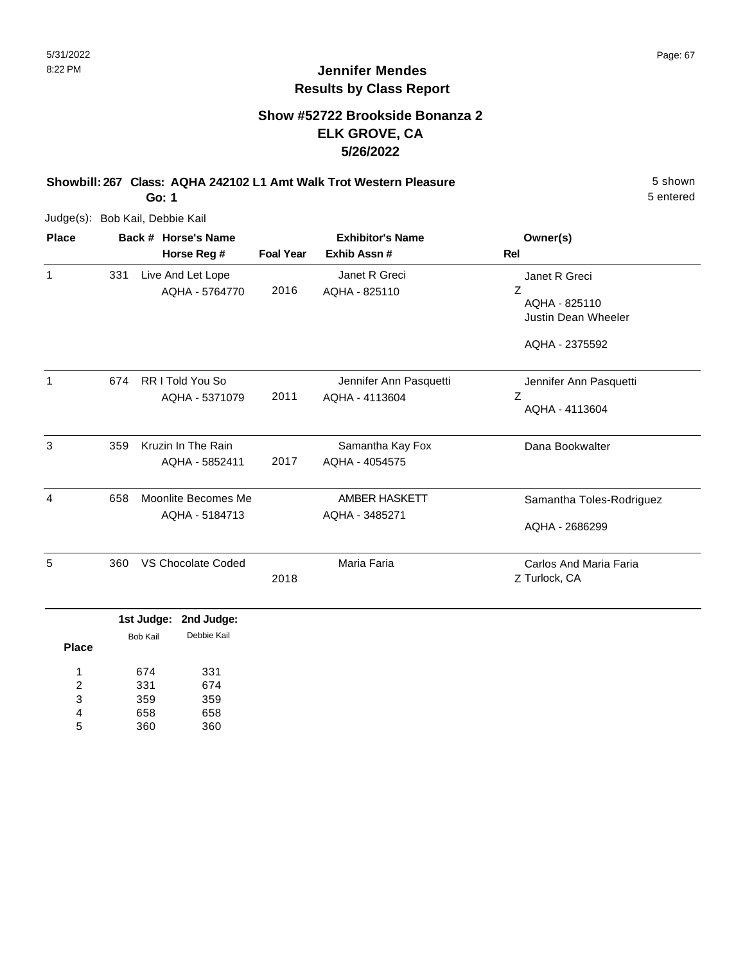#### **Show #52722 Brookside Bonanza 2 ELK GROVE, CA 5/26/2022**

**Showbill: 267 Class: AQHA 242102 L1 Amt Walk Trot Western Pleasure** 5 shown

**Go: 1**

Judge(s): Bob Kail, Debbie Kail

| <b>Place</b> |     | Back # Horse's Name            |                  | <b>Exhibitor's Name</b> | Owner(s)                   |
|--------------|-----|--------------------------------|------------------|-------------------------|----------------------------|
|              |     | Horse Reg #                    | <b>Foal Year</b> | Exhib Assn #            | Rel                        |
| $\mathbf{1}$ | 331 | Live And Let Lope              |                  | Janet R Greci           | Janet R Greci              |
|              |     | AQHA - 5764770                 | 2016             | AQHA - 825110           | Z                          |
|              |     |                                |                  |                         | AQHA - 825110              |
|              |     |                                |                  |                         | <b>Justin Dean Wheeler</b> |
|              |     |                                |                  |                         | AQHA - 2375592             |
| 1            | 674 | RR I Told You So               |                  | Jennifer Ann Pasquetti  | Jennifer Ann Pasquetti     |
|              |     | AQHA - 5371079                 | 2011             | AQHA - 4113604          | Ζ                          |
|              |     |                                |                  |                         | AQHA - 4113604             |
| 3            | 359 | Kruzin In The Rain             |                  | Samantha Kay Fox        | Dana Bookwalter            |
|              |     | AQHA - 5852411                 | 2017             | AQHA - 4054575          |                            |
|              |     |                                |                  |                         |                            |
| 4            | 658 | Moonlite Becomes Me            |                  | <b>AMBER HASKETT</b>    | Samantha Toles-Rodriguez   |
|              |     | AQHA - 5184713                 |                  | AQHA - 3485271          |                            |
|              |     |                                |                  |                         | AQHA - 2686299             |
| 5            | 360 | VS Chocolate Coded             |                  | Maria Faria             | Carlos And Maria Faria     |
|              |     |                                | 2018             |                         | Z Turlock, CA              |
|              |     | 1st Judge:<br>2nd Judge:       |                  |                         |                            |
|              |     | Debbie Kail<br><b>Bob Kail</b> |                  |                         |                            |
| <b>Place</b> |     |                                |                  |                         |                            |
| 1            |     | 674<br>331                     |                  |                         |                            |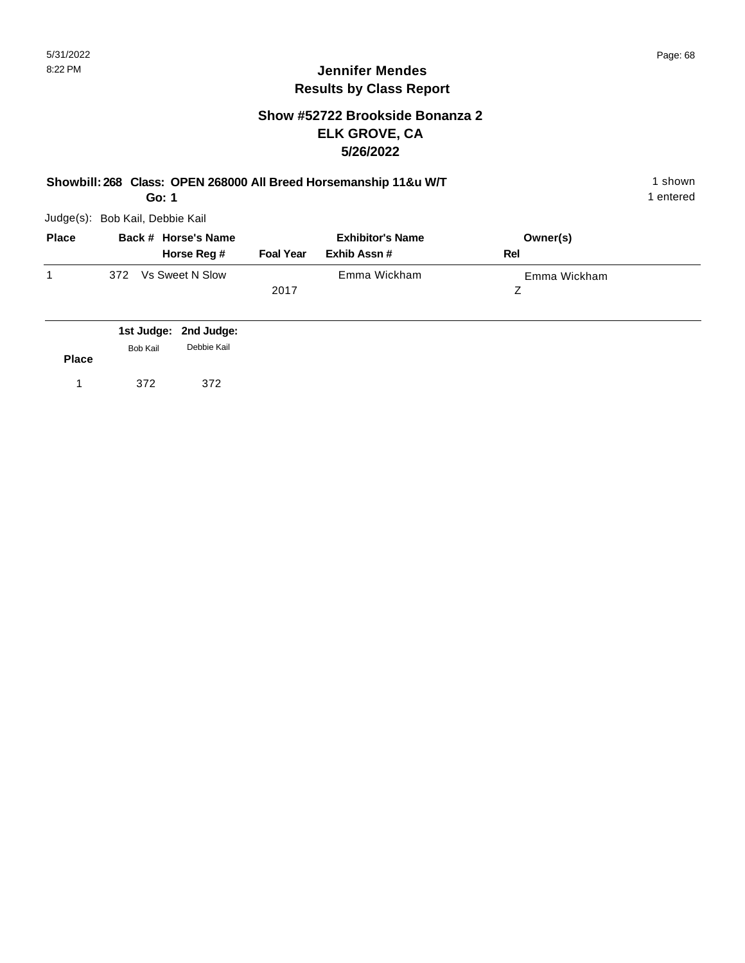#### **Show #52722 Brookside Bonanza 2 ELK GROVE, CA 5/26/2022**

| Showbill: 268 Class: OPEN 268000 All Breed Horsemanship 11&u W/T | shown     |
|------------------------------------------------------------------|-----------|
| Go: 1                                                            | 1 entered |

| <b>Place</b> | Back # Horse's Name<br>Horse Reg # | <b>Foal Year</b> | <b>Exhibitor's Name</b><br>Exhib Assn # | Owner(s)<br>Rel |
|--------------|------------------------------------|------------------|-----------------------------------------|-----------------|
|              | Vs Sweet N Slow<br>372             |                  | Emma Wickham                            | Emma Wickham    |
|              |                                    | 2017             |                                         |                 |

|              |                 | 1st Judge: 2nd Judge: |
|--------------|-----------------|-----------------------|
| <b>Place</b> | <b>Bob Kail</b> | Debbie Kail           |
|              | 372             | 372                   |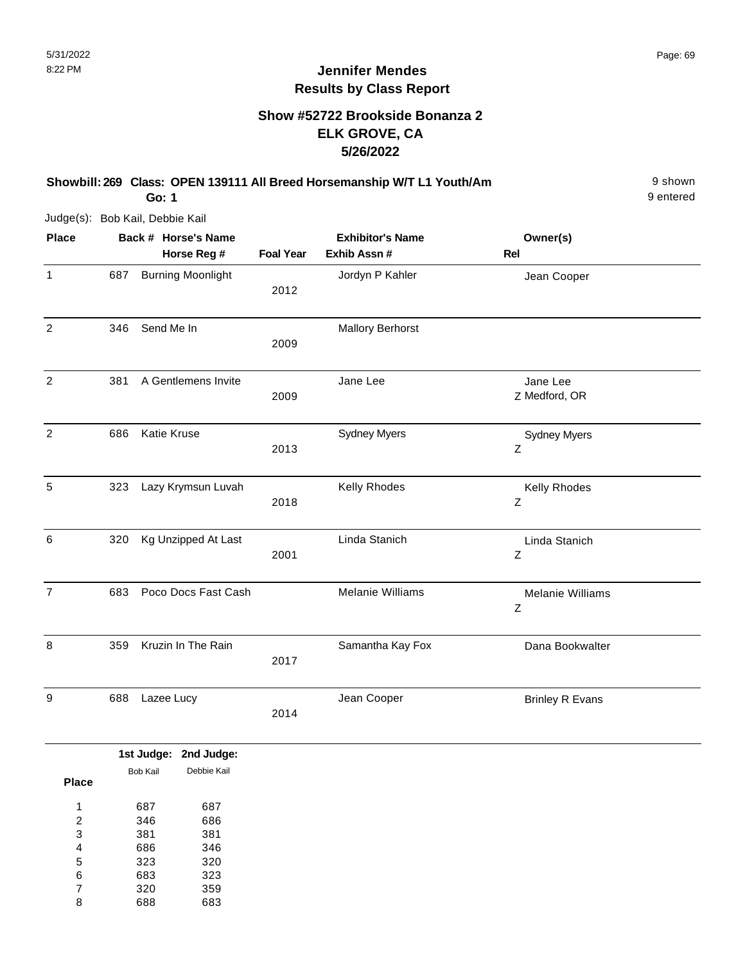#### **Show #52722 Brookside Bonanza 2 ELK GROVE, CA 5/26/2022**

#### **Showbill: 269 Class: OPEN 139111 All Breed Horsemanship W/T L1 Youth/Am** 9 shown

9 entered

Judge(s): Bob Kail, Debbie Kail

**Go: 1**

| <b>Place</b>   |     | Back # Horse's Name<br>Horse Reg # | <b>Foal Year</b> | <b>Exhibitor's Name</b><br>Exhib Assn # | Owner(s)<br>Rel                        |  |
|----------------|-----|------------------------------------|------------------|-----------------------------------------|----------------------------------------|--|
| $\mathbf{1}$   | 687 | <b>Burning Moonlight</b>           | 2012             | Jordyn P Kahler                         | Jean Cooper                            |  |
| $\overline{2}$ | 346 | Send Me In                         | 2009             | <b>Mallory Berhorst</b>                 |                                        |  |
| $\overline{2}$ | 381 | A Gentlemens Invite                | 2009             | Jane Lee                                | Jane Lee<br>Z Medford, OR              |  |
| $\overline{2}$ | 686 | <b>Katie Kruse</b>                 | 2013             | <b>Sydney Myers</b>                     | <b>Sydney Myers</b><br>Z               |  |
| $\sqrt{5}$     | 323 | Lazy Krymsun Luvah                 | 2018             | Kelly Rhodes                            | Kelly Rhodes<br>Ζ                      |  |
| $6\phantom{1}$ | 320 | Kg Unzipped At Last                | 2001             | Linda Stanich                           | Linda Stanich<br>$\mathsf Z$           |  |
| $\overline{7}$ | 683 | Poco Docs Fast Cash                |                  | Melanie Williams                        | <b>Melanie Williams</b><br>$\mathsf Z$ |  |
| 8              | 359 | Kruzin In The Rain                 | 2017             | Samantha Kay Fox                        | Dana Bookwalter                        |  |
| 9              | 688 | Lazee Lucy                         | 2014             | Jean Cooper                             | <b>Brinley R Evans</b>                 |  |

|          | 1st Judge: 2nd Judge: |
|----------|-----------------------|
| Bob Kail | Debbie Kail           |
| 687      | 687                   |
| 346      | 686                   |
| 381      | 381                   |
| 686      | 346                   |
| 323      | 320                   |
| 683      | 323                   |
| 320      | 359                   |
| 688      | 683                   |
|          |                       |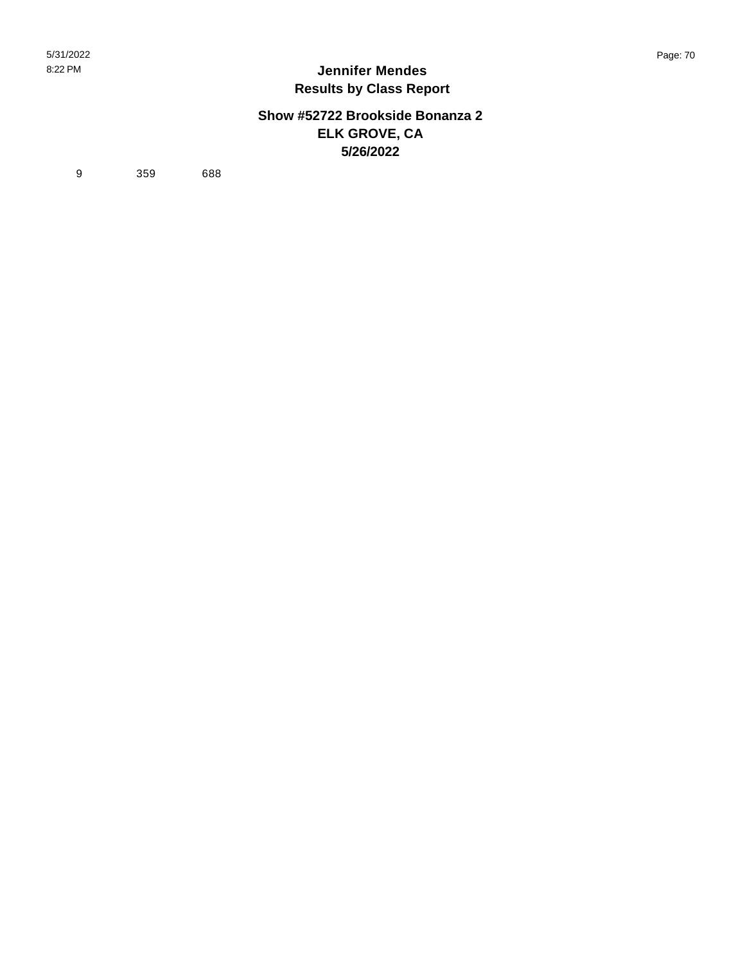#### **Show #52722 Brookside Bonanza 2 ELK GROVE, CA 5/26/2022**

9 359 688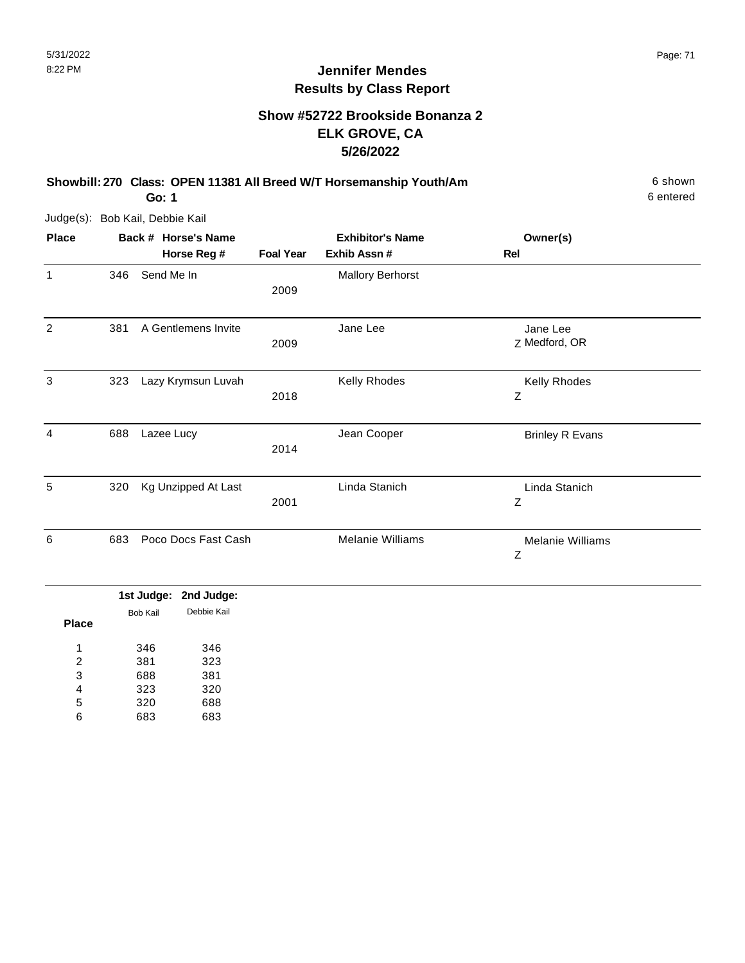#### **Show #52722 Brookside Bonanza 2 ELK GROVE, CA 5/26/2022**

**Showbill: 270 Class: OPEN 11381 All Breed W/T Horsemanship Youth/Am** 6 Shown 6 shown

**Go: 1**

Judge(s): Bob Kail, Debbie Kail

| <b>Place</b>   |     | Back # Horse's Name |                  | <b>Exhibitor's Name</b> | Owner(s)                     |  |
|----------------|-----|---------------------|------------------|-------------------------|------------------------------|--|
|                |     | Horse Reg #         | <b>Foal Year</b> | Exhib Assn #            | Rel                          |  |
| $\mathbf{1}$   | 346 | Send Me In          | 2009             | <b>Mallory Berhorst</b> |                              |  |
| 2              | 381 | A Gentlemens Invite | 2009             | Jane Lee                | Jane Lee<br>Z Medford, OR    |  |
| 3              | 323 | Lazy Krymsun Luvah  | 2018             | Kelly Rhodes            | Kelly Rhodes<br>Ζ            |  |
| $\overline{4}$ | 688 | Lazee Lucy          | 2014             | Jean Cooper             | <b>Brinley R Evans</b>       |  |
| 5              | 320 | Kg Unzipped At Last | 2001             | Linda Stanich           | Linda Stanich<br>Ζ           |  |
| 6              | 683 | Poco Docs Fast Cash |                  | <b>Melanie Williams</b> | <b>Melanie Williams</b><br>Ζ |  |

|       |                 | 1st Judge: 2nd Judge: |
|-------|-----------------|-----------------------|
|       | <b>Bob Kail</b> | Debbie Kail           |
| Place |                 |                       |
| 1     | 346             | 346                   |
| 2     | 381             | 323                   |
| 3     | 688             | 381                   |
| 4     | 323             | 320                   |
| 5     | 320             | 688                   |
| 6     | 683             | 683                   |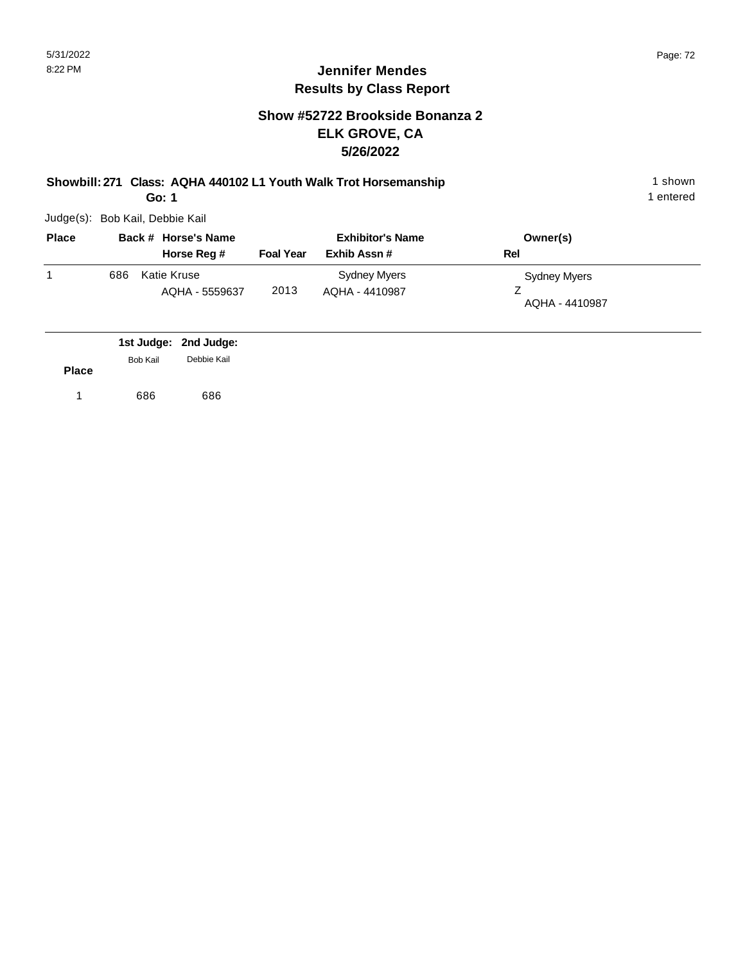#### **Show #52722 Brookside Bonanza 2 ELK GROVE, CA 5/26/2022**

**Showbill: 271 Class: AQHA 440102 L1 Youth Walk Trot Horsemanship** 1 shown 1 shown

**Go: 1**

Judge(s): Bob Kail, Debbie Kail

| <b>Place</b> |     | Back # Horse's Name           |                  | <b>Exhibitor's Name</b>        | Owner(s)                              |
|--------------|-----|-------------------------------|------------------|--------------------------------|---------------------------------------|
|              |     | Horse Reg #                   | <b>Foal Year</b> | Exhib Assn#                    | Rel                                   |
|              | 686 | Katie Kruse<br>AQHA - 5559637 | 2013             | Sydney Myers<br>AQHA - 4410987 | <b>Sydney Myers</b><br>AQHA - 4410987 |

|              |          | 1st Judge: 2nd Judge: |
|--------------|----------|-----------------------|
|              | Bob Kail | Debbie Kail           |
| <b>Place</b> |          |                       |
|              | 686      | 686                   |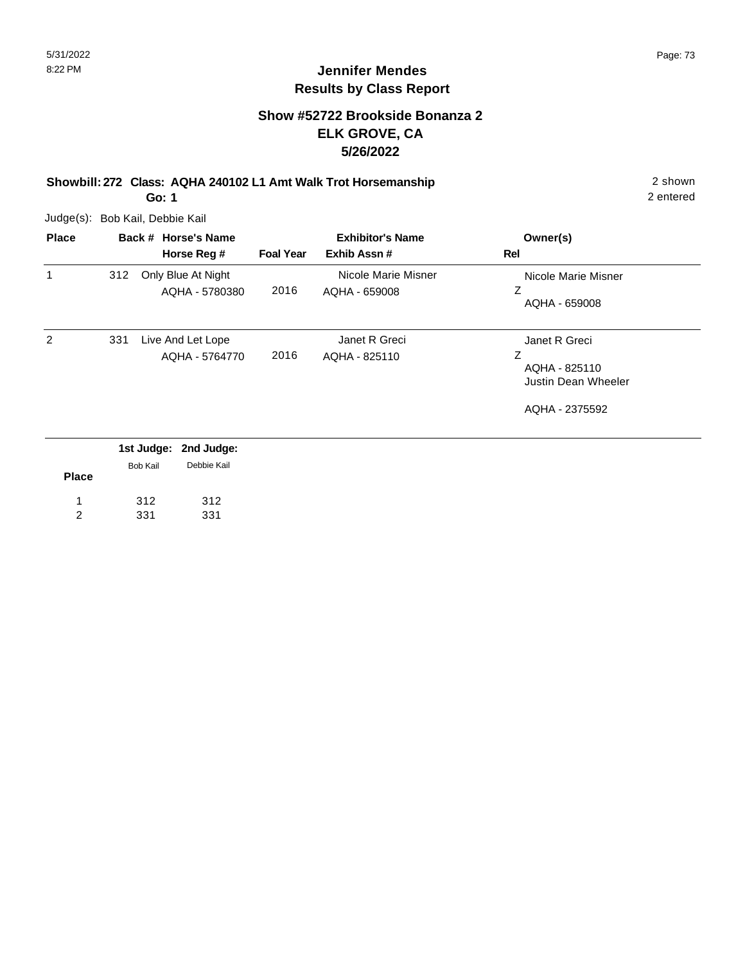#### **Show #52722 Brookside Bonanza 2 ELK GROVE, CA 5/26/2022**

**Showbill: 272 Class: AQHA 240102 L1 Amt Walk Trot Horsemanship** 2 shown

**Go: 1**

Judge(s): Bob Kail, Debbie Kail

| <b>Place</b> |     | Back # Horse's Name                  | <b>Exhibitor's Name</b> |                                      | Owner(s)                                                   |
|--------------|-----|--------------------------------------|-------------------------|--------------------------------------|------------------------------------------------------------|
|              |     | Horse Reg #                          | <b>Foal Year</b>        | Exhib Assn#                          | Rel                                                        |
| 1            | 312 | Only Blue At Night<br>AQHA - 5780380 | 2016                    | Nicole Marie Misner<br>AQHA - 659008 | Nicole Marie Misner<br>AQHA - 659008                       |
| 2            | 331 | Live And Let Lope<br>AQHA - 5764770  | 2016                    | Janet R Greci<br>AQHA - 825110       | Janet R Greci<br>Ζ<br>AQHA - 825110<br>Justin Dean Wheeler |
|              |     |                                      |                         |                                      | AQHA - 2375592                                             |
|              |     | 1st Judge: 2nd Judge:                |                         |                                      |                                                            |

|                |                 | 1st Judge: 2nd Judge: |
|----------------|-----------------|-----------------------|
|                | <b>Bob Kail</b> | Debbie Kail           |
| <b>Place</b>   |                 |                       |
| $\mathbf{1}$   | 312             | 312                   |
| $\overline{2}$ | 331             | 331                   |
|                |                 |                       |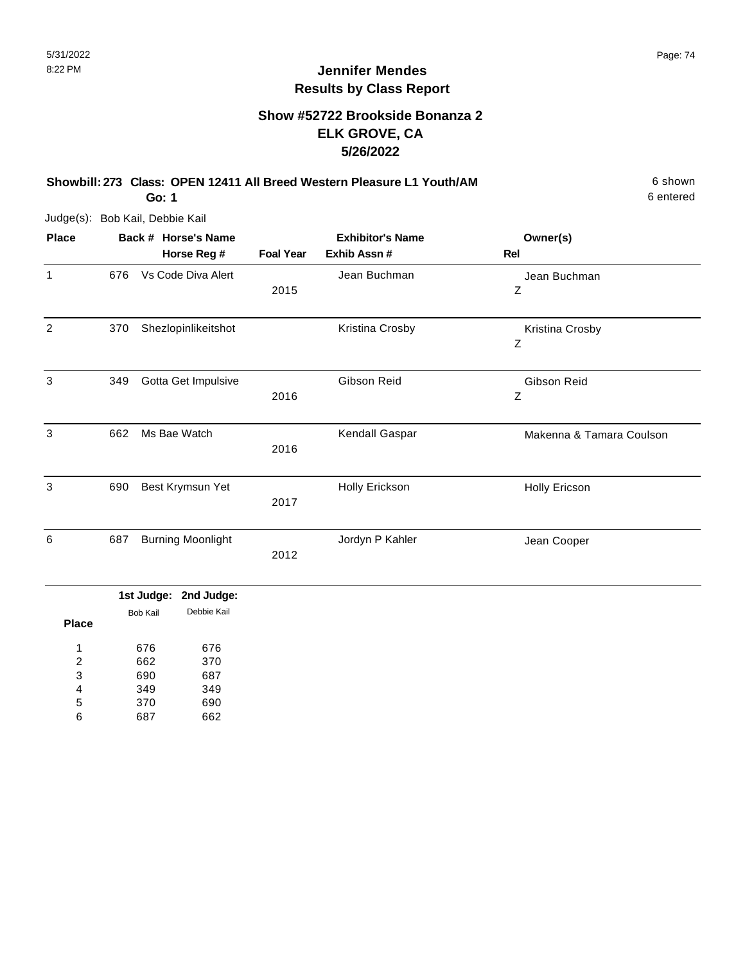#### **Show #52722 Brookside Bonanza 2 ELK GROVE, CA 5/26/2022**

**Showbill: 273 Class: OPEN 12411 All Breed Western Pleasure L1 Youth/AM** 6 Shown 6 shown **Go: 1**

6 entered

Judge(s): Bob Kail, Debbie Kail

| <b>Place</b> |     | Back # Horse's Name      |                  | <b>Exhibitor's Name</b> | Owner(s)                 |
|--------------|-----|--------------------------|------------------|-------------------------|--------------------------|
|              |     | Horse Reg #              | <b>Foal Year</b> | Exhib Assn #            | Rel                      |
| 1            | 676 | Vs Code Diva Alert       |                  | Jean Buchman            | Jean Buchman             |
|              |     |                          | 2015             |                         | Z                        |
| 2            | 370 | Shezlopinlikeitshot      |                  | Kristina Crosby         | Kristina Crosby          |
|              |     |                          |                  |                         | $\boldsymbol{Z}$         |
| 3            | 349 | Gotta Get Impulsive      |                  | Gibson Reid             | Gibson Reid              |
|              |     |                          | 2016             |                         | Ζ                        |
| 3            | 662 | Ms Bae Watch             |                  | Kendall Gaspar          | Makenna & Tamara Coulson |
|              |     |                          | 2016             |                         |                          |
| 3            | 690 | Best Krymsun Yet         |                  | Holly Erickson          | <b>Holly Ericson</b>     |
|              |     |                          | 2017             |                         |                          |
| 6            | 687 | <b>Burning Moonlight</b> |                  | Jordyn P Kahler         | Jean Cooper              |
|              |     |                          | 2012             |                         |                          |

|       |                 | 1st Judge: 2nd Judge: |
|-------|-----------------|-----------------------|
|       | <b>Bob Kail</b> | Debbie Kail           |
| Place |                 |                       |
| 1     | 676             | 676                   |
| 2     | 662             | 370                   |
| 3     | 690             | 687                   |
| 4     | 349             | 349                   |
| 5     | 370             | 690                   |
| հ     |                 | 662                   |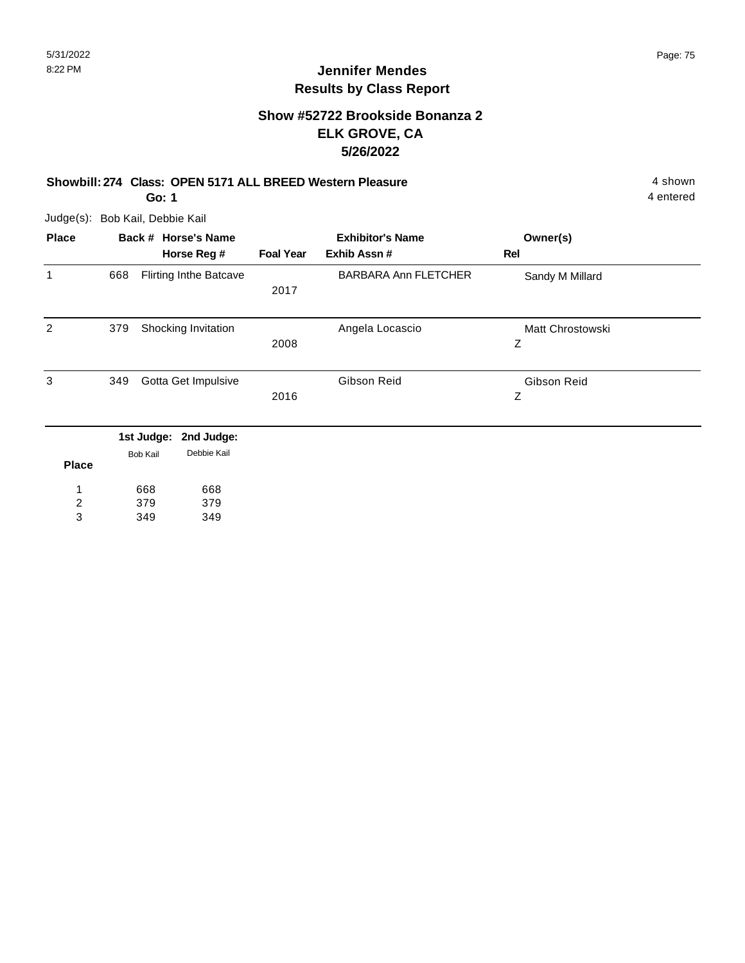#### **Show #52722 Brookside Bonanza 2 ELK GROVE, CA 5/26/2022**

#### **Showbill: 274 Class: OPEN 5171 ALL BREED Western Pleasure** 4 shown

**Go: 1**

Judge(s): Bob Kail, Debbie Kail

| <b>Place</b>   |     | Back # Horse's Name |                               |                  | <b>Exhibitor's Name</b>     | Owner(s)         |  |
|----------------|-----|---------------------|-------------------------------|------------------|-----------------------------|------------------|--|
|                |     |                     | Horse Reg #                   | <b>Foal Year</b> | Exhib Assn #                | Rel              |  |
| 1              | 668 |                     | <b>Flirting Inthe Batcave</b> |                  | <b>BARBARA Ann FLETCHER</b> | Sandy M Millard  |  |
|                |     |                     |                               | 2017             |                             |                  |  |
| 2              | 379 |                     | Shocking Invitation           |                  | Angela Locascio             | Matt Chrostowski |  |
|                |     |                     |                               | 2008             |                             | Z                |  |
| 3              | 349 |                     | Gotta Get Impulsive           |                  | Gibson Reid                 | Gibson Reid      |  |
|                |     |                     |                               | 2016             |                             | Z                |  |
|                |     | 1st Judge:          | 2nd Judge:                    |                  |                             |                  |  |
|                |     | <b>Bob Kail</b>     | Debbie Kail                   |                  |                             |                  |  |
| <b>Place</b>   |     |                     |                               |                  |                             |                  |  |
|                |     | 668                 | 668                           |                  |                             |                  |  |
| $\overline{2}$ |     | 379                 | 379                           |                  |                             |                  |  |
| 3              |     | 349                 | 349                           |                  |                             |                  |  |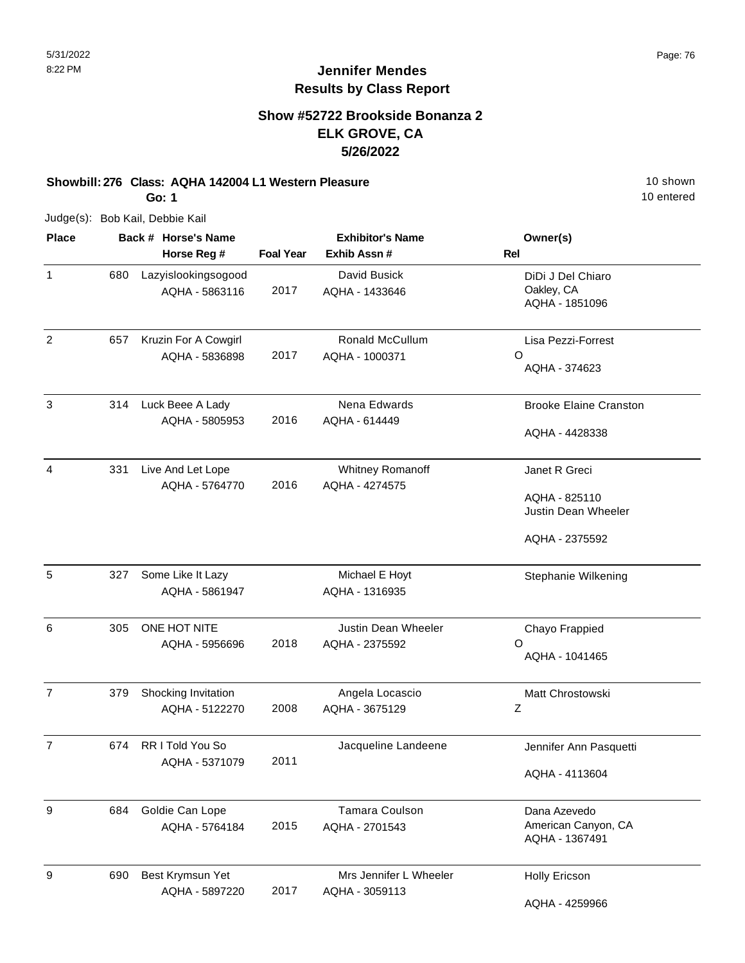10 entered

## **Jennifer Mendes Results by Class Report**

### **Show #52722 Brookside Bonanza 2 ELK GROVE, CA 5/26/2022**

## **Showbill: 276 Class: AQHA 142004 L1 Western Pleasure** 10 Shown 10 shown

**Go: 1**

Judge(s): Bob Kail, Debbie Kail

| <b>Place</b>     |     | Back # Horse's Name                    |                  | <b>Exhibitor's Name</b>                  | Owner(s)                                                                |  |
|------------------|-----|----------------------------------------|------------------|------------------------------------------|-------------------------------------------------------------------------|--|
|                  |     | Horse Reg #                            | <b>Foal Year</b> | Exhib Assn #                             | <b>Rel</b>                                                              |  |
| 1                | 680 | Lazyislookingsogood<br>AQHA - 5863116  | 2017             | David Busick<br>AQHA - 1433646           | DiDi J Del Chiaro<br>Oakley, CA<br>AQHA - 1851096                       |  |
| 2                | 657 | Kruzin For A Cowgirl<br>AQHA - 5836898 | 2017             | Ronald McCullum<br>AQHA - 1000371        | Lisa Pezzi-Forrest<br>O<br>AQHA - 374623                                |  |
| 3                | 314 | Luck Beee A Lady<br>AQHA - 5805953     | 2016             | Nena Edwards<br>AQHA - 614449            | <b>Brooke Elaine Cranston</b><br>AQHA - 4428338                         |  |
| 4                | 331 | Live And Let Lope<br>AQHA - 5764770    | 2016             | Whitney Romanoff<br>AQHA - 4274575       | Janet R Greci<br>AQHA - 825110<br>Justin Dean Wheeler<br>AQHA - 2375592 |  |
| 5                | 327 | Some Like It Lazy<br>AQHA - 5861947    |                  | Michael E Hoyt<br>AQHA - 1316935         | Stephanie Wilkening                                                     |  |
| 6                | 305 | ONE HOT NITE<br>AQHA - 5956696         | 2018             | Justin Dean Wheeler<br>AQHA - 2375592    | Chayo Frappied<br>O<br>AQHA - 1041465                                   |  |
| $\overline{7}$   | 379 | Shocking Invitation<br>AQHA - 5122270  | 2008             | Angela Locascio<br>AQHA - 3675129        | Matt Chrostowski<br>Z                                                   |  |
| $\overline{7}$   | 674 | RR I Told You So<br>AQHA - 5371079     | 2011             | Jacqueline Landeene                      | Jennifer Ann Pasquetti<br>AQHA - 4113604                                |  |
| $\boldsymbol{9}$ | 684 | Goldie Can Lope<br>AQHA - 5764184      | 2015             | <b>Tamara Coulson</b><br>AQHA - 2701543  | Dana Azevedo<br>American Canyon, CA<br>AQHA - 1367491                   |  |
| 9                | 690 | Best Krymsun Yet<br>AQHA - 5897220     | 2017             | Mrs Jennifer L Wheeler<br>AQHA - 3059113 | <b>Holly Ericson</b><br>AQHA - 4259966                                  |  |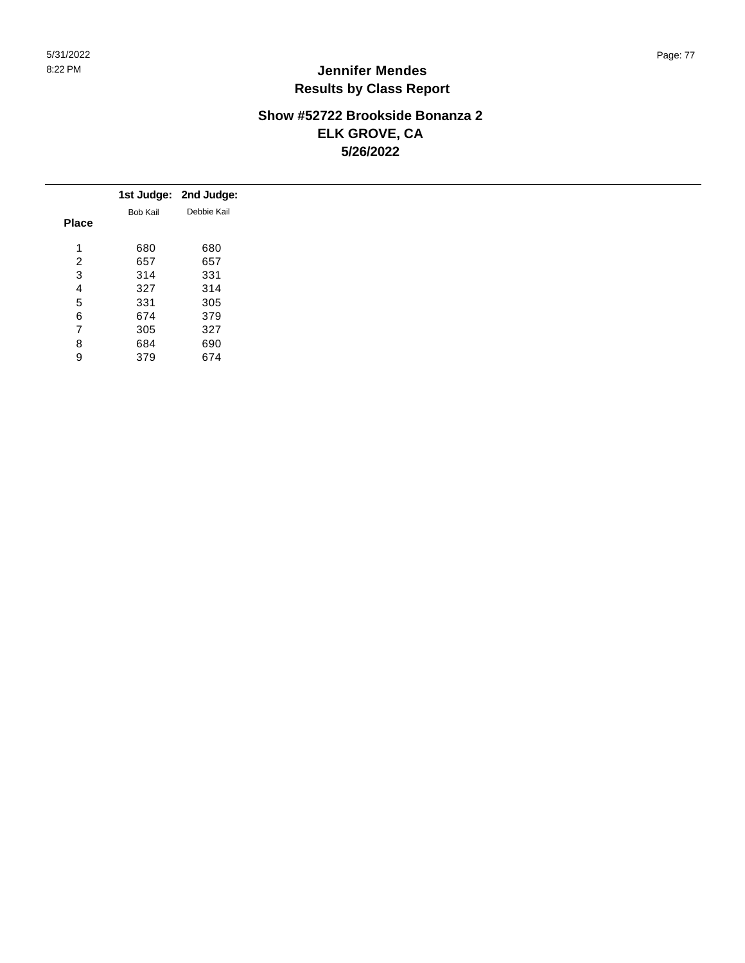### **Show #52722 Brookside Bonanza 2 ELK GROVE, CA 5/26/2022**

|                |                 | 1st Judge: 2nd Judge: |
|----------------|-----------------|-----------------------|
|                | <b>Bob Kail</b> | Debbie Kail           |
| <b>Place</b>   |                 |                       |
| 4              | 680             | 680                   |
| 2              | 657             | 657                   |
| 3              | 314             | 331                   |
| 4              | 327             | 314                   |
| 5              | 331             | 305                   |
| 6              | 674             | 379                   |
| $\overline{7}$ | 305             | 327                   |
| 8              | 684             | 690                   |
| 9              | 379             | 674                   |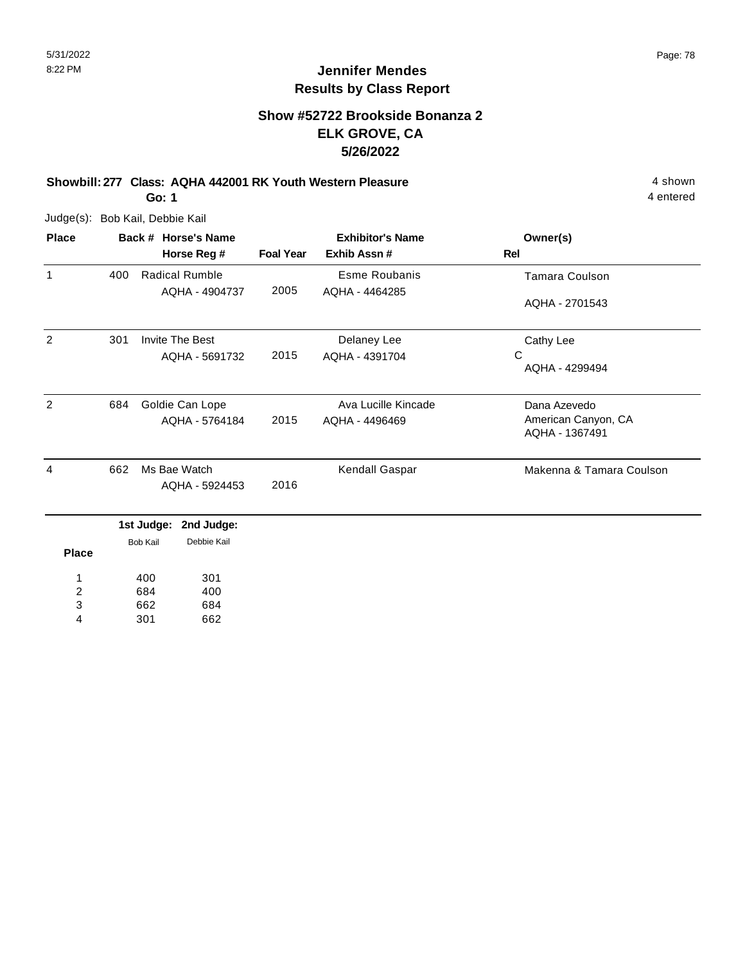#### **Show #52722 Brookside Bonanza 2 ELK GROVE, CA 5/26/2022**

#### **Showbill: 277 Class: AQHA 442001 RK Youth Western Pleasure** 4 shown **Go: 1**

Judge(s): Bob Kail, Debbie Kail

| <b>Place</b>   |     | Back # Horse's Name                     |                  | <b>Exhibitor's Name</b>                | Owner(s)                              |
|----------------|-----|-----------------------------------------|------------------|----------------------------------------|---------------------------------------|
|                |     | Horse Reg #                             | <b>Foal Year</b> | Exhib Assn#                            | <b>Rel</b>                            |
| $\mathbf{1}$   | 400 | <b>Radical Rumble</b><br>AQHA - 4904737 | 2005             | <b>Esme Roubanis</b><br>AQHA - 4464285 | <b>Tamara Coulson</b>                 |
|                |     |                                         |                  |                                        | AQHA - 2701543                        |
| $\overline{2}$ | 301 | <b>Invite The Best</b>                  |                  | Delaney Lee                            | Cathy Lee                             |
|                |     | AQHA - 5691732                          | 2015             | AQHA - 4391704                         | С<br>AQHA - 4299494                   |
|                |     |                                         |                  |                                        |                                       |
| 2              | 684 | Goldie Can Lope                         |                  | Ava Lucille Kincade                    | Dana Azevedo                          |
|                |     | AQHA - 5764184                          | 2015             | AQHA - 4496469                         | American Canyon, CA<br>AQHA - 1367491 |
| 4              | 662 | Ms Bae Watch                            |                  | Kendall Gaspar                         | Makenna & Tamara Coulson              |
|                |     | AQHA - 5924453                          | 2016             |                                        |                                       |
|                |     | 1st Judge:<br>2nd Judge:                |                  |                                        |                                       |
| <b>Place</b>   |     | Debbie Kail<br><b>Bob Kail</b>          |                  |                                        |                                       |
| 1              |     | 301<br>400                              |                  |                                        |                                       |
| 2              |     | 684<br>400                              |                  |                                        |                                       |

662 684 3

301 662 4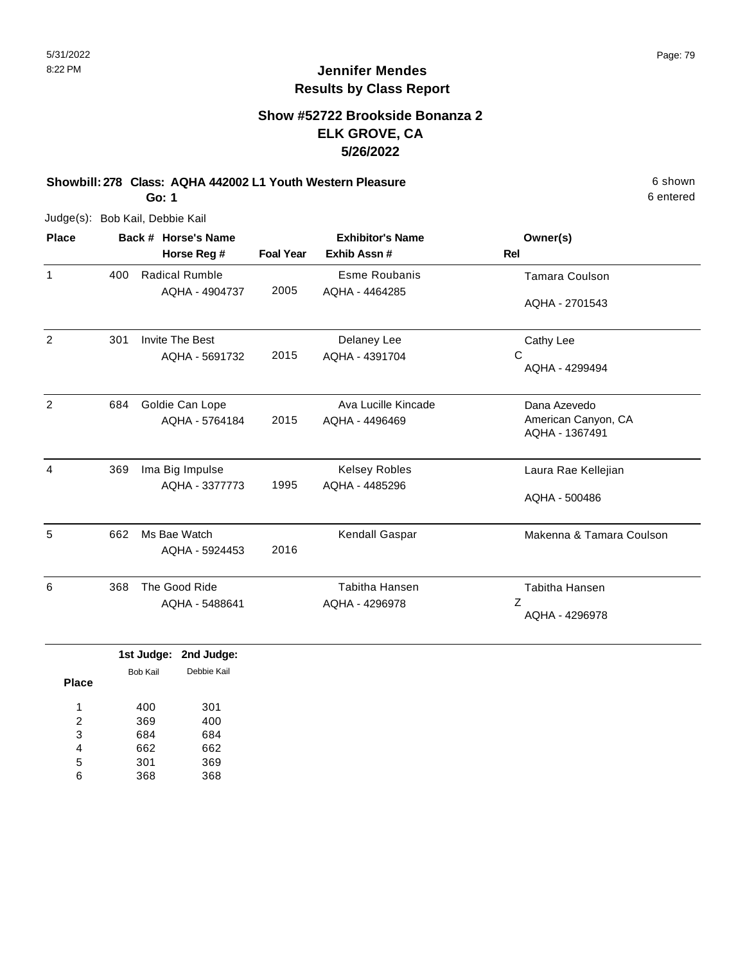#### **Show #52722 Brookside Bonanza 2 ELK GROVE, CA 5/26/2022**

**Showbill: 278 Class: AQHA 442002 L1 Youth Western Pleasure** 6 shown **Go: 1**

Judge(s): Bob Kail, Debbie Kail

| Owner(s)                              |  |
|---------------------------------------|--|
|                                       |  |
| <b>Tamara Coulson</b>                 |  |
| AQHA - 2701543                        |  |
| Cathy Lee                             |  |
| AQHA - 4299494                        |  |
| Dana Azevedo                          |  |
| American Canyon, CA<br>AQHA - 1367491 |  |
| Laura Rae Kellejian                   |  |
| AQHA - 500486                         |  |
| Makenna & Tamara Coulson              |  |
| <b>Tabitha Hansen</b>                 |  |
| AQHA - 4296978                        |  |
|                                       |  |

|              |          | 1st Judge: 2nd Judge: |
|--------------|----------|-----------------------|
|              | Bob Kail | Debbie Kail           |
| <b>Place</b> |          |                       |
| 4            | 400      | 301                   |
| 2            | 369      | 400                   |
| 3            | 684      | 684                   |
| 4            | 662      | 662                   |
| 5            | 301      | 369                   |
| 6            | 368      | 368                   |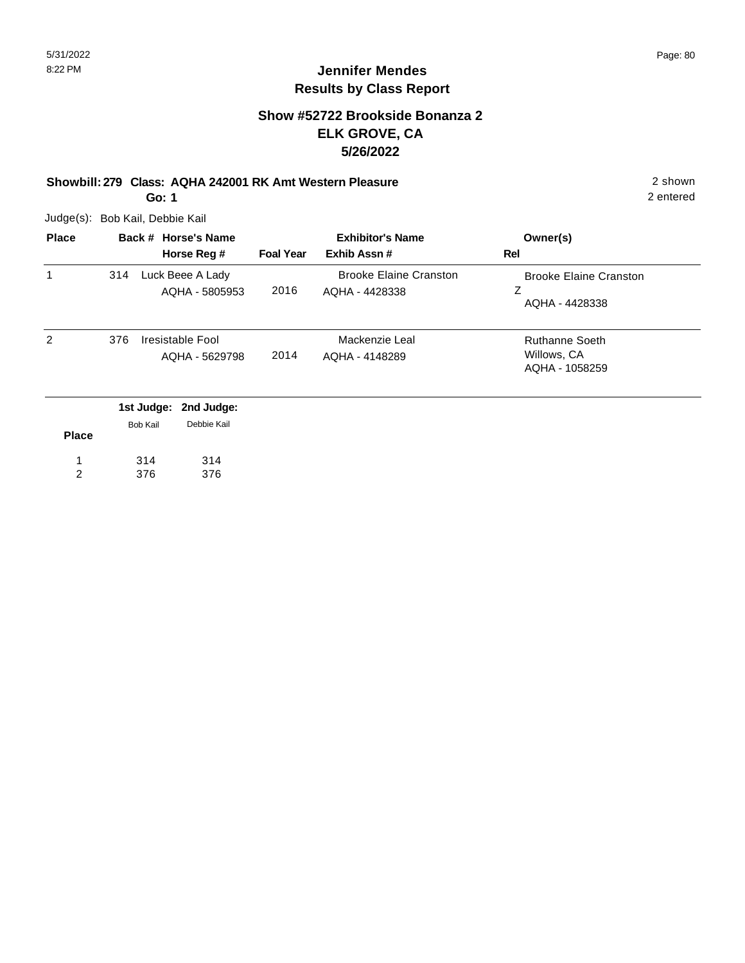#### **Show #52722 Brookside Bonanza 2 ELK GROVE, CA 5/26/2022**

#### **Showbill: 279 Class: AQHA 242001 RK Amt Western Pleasure** 2 shown **Go: 1**

Judge(s): Bob Kail, Debbie Kail

| <b>Place</b> | Back # Horse's Name           |                                    | <b>Exhibitor's Name</b> |                                                 | Owner(s)                                               |
|--------------|-------------------------------|------------------------------------|-------------------------|-------------------------------------------------|--------------------------------------------------------|
|              |                               | Horse Reg #                        | <b>Foal Year</b>        | Exhib Assn#                                     | <b>Rel</b>                                             |
| 1            | 314                           | Luck Beee A Lady<br>AQHA - 5805953 | 2016                    | <b>Brooke Elaine Cranston</b><br>AQHA - 4428338 | <b>Brooke Elaine Cranston</b><br>Ζ<br>AQHA - 4428338   |
| 2            | 376                           | Iresistable Fool<br>AQHA - 5629798 | 2014                    | Mackenzie Leal<br>AQHA - 4148289                | <b>Ruthanne Soeth</b><br>Willows, CA<br>AQHA - 1058259 |
|              | 1st Judge:<br><b>Bob Kail</b> | 2nd Judge:<br>Debbie Kail          |                         |                                                 |                                                        |

| <b>Place</b> | <b>DUD NAIL</b> | <b>DEUVIC IVAII</b> |
|--------------|-----------------|---------------------|
|              | 314             | 314                 |
|              | 376             | 376                 |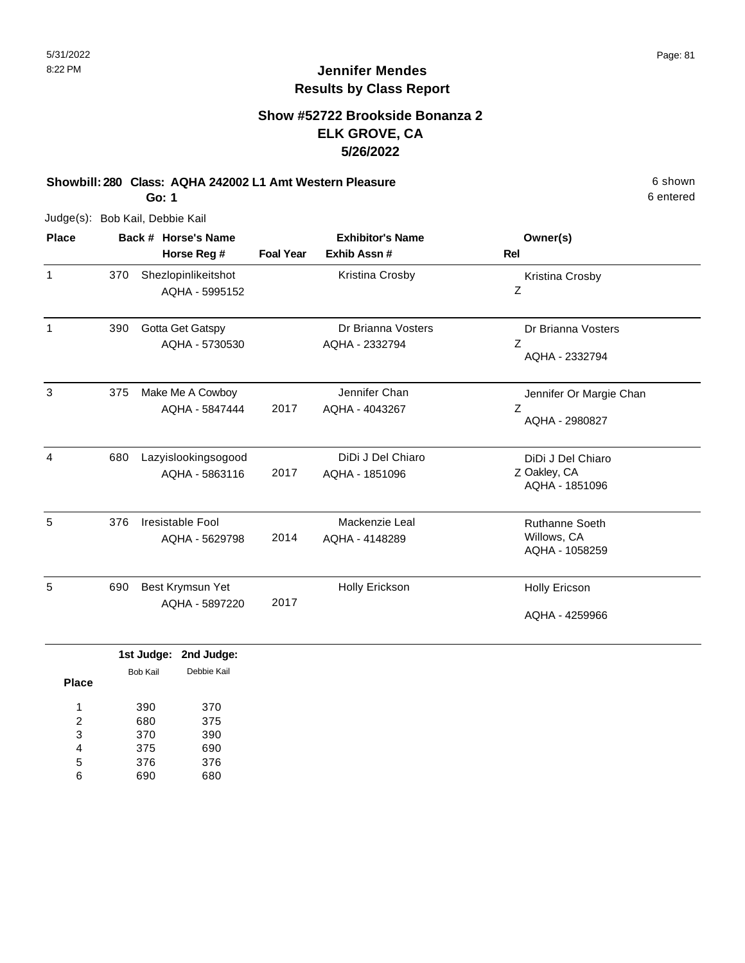#### **Show #52722 Brookside Bonanza 2 ELK GROVE, CA 5/26/2022**

#### **Showbill: 280 Class: AQHA 242002 L1 Amt Western Pleasure** 6 Shown

**Go: 1**

Judge(s): Bob Kail, Debbie Kail

| <b>Place</b> |     | Back # Horse's Name                   |                  | <b>Exhibitor's Name</b>              | Owner(s)                                               |
|--------------|-----|---------------------------------------|------------------|--------------------------------------|--------------------------------------------------------|
|              |     | Horse Reg #                           | <b>Foal Year</b> | Exhib Assn #                         | <b>Rel</b>                                             |
| $\mathbf{1}$ | 370 | Shezlopinlikeitshot<br>AQHA - 5995152 |                  | Kristina Crosby                      | Kristina Crosby<br>Ζ                                   |
| 1            | 390 | Gotta Get Gatspy<br>AQHA - 5730530    |                  | Dr Brianna Vosters<br>AQHA - 2332794 | Dr Brianna Vosters<br>Z<br>AQHA - 2332794              |
| 3            | 375 | Make Me A Cowboy<br>AQHA - 5847444    | 2017             | Jennifer Chan<br>AQHA - 4043267      | Jennifer Or Margie Chan<br>Ζ<br>AQHA - 2980827         |
| 4            | 680 | Lazyislookingsogood<br>AQHA - 5863116 | 2017             | DiDi J Del Chiaro<br>AQHA - 1851096  | DiDi J Del Chiaro<br>Z Oakley, CA<br>AQHA - 1851096    |
| 5            | 376 | Iresistable Fool<br>AQHA - 5629798    | 2014             | Mackenzie Leal<br>AQHA - 4148289     | <b>Ruthanne Soeth</b><br>Willows, CA<br>AQHA - 1058259 |
| 5            | 690 | Best Krymsun Yet<br>AQHA - 5897220    | 2017             | Holly Erickson                       | <b>Holly Ericson</b><br>AQHA - 4259966                 |

|              |                 | 1st Judge: 2nd Judge: |
|--------------|-----------------|-----------------------|
|              | <b>Bob Kail</b> | Debbie Kail           |
| <b>Place</b> |                 |                       |
| и            | 390             | 370                   |
| 2            | 680             | 375                   |
| 3            | 370             | 390                   |
| 4            | 375             | 690                   |
| 5            | 376             | 376                   |
| 6            | 690             | 680                   |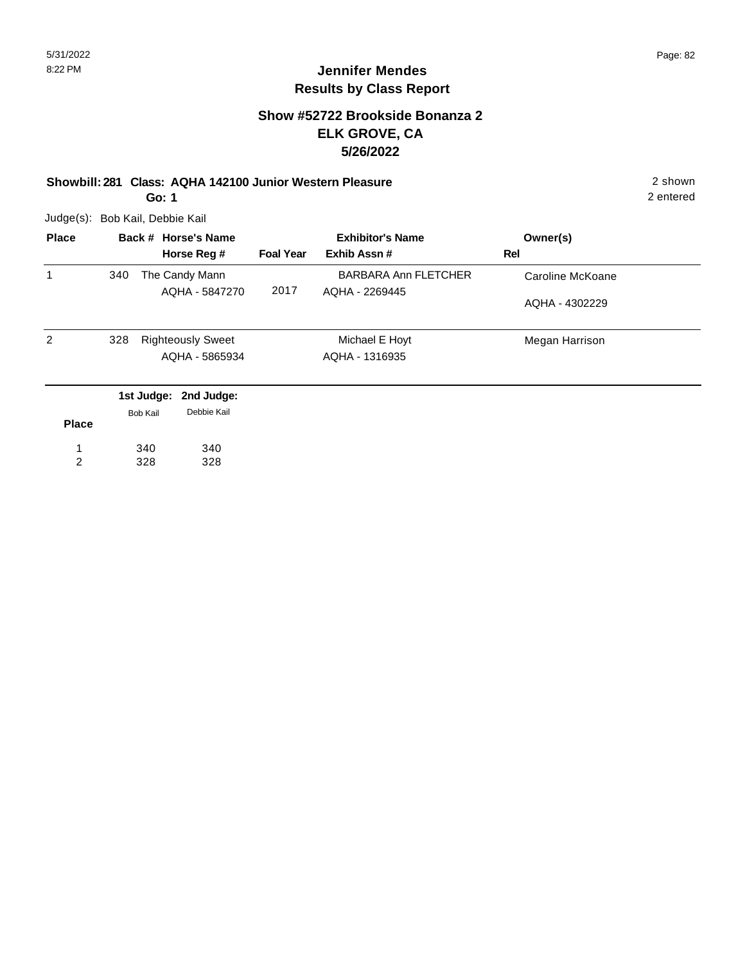#### **Show #52722 Brookside Bonanza 2 ELK GROVE, CA 5/26/2022**

## **Showbill: 281 Class: AQHA 142100 Junior Western Pleasure** 2 shown

**Go: 1**

Judge(s): Bob Kail, Debbie Kail

| <b>Place</b> |     |          | Back # Horse's Name      | <b>Exhibitor's Name</b> |                             | Owner(s)         |
|--------------|-----|----------|--------------------------|-------------------------|-----------------------------|------------------|
|              |     |          | Horse Reg #              | <b>Foal Year</b>        | Exhib Assn#                 | Rel              |
| 1            | 340 |          | The Candy Mann           |                         | <b>BARBARA Ann FLETCHER</b> | Caroline McKoane |
|              |     |          | AQHA - 5847270           | 2017                    | AQHA - 2269445              | AQHA - 4302229   |
| 2            | 328 |          | <b>Righteously Sweet</b> |                         | Michael E Hoyt              | Megan Harrison   |
|              |     |          | AQHA - 5865934           |                         | AQHA - 1316935              |                  |
|              |     |          | 1st Judge: 2nd Judge:    |                         |                             |                  |
| <b>Place</b> |     | Bob Kail | Debbie Kail              |                         |                             |                  |
|              |     | 340      | 340                      |                         |                             |                  |

340 328 328 1 2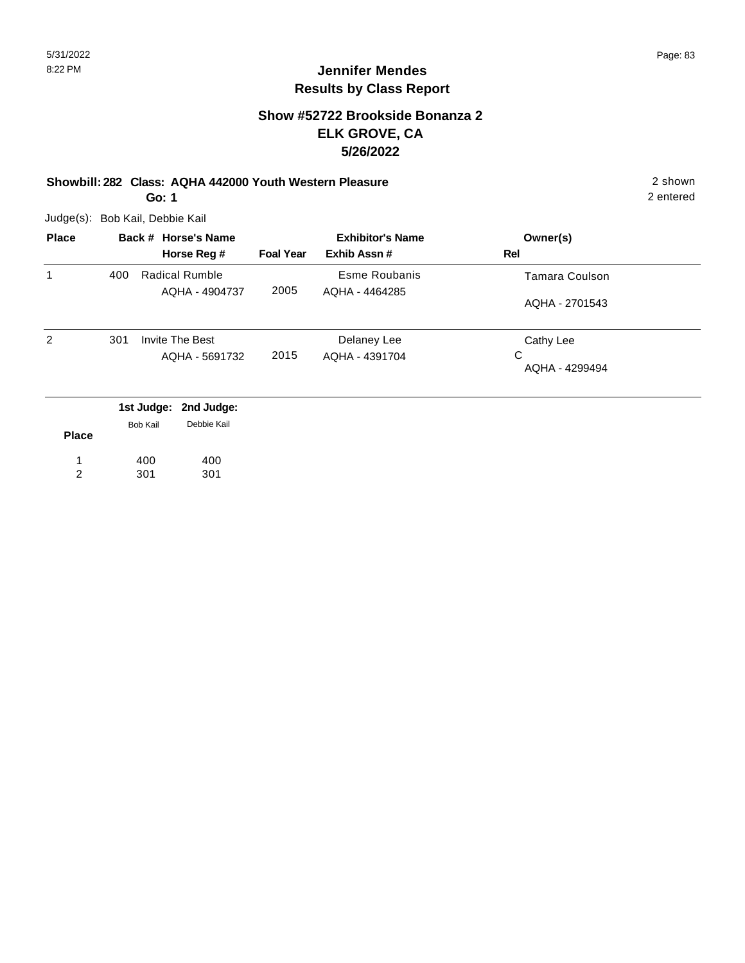#### **Show #52722 Brookside Bonanza 2 ELK GROVE, CA 5/26/2022**

#### **Showbill: 282 Class: AQHA 442000 Youth Western Pleasure** 2 shown **Go: 1**

Judge(s): Bob Kail, Debbie Kail

| <b>Place</b> | Back # Horse's Name |                          | <b>Exhibitor's Name</b> |                | Owner(s)              |
|--------------|---------------------|--------------------------|-------------------------|----------------|-----------------------|
|              |                     | Horse Reg #              | <b>Foal Year</b>        | Exhib Assn#    | Rel                   |
| 1            | 400                 | Radical Rumble           | 2005                    | Esme Roubanis  | <b>Tamara Coulson</b> |
|              |                     | AQHA - 4904737           | AQHA - 4464285          | AQHA - 2701543 |                       |
| 2            | 301                 | <b>Invite The Best</b>   |                         | Delaney Lee    | Cathy Lee             |
|              |                     | AQHA - 5691732           | 2015                    | AQHA - 4391704 | C<br>AQHA - 4299494   |
|              |                     | 1st Judge:<br>2nd Judge: |                         |                |                       |
| <b>Place</b> |                     | Debbie Kail<br>Bob Kail  |                         |                |                       |

**Place** 400 301 400 301 1 2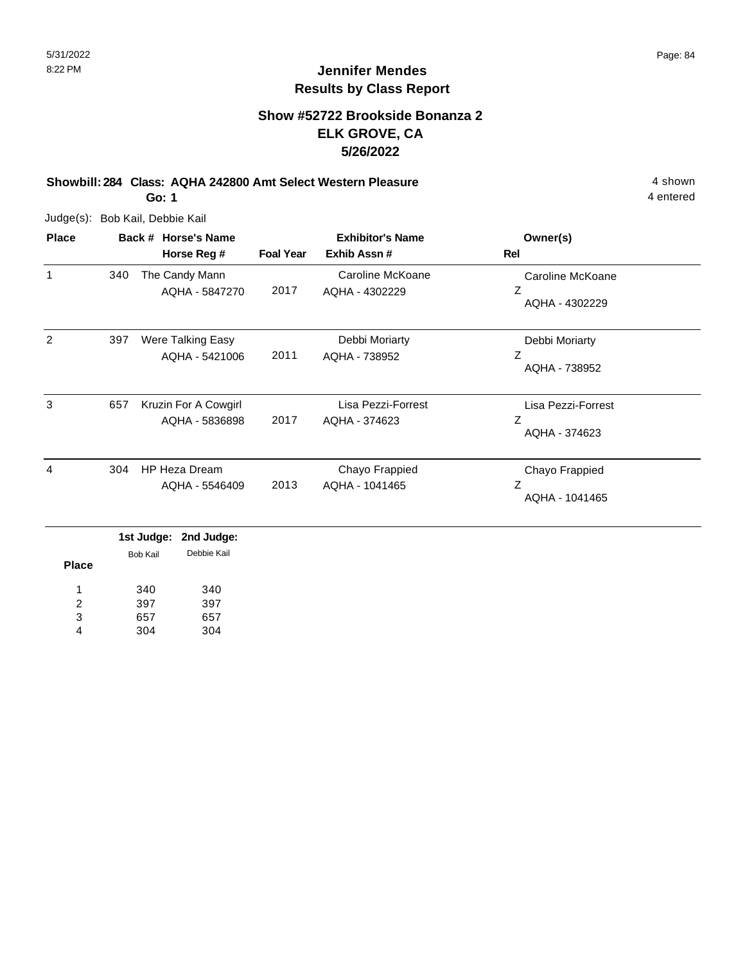### **Show #52722 Brookside Bonanza 2 ELK GROVE, CA 5/26/2022**

**Showbill: 284 Class: AQHA 242800 Amt Select Western Pleasure** 4 shown 4 shown **Go: 1**

Judge(s): Bob Kail, Debbie Kail

| <b>Place</b> |     | Back # Horse's Name                    | <b>Exhibitor's Name</b> |                                     | Owner(s)                                 |
|--------------|-----|----------------------------------------|-------------------------|-------------------------------------|------------------------------------------|
|              |     | Horse Reg #                            | <b>Foal Year</b>        | Exhib Assn #                        | Rel                                      |
| 1            | 340 | The Candy Mann<br>AQHA - 5847270       | 2017                    | Caroline McKoane<br>AQHA - 4302229  | Caroline McKoane<br>Ζ<br>AQHA - 4302229  |
| 2            | 397 | Were Talking Easy<br>AQHA - 5421006    | 2011                    | Debbi Moriarty<br>AQHA - 738952     | Debbi Moriarty<br>Ζ<br>AQHA - 738952     |
| 3            | 657 | Kruzin For A Cowgirl<br>AQHA - 5836898 | 2017                    | Lisa Pezzi-Forrest<br>AQHA - 374623 | Lisa Pezzi-Forrest<br>Ζ<br>AQHA - 374623 |
| 4            | 304 | HP Heza Dream<br>AQHA - 5546409        | 2013                    | Chayo Frappied<br>AQHA - 1041465    | Chayo Frappied<br>Z<br>AQHA - 1041465    |
|              |     | 1st Judge:<br>2nd Judge:               |                         |                                     |                                          |

| Place | Bob Kail | Debbie Kail |
|-------|----------|-------------|
| 1     | 340      | 340         |
| 2     | 397      | 397         |
| 3     | 657      | 657         |
|       | 304      | 304         |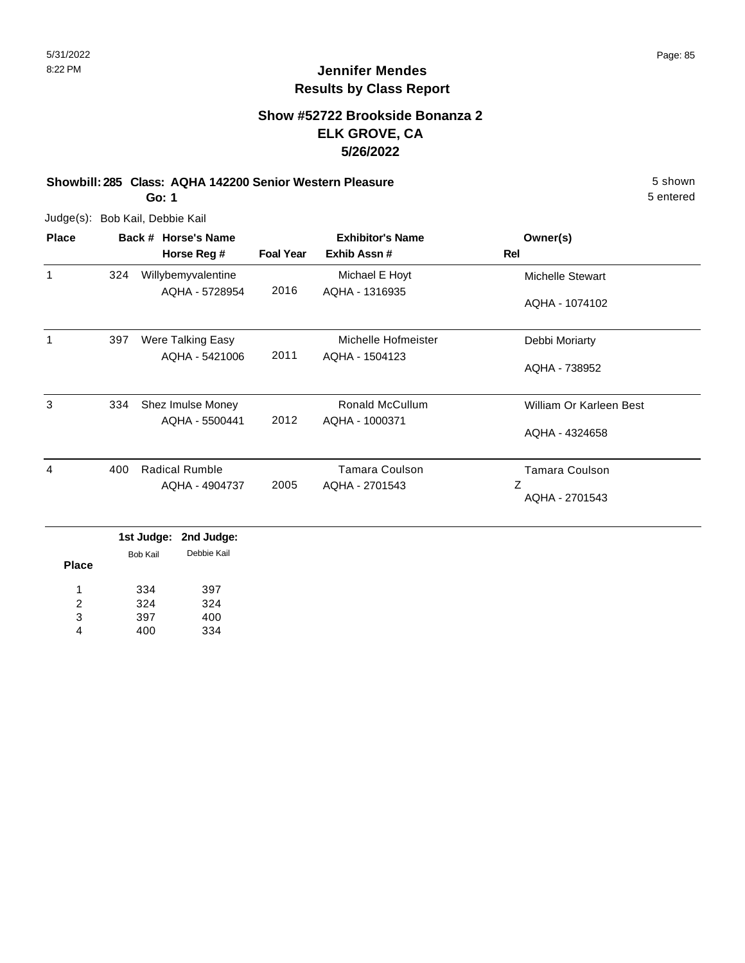#### **Show #52722 Brookside Bonanza 2 ELK GROVE, CA 5/26/2022**

## **Showbill: 285 Class: AQHA 142200 Senior Western Pleasure** 5 shown

**Go: 1**

Judge(s): Bob Kail, Debbie Kail

| <b>Place</b> | Back # Horse's Name |                       | <b>Exhibitor's Name</b> |                        | Owner(s)                |
|--------------|---------------------|-----------------------|-------------------------|------------------------|-------------------------|
|              |                     | Horse Reg #           | <b>Foal Year</b>        | Exhib Assn#            | Rel                     |
| 1            | 324                 | Willybemyvalentine    |                         | Michael E Hoyt         | <b>Michelle Stewart</b> |
|              |                     | AQHA - 5728954        | 2016                    | AQHA - 1316935         | AQHA - 1074102          |
| 1            | 397                 | Were Talking Easy     |                         | Michelle Hofmeister    | Debbi Moriarty          |
|              |                     | AQHA - 5421006        | 2011                    | AQHA - 1504123         | AQHA - 738952           |
| 3            | 334                 | Shez Imulse Money     |                         | <b>Ronald McCullum</b> | William Or Karleen Best |
|              |                     | AQHA - 5500441        | 2012                    | AQHA - 1000371         | AQHA - 4324658          |
| 4            | 400                 | <b>Radical Rumble</b> |                         | Tamara Coulson         | Tamara Coulson          |
|              |                     | AQHA - 4904737        | 2005                    | AQHA - 2701543         | Ζ<br>AQHA - 2701543     |

|              | .               | <b>EUM AMANA</b> |
|--------------|-----------------|------------------|
| <b>Place</b> | <b>Bob Kail</b> | Debbie Kail      |
|              |                 |                  |
| 1            | 334             | 397              |
| 2            | 324             | 324              |
| 3            | 397             | 400              |
|              | 400             | 334              |
|              |                 |                  |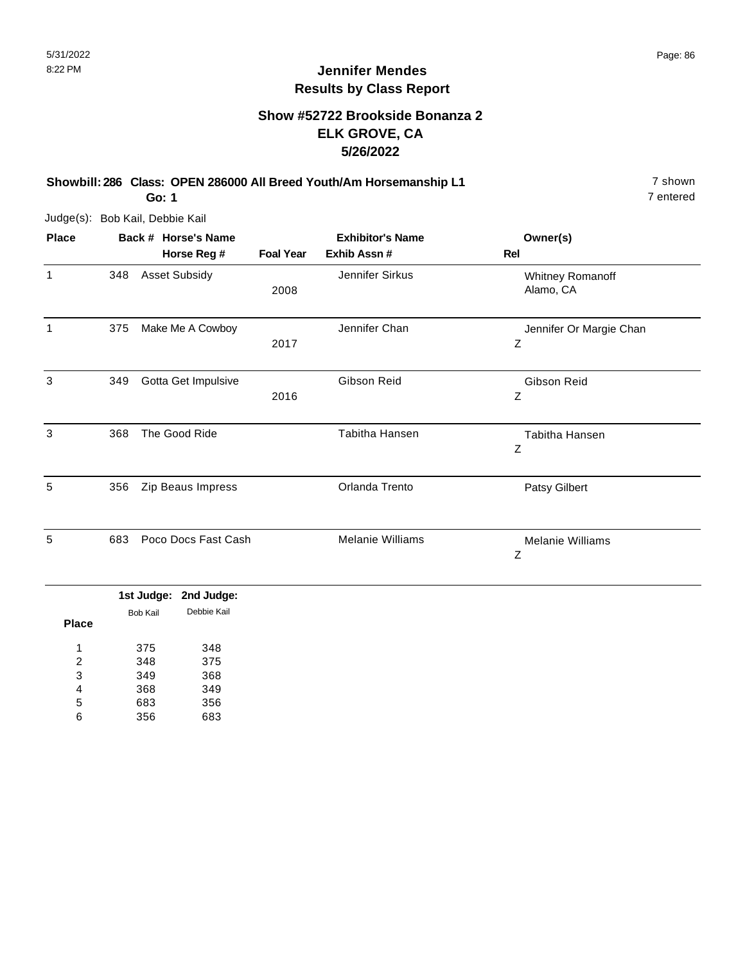### **Show #52722 Brookside Bonanza 2 ELK GROVE, CA 5/26/2022**

**Showbill: 286 Class: OPEN 286000 All Breed Youth/Am Horsemanship L1** 7 shown **Go: 1**

Judge(s): Bob Kail, Debbie Kail

| <b>Place</b> | Back # Horse's Name |                      | <b>Exhibitor's Name</b> |                         | Owner(s)                      |
|--------------|---------------------|----------------------|-------------------------|-------------------------|-------------------------------|
|              |                     | Horse Reg #          | <b>Foal Year</b>        | Exhib Assn #            | Rel                           |
| 1            | 348                 | <b>Asset Subsidy</b> | 2008                    | Jennifer Sirkus         | Whitney Romanoff<br>Alamo, CA |
| 1            | 375                 | Make Me A Cowboy     | 2017                    | Jennifer Chan           | Jennifer Or Margie Chan<br>Ζ  |
| 3            | 349                 | Gotta Get Impulsive  | 2016                    | Gibson Reid             | Gibson Reid<br>Ζ              |
| 3            | 368                 | The Good Ride        |                         | Tabitha Hansen          | Tabitha Hansen<br>Ζ           |
| 5            | 356                 | Zip Beaus Impress    |                         | Orlanda Trento          | Patsy Gilbert                 |
| 5            | 683                 | Poco Docs Fast Cash  |                         | <b>Melanie Williams</b> | <b>Melanie Williams</b><br>Ζ  |

|       |          | 1st Judge: 2nd Judge: |
|-------|----------|-----------------------|
|       | Bob Kail | Debbie Kail           |
| Place |          |                       |
| 1     | 375      | 348                   |
| 2     | 348      | 375                   |
| 3     | 349      | 368                   |
| 4     | 368      | 349                   |
| 5     | 683      | 356                   |
| հ     | 356      | 683                   |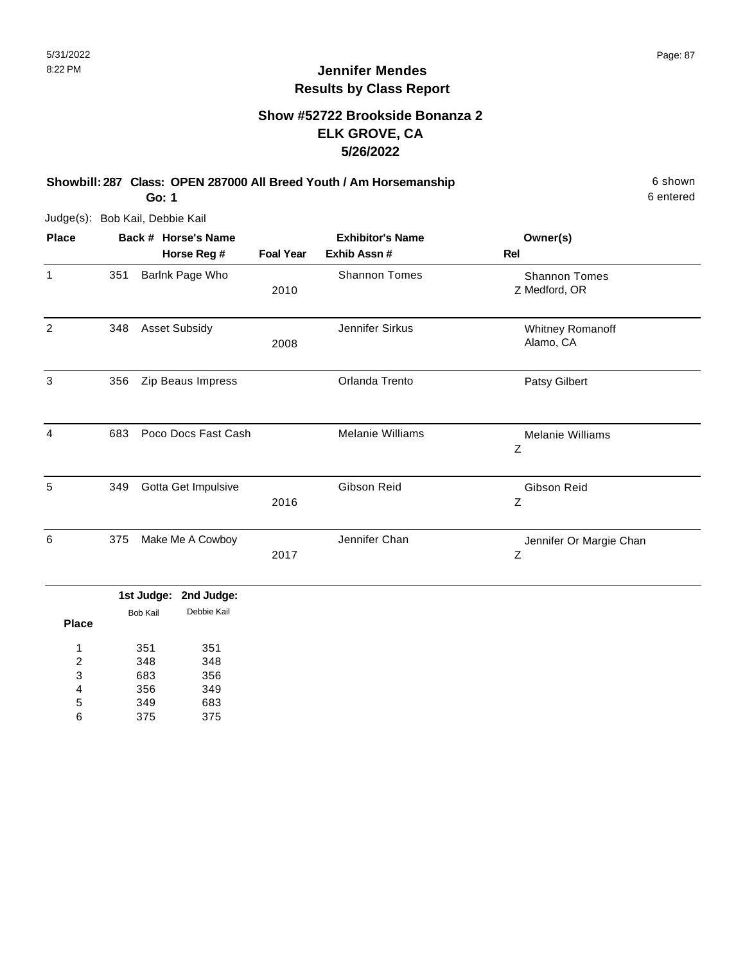### **Show #52722 Brookside Bonanza 2 ELK GROVE, CA 5/26/2022**

**Showbill: 287 Class: OPEN 287000 All Breed Youth / Am Horsemanship** 6 Shown 6 shown

**Go: 1**

Judge(s): Bob Kail, Debbie Kail

| <b>Place</b> |     | Back # Horse's Name  | <b>Exhibitor's Name</b> |                      | Owner(s)                              |
|--------------|-----|----------------------|-------------------------|----------------------|---------------------------------------|
|              |     | Horse Reg #          | <b>Foal Year</b>        | Exhib Assn #         | Rel                                   |
| 1            | 351 | Barlnk Page Who      | 2010                    | <b>Shannon Tomes</b> | <b>Shannon Tomes</b><br>Z Medford, OR |
| 2            | 348 | <b>Asset Subsidy</b> | 2008                    | Jennifer Sirkus      | Whitney Romanoff<br>Alamo, CA         |
| 3            | 356 | Zip Beaus Impress    |                         | Orlanda Trento       | Patsy Gilbert                         |
| 4            | 683 | Poco Docs Fast Cash  |                         | Melanie Williams     | <b>Melanie Williams</b><br>Ζ          |
| 5            | 349 | Gotta Get Impulsive  | 2016                    | Gibson Reid          | Gibson Reid<br>Ζ                      |
| 6            | 375 | Make Me A Cowboy     | 2017                    | Jennifer Chan        | Jennifer Or Margie Chan<br>Z          |

|       |          | 1st Judge: 2nd Judge: |
|-------|----------|-----------------------|
| Place | Bob Kail | Debbie Kail           |
|       |          |                       |
| 1     | 351      | 351                   |
| 2     | 348      | 348                   |
| 3     | 683      | 356                   |
| 4     | 356      | 349                   |
| 5     | 349      | 683                   |
| 6     | 375      | 375                   |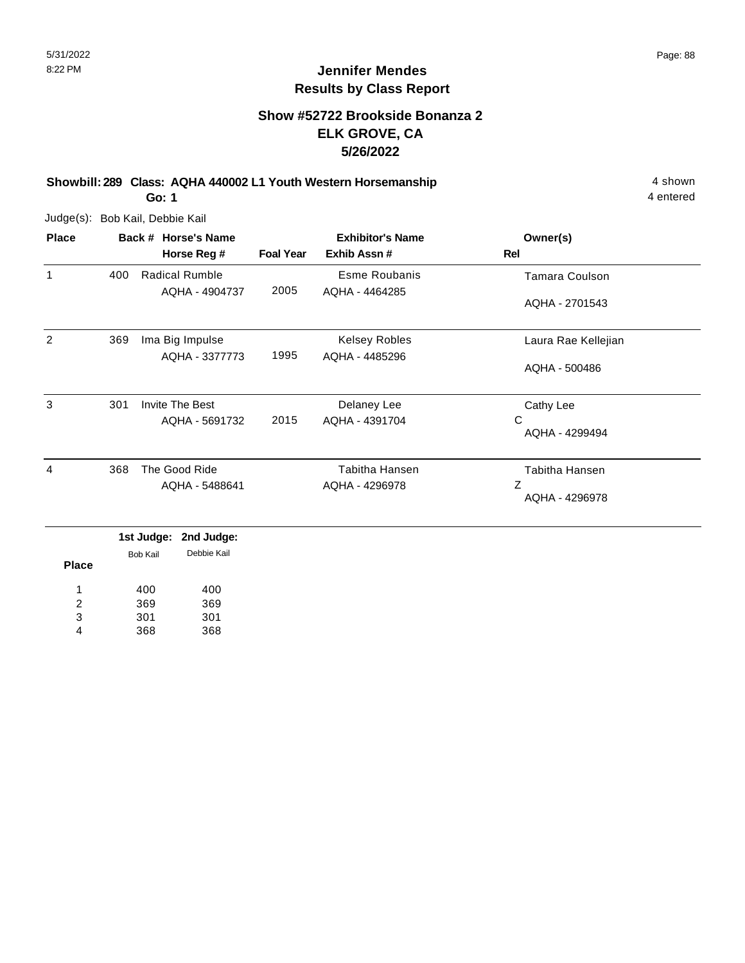### **Show #52722 Brookside Bonanza 2 ELK GROVE, CA 5/26/2022**

**Showbill: 289 Class: AQHA 440002 L1 Youth Western Horsemanship** 4 shown 4 shown **Go: 1**

Judge(s): Bob Kail, Debbie Kail

| <b>Place</b> |     | Back # Horse's Name   | <b>Exhibitor's Name</b> |                      | Owner(s)              |
|--------------|-----|-----------------------|-------------------------|----------------------|-----------------------|
|              |     | Horse Reg #           | <b>Foal Year</b>        | Exhib Assn#          | Rel                   |
| 1            | 400 | <b>Radical Rumble</b> |                         | Esme Roubanis        | Tamara Coulson        |
|              |     | AQHA - 4904737        | 2005                    | AQHA - 4464285       | AQHA - 2701543        |
| 2            | 369 | Ima Big Impulse       |                         | <b>Kelsey Robles</b> | Laura Rae Kellejian   |
|              |     | AQHA - 3377773        | 1995                    | AQHA - 4485296       | AQHA - 500486         |
| 3            | 301 | Invite The Best       |                         | Delaney Lee          | Cathy Lee             |
|              |     | AQHA - 5691732        | 2015                    | AQHA - 4391704       | С<br>AQHA - 4299494   |
| 4            | 368 | The Good Ride         |                         | Tabitha Hansen       | <b>Tabitha Hansen</b> |
|              |     | AQHA - 5488641        |                         | AQHA - 4296978       | Ζ<br>AQHA - 4296978   |

|              |          | iacouuy <del>o.</del> Zilu ouuyo. |  |
|--------------|----------|-----------------------------------|--|
|              | Bob Kail | Debbie Kail                       |  |
| <b>Place</b> |          |                                   |  |
| 1            | 400      | 400                               |  |
| 2            | 369      | 369                               |  |
| 3            | 301      | 301                               |  |
| 4            | 368      | 368                               |  |
|              |          |                                   |  |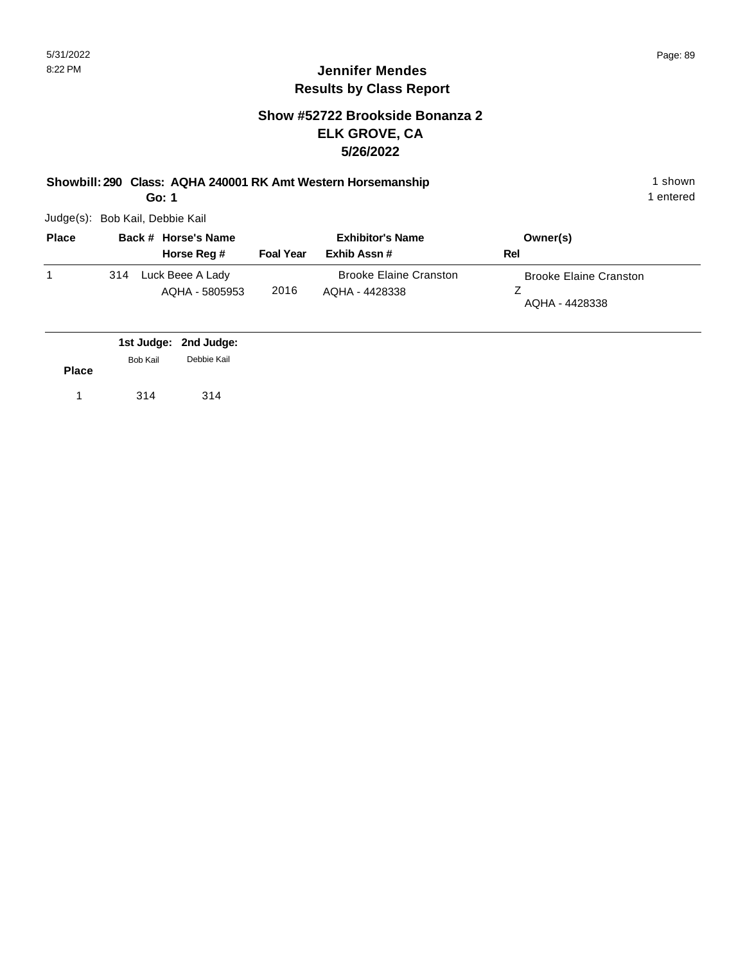#### **Show #52722 Brookside Bonanza 2 ELK GROVE, CA 5/26/2022**

**Showbill: 290 Class: AQHA 240001 RK Amt Western Horsemanship** 1 shown 1 shown

**Go: 1**

Judge(s): Bob Kail, Debbie Kail

| <b>Place</b> |     | Back # Horse's Name                | <b>Exhibitor's Name</b> |                                                 | Owner(s)                                        |
|--------------|-----|------------------------------------|-------------------------|-------------------------------------------------|-------------------------------------------------|
|              |     | Horse Reg #                        | <b>Foal Year</b>        | Exhib Assn #                                    | Rel                                             |
|              | 314 | Luck Beee A Lady<br>AQHA - 5805953 | 2016                    | <b>Brooke Elaine Cranston</b><br>AQHA - 4428338 | <b>Brooke Elaine Cranston</b><br>AQHA - 4428338 |

|              |                 | 1st Judge: 2nd Judge:<br>Debbie Kail |
|--------------|-----------------|--------------------------------------|
| <b>Place</b> | <b>Bob Kail</b> |                                      |
|              | 314             | 314                                  |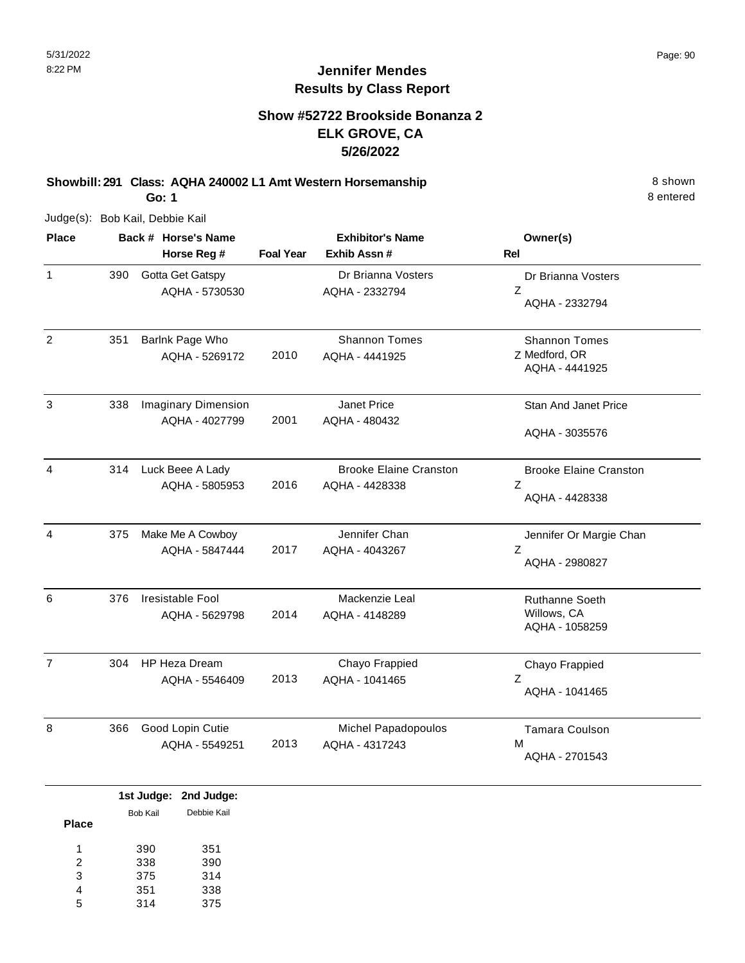### **Show #52722 Brookside Bonanza 2 ELK GROVE, CA 5/26/2022**

**Showbill: 291 Class: AQHA 240002 L1 Amt Western Horsemanship** 8 Shown

**Go: 1**

Judge(s): Bob Kail, Debbie Kail

| <b>Place</b>   |     | Back # Horse's Name                          | <b>Exhibitor's Name</b> |                                                 | Owner(s)                                                |
|----------------|-----|----------------------------------------------|-------------------------|-------------------------------------------------|---------------------------------------------------------|
|                |     | Horse Reg #                                  | <b>Foal Year</b>        | Exhib Assn #                                    | Rel                                                     |
| $\mathbf{1}$   | 390 | Gotta Get Gatspy<br>AQHA - 5730530           |                         | Dr Brianna Vosters<br>AQHA - 2332794            | Dr Brianna Vosters<br>Z<br>AQHA - 2332794               |
| $\overline{2}$ | 351 | Barlnk Page Who<br>AQHA - 5269172            | 2010                    | <b>Shannon Tomes</b><br>AQHA - 4441925          | <b>Shannon Tomes</b><br>Z Medford, OR<br>AQHA - 4441925 |
| 3              | 338 | <b>Imaginary Dimension</b><br>AQHA - 4027799 | 2001                    | Janet Price<br>AQHA - 480432                    | <b>Stan And Janet Price</b><br>AQHA - 3035576           |
| 4              | 314 | Luck Beee A Lady<br>AQHA - 5805953           | 2016                    | <b>Brooke Elaine Cranston</b><br>AQHA - 4428338 | <b>Brooke Elaine Cranston</b><br>Z<br>AQHA - 4428338    |
| 4              | 375 | Make Me A Cowboy<br>AQHA - 5847444           | 2017                    | Jennifer Chan<br>AQHA - 4043267                 | Jennifer Or Margie Chan<br>Z<br>AQHA - 2980827          |
| 6              | 376 | Iresistable Fool<br>AQHA - 5629798           | 2014                    | Mackenzie Leal<br>AQHA - 4148289                | <b>Ruthanne Soeth</b><br>Willows, CA<br>AQHA - 1058259  |
| $\overline{7}$ | 304 | HP Heza Dream<br>AQHA - 5546409              | 2013                    | Chayo Frappied<br>AQHA - 1041465                | Chayo Frappied<br>Z<br>AQHA - 1041465                   |
| 8              | 366 | Good Lopin Cutie<br>AQHA - 5549251           | 2013                    | Michel Papadopoulos<br>AQHA - 4317243           | Tamara Coulson<br>м<br>AQHA - 2701543                   |

|              |          | 1st Judge: 2nd Judge: |
|--------------|----------|-----------------------|
|              | Bob Kail | Debbie Kail           |
| <b>Place</b> |          |                       |
| 1            | 390      | 351                   |
| 2            | 338      | 390                   |
| 3            | 375      | 314                   |
| 4            | 351      | 338                   |
| 5            | 314      | 375                   |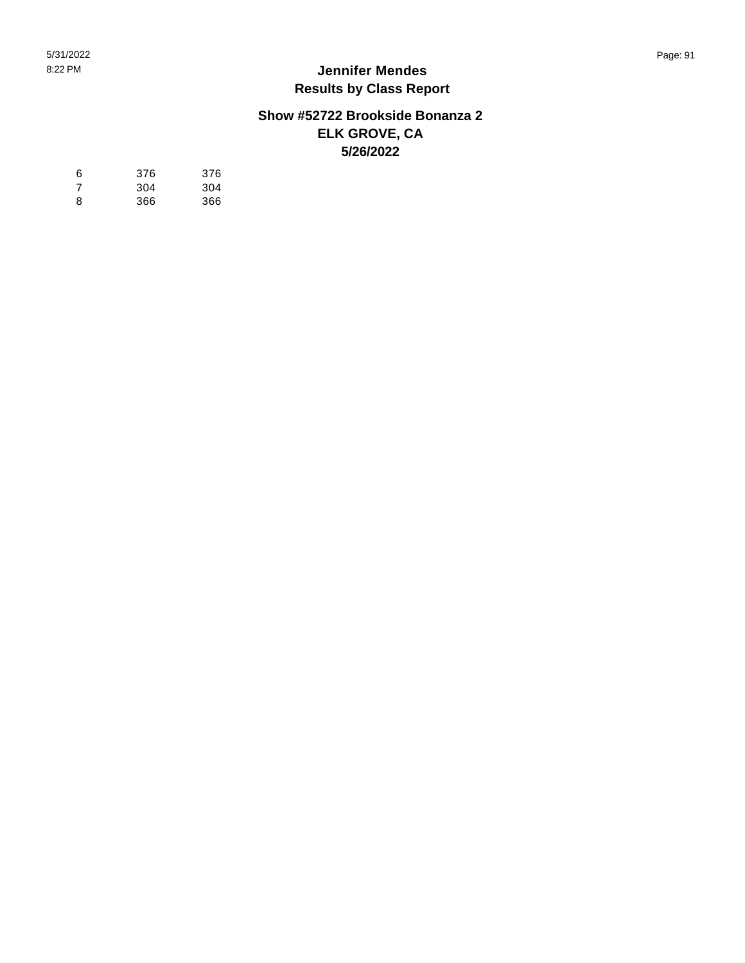#### **Show #52722 Brookside Bonanza 2 ELK GROVE, CA 5/26/2022**

| 6  | 376 | 376 |
|----|-----|-----|
| -7 | 304 | 304 |
| 8  | 366 | 366 |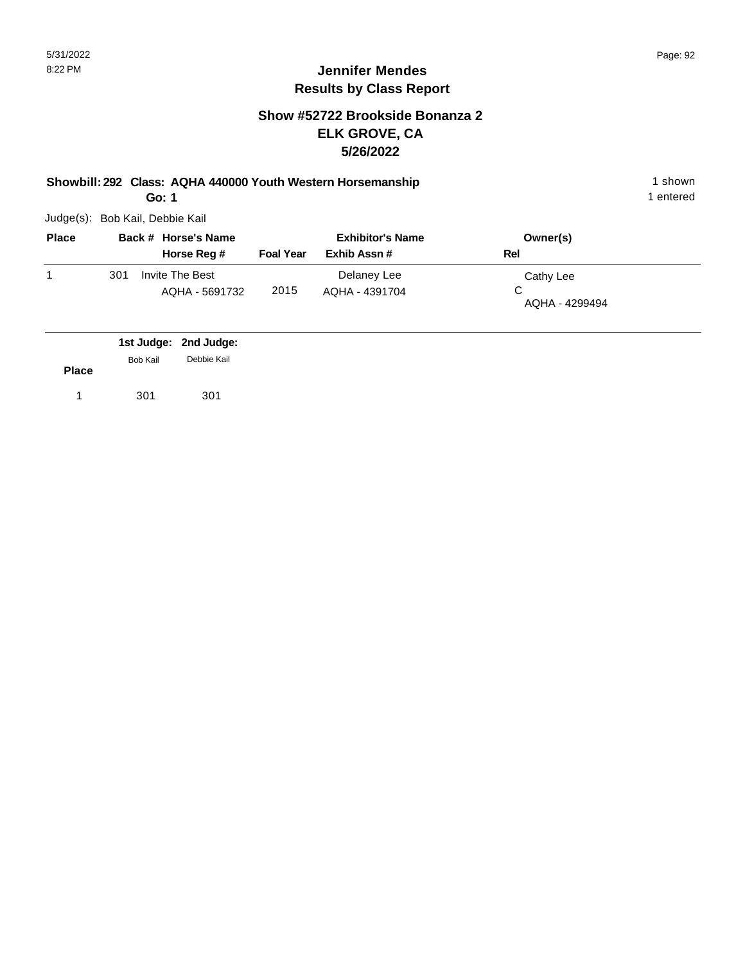#### **Show #52722 Brookside Bonanza 2 ELK GROVE, CA 5/26/2022**

**Showbill: 292 Class: AQHA 440000 Youth Western Horsemanship** 1 shown 1 shown **Go: 1**

Judge(s): Bob Kail, Debbie Kail

| <b>Place</b> |     | Back # Horse's Name               | <b>Exhibitor's Name</b> |                               | Owner(s)                    |  |
|--------------|-----|-----------------------------------|-------------------------|-------------------------------|-----------------------------|--|
|              |     | Horse Reg #                       | <b>Foal Year</b>        | Exhib Assn#                   | Rel                         |  |
|              | 301 | Invite The Best<br>AQHA - 5691732 | 2015                    | Delaney Lee<br>AQHA - 4391704 | Cathy Lee<br>AQHA - 4299494 |  |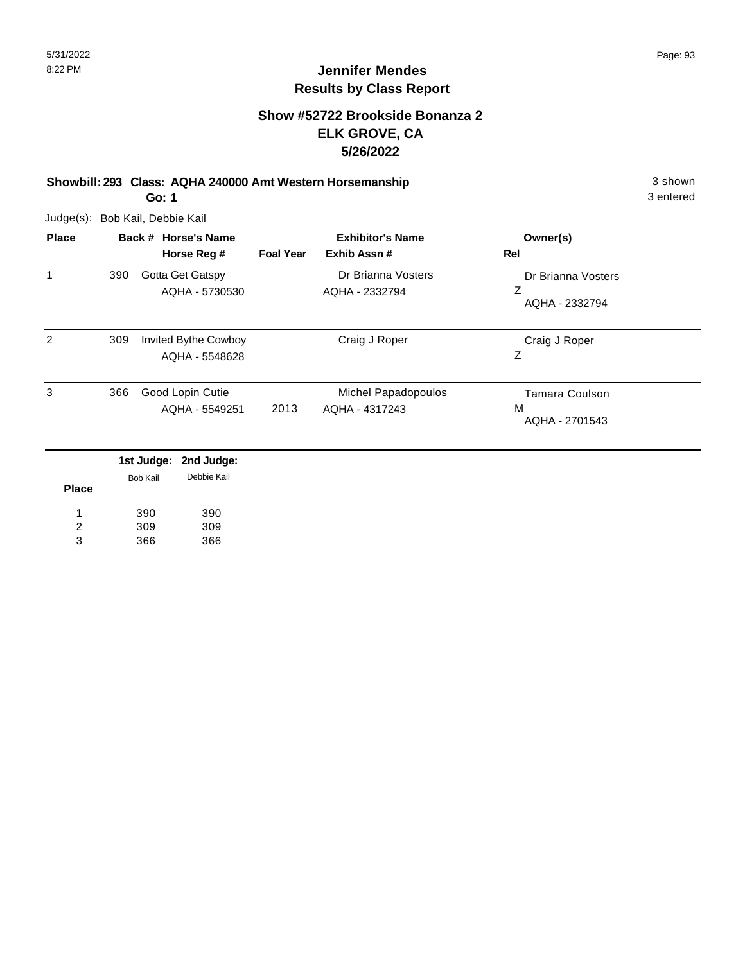#### **Show #52722 Brookside Bonanza 2 ELK GROVE, CA 5/26/2022**

**Showbill: 293 Class: AQHA 240000 Amt Western Horsemanship** 3 shown **Go: 1**

Judge(s): Bob Kail, Debbie Kail

| <b>Place</b>   | Back # Horse's Name |                 |                                        |                  | <b>Exhibitor's Name</b>               | Owner(s)                              |
|----------------|---------------------|-----------------|----------------------------------------|------------------|---------------------------------------|---------------------------------------|
|                |                     |                 | Horse Reg #                            | <b>Foal Year</b> | Exhib Assn#                           | Rel                                   |
| 1              | 390                 |                 | Gotta Get Gatspy                       |                  | Dr Brianna Vosters                    | Dr Brianna Vosters                    |
|                |                     |                 | AQHA - 5730530                         |                  | AQHA - 2332794                        | Ζ<br>AQHA - 2332794                   |
| 2              | 309                 |                 | Invited Bythe Cowboy<br>AQHA - 5548628 |                  | Craig J Roper                         | Craig J Roper<br>Ζ                    |
| 3              | 366                 |                 | Good Lopin Cutie<br>AQHA - 5549251     | 2013             | Michel Papadopoulos<br>AQHA - 4317243 | Tamara Coulson<br>M<br>AQHA - 2701543 |
|                |                     | 1st Judge:      | 2nd Judge:                             |                  |                                       |                                       |
| <b>Place</b>   |                     | <b>Bob Kail</b> | Debbie Kail                            |                  |                                       |                                       |
|                |                     | 390             | 390                                    |                  |                                       |                                       |
| $\overline{2}$ |                     | 309             | 309                                    |                  |                                       |                                       |
| 3              |                     | 366             | 366                                    |                  |                                       |                                       |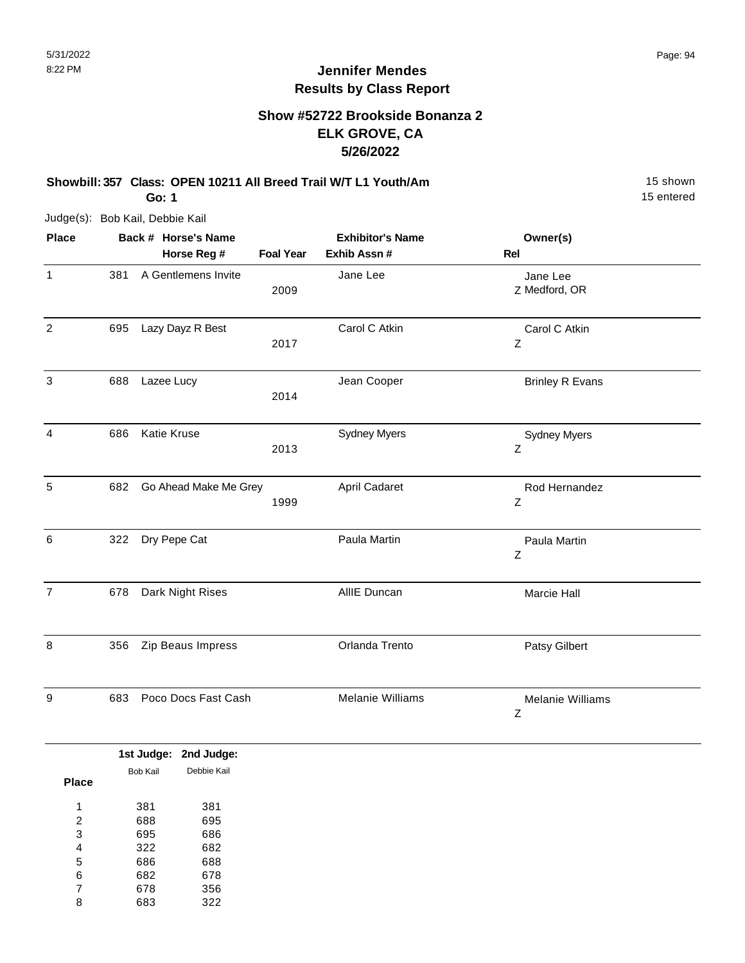### **Show #52722 Brookside Bonanza 2 ELK GROVE, CA 5/26/2022**

**Showbill: 357 Class: OPEN 10211 All Breed Trail W/T L1 Youth/Am** 15 Shown 15 shown **Go: 1**

Judge(s): Bob Kail, Debbie Kail

| <b>Place</b>   |     | Back # Horse's Name   | <b>Exhibitor's Name</b> |                     | Owner(s)                     |  |
|----------------|-----|-----------------------|-------------------------|---------------------|------------------------------|--|
|                |     | Horse Reg #           | <b>Foal Year</b>        | Exhib Assn #        | Rel                          |  |
| $\mathbf{1}$   | 381 | A Gentlemens Invite   | 2009                    | Jane Lee            | Jane Lee<br>Z Medford, OR    |  |
| $\overline{2}$ | 695 | Lazy Dayz R Best      | 2017                    | Carol C Atkin       | Carol C Atkin<br>$\mathsf Z$ |  |
| $\mathbf{3}$   | 688 | Lazee Lucy            | 2014                    | Jean Cooper         | <b>Brinley R Evans</b>       |  |
| 4              | 686 | Katie Kruse           | 2013                    | <b>Sydney Myers</b> | <b>Sydney Myers</b><br>Z     |  |
| 5              | 682 | Go Ahead Make Me Grey | 1999                    | April Cadaret       | Rod Hernandez<br>$\mathsf Z$ |  |
| 6              | 322 | Dry Pepe Cat          |                         | Paula Martin        | Paula Martin<br>Z            |  |
| $\overline{7}$ | 678 | Dark Night Rises      |                         | AllIE Duncan        | Marcie Hall                  |  |
| 8              | 356 | Zip Beaus Impress     |                         | Orlanda Trento      | Patsy Gilbert                |  |
| 9              | 683 | Poco Docs Fast Cash   |                         | Melanie Williams    | <b>Melanie Williams</b><br>Z |  |

|              |          | 1st Judge: 2nd Judge: |
|--------------|----------|-----------------------|
|              | Bob Kail | Debbie Kail           |
| <b>Place</b> |          |                       |
| 1            | 381      | 381                   |
| 2            | 688      | 695                   |
| 3            | 695      | 686                   |
| 4            | 322      | 682                   |
| 5            | 686      | 688                   |
| 6            | 682      | 678                   |
| 7            | 678      | 356                   |
| 8            | 683      | 322                   |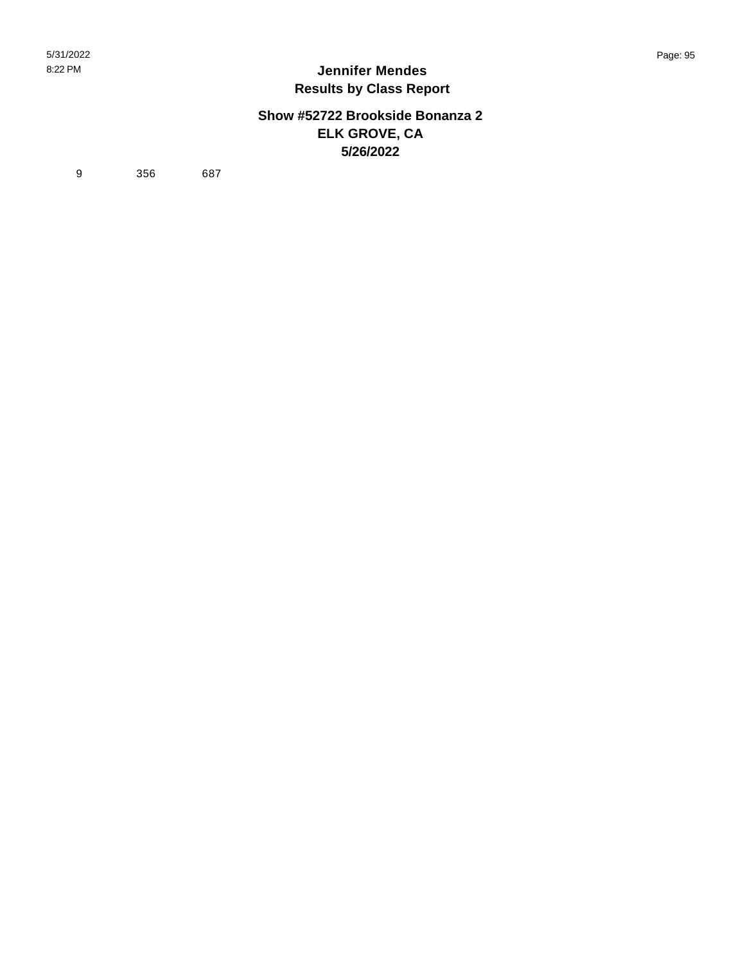#### **Show #52722 Brookside Bonanza 2 ELK GROVE, CA 5/26/2022**

9 356 687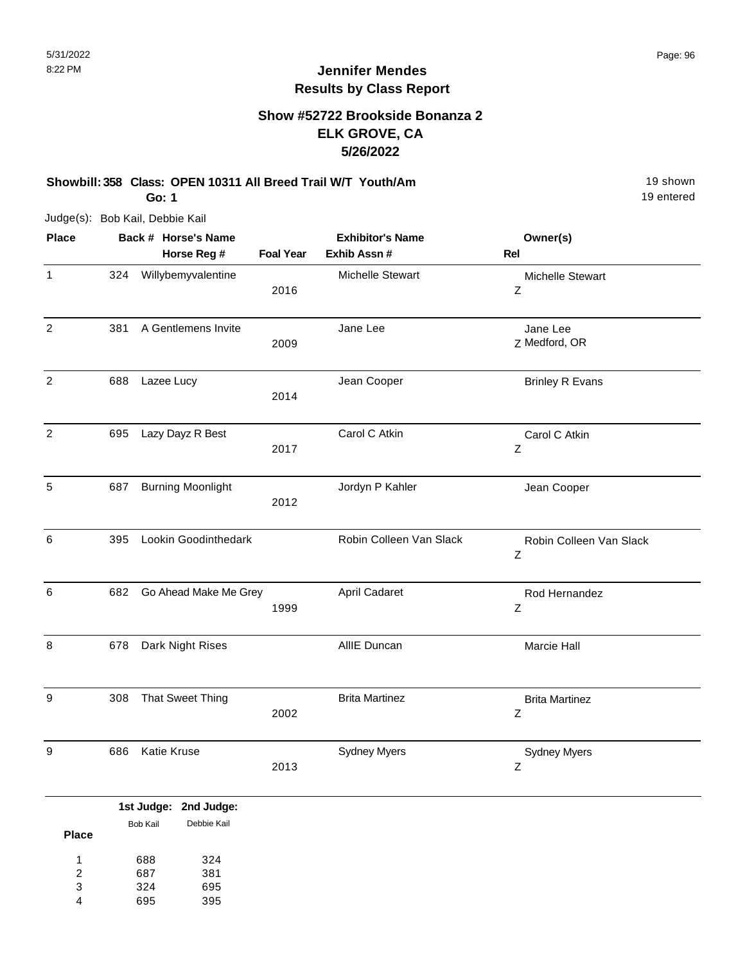### **Show #52722 Brookside Bonanza 2 ELK GROVE, CA 5/26/2022**

**Showbill: 358 Class: OPEN 10311 All Breed Trail W/T Youth/Am** 19 Shown 19 shown **Go: 1**

Judge(s): Bob Kail, Debbie Kail

| <b>Place</b>     |     | Back # Horse's Name             |                  | <b>Exhibitor's Name</b> | Owner(s)                     |
|------------------|-----|---------------------------------|------------------|-------------------------|------------------------------|
|                  |     | Horse Reg #                     | <b>Foal Year</b> | Exhib Assn #            | Rel                          |
| $\mathbf{1}$     | 324 | Willybemyvalentine              | 2016             | Michelle Stewart        | Michelle Stewart<br>Z        |
| $\overline{c}$   | 381 | A Gentlemens Invite             | 2009             | Jane Lee                | Jane Lee<br>Z Medford, OR    |
| $\overline{2}$   | 688 | Lazee Lucy                      | 2014             | Jean Cooper             | <b>Brinley R Evans</b>       |
| $\overline{c}$   | 695 | Lazy Dayz R Best                | 2017             | Carol C Atkin           | Carol C Atkin<br>Ζ           |
| 5                | 687 | <b>Burning Moonlight</b>        | 2012             | Jordyn P Kahler         | Jean Cooper                  |
| 6                | 395 | Lookin Goodinthedark            |                  | Robin Colleen Van Slack | Robin Colleen Van Slack<br>Ζ |
| 6                | 682 | Go Ahead Make Me Grey           | 1999             | April Cadaret           | Rod Hernandez<br>Z           |
| 8                | 678 | Dark Night Rises                |                  | AllIE Duncan            | Marcie Hall                  |
| 9                | 308 | That Sweet Thing                | 2002             | <b>Brita Martinez</b>   | <b>Brita Martinez</b><br>Z   |
| $\boldsymbol{9}$ | 686 | Katie Kruse                     | 2013             | <b>Sydney Myers</b>     | <b>Sydney Myers</b><br>Z     |
|                  |     | لمسلوبيا المستكر بمسلوبيا فمراد |                  |                         |                              |

|              |          | 1st Judge: 2nd Judge: |
|--------------|----------|-----------------------|
|              | Bob Kail | Debbie Kail           |
| <b>Place</b> |          |                       |
| 1            | 688      | 324                   |
| 2            | 687      | 381                   |
| 3            | 324      | 695                   |
|              | 695      | 395                   |
|              |          |                       |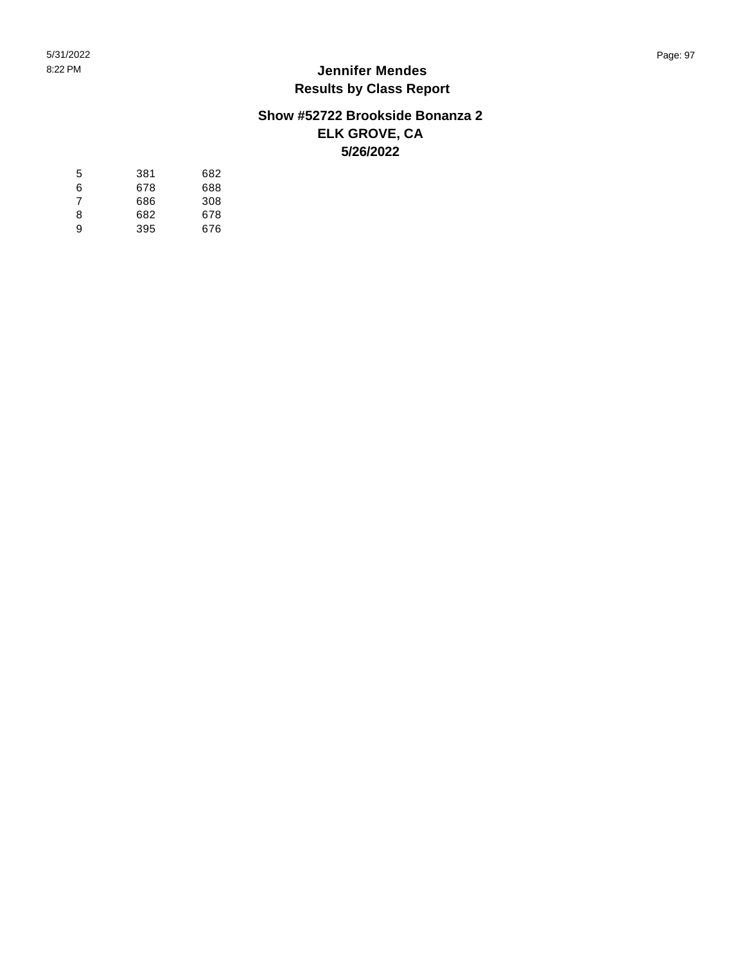#### **Show #52722 Brookside Bonanza 2 ELK GROVE, CA 5/26/2022**

| 5 | 381 | 682 |
|---|-----|-----|
| 6 | 678 | 688 |
| 7 | 686 | 308 |
| 8 | 682 | 678 |
| 9 | 395 | 676 |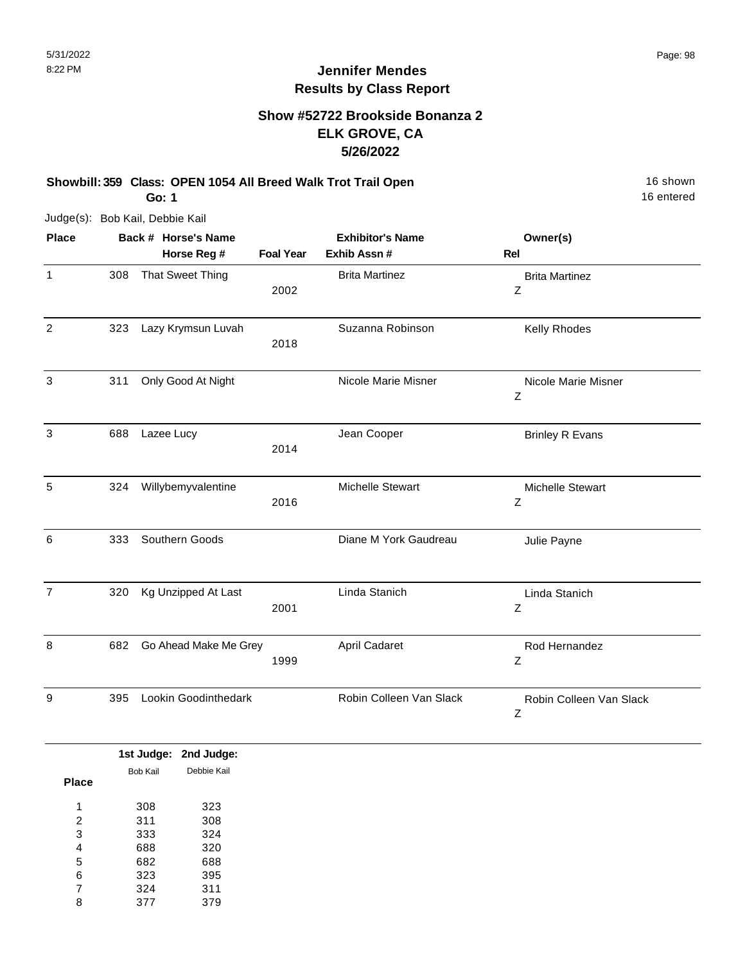#### **Show #52722 Brookside Bonanza 2 ELK GROVE, CA 5/26/2022**

**Showbill: 359 Class: OPEN 1054 All Breed Walk Trot Trail Open** 16 Shown 16 shown **Go: 1**

Judge(s): Bob Kail, Debbie Kail

| <b>Place</b>   | Back # Horse's Name |                            |                  | <b>Exhibitor's Name</b> | Owner(s)                     |
|----------------|---------------------|----------------------------|------------------|-------------------------|------------------------------|
|                |                     | Horse Reg #                | <b>Foal Year</b> | Exhib Assn #            | Rel                          |
| $\mathbf{1}$   | 308                 | <b>That Sweet Thing</b>    | 2002             | <b>Brita Martinez</b>   | <b>Brita Martinez</b><br>Ζ   |
| $\overline{2}$ | 323                 | Lazy Krymsun Luvah         | 2018             | Suzanna Robinson        | Kelly Rhodes                 |
| 3              | 311                 | Only Good At Night         |                  | Nicole Marie Misner     | Nicole Marie Misner<br>Ζ     |
| 3              | 688                 | Lazee Lucy                 | 2014             | Jean Cooper             | <b>Brinley R Evans</b>       |
| 5              | 324                 | Willybemyvalentine         | 2016             | Michelle Stewart        | Michelle Stewart<br>Z        |
| 6              | 333                 | Southern Goods             |                  | Diane M York Gaudreau   | Julie Payne                  |
| $\overline{7}$ | 320                 | <b>Kg Unzipped At Last</b> | 2001             | Linda Stanich           | Linda Stanich<br>Ζ           |
| 8              | 682                 | Go Ahead Make Me Grey      | 1999             | April Cadaret           | Rod Hernandez<br>Z           |
| 9              | 395                 | Lookin Goodinthedark       |                  | Robin Colleen Van Slack | Robin Colleen Van Slack<br>Ζ |

|              |          | 1st Judge: 2nd Judge: |
|--------------|----------|-----------------------|
|              | Bob Kail | Debbie Kail           |
| <b>Place</b> |          |                       |
| 1            | 308      | 323                   |
| 2            | 311      | 308                   |
| 3            | 333      | 324                   |
| 4            | 688      | 320                   |
| 5            | 682      | 688                   |
| 6            | 323      | 395                   |
| 7            | 324      | 311                   |
| 8            | 377      | 379                   |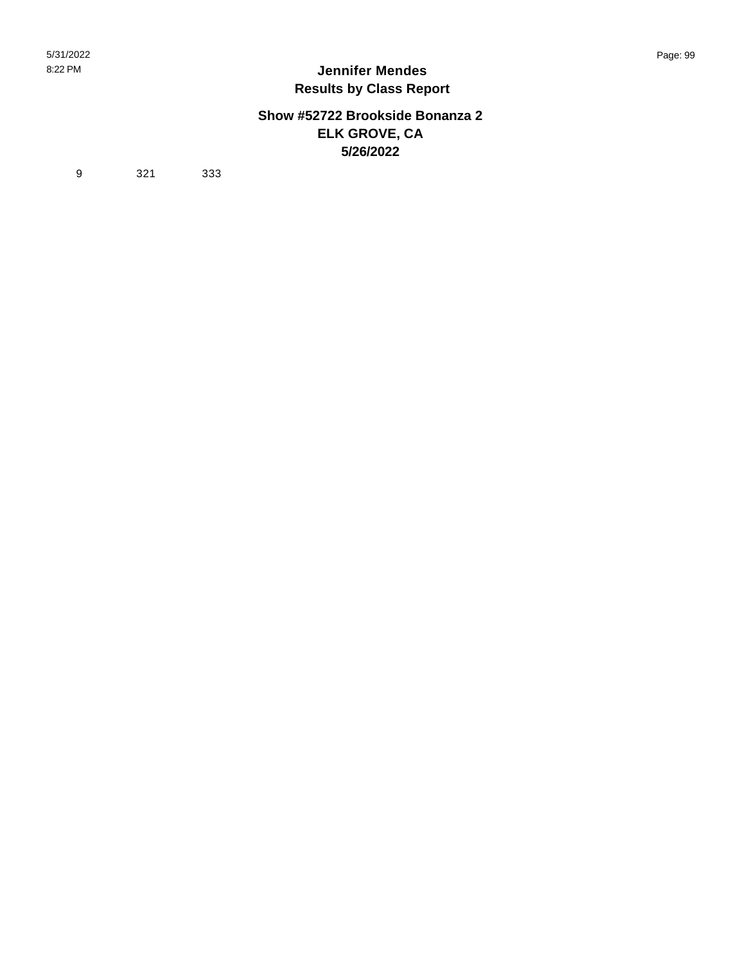#### **Show #52722 Brookside Bonanza 2 ELK GROVE, CA 5/26/2022**

9 321 333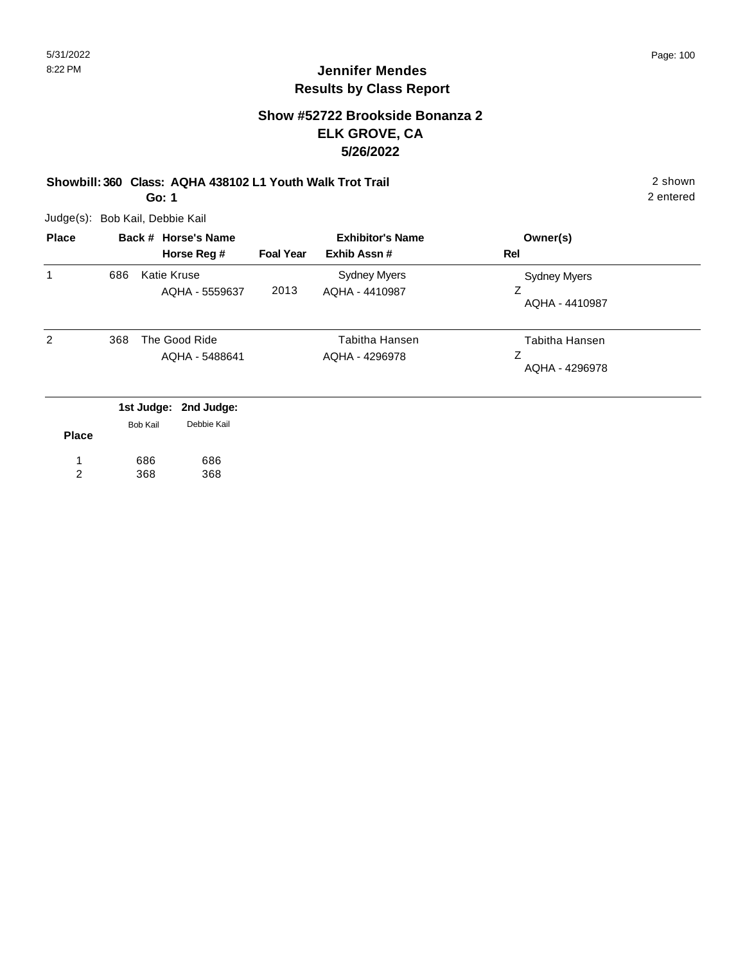### **Show #52722 Brookside Bonanza 2 ELK GROVE, CA 5/26/2022**

#### **Showbill: 360 Class: AQHA 438102 L1 Youth Walk Trot Trail** 2 shown **Go: 1**

Judge(s): Bob Kail, Debbie Kail

| <b>Place</b> |     | Back # Horse's Name                  | <b>Exhibitor's Name</b> |                                       | Owner(s)                              |
|--------------|-----|--------------------------------------|-------------------------|---------------------------------------|---------------------------------------|
|              |     | Horse Reg #                          | <b>Foal Year</b>        | Exhib Assn#                           | <b>Rel</b>                            |
| 1            | 686 | <b>Katie Kruse</b><br>AQHA - 5559637 | 2013                    | <b>Sydney Myers</b><br>AQHA - 4410987 | <b>Sydney Myers</b><br>AQHA - 4410987 |
| 2            | 368 | The Good Ride<br>AQHA - 5488641      |                         | Tabitha Hansen<br>AQHA - 4296978      | Tabitha Hansen<br>Ζ<br>AQHA - 4296978 |
|              |     | 1st Judge: 2nd Judge:                |                         |                                       |                                       |
| $D1 - - -$   |     | Debbie Kail<br>Bob Kail              |                         |                                       |                                       |

| <b>Place</b> |     |     |
|--------------|-----|-----|
|              | 686 | 686 |
| 2            | 368 | 368 |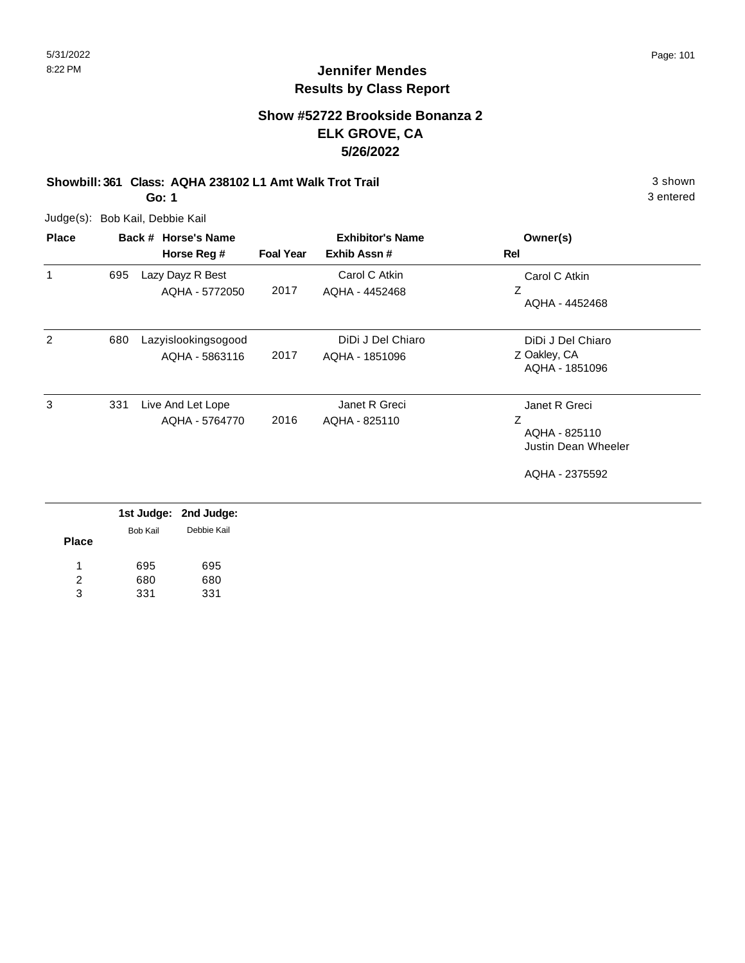### **Show #52722 Brookside Bonanza 2 ELK GROVE, CA 5/26/2022**

### **Showbill: 361 Class: AQHA 238102 L1 Amt Walk Trot Trail** 3 shown

**Go: 1**

Judge(s): Bob Kail, Debbie Kail

| <b>Place</b>   |     | Back # Horse's Name<br>Horse Reg #    | <b>Foal Year</b> | <b>Exhibitor's Name</b><br>Exhib Assn# | Owner(s)<br>Rel                                                              |
|----------------|-----|---------------------------------------|------------------|----------------------------------------|------------------------------------------------------------------------------|
| 1              | 695 | Lazy Dayz R Best<br>AQHA - 5772050    | 2017             | Carol C Atkin<br>AQHA - 4452468        | Carol C Atkin<br>Z<br>AQHA - 4452468                                         |
| $\overline{2}$ | 680 | Lazyislookingsogood<br>AQHA - 5863116 | 2017             | DiDi J Del Chiaro<br>AQHA - 1851096    | DiDi J Del Chiaro<br>Z Oakley, CA<br>AQHA - 1851096                          |
| 3              | 331 | Live And Let Lope<br>AQHA - 5764770   | 2016             | Janet R Greci<br>AQHA - 825110         | Janet R Greci<br>Z<br>AQHA - 825110<br>Justin Dean Wheeler<br>AQHA - 2375592 |

|              |          | 1st Judge: 2nd Judge: |
|--------------|----------|-----------------------|
|              | Bob Kail | Debbie Kail           |
| <b>Place</b> |          |                       |
| -1           | 695      | 695                   |
| 2            | 680      | 680                   |
| 3            | 331      | 331                   |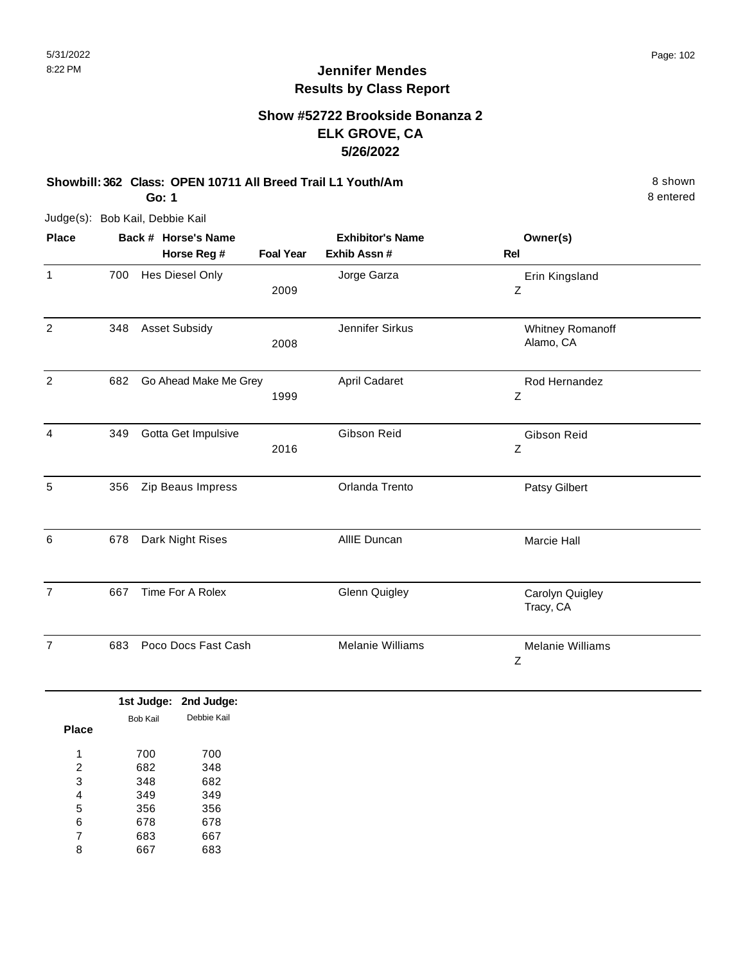### **Show #52722 Brookside Bonanza 2 ELK GROVE, CA 5/26/2022**

#### **Showbill: 362 Class: OPEN 10711 All Breed Trail L1 Youth/Am** 8 Shown 8 shown **Go: 1**

Judge(s): Bob Kail, Debbie Kail

| <b>Place</b>   |     | Back # Horse's Name<br>Horse Reg # | <b>Foal Year</b> | <b>Exhibitor's Name</b><br>Exhib Assn # | Owner(s)<br><b>Rel</b>        |
|----------------|-----|------------------------------------|------------------|-----------------------------------------|-------------------------------|
| $\mathbf{1}$   | 700 | Hes Diesel Only                    | 2009             | Jorge Garza                             | Erin Kingsland<br>Z           |
| $\overline{2}$ | 348 | <b>Asset Subsidy</b>               | 2008             | Jennifer Sirkus                         | Whitney Romanoff<br>Alamo, CA |
| $\overline{c}$ | 682 | Go Ahead Make Me Grey              | 1999             | April Cadaret                           | Rod Hernandez<br>Z            |
| 4              | 349 | Gotta Get Impulsive                | 2016             | Gibson Reid                             | Gibson Reid<br>Z              |
| 5              | 356 | Zip Beaus Impress                  |                  | Orlanda Trento                          | Patsy Gilbert                 |
| 6              | 678 | Dark Night Rises                   |                  | AllIE Duncan                            | <b>Marcie Hall</b>            |
| $\overline{7}$ | 667 | Time For A Rolex                   |                  | <b>Glenn Quigley</b>                    | Carolyn Quigley<br>Tracy, CA  |
| $\overline{7}$ | 683 | Poco Docs Fast Cash                |                  | Melanie Williams                        | <b>Melanie Williams</b><br>Z  |

|       |          | 1st Judge: 2nd Judge: |  |
|-------|----------|-----------------------|--|
| Place | Bob Kail | Debbie Kail           |  |
| 1     | 700      | 700                   |  |
| 2     | 682      | 348                   |  |
| 3     | 348      | 682                   |  |
| 4     | 349      | 349                   |  |
| 5     | 356      | 356                   |  |
| 6     | 678      | 678                   |  |
| 7     | 683      | 667                   |  |
| 8     | 667      | 683                   |  |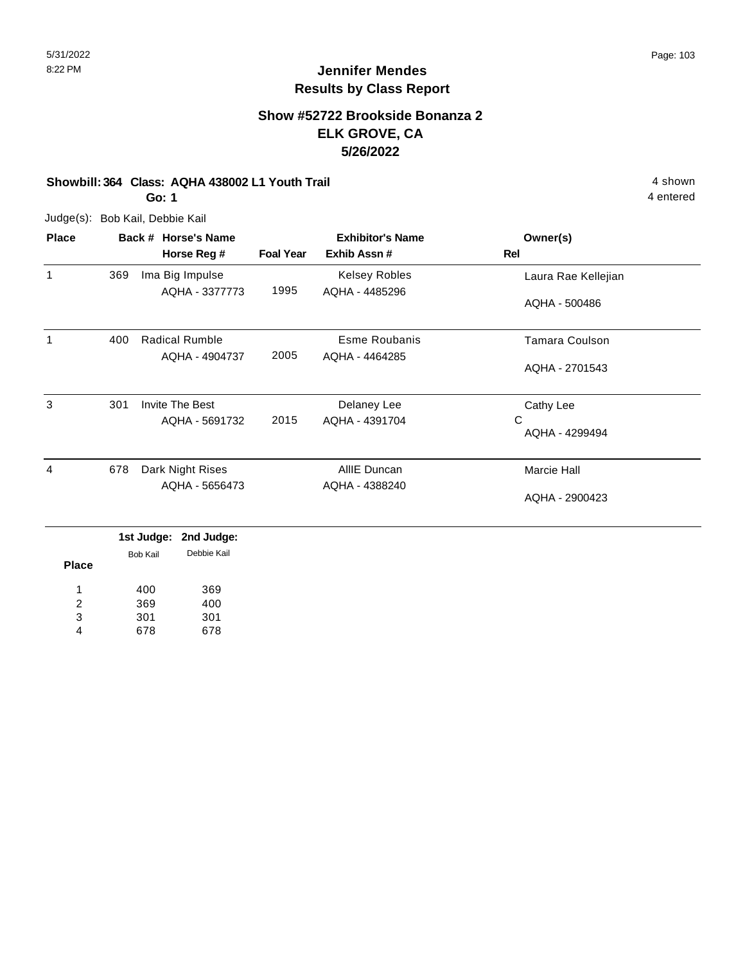### **Show #52722 Brookside Bonanza 2 ELK GROVE, CA 5/26/2022**

#### **Showbill: 364 Class: AQHA 438002 L1 Youth Trail 4 shown 4 shown 4 shown**

**Go: 1**

Judge(s): Bob Kail, Debbie Kail

| <b>Place</b> | Back # Horse's Name |                                                            | <b>Exhibitor's Name</b> |                | Owner(s)            |
|--------------|---------------------|------------------------------------------------------------|-------------------------|----------------|---------------------|
|              |                     | Horse Reg #                                                | <b>Foal Year</b>        | Exhib Assn #   | Rel                 |
| 1            | 369                 | Ima Big Impulse                                            |                         | Kelsey Robles  | Laura Rae Kellejian |
|              |                     | AQHA - 3377773                                             | 1995                    | AQHA - 4485296 | AQHA - 500486       |
| $\mathbf 1$  | 400                 | <b>Radical Rumble</b>                                      |                         | Esme Roubanis  | Tamara Coulson      |
|              |                     | AQHA - 4904737                                             | 2005                    | AQHA - 4464285 | AQHA - 2701543      |
| 3            | 301                 | Invite The Best                                            |                         | Delaney Lee    | Cathy Lee           |
|              |                     | AQHA - 5691732                                             | 2015                    | AQHA - 4391704 | C<br>AQHA - 4299494 |
| 4            | 678                 | Dark Night Rises                                           |                         | AllIE Duncan   | Marcie Hall         |
|              |                     | AQHA - 5656473                                             |                         | AQHA - 4388240 | AQHA - 2900423      |
|              |                     | 1st Judge:<br>2nd Judge:<br>Debbie Kail<br><b>Bob Kail</b> |                         |                |                     |

**Place** 400 369 301 678 369 400 301 678 1 2 3 4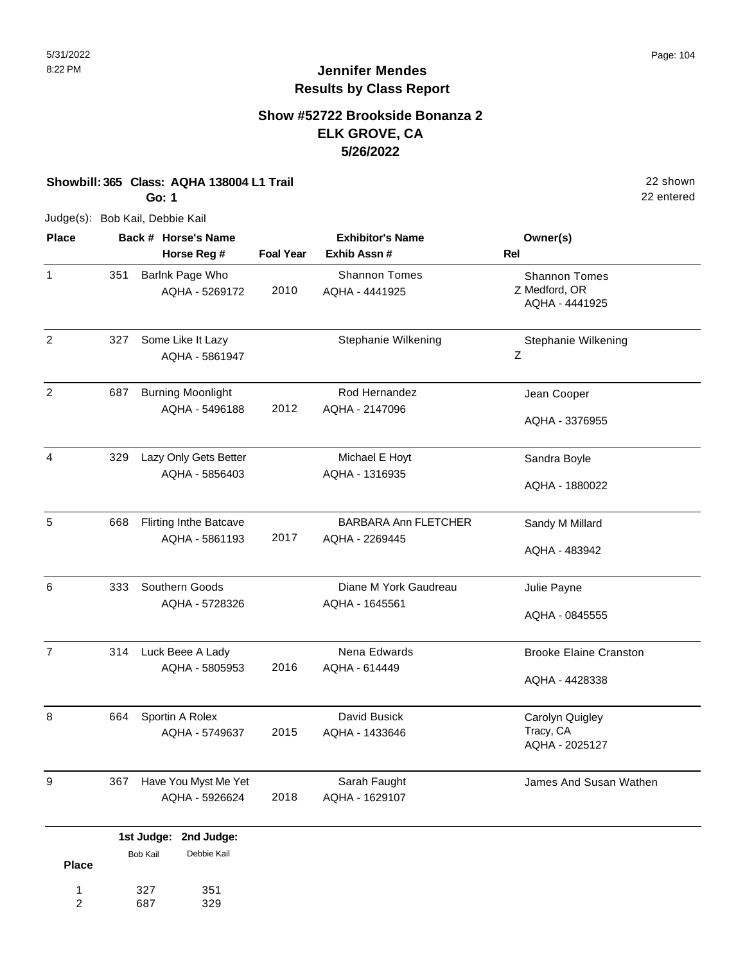22 entered

# **Jennifer Mendes Results by Class Report**

### **Show #52722 Brookside Bonanza 2 ELK GROVE, CA 5/26/2022**

**Showbill: 365 Class: AQHA 138004 L1 Trail** 22 shown

**Go: 1**

Judge(s): Bob Kail, Debbie Kail

327 687

1 2 351 329

| Horse Reg #<br>Barlnk Page Who<br>AQHA - 5269172<br>Some Like It Lazy | <b>Foal Year</b><br>2010                                | Exhib Assn#<br><b>Shannon Tomes</b><br>AQHA - 4441925 | Rel<br><b>Shannon Tomes</b><br>Z Medford, OR    |
|-----------------------------------------------------------------------|---------------------------------------------------------|-------------------------------------------------------|-------------------------------------------------|
|                                                                       |                                                         |                                                       |                                                 |
|                                                                       |                                                         |                                                       | AQHA - 4441925                                  |
| AQHA - 5861947                                                        |                                                         | Stephanie Wilkening                                   | Stephanie Wilkening<br>Ζ                        |
| <b>Burning Moonlight</b><br>AQHA - 5496188                            | 2012                                                    | Rod Hernandez<br>AQHA - 2147096                       | Jean Cooper<br>AQHA - 3376955                   |
| Lazy Only Gets Better<br>AQHA - 5856403                               |                                                         | Michael E Hoyt<br>AQHA - 1316935                      | Sandra Boyle<br>AQHA - 1880022                  |
| <b>Flirting Inthe Batcave</b><br>AQHA - 5861193                       | 2017                                                    | <b>BARBARA Ann FLETCHER</b><br>AQHA - 2269445         | Sandy M Millard<br>AQHA - 483942                |
| Southern Goods<br>AQHA - 5728326                                      |                                                         | Diane M York Gaudreau<br>AQHA - 1645561               | Julie Payne<br>AQHA - 0845555                   |
| Luck Beee A Lady<br>AQHA - 5805953                                    | 2016                                                    | Nena Edwards<br>AQHA - 614449                         | <b>Brooke Elaine Cranston</b><br>AQHA - 4428338 |
| Sportin A Rolex<br>AQHA - 5749637                                     | 2015                                                    | David Busick<br>AQHA - 1433646                        | Carolyn Quigley<br>Tracy, CA<br>AQHA - 2025127  |
| Have You Myst Me Yet<br>AQHA - 5926624                                | 2018                                                    | Sarah Faught<br>AQHA - 1629107                        | James And Susan Wathen                          |
|                                                                       | 1st Judge: 2nd Judge:<br>Debbie Kail<br><b>Bob Kail</b> |                                                       |                                                 |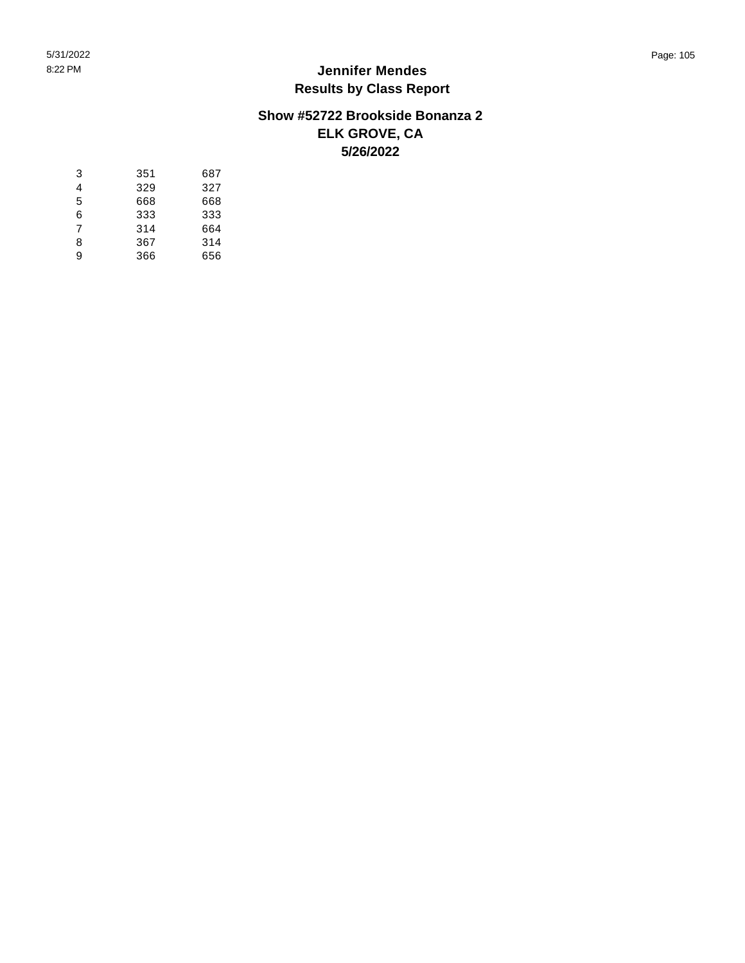#### **Show #52722 Brookside Bonanza 2 ELK GROVE, CA 5/26/2022**

| 3 | 351 | 687 |
|---|-----|-----|
| 4 | 329 | 327 |
| 5 | 668 | 668 |
| 6 | 333 | 333 |
| 7 | 314 | 664 |
| 8 | 367 | 314 |
| 9 | 366 | 656 |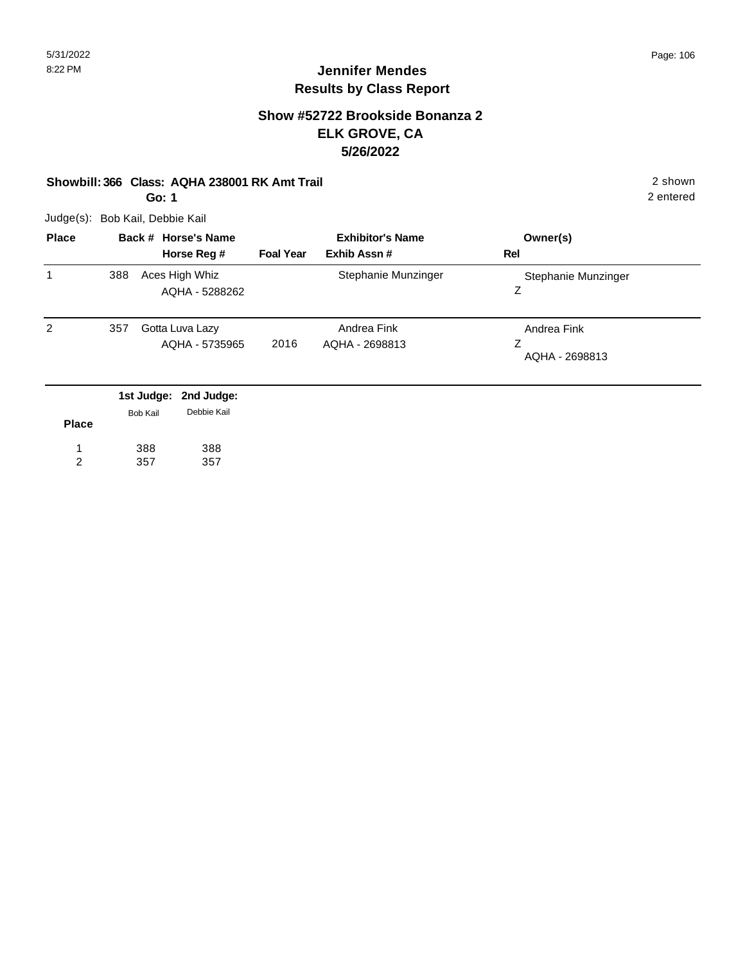#### **Show #52722 Brookside Bonanza 2 ELK GROVE, CA 5/26/2022**

#### **Showbill: 366 Class: AQHA 238001 RK Amt Trail** 2 shown

**Go: 1**

Judge(s): Bob Kail, Debbie Kail

| <b>Place</b> | Back # Horse's Name |                                   | <b>Exhibitor's Name</b> |                               | Owner(s)                           |
|--------------|---------------------|-----------------------------------|-------------------------|-------------------------------|------------------------------------|
|              |                     | Horse Reg #                       | <b>Foal Year</b>        | Exhib Assn#                   | Rel                                |
| 1            | 388                 | Aces High Whiz<br>AQHA - 5288262  |                         | Stephanie Munzinger           | Stephanie Munzinger<br>Ζ           |
| 2            | 357                 | Gotta Luva Lazy<br>AQHA - 5735965 | 2016                    | Andrea Fink<br>AQHA - 2698813 | Andrea Fink<br>Ζ<br>AQHA - 2698813 |

|              |          | 1st Judge: 2nd Judge: |
|--------------|----------|-----------------------|
|              | Bob Kail | Debbie Kail           |
| <b>Place</b> |          |                       |
| 1            | 388      | 388                   |
|              | 357      | 357                   |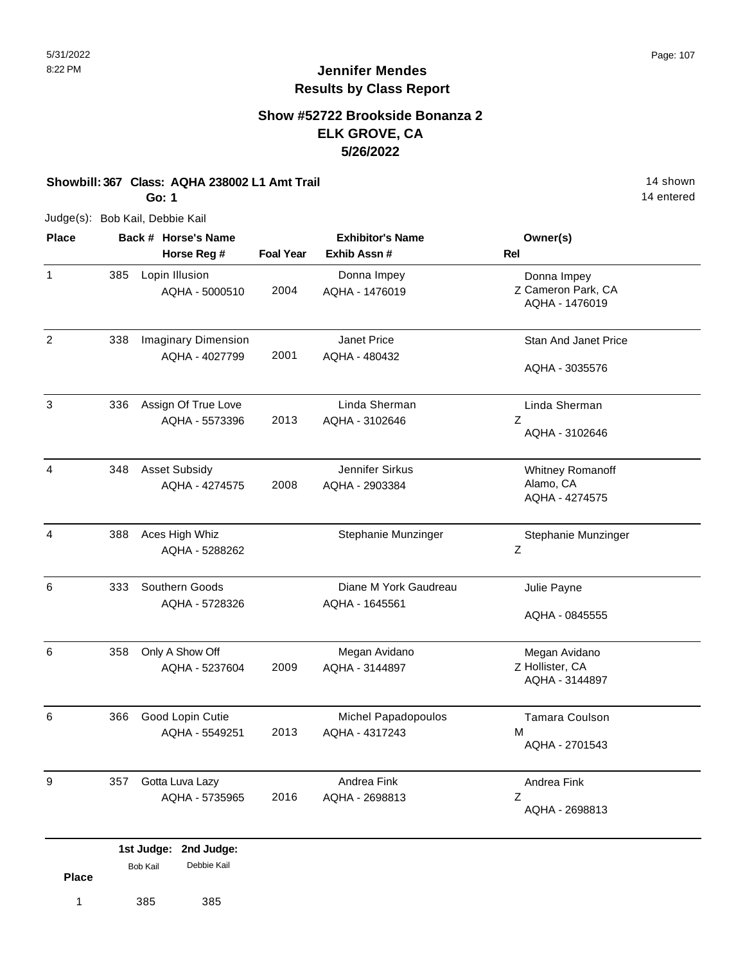### **Show #52722 Brookside Bonanza 2 ELK GROVE, CA 5/26/2022**

#### **Showbill: 367 Class: AQHA 238002 L1 Amt Trail 14 Shown 14 shown**

**Go: 1**

Judge(s): Bob Kail, Debbie Kail

| <b>Place</b>   |     | Back # Horse's Name                          |                  | <b>Exhibitor's Name</b>                 | Owner(s)                                            |
|----------------|-----|----------------------------------------------|------------------|-----------------------------------------|-----------------------------------------------------|
|                |     | Horse Reg #                                  | <b>Foal Year</b> | Exhib Assn #                            | Rel                                                 |
| $\mathbf{1}$   | 385 | Lopin Illusion<br>AQHA - 5000510             | 2004             | Donna Impey<br>AQHA - 1476019           | Donna Impey<br>Z Cameron Park, CA<br>AQHA - 1476019 |
| $\sqrt{2}$     | 338 | <b>Imaginary Dimension</b><br>AQHA - 4027799 | 2001             | Janet Price<br>AQHA - 480432            | Stan And Janet Price<br>AQHA - 3035576              |
| 3              | 336 | Assign Of True Love<br>AQHA - 5573396        | 2013             | Linda Sherman<br>AQHA - 3102646         | Linda Sherman<br>Z<br>AQHA - 3102646                |
| 4              | 348 | <b>Asset Subsidy</b><br>AQHA - 4274575       | 2008             | Jennifer Sirkus<br>AQHA - 2903384       | Whitney Romanoff<br>Alamo, CA<br>AQHA - 4274575     |
| $\overline{4}$ | 388 | Aces High Whiz<br>AQHA - 5288262             |                  | Stephanie Munzinger                     | Stephanie Munzinger<br>Ζ                            |
| 6              | 333 | Southern Goods<br>AQHA - 5728326             |                  | Diane M York Gaudreau<br>AQHA - 1645561 | Julie Payne<br>AQHA - 0845555                       |
| 6              | 358 | Only A Show Off<br>AQHA - 5237604            | 2009             | Megan Avidano<br>AQHA - 3144897         | Megan Avidano<br>Z Hollister, CA<br>AQHA - 3144897  |
| 6              | 366 | Good Lopin Cutie<br>AQHA - 5549251           | 2013             | Michel Papadopoulos<br>AQHA - 4317243   | <b>Tamara Coulson</b><br>M<br>AQHA - 2701543        |
| 9              | 357 | Gotta Luva Lazy<br>AQHA - 5735965            | 2016             | Andrea Fink<br>AQHA - 2698813           | Andrea Fink<br>Z<br>AQHA - 2698813                  |
|                |     | 1st Judge: 2nd Judge:                        |                  |                                         |                                                     |

| <b>Place</b> | <b>Bob Kail</b> | Debbie Kail |
|--------------|-----------------|-------------|
| 1            | 385             | 385         |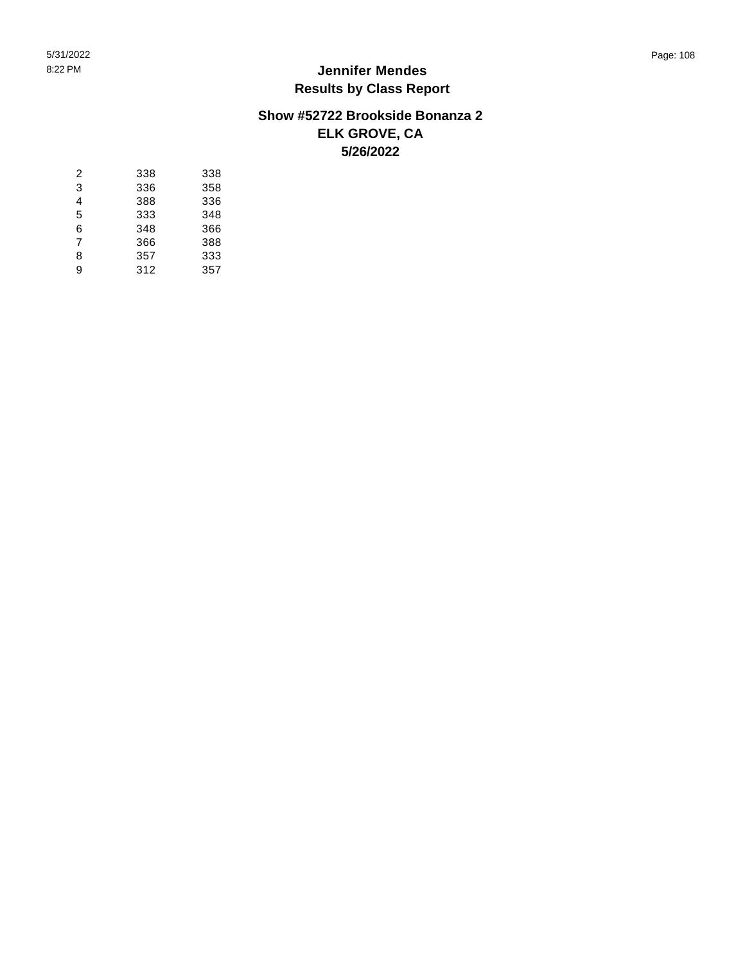#### **Show #52722 Brookside Bonanza 2 ELK GROVE, CA 5/26/2022**

| 338 | 338 |
|-----|-----|
| 336 | 358 |
| 388 | 336 |
| 333 | 348 |
| 348 | 366 |
| 366 | 388 |
| 357 | 333 |
| 312 | 357 |
|     |     |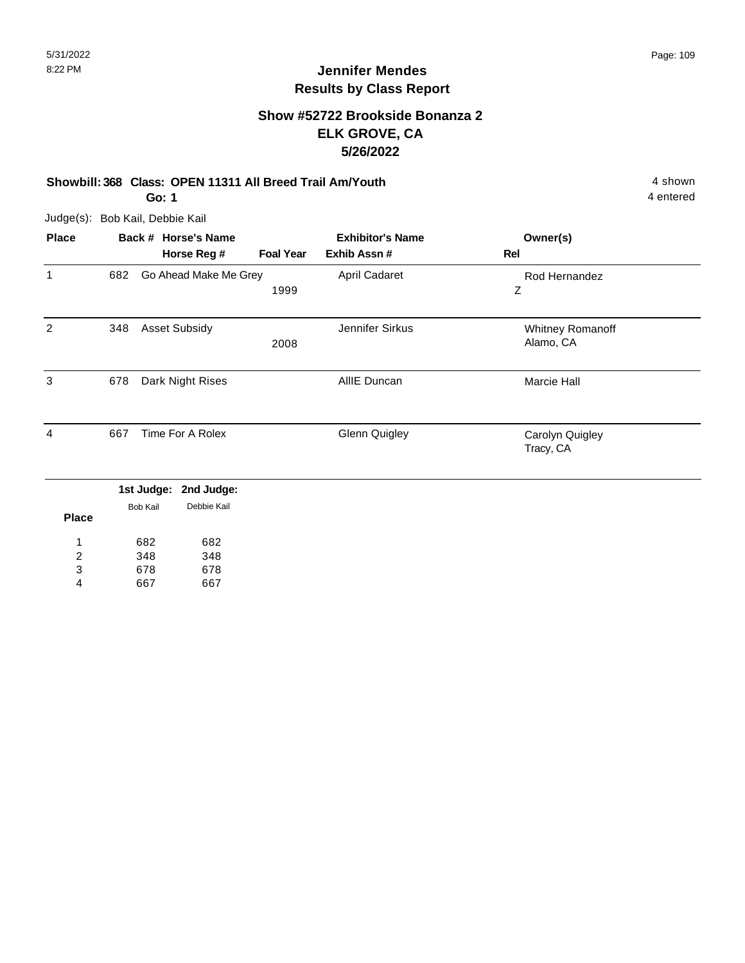# **Jennifer Mendes Results by Class Report**

## **Show #52722 Brookside Bonanza 2 ELK GROVE, CA 5/26/2022**

## **Showbill: 368 Class: OPEN 11311 All Breed Trail Am/Youth** 4 shown

**Go: 1**

Judge(s): Bob Kail, Debbie Kail

| <b>Place</b> |     | Back # Horse's Name                                        |                  | <b>Exhibitor's Name</b> | Owner(s)                      |  |
|--------------|-----|------------------------------------------------------------|------------------|-------------------------|-------------------------------|--|
|              |     | Horse Reg #                                                | <b>Foal Year</b> | Exhib Assn#             | Rel                           |  |
| $\mathbf 1$  | 682 | Go Ahead Make Me Grey                                      | 1999             | April Cadaret           | Rod Hernandez<br>Ζ            |  |
| 2            | 348 | <b>Asset Subsidy</b>                                       | 2008             | Jennifer Sirkus         | Whitney Romanoff<br>Alamo, CA |  |
| 3            | 678 | Dark Night Rises                                           |                  | AllIE Duncan            | Marcie Hall                   |  |
| 4            | 667 | Time For A Rolex                                           |                  | <b>Glenn Quigley</b>    | Carolyn Quigley<br>Tracy, CA  |  |
| <b>Place</b> |     | 1st Judge:<br>2nd Judge:<br>Debbie Kail<br><b>Bob Kail</b> |                  |                         |                               |  |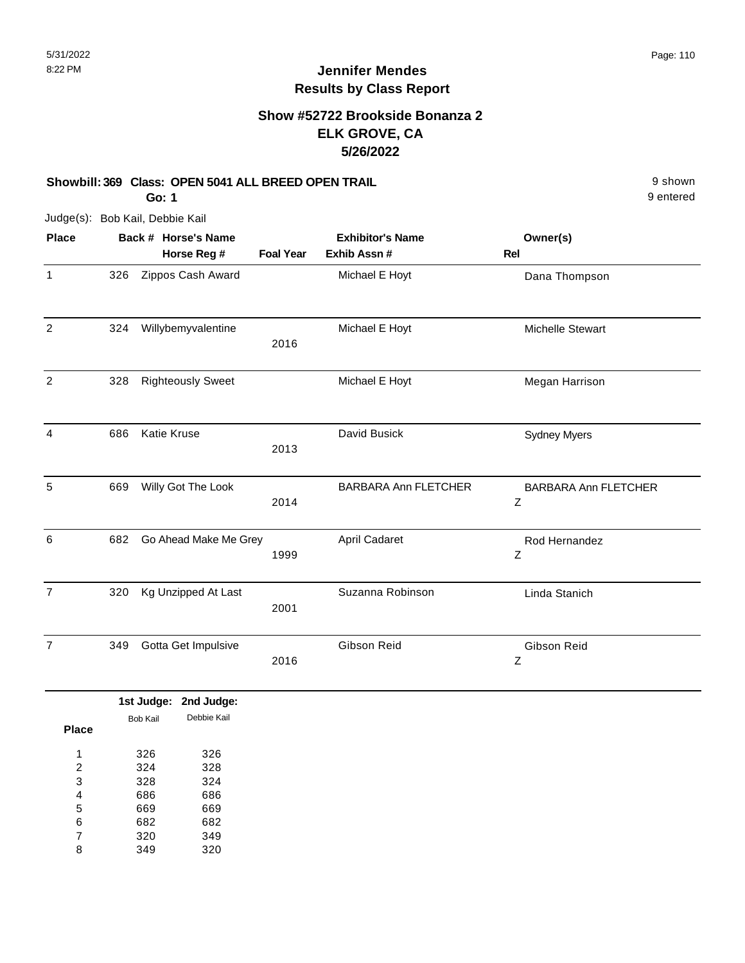## **Show #52722 Brookside Bonanza 2 ELK GROVE, CA 5/26/2022**

#### **Showbill: 369 Class: OPEN 5041 ALL BREED OPEN TRAIL Shown** 9 shown

9 entered

**Go: 1**

| <b>Place</b>            |     |                 | Back # Horse's Name      |                  | <b>Exhibitor's Name</b>     | Owner(s)                         |
|-------------------------|-----|-----------------|--------------------------|------------------|-----------------------------|----------------------------------|
|                         |     |                 | Horse Reg #              | <b>Foal Year</b> | Exhib Assn #                | Rel                              |
| $\mathbf{1}$            | 326 |                 | Zippos Cash Award        |                  | Michael E Hoyt              | Dana Thompson                    |
| $\overline{\mathbf{c}}$ | 324 |                 | Willybemyvalentine       | 2016             | Michael E Hoyt              | Michelle Stewart                 |
| $\sqrt{2}$              | 328 |                 | <b>Righteously Sweet</b> |                  | Michael E Hoyt              | Megan Harrison                   |
| 4                       | 686 |                 | Katie Kruse              | 2013             | David Busick                | <b>Sydney Myers</b>              |
| 5                       | 669 |                 | Willy Got The Look       | 2014             | <b>BARBARA Ann FLETCHER</b> | <b>BARBARA Ann FLETCHER</b><br>Z |
| 6                       | 682 |                 | Go Ahead Make Me Grey    | 1999             | <b>April Cadaret</b>        | Rod Hernandez<br>Z               |
| $\overline{7}$          | 320 |                 | Kg Unzipped At Last      | 2001             | Suzanna Robinson            | Linda Stanich                    |
| $\overline{7}$          | 349 |                 | Gotta Get Impulsive      | 2016             | Gibson Reid                 | Gibson Reid<br>$\boldsymbol{Z}$  |
|                         |     |                 | 1st Judge: 2nd Judge:    |                  |                             |                                  |
| <b>Place</b>            |     | <b>Bob Kail</b> | Debbie Kail              |                  |                             |                                  |
| 1                       |     | 326             | 326                      |                  |                             |                                  |
| $\overline{\mathbf{c}}$ |     | 324             | 328                      |                  |                             |                                  |
| 3                       |     | 328             | 324                      |                  |                             |                                  |
| $\overline{\mathbf{4}}$ |     | 686             | 686                      |                  |                             |                                  |
| 5                       |     | 669             | 669                      |                  |                             |                                  |
| 6                       |     | 682             | 682                      |                  |                             |                                  |
| 7                       |     | 320             | 349                      |                  |                             |                                  |
| 8                       |     | 349             | 320                      |                  |                             |                                  |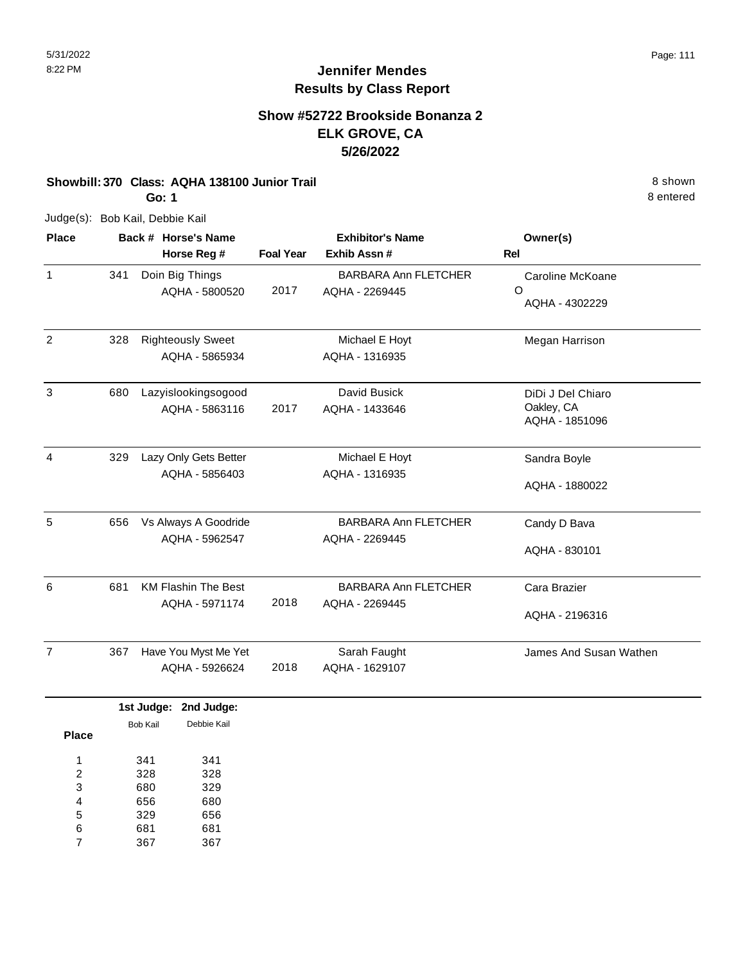## **Show #52722 Brookside Bonanza 2 ELK GROVE, CA 5/26/2022**

#### **Showbill: 370 Class: AQHA 138100 Junior Trail 8 shown 8 shown 8 shown 8 shown**

**Go: 1**

Judge(s): Bob Kail, Debbie Kail

| <b>Place</b>   | Back # Horse's Name<br>Horse Reg # |                                                         | <b>Exhibitor's Name</b><br><b>Foal Year</b><br>Exhib Assn# |                                               | Owner(s)<br>Rel                                   |  |
|----------------|------------------------------------|---------------------------------------------------------|------------------------------------------------------------|-----------------------------------------------|---------------------------------------------------|--|
| $\mathbf{1}$   | 341                                | Doin Big Things<br>AQHA - 5800520                       | 2017                                                       | <b>BARBARA Ann FLETCHER</b><br>AQHA - 2269445 | Caroline McKoane<br>$\Omega$<br>AQHA - 4302229    |  |
| 2              | 328                                | <b>Righteously Sweet</b><br>AQHA - 5865934              |                                                            | Michael E Hoyt<br>AQHA - 1316935              | Megan Harrison                                    |  |
| 3              | 680                                | Lazyislookingsogood<br>AQHA - 5863116                   | 2017                                                       | David Busick<br>AQHA - 1433646                | DiDi J Del Chiaro<br>Oakley, CA<br>AQHA - 1851096 |  |
| $\overline{4}$ | 329                                | Lazy Only Gets Better<br>AQHA - 5856403                 |                                                            | Michael E Hoyt<br>AQHA - 1316935              | Sandra Boyle<br>AQHA - 1880022                    |  |
| 5              | 656                                | Vs Always A Goodride<br>AQHA - 5962547                  |                                                            | <b>BARBARA Ann FLETCHER</b><br>AQHA - 2269445 | Candy D Bava<br>AQHA - 830101                     |  |
| 6              | 681                                | <b>KM Flashin The Best</b><br>AQHA - 5971174            | 2018                                                       | <b>BARBARA Ann FLETCHER</b><br>AQHA - 2269445 | Cara Brazier<br>AQHA - 2196316                    |  |
| $\overline{7}$ | 367                                | Have You Myst Me Yet<br>AQHA - 5926624                  | 2018                                                       | Sarah Faught<br>AQHA - 1629107                | James And Susan Wathen                            |  |
| --             |                                    | 1st Judge: 2nd Judge:<br>Debbie Kail<br><b>Bob Kail</b> |                                                            |                                               |                                                   |  |

| Place |     |     |
|-------|-----|-----|
| 1     | 341 | 341 |
| 2     | 328 | 328 |
| 3     | 680 | 329 |
| 4     | 656 | 680 |
| 5     | 329 | 656 |
| 6     | 681 | 681 |
| 7     | 367 | 367 |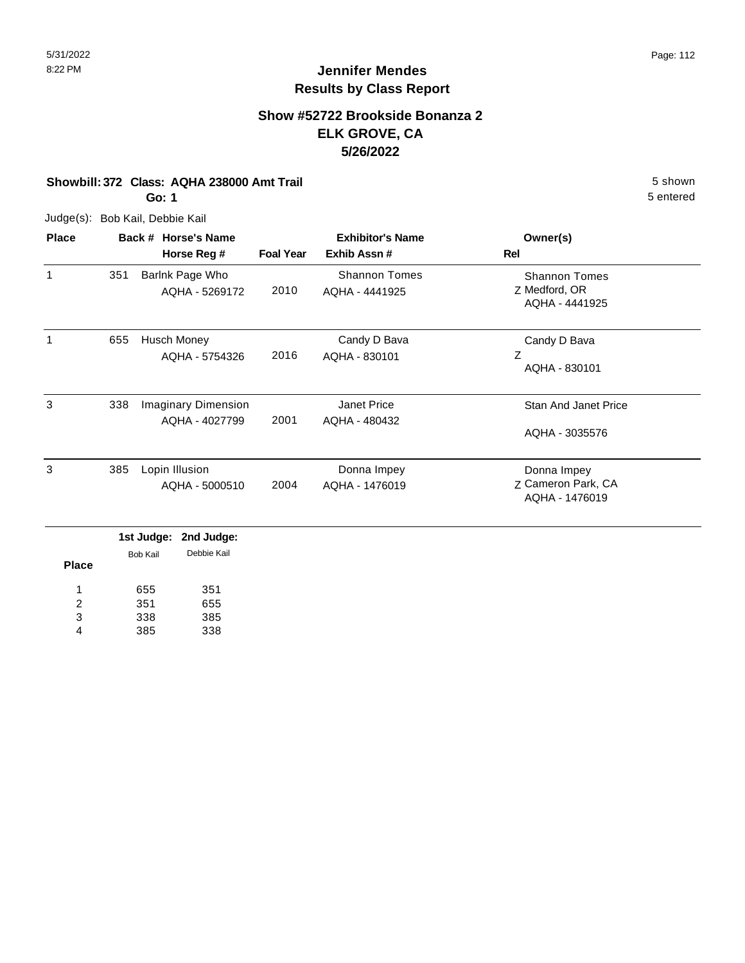## **Show #52722 Brookside Bonanza 2 ELK GROVE, CA 5/26/2022**

#### **Showbill: 372 Class: AQHA 238000 Amt Trail 5 Shown 5 shown 5 shown 5 shown**

**Go: 1**

Judge(s): Bob Kail, Debbie Kail

| <b>Place</b> |     | Back # Horse's Name                          | <b>Exhibitor's Name</b> |                                        | Owner(s)                                                |
|--------------|-----|----------------------------------------------|-------------------------|----------------------------------------|---------------------------------------------------------|
|              |     | Horse Reg #                                  | <b>Foal Year</b>        | Exhib Assn#                            | Rel                                                     |
| 1            | 351 | Barlnk Page Who<br>AQHA - 5269172            | 2010                    | <b>Shannon Tomes</b><br>AQHA - 4441925 | <b>Shannon Tomes</b><br>Z Medford, OR<br>AQHA - 4441925 |
| 1            | 655 | Husch Money<br>AQHA - 5754326                | 2016                    | Candy D Bava<br>AQHA - 830101          | Candy D Bava<br>Ζ<br>AQHA - 830101                      |
| 3            | 338 | <b>Imaginary Dimension</b><br>AQHA - 4027799 | 2001                    | Janet Price<br>AQHA - 480432           | <b>Stan And Janet Price</b><br>AQHA - 3035576           |
| 3            | 385 | Lopin Illusion<br>AQHA - 5000510             | 2004                    | Donna Impey<br>AQHA - 1476019          | Donna Impey<br>Z Cameron Park, CA<br>AQHA - 1476019     |

|              |          | 1st Judge: 2nd Judge: |  |
|--------------|----------|-----------------------|--|
| <b>Place</b> | Bob Kail | Debbie Kail           |  |
|              |          |                       |  |
| 1            | 655      | 351                   |  |
| 2            | 351      | 655                   |  |
| 3            | 338      | 385                   |  |
| 4            | 385      | 338                   |  |
|              |          |                       |  |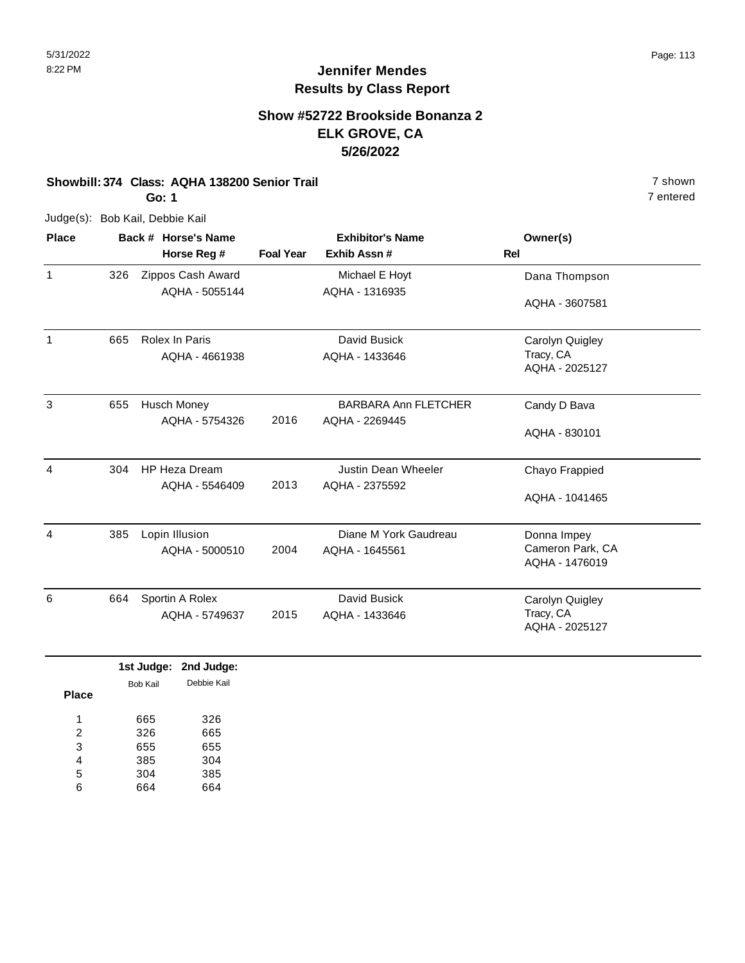## **Show #52722 Brookside Bonanza 2 ELK GROVE, CA 5/26/2022**

#### **Showbill: 374 Class: AQHA 138200 Senior Trail** 7 shown

**Go: 1**

Judge(s): Bob Kail, Debbie Kail

| <b>Place</b> |     | Back # Horse's Name  | <b>Exhibitor's Name</b> |                             | Owner(s)         |
|--------------|-----|----------------------|-------------------------|-----------------------------|------------------|
|              |     | Horse Reg #          | <b>Foal Year</b>        | Exhib Assn#                 | <b>Rel</b>       |
| $\mathbf{1}$ | 326 | Zippos Cash Award    |                         | Michael E Hoyt              | Dana Thompson    |
|              |     | AQHA - 5055144       |                         | AQHA - 1316935              |                  |
|              |     |                      |                         |                             | AQHA - 3607581   |
| $\mathbf{1}$ | 665 | Rolex In Paris       |                         | David Busick                | Carolyn Quigley  |
|              |     | AQHA - 4661938       |                         | AQHA - 1433646              | Tracy, CA        |
|              |     |                      |                         |                             | AQHA - 2025127   |
| 3            | 655 | <b>Husch Money</b>   |                         | <b>BARBARA Ann FLETCHER</b> | Candy D Bava     |
|              |     | AQHA - 5754326       | 2016                    | AQHA - 2269445              |                  |
|              |     |                      |                         |                             | AQHA - 830101    |
| 4            | 304 | <b>HP Heza Dream</b> |                         | Justin Dean Wheeler         | Chayo Frappied   |
|              |     | AQHA - 5546409       | 2013                    | AQHA - 2375592              |                  |
|              |     |                      |                         |                             | AQHA - 1041465   |
| 4            | 385 | Lopin Illusion       |                         | Diane M York Gaudreau       | Donna Impey      |
|              |     | AQHA - 5000510       | 2004                    | AQHA - 1645561              | Cameron Park, CA |
|              |     |                      |                         |                             | AQHA - 1476019   |
| 6            | 664 | Sportin A Rolex      |                         | David Busick                | Carolyn Quigley  |
|              |     | AQHA - 5749637       | 2015                    | AQHA - 1433646              | Tracy, CA        |
|              |     |                      |                         |                             | AQHA - 2025127   |

|       |          | 1st Judge: 2nd Judge: |
|-------|----------|-----------------------|
|       | Bob Kail | Debbie Kail           |
| Place |          |                       |
| 1     | 665      | 326                   |
| 2     | 326      | 665                   |
| 3     | 655      | 655                   |
| 4     | 385      | 304                   |
| 5     | 304      | 385                   |
| հ     | 664      | 664                   |
|       |          |                       |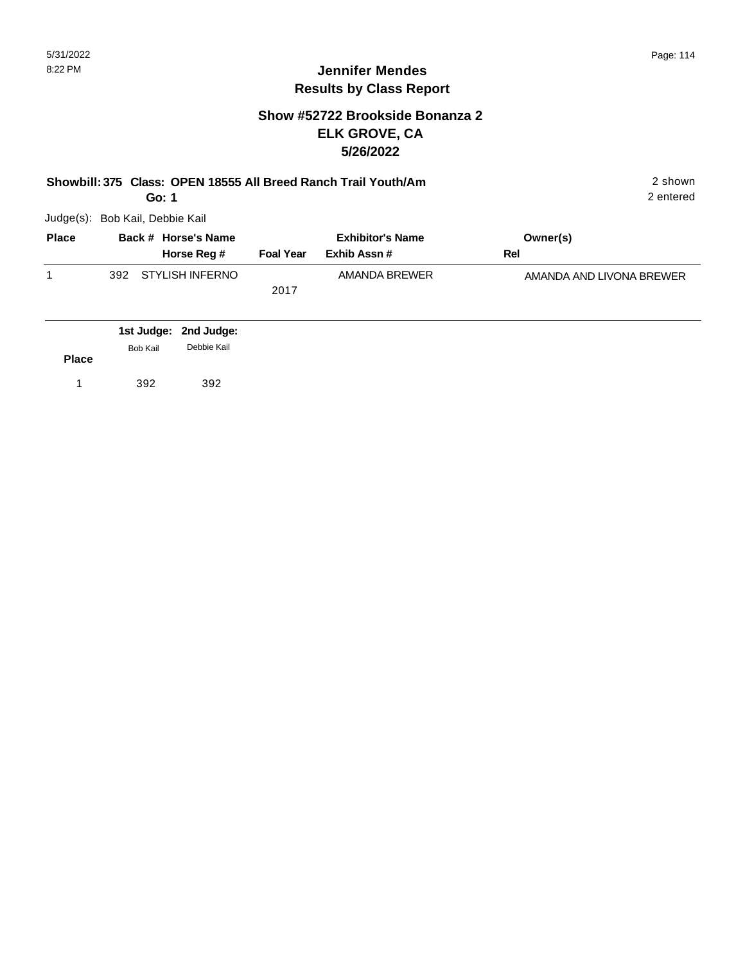## **Show #52722 Brookside Bonanza 2 ELK GROVE, CA 5/26/2022**

| Showbill: 375 Class: OPEN 18555 All Breed Ranch Trail Youth/Am<br>Go: 1 |                                 |                                    |                  |                                        |                          |  |  |
|-------------------------------------------------------------------------|---------------------------------|------------------------------------|------------------|----------------------------------------|--------------------------|--|--|
|                                                                         | Judge(s): Bob Kail, Debbie Kail |                                    |                  |                                        |                          |  |  |
| <b>Place</b>                                                            |                                 | Back # Horse's Name<br>Horse Reg # | <b>Foal Year</b> | <b>Exhibitor's Name</b><br>Exhib Assn# | Owner(s)<br><b>Rel</b>   |  |  |
| 1                                                                       | 392                             | <b>STYLISH INFERNO</b>             | 2017             | AMANDA BREWER                          | AMANDA AND LIVONA BREWER |  |  |
| <b>Place</b>                                                            | 1st Judge:<br>Bob Kail          | 2nd Judge:<br>Debbie Kail          |                  |                                        |                          |  |  |
| 1                                                                       | 392                             | 392                                |                  |                                        |                          |  |  |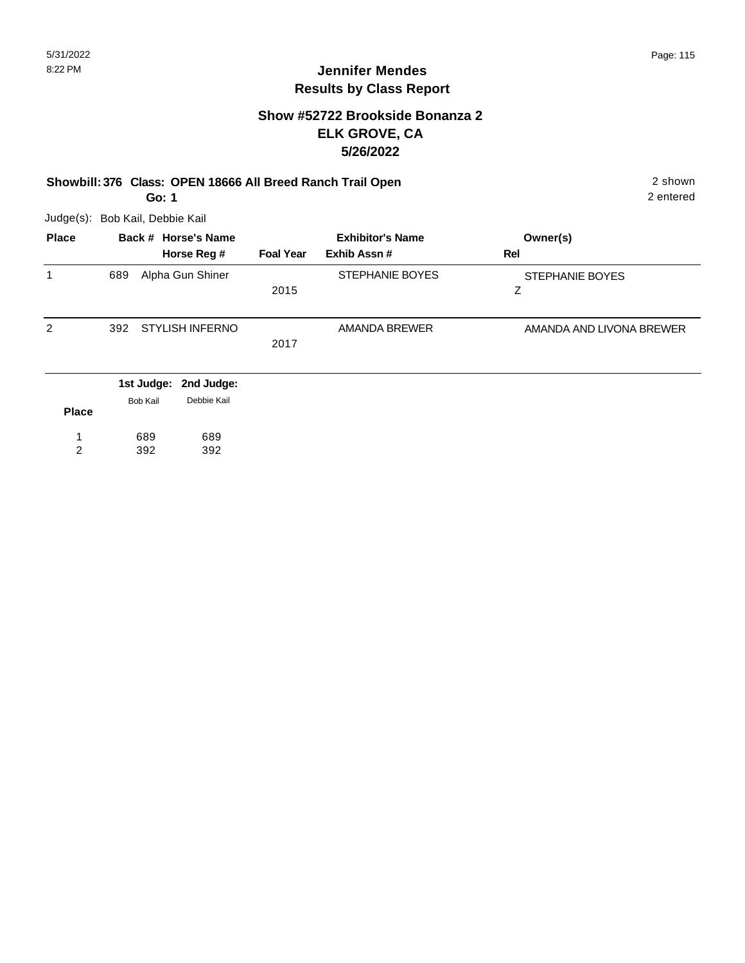#### **Show #52722 Brookside Bonanza 2 ELK GROVE, CA 5/26/2022**

#### **Showbill: 376 Class: OPEN 18666 All Breed Ranch Trail Open** 2 shown **Go: 1**

Judge(s): Bob Kail, Debbie Kail

| <b>Place</b> | Back # Horse's Name            |                  | <b>Exhibitor's Name</b> | Owner(s)                 |  |
|--------------|--------------------------------|------------------|-------------------------|--------------------------|--|
|              | Horse Reg #                    | <b>Foal Year</b> | Exhib Assn#             | Rel                      |  |
| 1            | Alpha Gun Shiner<br>689        |                  | STEPHANIE BOYES         | STEPHANIE BOYES          |  |
|              |                                | 2015             |                         | z                        |  |
| 2            | <b>STYLISH INFERNO</b><br>392  |                  | AMANDA BREWER           | AMANDA AND LIVONA BREWER |  |
|              |                                | 2017             |                         |                          |  |
|              | 1st Judge: 2nd Judge:          |                  |                         |                          |  |
|              | Debbie Kail<br><b>Rob Koil</b> |                  |                         |                          |  |

| <b>Place</b> | <b>BOD Kall</b> | Depple Kall |
|--------------|-----------------|-------------|
|              | 689             | 689         |
| 2            | 392             | 392         |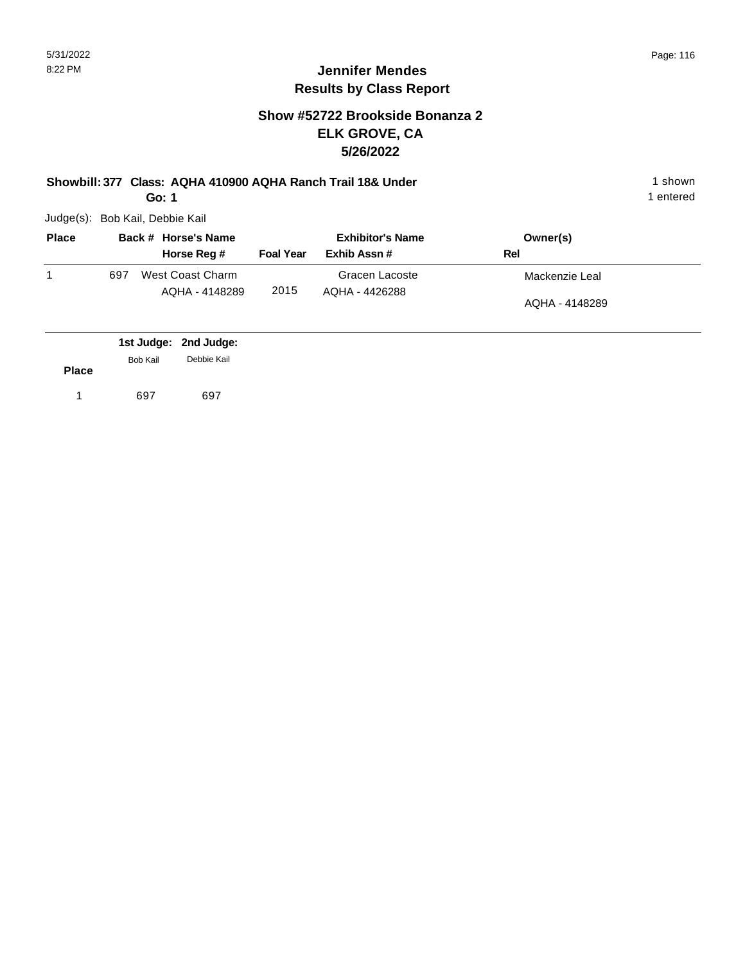#### **Jennifer Mendes Results by Class Report**

## **Show #52722 Brookside Bonanza 2 ELK GROVE, CA 5/26/2022**

**Showbill: 377 Class: AQHA 410900 AQHA Ranch Trail 18& Under** 1 shown

**Go: 1**

| <b>Place</b> | Back # Horse's Name |                                    | <b>Exhibitor's Name</b> |                                  | Owner(s)       |
|--------------|---------------------|------------------------------------|-------------------------|----------------------------------|----------------|
|              |                     | Horse Reg #                        | <b>Foal Year</b>        | Exhib Assn#                      | Rel            |
|              | 697                 | West Coast Charm<br>AQHA - 4148289 | 2015                    | Gracen Lacoste<br>AQHA - 4426288 | Mackenzie Leal |
|              |                     |                                    |                         |                                  | AQHA - 4148289 |

|              |          | 1st Judge: 2nd Judge: |
|--------------|----------|-----------------------|
|              | Bob Kail | Debbie Kail           |
| <b>Place</b> |          |                       |
|              | 697      | 697                   |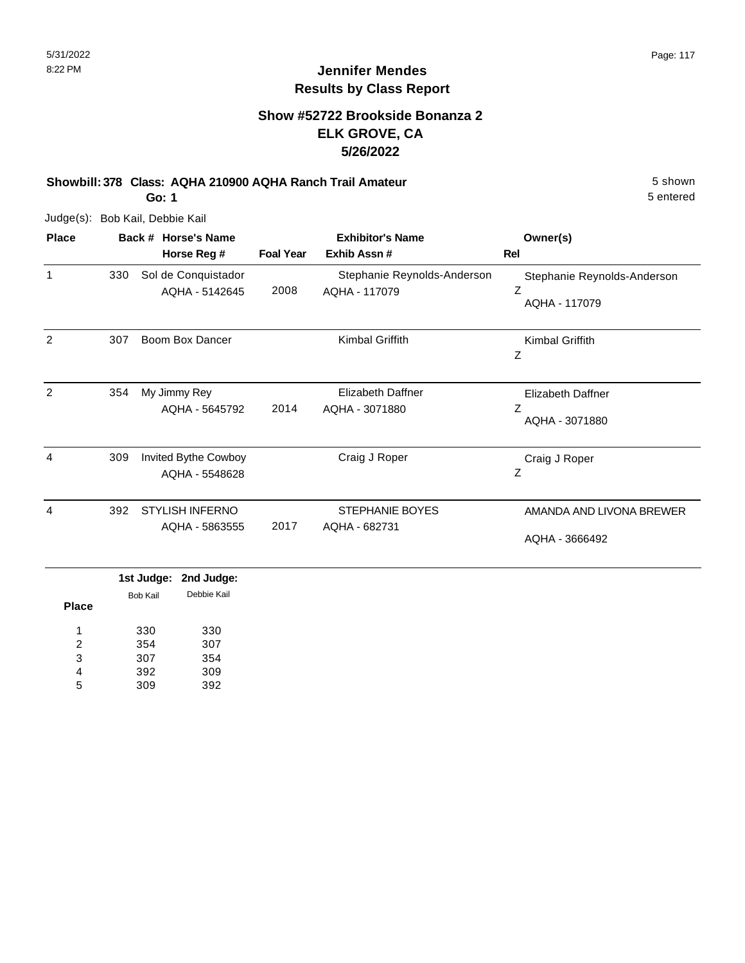## **Show #52722 Brookside Bonanza 2 ELK GROVE, CA 5/26/2022**

**Showbill: 378 Class: AQHA 210900 AQHA Ranch Trail Amateur** 5 shown

**Go: 1**

Judge(s): Bob Kail, Debbie Kail

| <b>Place</b> |     | Back # Horse's Name                      |                  | <b>Exhibitor's Name</b>                      | Owner(s)                                          |
|--------------|-----|------------------------------------------|------------------|----------------------------------------------|---------------------------------------------------|
|              |     | Horse Reg #                              | <b>Foal Year</b> | Exhib Assn#                                  | Rel                                               |
| 1            | 330 | Sol de Conquistador<br>AQHA - 5142645    | 2008             | Stephanie Reynolds-Anderson<br>AQHA - 117079 | Stephanie Reynolds-Anderson<br>Ζ<br>AQHA - 117079 |
| 2            | 307 | Boom Box Dancer                          |                  | Kimbal Griffith                              | Kimbal Griffith<br>Ζ                              |
| 2            | 354 | My Jimmy Rey<br>AQHA - 5645792           | 2014             | <b>Elizabeth Daffner</b><br>AQHA - 3071880   | Elizabeth Daffner<br>Z<br>AQHA - 3071880          |
| 4            | 309 | Invited Bythe Cowboy<br>AQHA - 5548628   |                  | Craig J Roper                                | Craig J Roper<br>Z                                |
| 4            | 392 | <b>STYLISH INFERNO</b><br>AQHA - 5863555 | 2017             | <b>STEPHANIE BOYES</b><br>AQHA - 682731      | AMANDA AND LIVONA BREWER<br>AQHA - 3666492        |

|              |          | 1st Judge: 2nd Judge: |  |
|--------------|----------|-----------------------|--|
| <b>Place</b> | Bob Kail | Debbie Kail           |  |
| 1            | 330      | 330                   |  |
| 2            | 354      | 307                   |  |
| 3            | 307      | 354                   |  |
| 4            | 392      | 309                   |  |
| 5            | 309      | 392                   |  |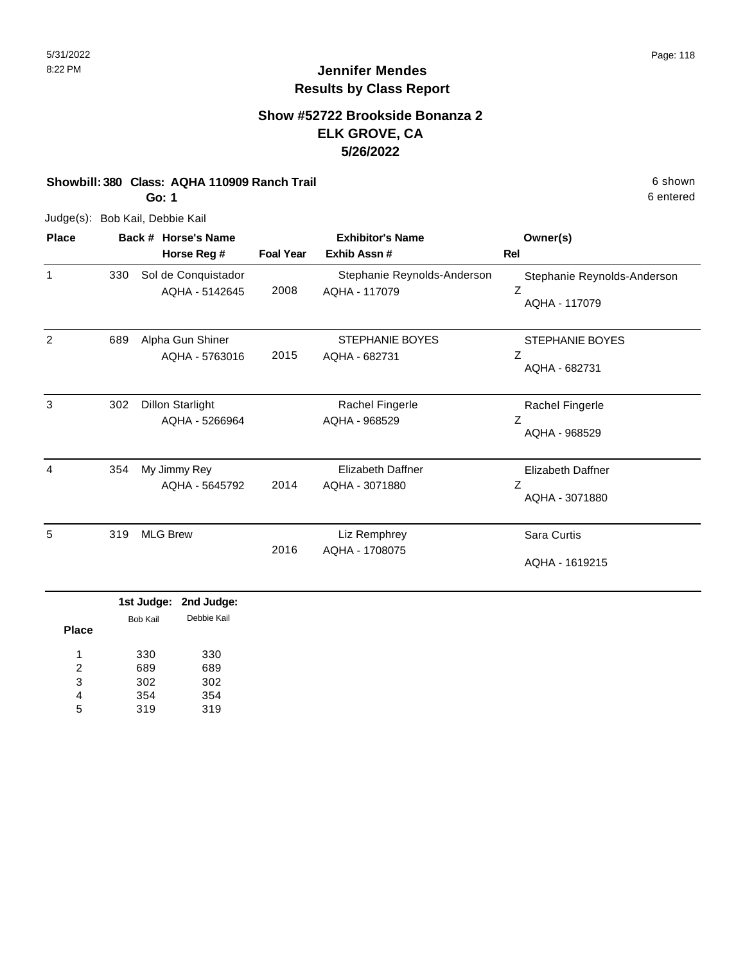## **Show #52722 Brookside Bonanza 2 ELK GROVE, CA 5/26/2022**

#### **Showbill: 380 Class: AQHA 110909 Ranch Trail 6 shown 6 shown 6 shown 6 shown**

**Go: 1**

Judge(s): Bob Kail, Debbie Kail

| <b>Place</b> |     | Back # Horse's Name                       |                  | <b>Exhibitor's Name</b>                      | Owner(s)                                          |
|--------------|-----|-------------------------------------------|------------------|----------------------------------------------|---------------------------------------------------|
|              |     | Horse Reg #                               | <b>Foal Year</b> | Exhib Assn #                                 | Rel                                               |
| 1            | 330 | Sol de Conquistador<br>AQHA - 5142645     | 2008             | Stephanie Reynolds-Anderson<br>AQHA - 117079 | Stephanie Reynolds-Anderson<br>Z<br>AQHA - 117079 |
| 2            | 689 | Alpha Gun Shiner<br>AQHA - 5763016        | 2015             | <b>STEPHANIE BOYES</b><br>AQHA - 682731      | STEPHANIE BOYES<br>Ζ<br>AQHA - 682731             |
| 3            | 302 | <b>Dillon Starlight</b><br>AQHA - 5266964 |                  | Rachel Fingerle<br>AQHA - 968529             | Rachel Fingerle<br>Ζ<br>AQHA - 968529             |
| 4            | 354 | My Jimmy Rey<br>AQHA - 5645792            | 2014             | Elizabeth Daffner<br>AQHA - 3071880          | Elizabeth Daffner<br>Ζ<br>AQHA - 3071880          |
| 5            | 319 | <b>MLG Brew</b>                           | 2016             | Liz Remphrey<br>AQHA - 1708075               | Sara Curtis<br>AQHA - 1619215                     |

|       |          | 1st Judge: 2nd Judge: |
|-------|----------|-----------------------|
| Place | Bob Kail | Debbie Kail           |
| 1     | 330      | 330                   |
| 2     | 689      | 689                   |
| 3     | 302      | 302                   |
| 4     | 354      | 354                   |
| 5     | 319      | 319                   |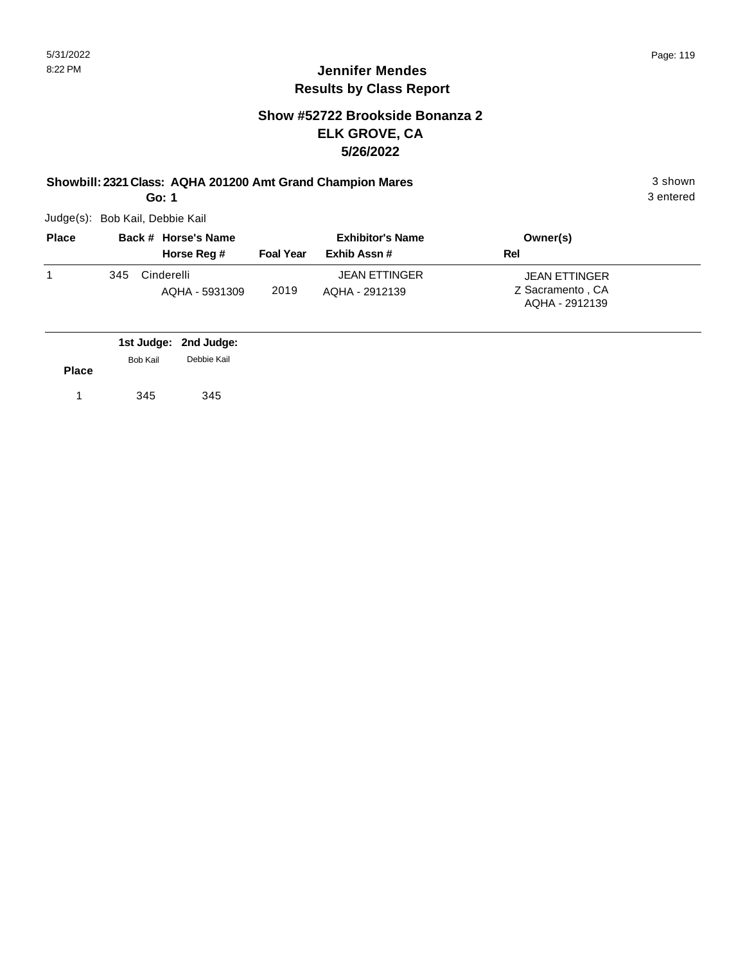#### **Jennifer Mendes Results by Class Report**

## **Show #52722 Brookside Bonanza 2 ELK GROVE, CA 5/26/2022**

#### **Showbill: 2321 Class: AQHA 201200 Amt Grand Champion Mares** 3 shown

**Go: 1**

| <b>Place</b> |     | Back # Horse's Name | <b>Exhibitor's Name</b> |                      | Owner(s)                           |  |
|--------------|-----|---------------------|-------------------------|----------------------|------------------------------------|--|
|              |     | Horse Reg #         | <b>Foal Year</b>        | Exhib Assn#          | Rel                                |  |
|              | 345 | Cinderelli          |                         | <b>JEAN ETTINGER</b> | <b>JEAN ETTINGER</b>               |  |
|              |     | AQHA - 5931309      | 2019                    | AQHA - 2912139       | Z Sacramento, CA<br>AQHA - 2912139 |  |

|              |                 | 1st Judge: 2nd Judge: |
|--------------|-----------------|-----------------------|
|              | <b>Bob Kail</b> | Debbie Kail           |
| <b>Place</b> |                 |                       |
|              | 345             | 345                   |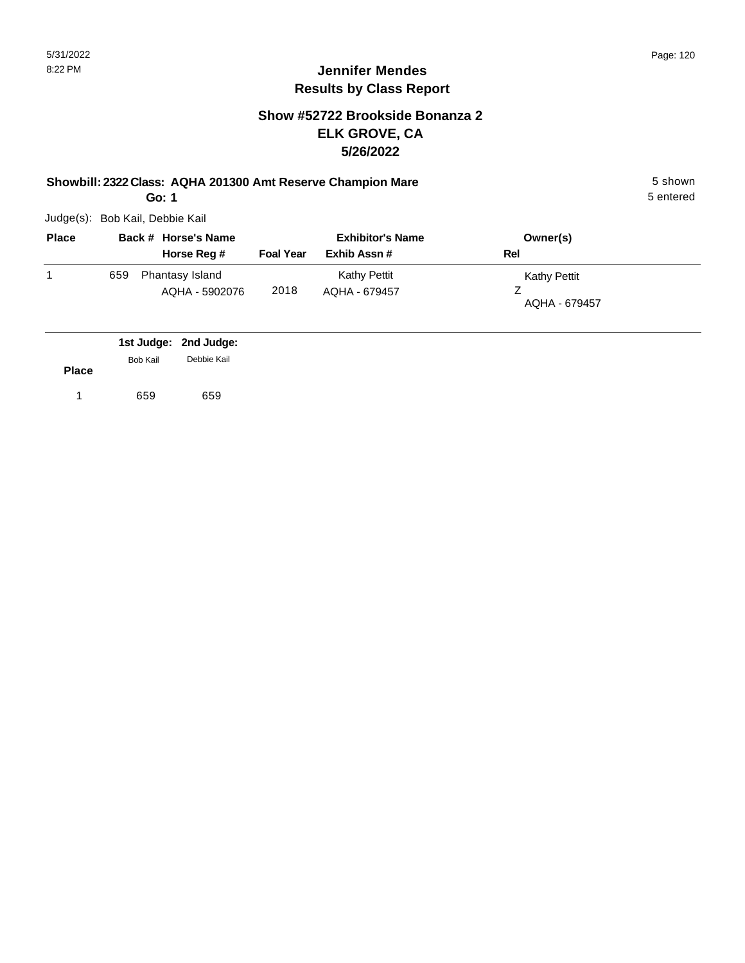## **Jennifer Mendes Results by Class Report**

## **Show #52722 Brookside Bonanza 2 ELK GROVE, CA 5/26/2022**

**Showbill: 2322 Class: AQHA 201300 Amt Reserve Champion Mare** 5 shown

**Go: 1**

| <b>Place</b> |     | Back # Horse's Name               | <b>Exhibitor's Name</b> |                                      | Owner(s)                      |  |
|--------------|-----|-----------------------------------|-------------------------|--------------------------------------|-------------------------------|--|
|              |     | Horse Reg #                       | <b>Foal Year</b>        | Exhib Assn #                         | Rel                           |  |
|              | 659 | Phantasy Island<br>AQHA - 5902076 | 2018                    | <b>Kathy Pettit</b><br>AQHA - 679457 | Kathy Pettit<br>AQHA - 679457 |  |

|              |                 | 1st Judge: 2nd Judge: |
|--------------|-----------------|-----------------------|
| <b>Place</b> | <b>Bob Kail</b> | Debbie Kail           |
|              | 659             | 659                   |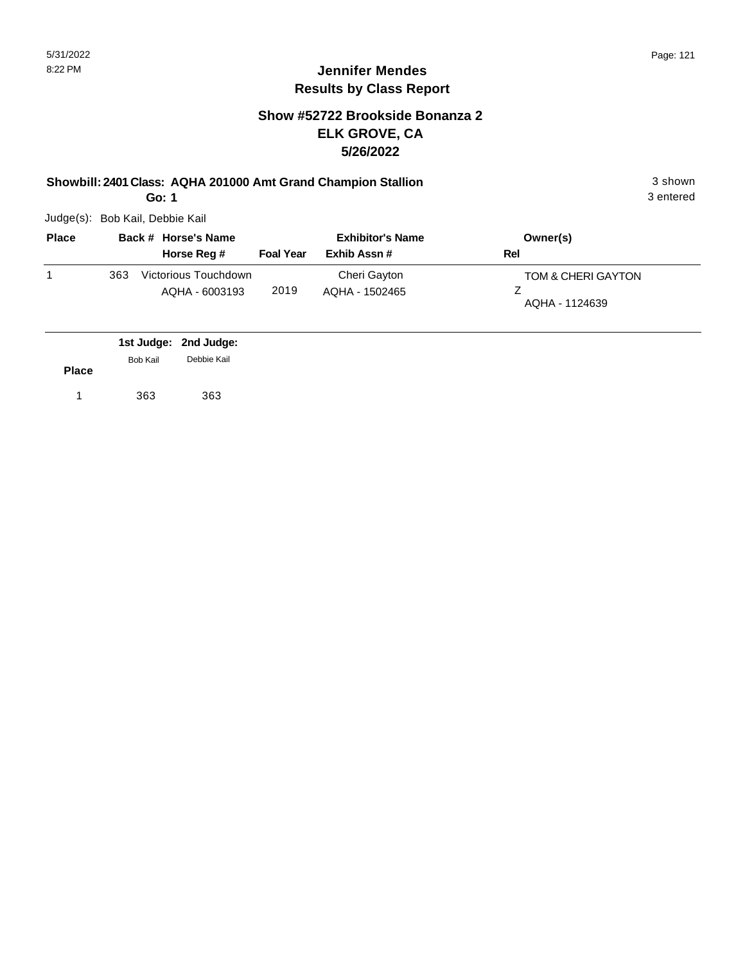## **Jennifer Mendes Results by Class Report**

## **Show #52722 Brookside Bonanza 2 ELK GROVE, CA 5/26/2022**

**Showbill: 2401 Class: AQHA 201000 Amt Grand Champion Stallion** 3 shown

**Go: 1**

| <b>Place</b> |     | Back # Horse's Name                    | <b>Exhibitor's Name</b> |                                | Owner(s)                             |
|--------------|-----|----------------------------------------|-------------------------|--------------------------------|--------------------------------------|
|              |     | Horse Reg #                            | <b>Foal Year</b>        | Exhib Assn #                   | Rel                                  |
|              | 363 | Victorious Touchdown<br>AQHA - 6003193 | 2019                    | Cheri Gayton<br>AQHA - 1502465 | TOM & CHERI GAYTON<br>AQHA - 1124639 |

|              |          | 1st Judge: 2nd Judge: |
|--------------|----------|-----------------------|
|              | Bob Kail | Debbie Kail           |
| <b>Place</b> |          |                       |
|              | 363      | 363                   |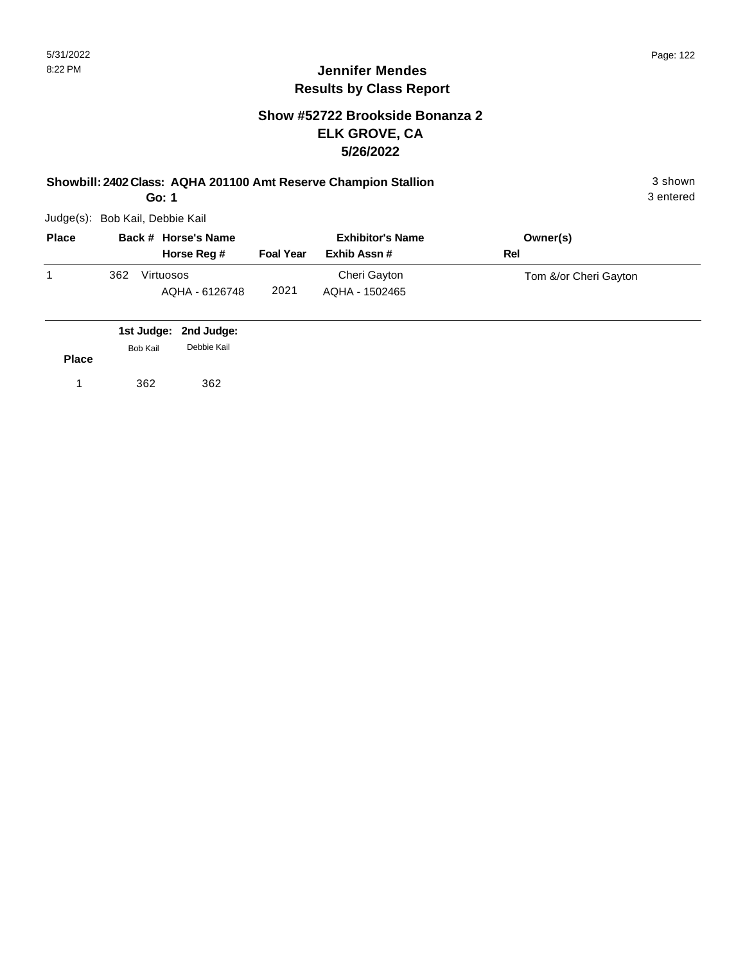## **Show #52722 Brookside Bonanza 2 ELK GROVE, CA 5/26/2022**

**Showbill: 2402 Class: AQHA 201100 Amt Reserve Champion Stallion** 3 shown

**Go: 1**

Judge(s): Bob Kail, Debbie Kail

| <b>Place</b> | Back # Horse's Name |                             | <b>Exhibitor's Name</b> |                                | Owner(s)              |
|--------------|---------------------|-----------------------------|-------------------------|--------------------------------|-----------------------|
|              |                     | Horse Reg #                 | <b>Foal Year</b>        | Exhib Assn #                   | Rel                   |
|              | 362                 | Virtuosos<br>AQHA - 6126748 | 2021                    | Cheri Gayton<br>AQHA - 1502465 | Tom &/or Cheri Gayton |

|              |          | 1st Judge: 2nd Judge: |
|--------------|----------|-----------------------|
|              | Bob Kail | Debbie Kail           |
| <b>Place</b> |          |                       |
| 1            | 362      | 362                   |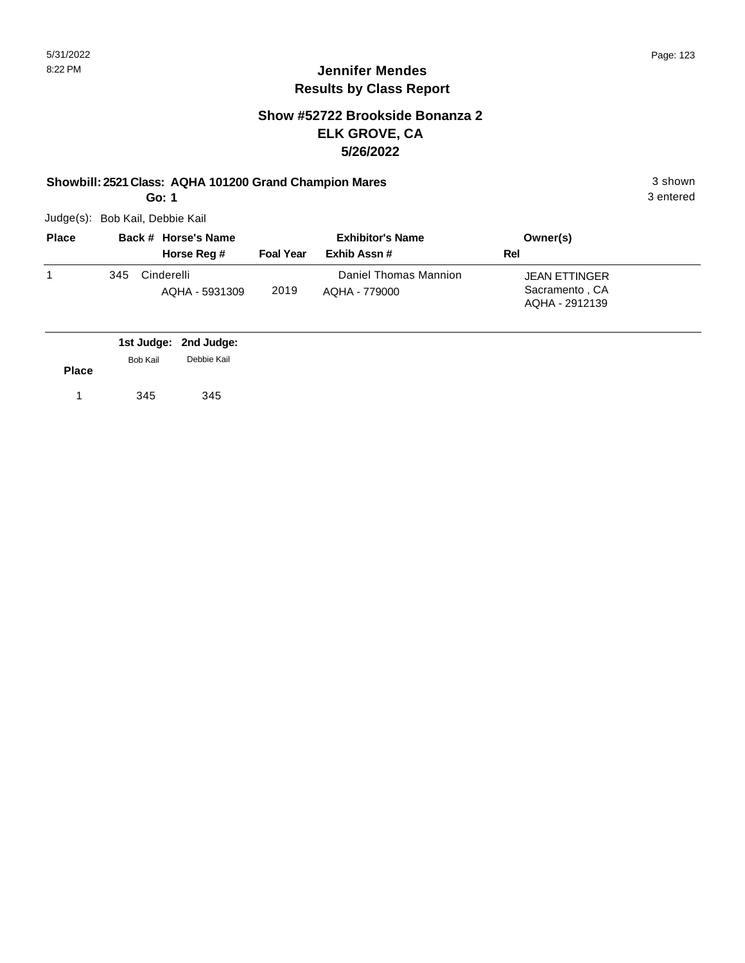## **Jennifer Mendes Results by Class Report**

## **Show #52722 Brookside Bonanza 2 ELK GROVE, CA 5/26/2022**

#### **Showbill: 2521 Class: AQHA 101200 Grand Champion Mares** 3 shown

**Go: 1**

| <b>Place</b> |     | Back # Horse's Name          |                  | <b>Exhibitor's Name</b>                | Owner(s)                                                 |  |
|--------------|-----|------------------------------|------------------|----------------------------------------|----------------------------------------------------------|--|
|              |     | Horse Reg #                  | <b>Foal Year</b> | Exhib Assn#                            | Rel                                                      |  |
|              | 345 | Cinderelli<br>AQHA - 5931309 | 2019             | Daniel Thomas Mannion<br>AOHA - 779000 | <b>JEAN ETTINGER</b><br>Sacramento, CA<br>AQHA - 2912139 |  |

|              |                 | 1st Judge: 2nd Judge: |
|--------------|-----------------|-----------------------|
|              | <b>Bob Kail</b> | Debbie Kail           |
| <b>Place</b> |                 |                       |
|              | 345             | 345                   |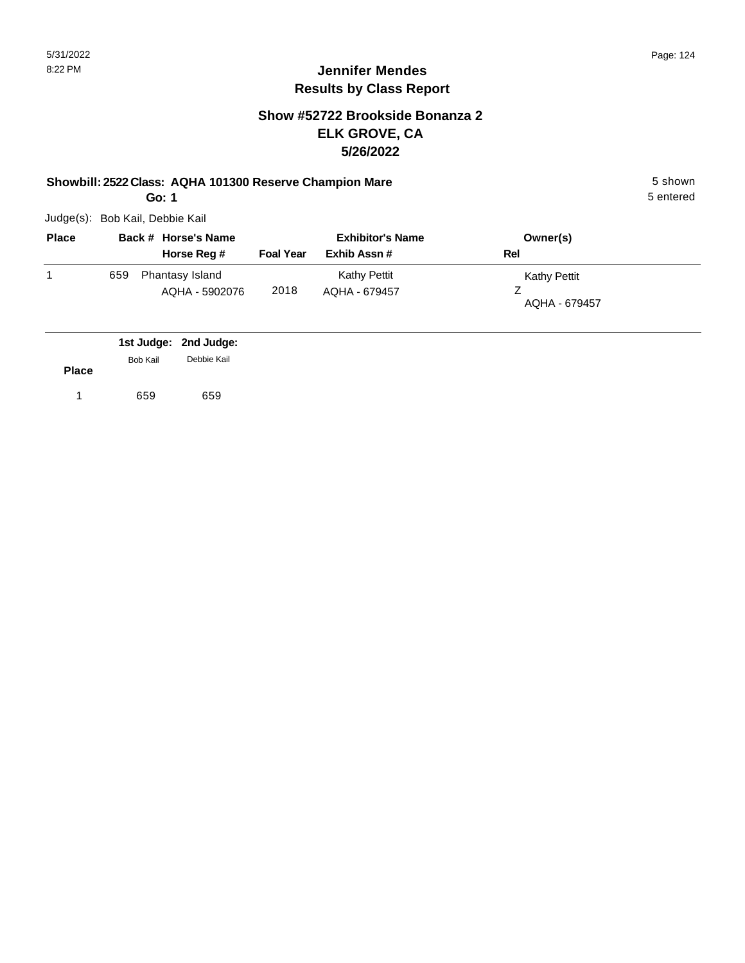# **Jennifer Mendes Results by Class Report**

### **Show #52722 Brookside Bonanza 2 ELK GROVE, CA 5/26/2022**

#### **Showbill: 2522 Class: AQHA 101300 Reserve Champion Mare** 5 shown

**Go: 1**

| <b>Place</b> |     | Back # Horse's Name               |                  | <b>Exhibitor's Name</b>              | Owner(s)                      |
|--------------|-----|-----------------------------------|------------------|--------------------------------------|-------------------------------|
|              |     | Horse Reg #                       | <b>Foal Year</b> | Exhib Assn#                          | Rel                           |
|              | 659 | Phantasy Island<br>AQHA - 5902076 | 2018             | <b>Kathy Pettit</b><br>AQHA - 679457 | Kathy Pettit<br>AQHA - 679457 |

|              |                 | 1st Judge: 2nd Judge: |
|--------------|-----------------|-----------------------|
| <b>Place</b> | <b>Bob Kail</b> | Debbie Kail           |
|              |                 |                       |
|              | 659             | 659                   |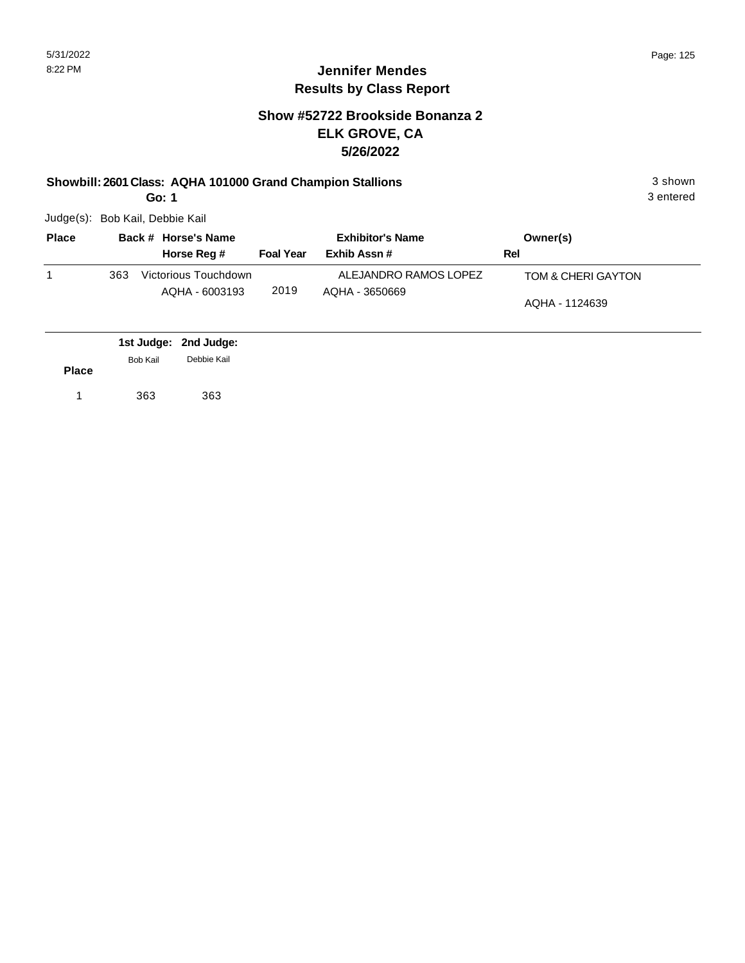## **Show #52722 Brookside Bonanza 2 ELK GROVE, CA 5/26/2022**

#### **Showbill: 2601 Class: AQHA 101000 Grand Champion Stallions** 3 shown

**Go: 1**

Judge(s): Bob Kail, Debbie Kail

| <b>Place</b> |     | Back # Horse's Name                    |                  | <b>Exhibitor's Name</b>                 |     | Owner(s)                             |
|--------------|-----|----------------------------------------|------------------|-----------------------------------------|-----|--------------------------------------|
|              |     | Horse Reg #                            | <b>Foal Year</b> | Exhib Assn #                            | Rel |                                      |
|              | 363 | Victorious Touchdown<br>AQHA - 6003193 | 2019             | ALEJANDRO RAMOS LOPEZ<br>AQHA - 3650669 |     | TOM & CHERI GAYTON<br>AQHA - 1124639 |

|              |          | 1st Judge: 2nd Judge: |  |
|--------------|----------|-----------------------|--|
|              | Bob Kail | Debbie Kail           |  |
| <b>Place</b> |          |                       |  |
| 1            | 363      | 363                   |  |